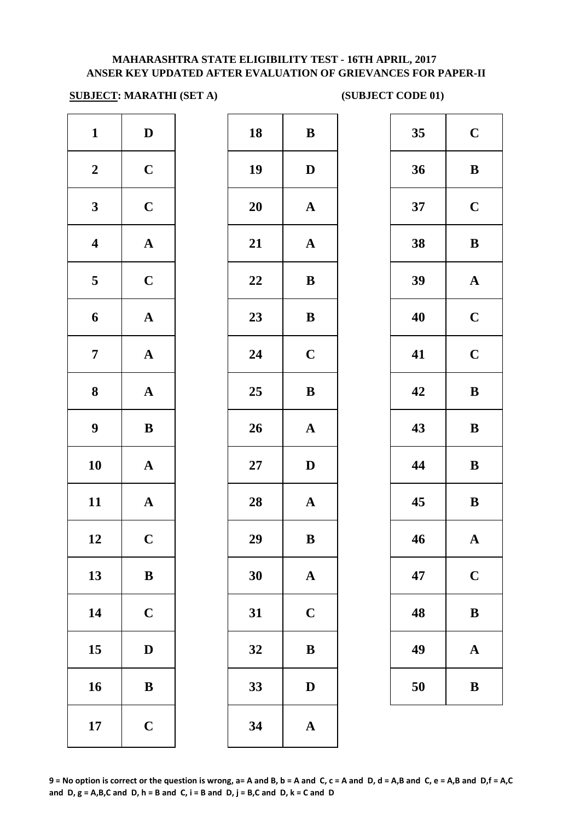#### **MAHARASHTRA STATE ELIGIBILITY TEST - 16TH APRIL, 2017 ANSER KEY UPDATED AFTER EVALUATION OF GRIEVANCES FOR PAPER-II**

#### **SUBJECT: MARATHI (SET A)** (SUBJECT CODE 01)

| $\mathbf{1}$            | $\mathbf D$           | 18     | $\bf{B}$     |
|-------------------------|-----------------------|--------|--------------|
| $\boldsymbol{2}$        | $\mathbf C$           | 19     | $\mathbf{D}$ |
| $\mathbf{3}$            | $\mathbf C$           | 20     | $\mathbf{A}$ |
| $\overline{\mathbf{4}}$ | $\boldsymbol{\rm{A}}$ | 21     | $\mathbf{A}$ |
| 5                       | $\mathbf C$           | 22     | $\bf{B}$     |
| 6                       | $\boldsymbol{\rm{A}}$ | 23     | $\bf{B}$     |
| $\boldsymbol{7}$        | ${\bf A}$             | 24     | $\mathbf C$  |
| $\bf 8$                 | ${\bf A}$             | 25     | $\bf{B}$     |
| $\boldsymbol{9}$        | $\bf{B}$              | 26     | $\mathbf A$  |
| 10                      | $\mathbf A$           | $27\,$ | $\mathbf{D}$ |
| 11                      | $\boldsymbol{\rm{A}}$ | 28     | $\mathbf{A}$ |
| 12                      | $\mathbf C$           | 29     | B            |
| 13                      | $\, {\bf B}$          | 30     | $\mathbf A$  |
| 14                      | $\mathbf C$           | 31     | $\mathbf C$  |
| 15                      | $\mathbf D$           | 32     | B            |
| 16                      | ${\bf B}$             | 33     | $\mathbf{D}$ |
| 17                      | $\mathbf C$           | 34     | $\mathbf{A}$ |
|                         |                       |        |              |

| $\mathbf{1}$            | $\mathbf{D}$ | 18 | ${\bf B}$             | 35 | $\mathbf C$ |
|-------------------------|--------------|----|-----------------------|----|-------------|
| $\boldsymbol{2}$        | $\mathbf C$  | 19 | $\mathbf D$           | 36 | $\bf{B}$    |
| $\mathbf{3}$            | $\mathbf C$  | 20 | ${\bf A}$             | 37 | $\mathbf C$ |
| $\overline{\mathbf{4}}$ | ${\bf A}$    | 21 | ${\bf A}$             | 38 | $\bf{B}$    |
| $5\overline{)}$         | $\mathbf C$  | 22 | $\, {\bf B}$          | 39 | $\mathbf A$ |
| $\boldsymbol{6}$        | ${\bf A}$    | 23 | $\, {\bf B}$          | 40 | $\mathbf C$ |
| $\overline{7}$          | ${\bf A}$    | 24 | $\mathbf C$           | 41 | $\mathbf C$ |
| $\boldsymbol{8}$        | ${\bf A}$    | 25 | ${\bf B}$             | 42 | $\bf{B}$    |
| $\boldsymbol{9}$        | $\, {\bf B}$ | 26 | $\boldsymbol{\rm{A}}$ | 43 | $\bf{B}$    |
| 10                      | ${\bf A}$    | 27 | $\mathbf D$           | 44 | $\bf{B}$    |
| 11                      | ${\bf A}$    | 28 | ${\bf A}$             | 45 | $\bf{B}$    |
| 12                      | $\mathbf C$  | 29 | $\, {\bf B}$          | 46 | $\mathbf A$ |
| 13                      | $\, {\bf B}$ | 30 | $\mathbf{A}$          | 47 | $\mathbf C$ |
| 14                      | $\mathbf C$  | 31 | $\mathbf C$           | 48 | $\bf{B}$    |
| 15                      | $\mathbf D$  | 32 | $\, {\bf B}$          | 49 | $\mathbf A$ |
| 16                      | $\bf{B}$     | 33 | D                     | 50 | $\bf{B}$    |
| 17                      | $\mathbf C$  | 34 | $\mathbf A$           |    |             |

| 35 | $\mathbf C$ |
|----|-------------|
| 36 | B           |
| 37 | $\mathbf C$ |
| 38 | B           |
| 39 | $\mathbf A$ |
| 40 | $\mathbf C$ |
| 41 | $\mathbf C$ |
| 42 | B           |
|    |             |
| 43 | B           |
| 44 | B           |
| 45 | B           |
| 46 | A           |
| 47 | $\mathbf C$ |
| 48 | $\bf{B}$    |
| 49 | $\mathbf A$ |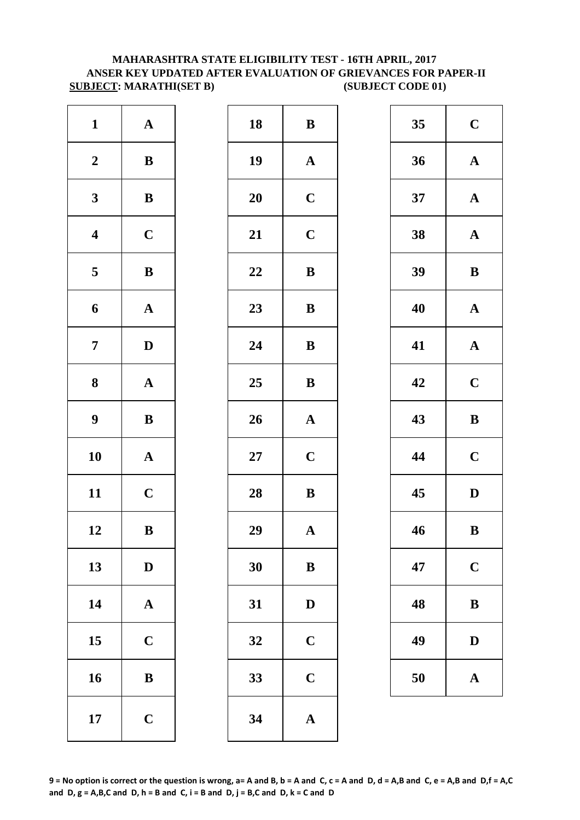#### **MAHARASHTRA STATE ELIGIBILITY TEST - 16TH APRIL, 2017 ANSER KEY UPDATED AFTER EVALUATION OF GRIEVANCES FOR PAPER-II SUBJECT: MARATHI(SET B)** (SUBJECT CODE 01)

| $\mathbf{1}$            | ${\bf A}$             | 18 | $\bf{B}$     |
|-------------------------|-----------------------|----|--------------|
| $\boldsymbol{2}$        | $\, {\bf B}$          | 19 | $\mathbf A$  |
| $\mathbf{3}$            | $\, {\bf B}$          | 20 | $\mathbf C$  |
| $\boldsymbol{4}$        | $\mathbf C$           | 21 | $\mathbf C$  |
| $\overline{\mathbf{5}}$ | $\, {\bf B}$          | 22 | $\bf{B}$     |
| 6                       | $\boldsymbol{\rm{A}}$ | 23 | $\bf{B}$     |
| $\boldsymbol{7}$        | $\mathbf D$           | 24 | $\bf{B}$     |
| $\bf 8$                 | $\mathbf A$           | 25 | $\bf{B}$     |
| $\boldsymbol{9}$        | $\, {\bf B}$          | 26 | $\mathbf{A}$ |
| 10                      | $\mathbf A$           | 27 | $\mathbf C$  |
| 11                      | $\mathbf C$           | 28 | $\bf{B}$     |
| 12                      | $\bf{B}$              | 29 | $\mathbf{A}$ |
| 13                      | $\mathbf D$           | 30 | $\bf{B}$     |
| 14                      | $\boldsymbol{\rm{A}}$ | 31 | $\mathbf{D}$ |
| 15                      | $\mathbf C$           | 32 | $\mathbf C$  |
| 16                      | $\bf{B}$              | 33 | $\mathbf C$  |
| 17                      | $\mathbf C$           | 34 | $\mathbf{A}$ |

| $\mathbf{1}$            | ${\bf A}$    | 18 | ${\bf B}$             | 35 | $\mathbf C$  |
|-------------------------|--------------|----|-----------------------|----|--------------|
| $\boldsymbol{2}$        | ${\bf B}$    | 19 | ${\bf A}$             | 36 | $\mathbf A$  |
| $\mathbf{3}$            | $\, {\bf B}$ | 20 | $\mathbf C$           | 37 | $\mathbf A$  |
| $\overline{\mathbf{4}}$ | $\mathbf C$  | 21 | $\mathbf C$           | 38 | $\mathbf A$  |
| $5\phantom{.0}$         | $\, {\bf B}$ | 22 | $\, {\bf B}$          | 39 | $\bf{B}$     |
| $\boldsymbol{6}$        | ${\bf A}$    | 23 | $\, {\bf B}$          | 40 | $\mathbf A$  |
| $\overline{7}$          | $\mathbf D$  | 24 | ${\bf B}$             | 41 | $\mathbf A$  |
| $\boldsymbol{8}$        | ${\bf A}$    | 25 | ${\bf B}$             | 42 | $\mathbf C$  |
| $\boldsymbol{9}$        | $\, {\bf B}$ | 26 | $\boldsymbol{\rm{A}}$ | 43 | $\bf{B}$     |
| 10                      | ${\bf A}$    | 27 | $\mathbf C$           | 44 | $\mathbf C$  |
| 11                      | $\mathbf C$  | 28 | $\, {\bf B}$          | 45 | $\mathbf{D}$ |
| 12                      | $\, {\bf B}$ | 29 | $\boldsymbol{\rm{A}}$ | 46 | $\bf{B}$     |
| 13                      | $\mathbf{D}$ | 30 | ${\bf B}$             | 47 | $\mathbf C$  |
| 14                      | ${\bf A}$    | 31 | $\mathbf D$           | 48 | $\bf{B}$     |
| 15                      | $\mathbf C$  | 32 | $\mathbf C$           | 49 | $\mathbf{D}$ |
| 16                      | $\bf{B}$     | 33 | $\mathbf C$           | 50 | $\mathbf A$  |
| 17                      | $\mathbf C$  | 34 | $\mathbf A$           |    |              |
|                         |              |    |                       |    |              |

| 35 | $\mathbf C$  |
|----|--------------|
| 36 | $\mathbf A$  |
| 37 | $\mathbf A$  |
| 38 | $\mathbf{A}$ |
| 39 | B            |
| 40 | $\mathbf A$  |
| 41 | $\mathbf{A}$ |
| 42 | $\mathbf C$  |
| 43 | B            |
| 44 | $\mathbf C$  |
| 45 | D            |
| 46 | B            |
| 47 | $\mathbf C$  |
| 48 | B            |
| 49 | D            |
| 50 | $\mathbf A$  |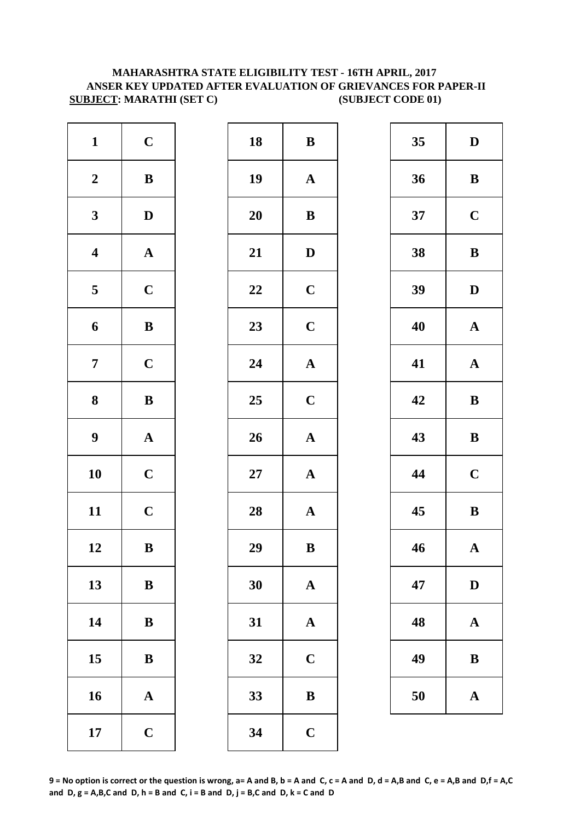#### **MAHARASHTRA STATE ELIGIBILITY TEST - 16TH APRIL, 2017 ANSER KEY UPDATED AFTER EVALUATION OF GRIEVANCES FOR PAPER-II SUBJECT: MARATHI (SET C) (SUBJECT CODE 01)**

| $\mathbf{1}$            | $\mathbf C$           | 18        | $\bf{B}$     |
|-------------------------|-----------------------|-----------|--------------|
| $\boldsymbol{2}$        | $\, {\bf B}$          | 19        | $\mathbf{A}$ |
| $\mathbf{3}$            | $\mathbf D$           | 20        | $\bf{B}$     |
| $\boldsymbol{4}$        | $\mathbf A$           | 21        | $\mathbf{D}$ |
| $\overline{\mathbf{5}}$ | $\mathbf C$           | 22        | $\mathbf C$  |
| 6                       | $\, {\bf B}$          | 23        | $\mathbf C$  |
| $\overline{7}$          | $\mathbf C$           | 24        | $\mathbf{A}$ |
| 8                       | $\, {\bf B}$          | 25        | $\mathbf C$  |
| $\boldsymbol{9}$        | $\boldsymbol{\rm{A}}$ | 26        | $\mathbf{A}$ |
| 10                      | $\mathbf C$           | <b>27</b> | $\mathbf{A}$ |
| 11                      | $\mathbf C$           | 28        | $\mathbf{A}$ |
| 12                      | $\bf{B}$              | 29        | $\bf{B}$     |
| 13                      | $\bf{B}$              | 30        | $\mathbf A$  |
| 14                      | $\, {\bf B}$          | 31        | $\mathbf{A}$ |
| 15                      | $\bf{B}$              | 32        | $\mathbf C$  |
| 16                      | $\boldsymbol{\rm{A}}$ | 33        | B            |
| 17                      | $\mathbf C$           | 34        | $\mathbf C$  |

| $\mathbf{1}$            | $\mathbf C$  | 18     | $\, {\bf B}$          | 35 | $\mathbf{D}$ |
|-------------------------|--------------|--------|-----------------------|----|--------------|
| $\boldsymbol{2}$        | ${\bf B}$    | 19     | $\mathbf{A}$          | 36 | $\bf{B}$     |
| $\mathbf{3}$            | $\mathbf D$  | 20     | ${\bf B}$             | 37 | $\mathbf C$  |
| $\overline{\mathbf{4}}$ | ${\bf A}$    | 21     | $\mathbf D$           | 38 | $\bf{B}$     |
| $\overline{5}$          | $\mathbf C$  | 22     | $\mathbf C$           | 39 | $\mathbf{D}$ |
| $\boldsymbol{6}$        | $\, {\bf B}$ | 23     | $\mathbf C$           | 40 | $\mathbf A$  |
| $\overline{7}$          | $\mathbf C$  | 24     | $\boldsymbol{\rm{A}}$ | 41 | $\mathbf A$  |
| $\boldsymbol{8}$        | $\bf{B}$     | 25     | $\mathbf C$           | 42 | $\bf{B}$     |
| $\boldsymbol{9}$        | ${\bf A}$    | 26     | ${\bf A}$             | 43 | $\bf{B}$     |
| 10                      | $\mathbf C$  | $27\,$ | $\mathbf A$           | 44 | $\mathbf C$  |
| 11                      | $\mathbf C$  | 28     | $\mathbf A$           | 45 | $\bf{B}$     |
| 12                      | $\, {\bf B}$ | 29     | $\, {\bf B}$          | 46 | $\mathbf A$  |
| 13                      | $\, {\bf B}$ | 30     | $\mathbf A$           | 47 | $\mathbf{D}$ |
| 14                      | $\, {\bf B}$ | 31     | ${\bf A}$             | 48 | $\mathbf A$  |
| 15                      | $\bf{B}$     | 32     | $\mathbf C$           | 49 | $\bf{B}$     |
| 16                      | ${\bf A}$    | 33     | $\bf{B}$              | 50 | $\mathbf A$  |
| 17                      | $\mathbf C$  | 34     | $\mathbf C$           |    |              |
|                         |              |        |                       |    |              |

| 35 | D           |  |  |
|----|-------------|--|--|
| 36 | B           |  |  |
| 37 | $\mathbf C$ |  |  |
| 38 | B           |  |  |
| 39 | D           |  |  |
| 40 | $\mathbf A$ |  |  |
| 41 | $\mathbf A$ |  |  |
| 42 | B           |  |  |
| 43 | B           |  |  |
| 44 | $\mathbf C$ |  |  |
| 45 | B           |  |  |
| 46 | $\mathbf A$ |  |  |
| 47 | D           |  |  |
| 48 | $\mathbf A$ |  |  |
| 49 | B           |  |  |
| 50 | $\mathbf A$ |  |  |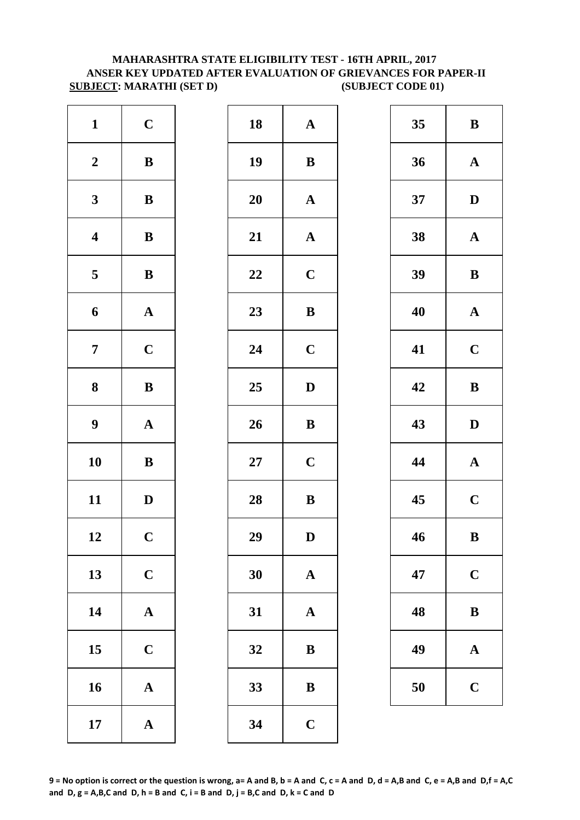#### **ANSER KEY UPDATED AFTER EVALUATION OF GRIEVANCES FOR PAPER-II SUBJECT: MARATHI (SET D)** (SUBJECT CODE 01) **MAHARASHTRA STATE ELIGIBILITY TEST - 16TH APRIL, 2017**

| $\mathbf{1}$     | $\mathbf C$           | 18        | $\mathbf A$  |
|------------------|-----------------------|-----------|--------------|
| $\boldsymbol{2}$ | $\, {\bf B}$          | 19        | $\bf{B}$     |
| $\mathbf{3}$     | $\bf{B}$              | <b>20</b> | $\mathbf A$  |
| $\boldsymbol{4}$ | $\, {\bf B}$          | 21        | $\mathbf A$  |
| 5                | $\, {\bf B}$          | 22        | $\mathbf C$  |
| 6                | ${\bf A}$             | 23        | $\bf{B}$     |
| $\overline{7}$   | $\mathbf C$           | 24        | $\mathbf C$  |
| 8                | $\bf{B}$              | 25        | $\mathbf{D}$ |
| $\boldsymbol{9}$ | ${\bf A}$             | 26        | $\bf{B}$     |
| 10               | $\, {\bf B}$          | $27\,$    | $\mathbf C$  |
| 11               | $\mathbf D$           | 28        | $\bf{B}$     |
| 12               | $\mathbf C$           | 29        | D            |
| 13               | $\mathbf C$           | 30        | $\mathbf{A}$ |
| 14               | ${\bf A}$             | 31        | $\mathbf{A}$ |
| 15               | $\mathbf C$           | 32        | $\bf{B}$     |
| 16               | $\mathbf A$           | 33        | $\bf{B}$     |
| 17               | $\boldsymbol{\rm{A}}$ | 34        | $\mathbf C$  |

| $\mathbf{1}$            | $\mathbf C$  | 18     | ${\bf A}$    | 35 | $\bf{B}$     |
|-------------------------|--------------|--------|--------------|----|--------------|
| $\boldsymbol{2}$        | $\, {\bf B}$ | 19     | $\, {\bf B}$ | 36 | $\mathbf A$  |
| $\mathbf{3}$            | ${\bf B}$    | 20     | $\mathbf{A}$ | 37 | $\mathbf{D}$ |
| $\overline{\mathbf{4}}$ | $\, {\bf B}$ | 21     | ${\bf A}$    | 38 | $\mathbf A$  |
| $\overline{5}$          | $\, {\bf B}$ | 22     | $\mathbf C$  | 39 | $\bf{B}$     |
| 6                       | ${\bf A}$    | 23     | $\, {\bf B}$ | 40 | $\mathbf A$  |
| $\overline{7}$          | $\mathbf C$  | 24     | $\mathbf C$  | 41 | $\mathbf C$  |
| $\boldsymbol{8}$        | $\, {\bf B}$ | 25     | $\mathbf D$  | 42 | $\bf{B}$     |
| $\boldsymbol{9}$        | ${\bf A}$    | 26     | $\, {\bf B}$ | 43 | $\mathbf{D}$ |
| 10                      | $\, {\bf B}$ | $27\,$ | $\mathbf C$  | 44 | $\mathbf A$  |
| 11                      | $\mathbf D$  | 28     | ${\bf B}$    | 45 | $\mathbf C$  |
| 12                      | $\mathbf C$  | 29     | $\mathbf D$  | 46 | $\bf{B}$     |
| 13                      | $\mathbf C$  | 30     | ${\bf A}$    | 47 | $\mathbf C$  |
| 14                      | ${\bf A}$    | 31     | $\mathbf A$  | 48 | $\bf{B}$     |
| 15                      | $\mathbf C$  | 32     | ${\bf B}$    | 49 | $\mathbf A$  |
| 16                      | ${\bf A}$    | 33     | $\, {\bf B}$ | 50 | $\mathbf C$  |
| 17                      | ${\bf A}$    | 34     | $\mathbf C$  |    |              |
|                         |              |        |              |    |              |

| 35 | B                       |  |  |
|----|-------------------------|--|--|
| 36 | $\mathbf A$             |  |  |
| 37 | D                       |  |  |
| 38 | $\mathbf A$             |  |  |
| 39 | B                       |  |  |
| 40 | $\mathbf A$             |  |  |
| 41 | $\mathbf C$             |  |  |
| 42 | B                       |  |  |
| 43 | D                       |  |  |
| 44 | $\mathbf A$             |  |  |
| 45 | $\overline{\mathbf{C}}$ |  |  |
| 46 | B                       |  |  |
| 47 | $\mathbf C$             |  |  |
| 48 | B                       |  |  |
| 49 | $\mathbf A$             |  |  |
| 50 | $\mathbf C$             |  |  |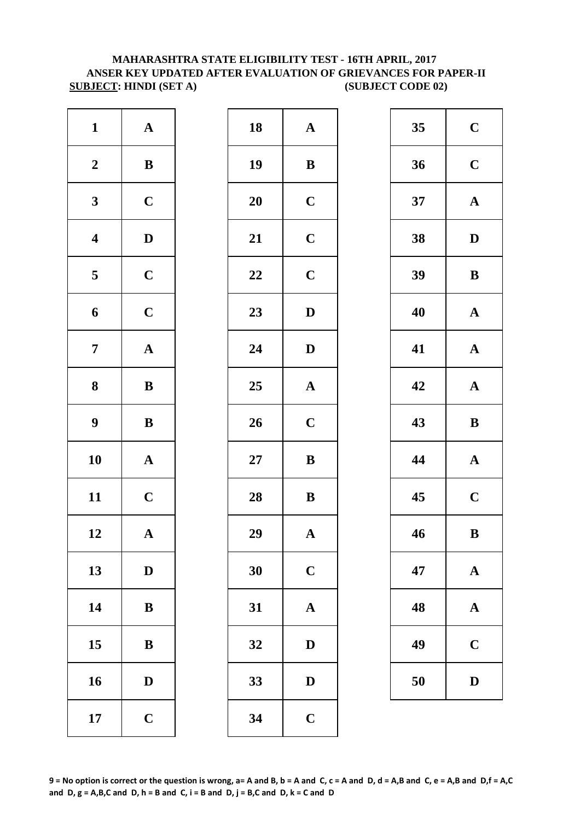#### **MAHARASHTRA STATE ELIGIBILITY TEST - 16TH APRIL, 2017 ANSER KEY UPDATED AFTER EVALUATION OF GRIEVANCES FOR PAPER-II SUBJECT: HINDI (SET A) (SUBJECT CODE 02)**

| $\mathbf{1}$     | ${\bf A}$             | 18 | $\mathbf{A}$ |
|------------------|-----------------------|----|--------------|
| $\boldsymbol{2}$ | $\, {\bf B}$          | 19 | $\bf{B}$     |
| $\mathbf{3}$     | $\mathbf C$           | 20 | $\mathbf C$  |
| $\boldsymbol{4}$ | $\mathbf D$           | 21 | $\mathbf C$  |
| $\sqrt{5}$       | $\mathbf C$           | 22 | $\mathbf C$  |
| 6                | $\mathbf C$           | 23 | $\mathbf{D}$ |
| $\boldsymbol{7}$ | $\boldsymbol{\rm{A}}$ | 24 | $\mathbf{D}$ |
| 8                | $\, {\bf B}$          | 25 | $\mathbf{A}$ |
| $\boldsymbol{9}$ | $\, {\bf B}$          | 26 | $\mathbf C$  |
| 10               | $\boldsymbol{\rm{A}}$ | 27 | $\bf{B}$     |
| 11               | $\mathbf C$           | 28 | $\bf{B}$     |
| 12               | $\mathbf A$           | 29 | $\mathbf{A}$ |
| 13               | $\mathbf D$           | 30 | $\mathbf C$  |
| 14               | ${\bf B}$             | 31 | $\mathbf{A}$ |
| 15               | $\, {\bf B}$          | 32 | D            |
| 16               | $\mathbf D$           | 33 | D            |
| 17               | $\mathbf C$           | 34 | $\mathbf C$  |

| $\mathbf{1}$            | ${\bf A}$    | 18 | ${\bf A}$             | 35 | $\mathbf C$  |
|-------------------------|--------------|----|-----------------------|----|--------------|
| $\boldsymbol{2}$        | $\bf{B}$     | 19 | ${\bf B}$             | 36 | $\mathbf C$  |
| $\mathbf{3}$            | $\mathbf C$  | 20 | $\mathbf C$           | 37 | $\mathbf A$  |
| $\overline{\mathbf{4}}$ | $\mathbf D$  | 21 | $\mathbf C$           | 38 | $\mathbf{D}$ |
| $\overline{\mathbf{5}}$ | $\mathbf C$  | 22 | $\mathbf C$           | 39 | $\bf{B}$     |
| $\boldsymbol{6}$        | $\mathbf C$  | 23 | $\mathbf D$           | 40 | $\mathbf A$  |
| $\overline{7}$          | ${\bf A}$    | 24 | $\mathbf{D}$          | 41 | $\mathbf A$  |
| $\boldsymbol{8}$        | $\bf{B}$     | 25 | $\mathbf A$           | 42 | $\mathbf A$  |
| $\boldsymbol{9}$        | $\bf{B}$     | 26 | $\mathbf C$           | 43 | $\bf{B}$     |
| 10                      | ${\bf A}$    | 27 | $\, {\bf B}$          | 44 | $\mathbf A$  |
| 11                      | $\mathbf C$  | 28 | $\, {\bf B}$          | 45 | $\mathbf C$  |
| 12                      | ${\bf A}$    | 29 | $\boldsymbol{\rm{A}}$ | 46 | $\bf{B}$     |
| 13                      | $\mathbf D$  | 30 | $\mathbf C$           | 47 | $\mathbf A$  |
| 14                      | $\, {\bf B}$ | 31 | $\boldsymbol{\rm{A}}$ | 48 | $\mathbf A$  |
| 15                      | $\bf{B}$     | 32 | D                     | 49 | $\mathbf C$  |
| 16                      | $\mathbf{D}$ | 33 | D                     | 50 | $\mathbf{D}$ |
| 17                      | $\mathbf C$  | 34 | $\mathbf C$           |    |              |
|                         |              |    |                       |    |              |

| 35 | $\mathbf C$             |
|----|-------------------------|
| 36 | $\mathbf C$             |
| 37 | $\mathbf A$             |
| 38 | $\mathbf{D}$            |
| 39 | B                       |
| 40 | $\mathbf A$             |
| 41 | $\mathbf A$             |
| 42 | $\overline{\mathbf{A}}$ |
| 43 | B                       |
| 44 | $\mathbf{A}$            |
| 45 | $\overline{\mathbf{C}}$ |
| 46 | B                       |
| 47 | $\mathbf A$             |
| 48 | ${\bf A}$               |
| 49 | $\mathbf C$             |
| 50 | $\mathbf D$             |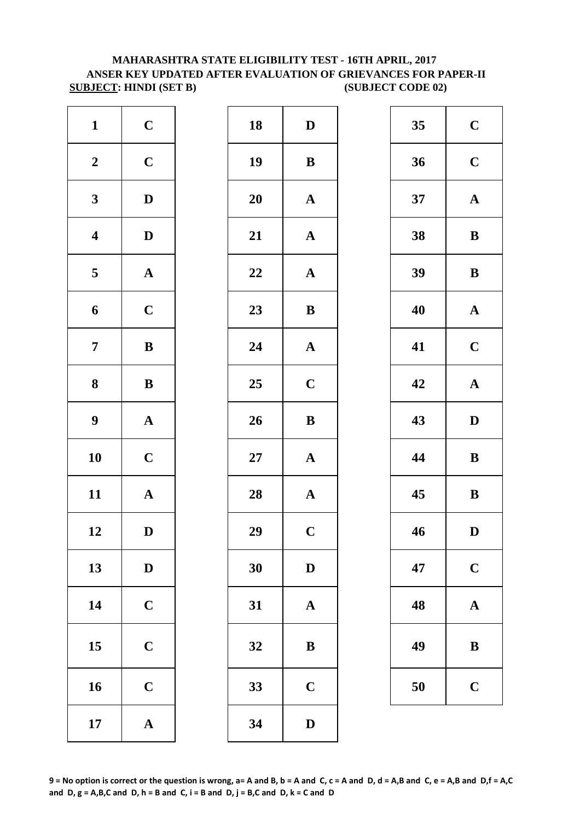## **MAHARASHTRA STATE ELIGIBILITY TEST - 16TH APRIL, 2017 ANSER KEY UPDATED AFTER EVALUATION OF GRIEVANCES FOR PAPER-II SUBJECT: HINDI (SET B) (SUBJECT CODE 02)**

| $\mathbf{1}$            | $\mathbf C$           | 18 | $\mathbf{D}$ |
|-------------------------|-----------------------|----|--------------|
| $\boldsymbol{2}$        | $\mathbf C$           | 19 | $\bf{B}$     |
| $\mathbf{3}$            | $\mathbf D$           | 20 | $\mathbf A$  |
| $\overline{\mathbf{4}}$ | $\mathbf D$           | 21 | $\mathbf{A}$ |
| $\overline{\mathbf{5}}$ | $\boldsymbol{\rm{A}}$ | 22 | $\mathbf{A}$ |
| 6                       | $\mathbf C$           | 23 | $\bf{B}$     |
| $\boldsymbol{7}$        | $\, {\bf B}$          | 24 | $\mathbf{A}$ |
| 8                       | $\, {\bf B}$          | 25 | $\mathbf C$  |
| $\boldsymbol{9}$        | $\boldsymbol{\rm{A}}$ | 26 | $\bf{B}$     |
| 10                      | $\mathbf C$           | 27 | $\mathbf A$  |
| 11                      | $\mathbf A$           | 28 | $\mathbf{A}$ |
| 12                      | D                     | 29 | $\mathbf C$  |
| 13                      | $\mathbf D$           | 30 | $\mathbf{D}$ |
| 14                      | $\mathbf C$           | 31 | $\mathbf A$  |
| 15                      | $\mathbf C$           | 32 | $\bf{B}$     |
| 16                      | $\mathbf C$           | 33 | $\mathbf C$  |
| 17                      | ${\bf A}$             | 34 | $\mathbf{D}$ |

| $\mathbf{1}$            | $\mathbf C$  | 18     | $\mathbf D$           | 35 | $\mathbf C$  |
|-------------------------|--------------|--------|-----------------------|----|--------------|
| $\boldsymbol{2}$        | $\mathbf C$  | 19     | $\, {\bf B}$          | 36 | $\mathbf C$  |
| $\mathbf{3}$            | $\mathbf{D}$ | 20     | $\mathbf A$           | 37 | $\mathbf A$  |
| $\overline{\mathbf{4}}$ | $\mathbf D$  | 21     | ${\bf A}$             | 38 | $\bf{B}$     |
| $\overline{\mathbf{5}}$ | ${\bf A}$    | 22     | $\boldsymbol{\rm{A}}$ | 39 | $\bf{B}$     |
| 6                       | $\mathbf C$  | 23     | ${\bf B}$             | 40 | $\mathbf A$  |
| $\overline{7}$          | $\, {\bf B}$ | 24     | $\mathbf A$           | 41 | $\mathbf C$  |
| 8                       | ${\bf B}$    | 25     | $\mathbf C$           | 42 | $\mathbf A$  |
| $\boldsymbol{9}$        | ${\bf A}$    | 26     | $\bf{B}$              | 43 | $\mathbf{D}$ |
| 10                      | $\mathbf C$  | $27\,$ | $\mathbf A$           | 44 | $\bf{B}$     |
| 11                      | ${\bf A}$    | 28     | $\mathbf A$           | 45 | $\bf{B}$     |
| 12                      | $\mathbf D$  | 29     | $\mathbf C$           | 46 | $\mathbf{D}$ |
| 13                      | $\mathbf D$  | 30     | $\mathbf D$           | 47 | $\mathbf C$  |
| 14                      | $\mathbf C$  | 31     | $\mathbf A$           | 48 | $\mathbf A$  |
| 15                      | $\mathbf C$  | 32     | ${\bf B}$             | 49 | $\bf{B}$     |
| 16                      | $\mathbf C$  | 33     | $\mathbf C$           | 50 | $\mathbf C$  |
| 17                      | ${\bf A}$    | 34     | $\mathbf D$           |    |              |
|                         |              |        |                       |    |              |

| 35 | $\mathbf C$ |
|----|-------------|
| 36 | $\mathbf C$ |
| 37 | $\mathbf A$ |
| 38 | B           |
| 39 | B           |
| 40 | $\mathbf A$ |
| 41 | $\mathbf C$ |
| 42 | $\mathbf A$ |
| 43 | D           |
| 44 | B           |
| 45 | $\bf{B}$    |
| 46 | D           |
| 47 | $\mathbf C$ |
| 48 | $\mathbf A$ |
| 49 | B           |
| 50 | $\mathbf C$ |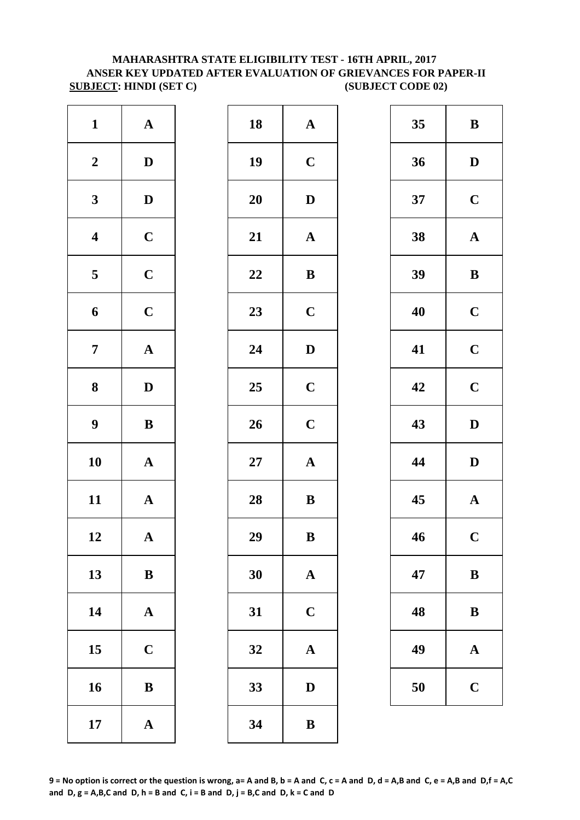#### **SUBJECT: HINDI (SET C) (SUBJECT CODE 02) MAHARASHTRA STATE ELIGIBILITY TEST - 16TH APRIL, 2017 ANSER KEY UPDATED AFTER EVALUATION OF GRIEVANCES FOR PAPER-II**

| $\mathbf{1}$            | ${\bf A}$             | 18        | $\mathbf A$  |
|-------------------------|-----------------------|-----------|--------------|
| $\boldsymbol{2}$        | $\mathbf D$           | 19        | $\mathbf C$  |
| $\mathbf{3}$            | $\mathbf D$           | <b>20</b> | D            |
| $\overline{\mathbf{4}}$ | $\mathbf C$           | 21        | $\mathbf{A}$ |
| $\overline{\mathbf{5}}$ | $\mathbf C$           | 22        | $\bf{B}$     |
| 6                       | $\mathbf C$           | 23        | $\mathbf C$  |
| $\boldsymbol{7}$        | $\boldsymbol{\rm{A}}$ | 24        | $\mathbf{D}$ |
| ${\bf 8}$               | $\mathbf D$           | 25        | $\mathbf C$  |
| $\boldsymbol{9}$        | $\bf{B}$              | 26        | $\mathbf C$  |
| 10                      | ${\bf A}$             | $27\,$    | $\mathbf A$  |
| 11                      | $\mathbf A$           | 28        | $\bf{B}$     |
| 12                      | $\mathbf A$           | 29        | B            |
| 13                      | $\bf{B}$              | 30        | $\mathbf{A}$ |
| 14                      | $\boldsymbol{\rm{A}}$ | 31        | $\mathbf C$  |
| 15                      | $\mathbf C$           | 32        | $\mathbf A$  |
| 16                      | $\, {\bf B}$          | 33        | D            |
| 17                      | ${\bf A}$             | 34        | $\bf{B}$     |

| $\mathbf{1}$            | ${\bf A}$    | 18 | ${\bf A}$             | 35 | $\bf{B}$     |
|-------------------------|--------------|----|-----------------------|----|--------------|
| $\boldsymbol{2}$        | $\mathbf{D}$ | 19 | $\mathbf C$           | 36 | $\mathbf{D}$ |
| $\mathbf{3}$            | $\mathbf D$  | 20 | $\mathbf D$           | 37 | $\mathbf C$  |
| $\overline{\mathbf{4}}$ | $\mathbf C$  | 21 | $\boldsymbol{\rm{A}}$ | 38 | $\mathbf A$  |
| $\overline{\mathbf{5}}$ | $\mathbf C$  | 22 | ${\bf B}$             | 39 | $\bf{B}$     |
| $\boldsymbol{6}$        | $\mathbf C$  | 23 | $\mathbf C$           | 40 | $\mathbf C$  |
| $\overline{7}$          | ${\bf A}$    | 24 | $\mathbf D$           | 41 | $\mathbf C$  |
| $\boldsymbol{8}$        | $\mathbf{D}$ | 25 | $\mathbf C$           | 42 | $\mathbf C$  |
| $\boldsymbol{9}$        | $\, {\bf B}$ | 26 | $\mathbf C$           | 43 | $\mathbf{D}$ |
| 10                      | ${\bf A}$    | 27 | $\boldsymbol{\rm{A}}$ | 44 | $\mathbf{D}$ |
| 11                      | ${\bf A}$    | 28 | $\, {\bf B}$          | 45 | $\mathbf A$  |
| 12                      | $\mathbf{A}$ | 29 | $\bf{B}$              | 46 | $\mathbf C$  |
| 13                      | $\, {\bf B}$ | 30 | ${\bf A}$             | 47 | $\bf{B}$     |
| 14                      | ${\bf A}$    | 31 | $\mathbf C$           | 48 | $\bf{B}$     |
| 15                      | $\mathbf C$  | 32 | $\boldsymbol{\rm{A}}$ | 49 | $\mathbf A$  |
| 16                      | $\, {\bf B}$ | 33 | ${\bf D}$             | 50 | $\mathbf C$  |
| 17                      | ${\bf A}$    | 34 | $\bf{B}$              |    |              |
|                         |              |    |                       |    |              |

| 35 | B                       |
|----|-------------------------|
| 36 | D                       |
| 37 | $\mathbf C$             |
| 38 | $\mathbf A$             |
| 39 | B                       |
| 40 | $\mathbf C$             |
| 41 | $\mathbf C$             |
| 42 | $\overline{\mathbf{C}}$ |
| 43 | D                       |
| 44 | D                       |
| 45 | $\mathbf{A}$            |
| 46 | $\overline{\mathbf{C}}$ |
| 47 | B                       |
| 48 | B                       |
| 49 | $\mathbf A$             |
| 50 | $\overline{\mathbf{C}}$ |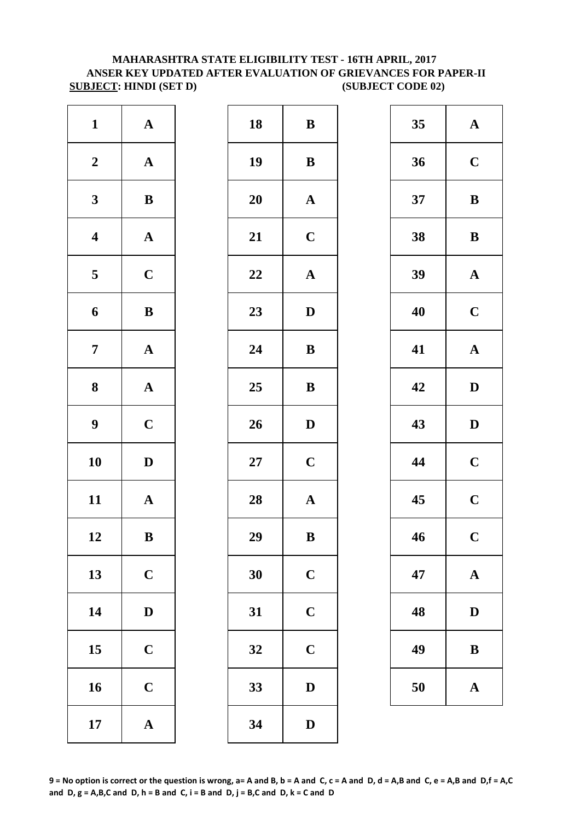#### **MAHARASHTRA STATE ELIGIBILITY TEST - 16TH APRIL, 2017 ANSER KEY UPDATED AFTER EVALUATION OF GRIEVANCES FOR PAPER-II SUBJECT:** HINDI (SET D) (SUBJECT CODE 02)

| $\mathbf{1}$            | ${\bf A}$             | 18     | $\bf{B}$     |
|-------------------------|-----------------------|--------|--------------|
| $\boldsymbol{2}$        | $\boldsymbol{\rm{A}}$ | 19     | $\bf{B}$     |
| $\mathbf{3}$            | $\bf{B}$              | 20     | $\mathbf{A}$ |
| $\overline{\mathbf{4}}$ | $\boldsymbol{\rm{A}}$ | 21     | $\mathbf C$  |
| $\overline{\mathbf{5}}$ | $\mathbf C$           | 22     | $\mathbf{A}$ |
| 6                       | $\, {\bf B}$          | 23     | $\mathbf{D}$ |
| $\boldsymbol{7}$        | $\mathbf A$           | 24     | $\bf{B}$     |
| $\boldsymbol{8}$        | $\mathbf A$           | 25     | $\bf{B}$     |
| $\boldsymbol{9}$        | $\mathbf C$           | 26     | $\mathbf{D}$ |
| 10                      | $\mathbf D$           | $27\,$ | $\mathbf C$  |
| 11                      | $\mathbf A$           | 28     | $\mathbf{A}$ |
| 12                      | B                     | 29     | $\bf{B}$     |
| 13                      | $\mathbf C$           | 30     | $\mathbf C$  |
| 14                      | $\mathbf D$           | 31     | $\mathbf C$  |
| 15                      | $\mathbf C$           | 32     | $\mathbf C$  |
| 16                      | $\mathbf C$           | 33     | D            |
| 17                      | $\boldsymbol{\rm{A}}$ | 34     | $\mathbf{D}$ |

| $\mathbf{1}$            | ${\bf A}$    | 18     | $\bf{B}$              | 35 | $\mathbf A$  |
|-------------------------|--------------|--------|-----------------------|----|--------------|
| $\boldsymbol{2}$        | ${\bf A}$    | 19     | ${\bf B}$             | 36 | $\mathbf C$  |
| $\mathbf{3}$            | ${\bf B}$    | 20     | ${\bf A}$             | 37 | $\bf{B}$     |
| $\overline{\mathbf{4}}$ | ${\bf A}$    | 21     | $\mathbf C$           | 38 | $\bf{B}$     |
| $\overline{\mathbf{5}}$ | $\mathbf C$  | 22     | $\boldsymbol{\rm{A}}$ | 39 | $\mathbf A$  |
| $\boldsymbol{6}$        | ${\bf B}$    | 23     | $\mathbf D$           | 40 | $\mathbf C$  |
| $\overline{7}$          | ${\bf A}$    | 24     | ${\bf B}$             | 41 | $\mathbf A$  |
| 8                       | ${\bf A}$    | 25     | ${\bf B}$             | 42 | $\mathbf{D}$ |
| $\boldsymbol{9}$        | $\mathbf C$  | 26     | $\mathbf{D}$          | 43 | $\mathbf{D}$ |
| 10                      | $\mathbf D$  | $27\,$ | $\mathbf C$           | 44 | $\mathbf C$  |
| 11                      | ${\bf A}$    | 28     | ${\bf A}$             | 45 | $\mathbf C$  |
| 12                      | $\, {\bf B}$ | 29     | $\, {\bf B}$          | 46 | $\mathbf C$  |
| 13                      | $\mathbf C$  | 30     | $\mathbf C$           | 47 | $\mathbf A$  |
| 14                      | $\mathbf D$  | 31     | $\mathbf C$           | 48 | $\mathbf{D}$ |
| 15                      | $\mathbf C$  | 32     | $\mathbf C$           | 49 | $\bf{B}$     |
| 16                      | $\mathbf C$  | 33     | $\mathbf D$           | 50 | $\mathbf A$  |
| 17                      | ${\bf A}$    | 34     | ${\bf D}$             |    |              |
|                         |              |        |                       |    |              |

| 35 | $\mathbf A$             |
|----|-------------------------|
| 36 | $\mathbf C$             |
| 37 | B                       |
| 38 | B                       |
| 39 | $\mathbf A$             |
| 40 | $\mathbf C$             |
| 41 | $\mathbf A$             |
| 42 | D                       |
| 43 | D                       |
| 44 | $\mathbf C$             |
| 45 | $\overline{\mathbf{C}}$ |
| 46 | $\overline{\mathbf{C}}$ |
| 47 | $\mathbf A$             |
| 48 | D                       |
| 49 | B                       |
| 50 | $\mathbf A$             |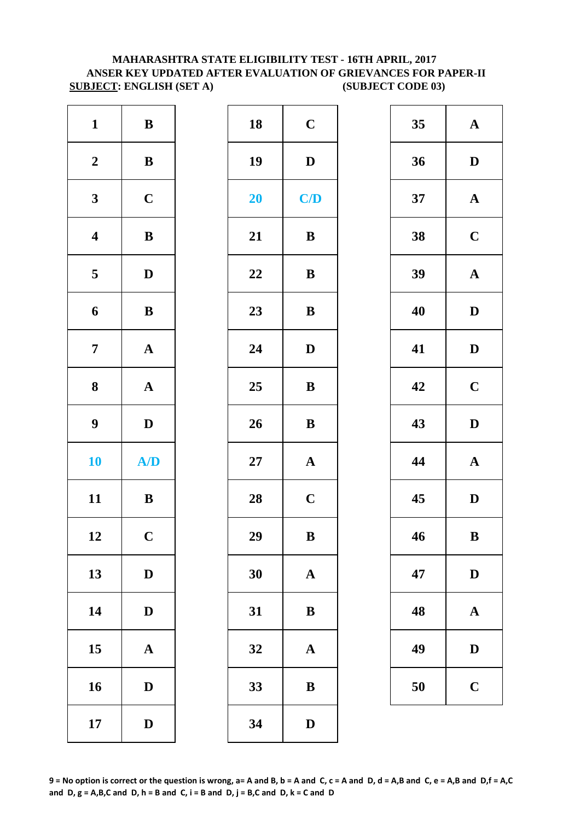#### **SUBJECT: ENGLISH (SET A)** (SUBJECT CODE 03) **MAHARASHTRA STATE ELIGIBILITY TEST - 16TH APRIL, 2017 ANSER KEY UPDATED AFTER EVALUATION OF GRIEVANCES FOR PAPER-II**

| $\mathbf{1}$     | $\, {\bf B}$          | 18        | $\mathbf C$  |
|------------------|-----------------------|-----------|--------------|
| $\boldsymbol{2}$ | $\, {\bf B}$          | 19        | $\mathbf{D}$ |
| $\mathbf{3}$     | $\mathbf C$           | <b>20</b> | C/           |
| $\boldsymbol{4}$ | $\, {\bf B}$          | 21        | $\bf{B}$     |
| 5                | $\mathbf D$           | 22        | $\bf{B}$     |
| $\boldsymbol{6}$ | $\, {\bf B}$          | 23        | $\bf{B}$     |
| $\overline{7}$   | $\boldsymbol{\rm{A}}$ | 24        | $\mathbf{D}$ |
| $\boldsymbol{8}$ | $\boldsymbol{\rm{A}}$ | 25        | $\bf{B}$     |
| 9                | $\mathbf D$           | 26        | $\bf{B}$     |
| 10               | A/D                   | <b>27</b> | $\mathbf{A}$ |
| 11               | $\, {\bf B}$          | 28        | $\mathbf C$  |
| 12               | $\mathbf C$           | 29        | $\bf{B}$     |
| 13               | $\mathbf D$           | 30        | $\mathbf{A}$ |
| 14               | $\mathbf D$           | 31        | $\bf{B}$     |
| 15               | ${\bf A}$             | 32        | $\mathbf A$  |
| 16               | $\mathbf D$           | 33        | $\bf{B}$     |
| 17               | $\mathbf D$           | 34        | $\mathbf{D}$ |

| $\mathbf{1}$            | $\bf{B}$     | 18 | $\mathbf C$  | 35 | $\mathbf A$  |
|-------------------------|--------------|----|--------------|----|--------------|
| $\boldsymbol{2}$        | ${\bf B}$    | 19 | $\mathbf D$  | 36 | $\mathbf{D}$ |
| $\mathbf{3}$            | $\mathbf C$  | 20 | C/D          | 37 | $\mathbf A$  |
| $\overline{\mathbf{4}}$ | $\, {\bf B}$ | 21 | $\bf{B}$     | 38 | $\mathbf C$  |
| $\overline{\mathbf{5}}$ | $\mathbf{D}$ | 22 | ${\bf B}$    | 39 | $\mathbf A$  |
| $\boldsymbol{6}$        | ${\bf B}$    | 23 | ${\bf B}$    | 40 | $\mathbf{D}$ |
| $\overline{7}$          | ${\bf A}$    | 24 | $\mathbf D$  | 41 | $\mathbf{D}$ |
| $\boldsymbol{8}$        | ${\bf A}$    | 25 | ${\bf B}$    | 42 | $\mathbf C$  |
| $\boldsymbol{9}$        | $\mathbf{D}$ | 26 | $\, {\bf B}$ | 43 | $\mathbf{D}$ |
| 10                      | A/D          | 27 | ${\bf A}$    | 44 | $\mathbf A$  |
| 11                      | ${\bf B}$    | 28 | $\mathbf C$  | 45 | $\mathbf{D}$ |
| 12                      | $\mathbf C$  | 29 | $\, {\bf B}$ | 46 | $\bf{B}$     |
| 13                      | $\mathbf D$  | 30 | $\mathbf A$  | 47 | $\mathbf{D}$ |
| 14                      | $\mathbf D$  | 31 | $\, {\bf B}$ | 48 | $\mathbf A$  |
| 15                      | $\mathbf{A}$ | 32 | $\mathbf{A}$ | 49 | $\mathbf{D}$ |
| 16                      | $\mathbf D$  | 33 | $\, {\bf B}$ | 50 | $\mathbf C$  |
| 17                      | $\mathbf D$  | 34 | $\mathbf D$  |    |              |
|                         |              |    |              |    |              |

| 35 | $\mathbf A$             |  |  |
|----|-------------------------|--|--|
| 36 | D                       |  |  |
| 37 | $\mathbf A$             |  |  |
| 38 | $\mathbf C$             |  |  |
| 39 | $\mathbf A$             |  |  |
| 40 | D                       |  |  |
| 41 | D                       |  |  |
| 42 | $\overline{\mathbf{C}}$ |  |  |
| 43 | D                       |  |  |
| 44 | $\mathbf A$             |  |  |
| 45 | $\mathbf D$             |  |  |
| 46 | $\bf{B}$                |  |  |
| 47 | D                       |  |  |
| 48 | A                       |  |  |
| 49 | $\mathbf D$             |  |  |
| 50 | $\mathbf C$             |  |  |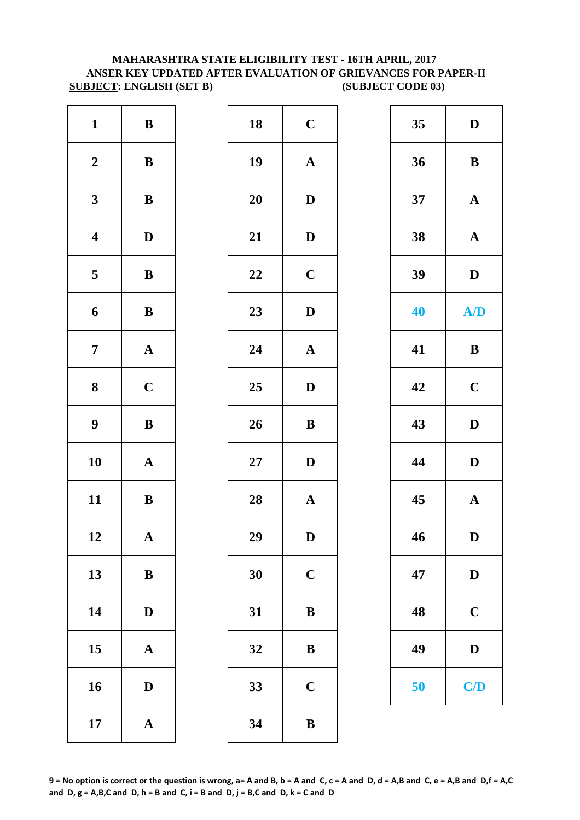#### **ANSER KEY UPDATED AFTER EVALUATION OF GRIEVANCES FOR PAPER-II SUBJECT: ENGLISH (SET B) (SUBJECT CODE 03) MAHARASHTRA STATE ELIGIBILITY TEST - 16TH APRIL, 2017**

| $\mathbf{1}$     | $\, {\bf B}$          | 18        | $\mathbf C$  |
|------------------|-----------------------|-----------|--------------|
| $\boldsymbol{2}$ | $\, {\bf B}$          | 19        | $\mathbf{A}$ |
| $\mathbf{3}$     | $\bf{B}$              | <b>20</b> | D            |
| $\boldsymbol{4}$ | $\mathbf D$           | 21        | D            |
| 5                | $\, {\bf B}$          | 22        | $\mathbf C$  |
| 6                | $\bf{B}$              | 23        | $\mathbf{D}$ |
| $\overline{7}$   | $\mathbf A$           | 24        | $\mathbf{A}$ |
| 8                | $\mathbf C$           | 25        | D            |
| $\boldsymbol{9}$ | $\, {\bf B}$          | 26        | $\bf{B}$     |
| 10               | ${\bf A}$             | $27\,$    | D            |
| 11               | $\, {\bf B}$          | 28        | $\mathbf{A}$ |
| 12               | $\mathbf A$           | 29        | D            |
| 13               | $\, {\bf B}$          | 30        | $\mathbf C$  |
| 14               | $\mathbf D$           | 31        | $\bf{B}$     |
| 15               | $\mathbf A$           | 32        | $\bf{B}$     |
| 16               | $\mathbf D$           | 33        | $\mathbf C$  |
| 17               | $\boldsymbol{\rm{A}}$ | 34        | $\bf{B}$     |

| $\mathbf{1}$            | $\bf{B}$              | 18 | $\mathbf C$           | 35 | $\mathbf D$           |
|-------------------------|-----------------------|----|-----------------------|----|-----------------------|
| $\boldsymbol{2}$        | $\bf{B}$              | 19 | ${\bf A}$             | 36 | $\, {\bf B}$          |
| $\mathbf{3}$            | ${\bf B}$             | 20 | $\mathbf{D}$          | 37 | $\mathbf{A}$          |
| $\overline{\mathbf{4}}$ | $\mathbf D$           | 21 | $\mathbf D$           | 38 | $\boldsymbol{\rm{A}}$ |
| $\overline{\mathbf{5}}$ | $\bf{B}$              | 22 | $\mathbf C$           | 39 | $\mathbf D$           |
| 6                       | ${\bf B}$             | 23 | $\mathbf D$           | 40 | A/D                   |
| $\overline{7}$          | ${\bf A}$             | 24 | $\boldsymbol{\rm{A}}$ | 41 | $\, {\bf B}$          |
| $\boldsymbol{8}$        | $\mathbf C$           | 25 | $\mathbf{D}$          | 42 | $\mathbf C$           |
| $\boldsymbol{9}$        | $\, {\bf B}$          | 26 | $\, {\bf B}$          | 43 | $\mathbf{D}$          |
| 10                      | ${\bf A}$             | 27 | $\mathbf D$           | 44 | $\mathbf D$           |
| 11                      | $\bf{B}$              | 28 | $\boldsymbol{\rm{A}}$ | 45 | ${\bf A}$             |
| 12                      | $\boldsymbol{\rm{A}}$ | 29 | $\mathbf D$           | 46 | $\mathbf D$           |
| 13                      | ${\bf B}$             | 30 | $\mathbf C$           | 47 | $\mathbf D$           |
| 14                      | $\mathbf D$           | 31 | $\, {\bf B}$          | 48 | $\mathbf C$           |
| 15                      | $\mathbf{A}$          | 32 | ${\bf B}$             | 49 | $\mathbf D$           |
| 16                      | D                     | 33 | $\mathbf C$           | 50 | C/D                   |
| 17                      | $\mathbf A$           | 34 | $\, {\bf B}$          |    |                       |

| 35 | D            |
|----|--------------|
| 36 | B            |
| 37 | $\mathbf A$  |
| 38 | $\mathbf A$  |
| 39 | D            |
| 40 | A/D          |
| 41 | B            |
| 42 | $\mathbf C$  |
| 43 | $\mathbf D$  |
| 44 | $\mathbf D$  |
| 45 | $\mathbf A$  |
| 46 | $\mathbf{D}$ |
| 47 | D            |
| 48 | $\mathbf C$  |
| 49 | $\mathbf D$  |
| 50 | C/D          |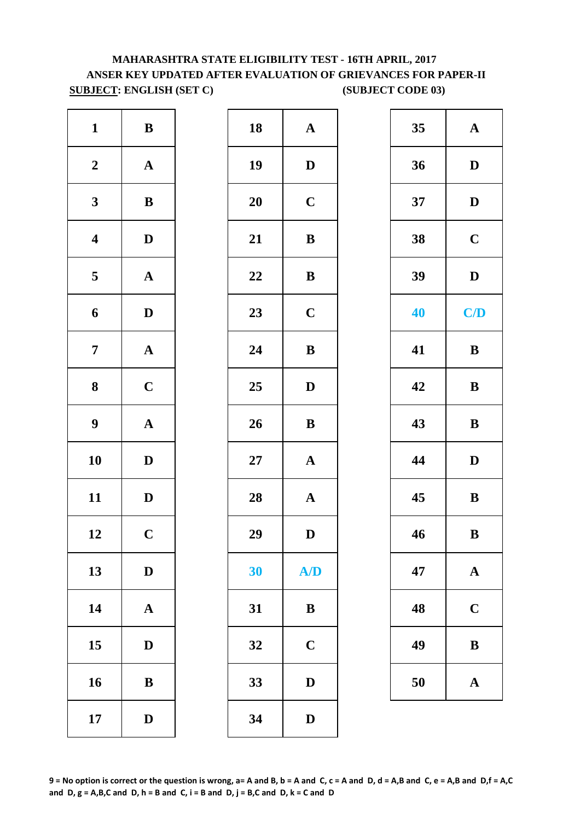# **MAHARASHTRA STATE ELIGIBILITY TEST - 16TH APRIL, 2017 ANSER KEY UPDATED AFTER EVALUATION OF GRIEVANCES FOR PAPER-II SUBJECT: ENGLISH (SET C) (SUBJECT CODE 03)**

| $\mathbf{1}$            | $\, {\bf B}$          | 18        | $\mathbf A$  |
|-------------------------|-----------------------|-----------|--------------|
| $\boldsymbol{2}$        | $\mathbf A$           | 19        | $\mathbf{D}$ |
| $\mathbf{3}$            | $\, {\bf B}$          | <b>20</b> | $\mathbf C$  |
| $\overline{\mathbf{4}}$ | $\mathbf D$           | 21        | $\bf{B}$     |
| $\overline{\mathbf{5}}$ | $\boldsymbol{\rm{A}}$ | 22        | $\bf{B}$     |
| 6                       | ${\bf D}$             | 23        | $\mathbf C$  |
| $\overline{7}$          | $\mathbf A$           | 24        | $\bf{B}$     |
| ${\bf 8}$               | $\mathbf C$           | 25        | $\mathbf{D}$ |
| $\boldsymbol{9}$        | $\boldsymbol{\rm{A}}$ | 26        | $\bf{B}$     |
| 10                      | $\mathbf D$           | $27\,$    | $\mathbf A$  |
| 11                      | $\mathbf D$           | 28        | $\mathbf A$  |
| 12                      | $\mathbf C$           | 29        | D            |
| 13                      | $\mathbf D$           | 30        | <b>A</b>     |
| 14                      | $\boldsymbol{\rm{A}}$ | 31        | $\bf{B}$     |
| 15                      | $\mathbf D$           | 32        | $\mathbf C$  |
| 16                      | $\bf{B}$              | 33        | D            |
| 17                      | $\mathbf D$           | 34        | $\mathbf{D}$ |

| $\mathbf{1}$            | $\bf{B}$     | 18     | ${\bf A}$             | 35 | $\mathbf{A}$ |
|-------------------------|--------------|--------|-----------------------|----|--------------|
| $\boldsymbol{2}$        | $\mathbf{A}$ | 19     | $\mathbf D$           | 36 | $\mathbf D$  |
| $\mathbf{3}$            | ${\bf B}$    | 20     | $\mathbf C$           | 37 | $\mathbf{D}$ |
| $\overline{\mathbf{4}}$ | $\mathbf{D}$ | 21     | $\, {\bf B}$          | 38 | $\mathbf C$  |
| $5\overline{)}$         | ${\bf A}$    | 22     | $\bf{B}$              | 39 | $\mathbf D$  |
| 6                       | $\mathbf{D}$ | 23     | $\mathbf C$           | 40 | C/D          |
| $\overline{7}$          | ${\bf A}$    | 24     | $\, {\bf B}$          | 41 | $\bf{B}$     |
| $\boldsymbol{8}$        | $\mathbf C$  | 25     | $\mathbf D$           | 42 | $\, {\bf B}$ |
| $\boldsymbol{9}$        | ${\bf A}$    | 26     | $\, {\bf B}$          | 43 | $\bf{B}$     |
| 10                      | $\mathbf{D}$ | $27\,$ | $\boldsymbol{\rm{A}}$ | 44 | $\mathbf D$  |
| 11                      | $\mathbf{D}$ | 28     | ${\bf A}$             | 45 | $\, {\bf B}$ |
| 12                      | $\mathbf C$  | 29     | $\mathbf D$           | 46 | $\, {\bf B}$ |
| 13                      | $\mathbf{D}$ | 30     | A/D                   | 47 | ${\bf A}$    |
| 14                      | $\mathbf{A}$ | 31     | $\, {\bf B}$          | 48 | $\mathbf C$  |
| 15                      | $\mathbf{D}$ | 32     | $\mathbf C$           | 49 | $\bf{B}$     |
| 16                      | $\bf{B}$     | 33     | $\mathbf D$           | 50 | ${\bf A}$    |
| 17                      | $\mathbf{D}$ | 34     | $\mathbf{D}$          |    |              |

| 35 | $\mathbf A$             |  |  |
|----|-------------------------|--|--|
| 36 | D                       |  |  |
| 37 | D                       |  |  |
| 38 | $\mathbf C$             |  |  |
| 39 | D                       |  |  |
| 40 | C/D                     |  |  |
| 41 | B                       |  |  |
| 42 | B                       |  |  |
| 43 | B                       |  |  |
| 44 | D                       |  |  |
| 45 | B                       |  |  |
| 46 | B                       |  |  |
| 47 | $\mathbf A$             |  |  |
| 48 | $\overline{\mathbf{C}}$ |  |  |
| 49 | B                       |  |  |
| 50 | $\mathbf A$             |  |  |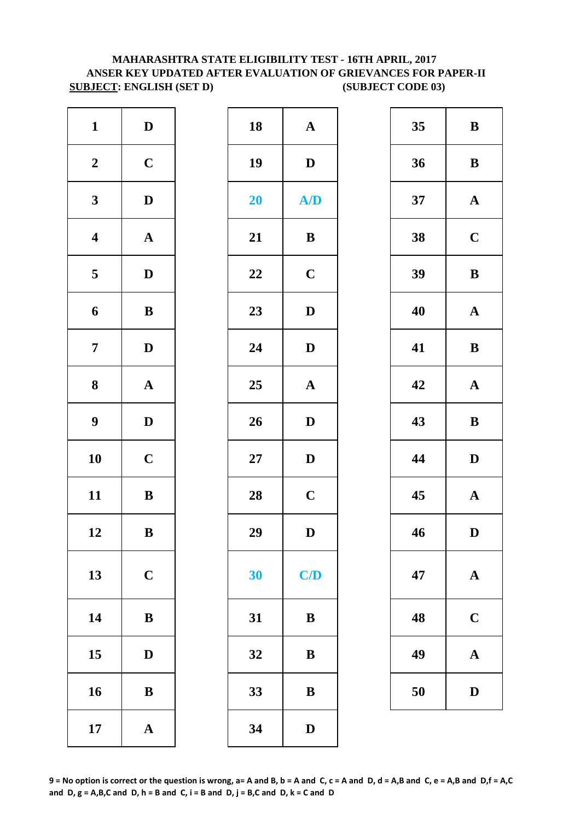#### **SUBJECT: ENGLISH (SET D) (SUBJECT CODE 03) ANSER KEY UPDATED AFTER EVALUATION OF GRIEVANCES FOR PAPER-II MAHARASHTRA STATE ELIGIBILITY TEST - 16TH APRIL, 2017**

| $\mathbf{A}$ | 18     | $\mathbf D$           | $\mathbf{1}$            |
|--------------|--------|-----------------------|-------------------------|
| $\mathbf{D}$ | 19     | $\mathbf C$           | $\boldsymbol{2}$        |
| A            | 20     | $\mathbf D$           | $\mathbf{3}$            |
| $\bf{B}$     | 21     | $\boldsymbol{\rm{A}}$ | $\overline{\mathbf{4}}$ |
| $\mathbf C$  | 22     | $\mathbf D$           | $\overline{\mathbf{5}}$ |
| $\mathbf{D}$ | 23     | $\, {\bf B}$          | 6                       |
| $\mathbf{D}$ | 24     | $\mathbf D$           | $\overline{7}$          |
| $\mathbf{A}$ | 25     | $\boldsymbol{\rm{A}}$ | ${\bf 8}$               |
| $\mathbf{D}$ | 26     | $\mathbf D$           | $\boldsymbol{9}$        |
| $\mathbf{D}$ | $27\,$ | $\mathbf C$           | 10                      |
| $\mathbf C$  | 28     | $\, {\bf B}$          | 11                      |
| D            | 29     | $\bf{B}$              | 12                      |
| C/           | 30     | $\mathbf C$           | 13                      |
| B            | 31     | $\, {\bf B}$          | 14                      |
| B            | 32     | $\mathbf D$           | 15                      |
| B            | 33     | ${\bf B}$             | 16                      |
| $\mathbf{D}$ | 34     | $\boldsymbol{\rm{A}}$ | 17                      |

| $\mathbf{1}$            | $\mathbf D$  | 18     | ${\bf A}$     | 35 | $\bf{B}$     |
|-------------------------|--------------|--------|---------------|----|--------------|
| $\boldsymbol{2}$        | $\mathbf C$  | 19     | $\mathbf D$   | 36 | $\bf{B}$     |
| $\mathbf{3}$            | $\mathbf D$  | 20     | A/D           | 37 | $\mathbf A$  |
| $\overline{\mathbf{4}}$ | ${\bf A}$    | 21     | $\, {\bf B}$  | 38 | $\mathbf C$  |
| 5                       | $\mathbf{D}$ | 22     | $\mathbf C$   | 39 | $\bf{B}$     |
| $\boldsymbol{6}$        | ${\bf B}$    | 23     | $\mathbf D$   | 40 | $\mathbf A$  |
| $\overline{7}$          | $\mathbf D$  | 24     | $\mathbf D$   | 41 | $\bf{B}$     |
| $\boldsymbol{8}$        | ${\bf A}$    | 25     | $\mathbf A$   | 42 | $\mathbf A$  |
| $\boldsymbol{9}$        | $\mathbf{D}$ | 26     | $\mathbf{D}$  | 43 | $\bf{B}$     |
| 10                      | $\mathbf C$  | $27\,$ | $\mathbf D$   | 44 | $\mathbf{D}$ |
| 11                      | ${\bf B}$    | 28     | $\mathbf C$   | 45 | $\mathbf A$  |
| 12                      | $\, {\bf B}$ | 29     | $\mathbf{D}%$ | 46 | $\mathbf{D}$ |
| 13                      | $\mathbf C$  | 30     | C/D           | 47 | $\mathbf A$  |
| 14                      | $\, {\bf B}$ | 31     | $\, {\bf B}$  | 48 | $\mathbf C$  |
| 15                      | $\mathbf D$  | 32     | $\bf{B}$      | 49 | $\mathbf A$  |
| 16                      | $\, {\bf B}$ | 33     | $\bf{B}$      | 50 | $\mathbf{D}$ |
| 17                      | ${\bf A}$    | 34     | $\mathbf D$   |    |              |

| 35 | B           |
|----|-------------|
| 36 | B           |
| 37 | $\mathbf A$ |
| 38 | $\mathbf C$ |
| 39 | B           |
| 40 | $\mathbf A$ |
| 41 | B           |
| 42 | $\mathbf A$ |
| 43 | B           |
| 44 | D           |
| 45 | $\mathbf A$ |
| 46 | $\mathbf D$ |
| 47 | $\mathbf A$ |
| 48 | $\mathbf C$ |
| 49 | A           |
| 50 | D           |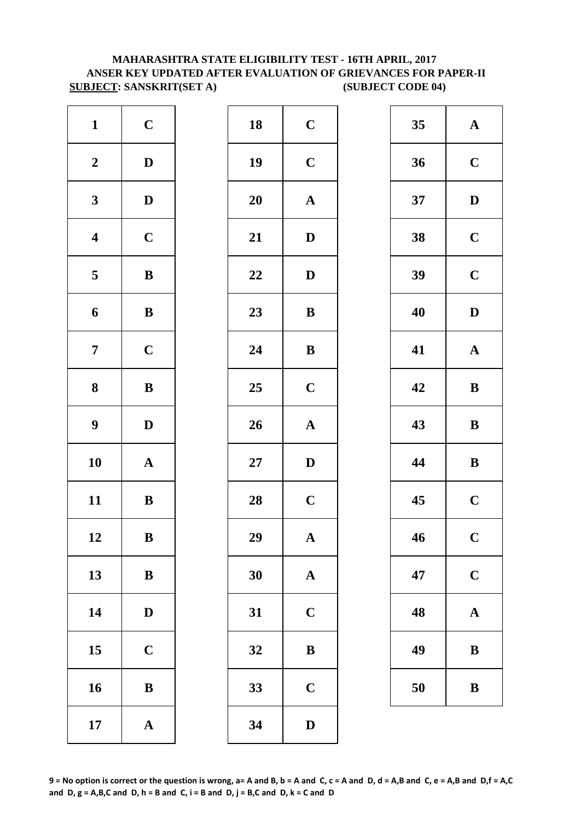### **ANSER KEY UPDATED AFTER EVALUATION OF GRIEVANCES FOR PAPER-II SUBJECT: SANSKRIT(SET A)** (SUBJECT CODE 04) **MAHARASHTRA STATE ELIGIBILITY TEST - 16TH APRIL, 2017**

| $\mathbf{1}$            | $\mathbf C$           | 18        | $\mathbf C$  |
|-------------------------|-----------------------|-----------|--------------|
| $\boldsymbol{2}$        | $\mathbf D$           | 19        | $\mathbf C$  |
| $\mathbf{3}$            | $\mathbf D$           | <b>20</b> | $\mathbf{A}$ |
| $\overline{\mathbf{4}}$ | $\mathbf C$           | 21        | $\mathbf{D}$ |
| $\overline{\mathbf{5}}$ | $\, {\bf B}$          | 22        | $\mathbf{D}$ |
| 6                       | $\bf{B}$              | 23        | $\bf{B}$     |
| $\overline{7}$          | $\mathbf C$           | 24        | $\bf{B}$     |
| ${\bf 8}$               | ${\bf B}$             | 25        | $\mathbf C$  |
| $\boldsymbol{9}$        | $\mathbf D$           | 26        | $\mathbf{A}$ |
| 10                      | $\mathbf A$           | $27\,$    | $\mathbf{D}$ |
| 11                      | $\bf{B}$              | 28        | $\mathbf C$  |
| 12                      | $\bf{B}$              | 29        | A            |
| 13                      | $\bf{B}$              | 30        | $\mathbf{A}$ |
| 14                      | $\mathbf D$           | 31        | $\mathbf C$  |
| 15                      | $\mathbf C$           | 32        | $\bf{B}$     |
| 16                      | $\, {\bf B}$          | 33        | $\mathbf C$  |
| 17                      | $\boldsymbol{\rm{A}}$ | 34        | $\mathbf{D}$ |

| $\mathbf{1}$            | $\mathbf C$  | 18 | $\mathbf C$  | 35 | $\mathbf A$  |
|-------------------------|--------------|----|--------------|----|--------------|
| $\boldsymbol{2}$        | $\mathbf D$  | 19 | $\mathbf C$  | 36 | $\mathbf C$  |
| $\mathbf{3}$            | $\mathbf D$  | 20 | ${\bf A}$    | 37 | $\mathbf{D}$ |
| $\overline{\mathbf{4}}$ | $\mathbf C$  | 21 | $\mathbf D$  | 38 | $\mathbf C$  |
| $5\phantom{.0}$         | ${\bf B}$    | 22 | $\mathbf D$  | 39 | $\mathbf C$  |
| $\boldsymbol{6}$        | ${\bf B}$    | 23 | $\, {\bf B}$ | 40 | $\mathbf{D}$ |
| $\overline{7}$          | $\mathbf C$  | 24 | $\, {\bf B}$ | 41 | $\mathbf A$  |
| $\boldsymbol{8}$        | $\, {\bf B}$ | 25 | $\mathbf C$  | 42 | $\bf{B}$     |
| $\boldsymbol{9}$        | $\mathbf{D}$ | 26 | ${\bf A}$    | 43 | $\bf{B}$     |
| 10                      | ${\bf A}$    | 27 | $\mathbf D$  | 44 | $\bf{B}$     |
| 11                      | ${\bf B}$    | 28 | $\mathbf C$  | 45 | $\mathbf C$  |
| 12                      | $\bf{B}$     | 29 | $\mathbf{A}$ | 46 | $\mathbf C$  |
| 13                      | $\, {\bf B}$ | 30 | $\mathbf A$  | 47 | $\mathbf C$  |
| 14                      | $\mathbf{D}$ | 31 | $\mathbf C$  | 48 | $\mathbf A$  |
| 15                      | $\mathbf C$  | 32 | $\, {\bf B}$ | 49 | $\bf{B}$     |
| 16                      | $\, {\bf B}$ | 33 | $\mathbf C$  | 50 | $\bf{B}$     |
| 17                      | ${\bf A}$    | 34 | $\mathbf D$  |    |              |

| 35 | $\mathbf A$ |
|----|-------------|
| 36 | $\mathbf C$ |
| 37 | D           |
| 38 | $\mathbf C$ |
| 39 | $\mathbf C$ |
| 40 | D           |
| 41 | $\mathbf A$ |
| 42 | B           |
| 43 | $\bf{B}$    |
| 44 | B           |
| 45 | $\mathbf C$ |
| 46 | $\mathbf C$ |
| 47 | $\mathbf C$ |
| 48 | $\bf A$     |
| 49 | B           |
| 50 | B           |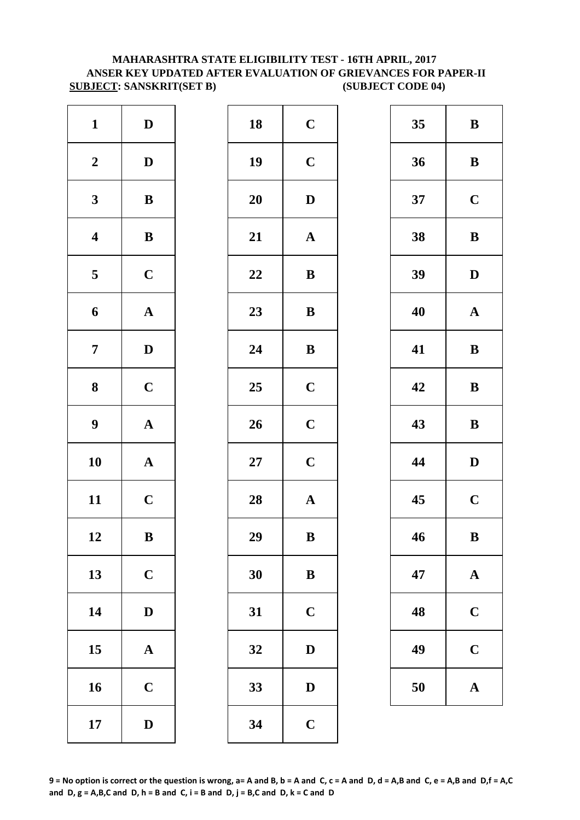#### **MAHARASHTRA STATE ELIGIBILITY TEST - 16TH APRIL, 2017 ANSER KEY UPDATED AFTER EVALUATION OF GRIEVANCES FOR PAPER-II SUBJECT: SANSKRIT(SET B) (SUBJECT CODE 04)**

| $\mathbf{1}$     | $\mathbf D$           | 18        | $\mathbf C$  |
|------------------|-----------------------|-----------|--------------|
| $\boldsymbol{2}$ | $\mathbf D$           | 19        | $\mathbf C$  |
| $\mathbf{3}$     | $\, {\bf B}$          | <b>20</b> | $\mathbf{D}$ |
| $\boldsymbol{4}$ | $\, {\bf B}$          | 21        | $\mathbf{A}$ |
| 5                | $\mathbf C$           | 22        | $\bf{B}$     |
| 6                | $\boldsymbol{\rm{A}}$ | 23        | $\bf{B}$     |
| $\overline{7}$   | $\mathbf D$           | 24        | $\bf{B}$     |
| 8                | $\mathbf C$           | 25        | $\mathbf C$  |
| $\boldsymbol{9}$ | $\boldsymbol{\rm{A}}$ | 26        | $\mathbf C$  |
| 10               | $\mathbf A$           | $27\,$    | $\mathbf C$  |
| 11               | $\mathbf C$           | 28        | $\mathbf{A}$ |
| 12               | ${\bf B}$             | 29        | $\bf{B}$     |
| 13               | $\mathbf C$           | 30        | $\bf{B}$     |
| 14               | $\mathbf D$           | 31        | $\mathbf C$  |
| 15               | ${\bf A}$             | 32        | $\mathbf{D}$ |
| 16               | $\mathbf C$           | 33        | D            |
| 17               | $\mathbf D$           | 34        | $\mathbf C$  |

| $\mathbf{1}$            | $\mathbf D$  | 18     | $\mathbf C$  | 35 | $\bf{B}$     |
|-------------------------|--------------|--------|--------------|----|--------------|
| $\boldsymbol{2}$        | $\mathbf D$  | 19     | $\mathbf C$  | 36 | $\bf{B}$     |
| $\mathbf{3}$            | ${\bf B}$    | 20     | $\mathbf D$  | 37 | $\mathbf C$  |
| $\overline{\mathbf{4}}$ | $\, {\bf B}$ | 21     | ${\bf A}$    | 38 | $\bf{B}$     |
| $5\overline{)}$         | $\mathbf C$  | 22     | $\bf{B}$     | 39 | $\mathbf{D}$ |
| 6                       | ${\bf A}$    | 23     | ${\bf B}$    | 40 | $\mathbf A$  |
| $\overline{7}$          | $\mathbf{D}$ | 24     | $\bf{B}$     | 41 | $\bf{B}$     |
| $\boldsymbol{8}$        | $\mathbf C$  | 25     | $\mathbf C$  | 42 | $\bf{B}$     |
| $\boldsymbol{9}$        | ${\bf A}$    | 26     | $\mathbf C$  | 43 | $\bf{B}$     |
| 10                      | ${\bf A}$    | $27\,$ | $\mathbf C$  | 44 | $\mathbf{D}$ |
| 11                      | $\mathbf C$  | 28     | ${\bf A}$    | 45 | $\mathbf C$  |
| 12                      | $\, {\bf B}$ | 29     | $\, {\bf B}$ | 46 | $\bf{B}$     |
| 13                      | $\mathbf C$  | 30     | ${\bf B}$    | 47 | $\mathbf A$  |
| 14                      | $\mathbf D$  | 31     | $\mathbf C$  | 48 | $\mathbf C$  |
| 15                      | ${\bf A}$    | 32     | $\mathbf D$  | 49 | $\mathbf C$  |
| 16                      | $\mathbf C$  | 33     | ${\bf D}$    | 50 | $\mathbf A$  |
| 17                      | $\mathbf D$  | 34     | $\mathbf C$  |    |              |

| 35 | B           |
|----|-------------|
| 36 | B           |
| 37 | $\mathbf C$ |
| 38 | B           |
| 39 | D           |
| 40 | $\mathbf A$ |
| 41 | B           |
| 42 | B           |
| 43 | B           |
| 44 | D           |
| 45 | $\mathbf C$ |
| 46 | B           |
| 47 | $\mathbf A$ |
| 48 | $\mathbf C$ |
| 49 | $\mathbf C$ |
| 50 | $\mathbf A$ |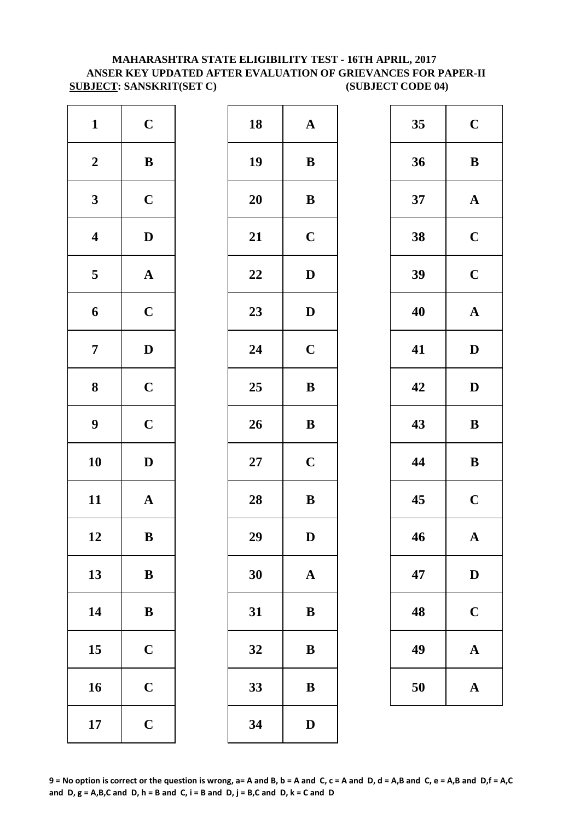#### **ANSER KEY UPDATED AFTER EVALUATION OF GRIEVANCES FOR PAPER-II SUBJECT: SANSKRIT(SET C) (SUBJECT CODE 04) MAHARASHTRA STATE ELIGIBILITY TEST - 16TH APRIL, 2017**

| $\mathbf{1}$     | $\mathbf C$           | 18     | $\mathbf A$  |
|------------------|-----------------------|--------|--------------|
| $\boldsymbol{2}$ | $\, {\bf B}$          | 19     | $\bf{B}$     |
| $\mathbf{3}$     | $\mathbf C$           | 20     | $\bf{B}$     |
| $\boldsymbol{4}$ | $\mathbf D$           | 21     | $\mathbf C$  |
| 5                | $\boldsymbol{\rm{A}}$ | 22     | $\mathbf{D}$ |
| $\boldsymbol{6}$ | $\mathbf C$           | 23     | $\mathbf{D}$ |
| $\overline{7}$   | $\mathbf D$           | 24     | $\mathbf C$  |
| $\boldsymbol{8}$ | $\mathbf C$           | 25     | $\bf{B}$     |
| $\boldsymbol{9}$ | $\mathbf C$           | 26     | $\bf{B}$     |
| 10               | $\mathbf D$           | $27\,$ | $\mathbf C$  |
| 11               | $\mathbf A$           | 28     | $\bf{B}$     |
| 12               | $\bf{B}$              | 29     | D            |
| 13               | $\bf{B}$              | 30     | $\mathbf{A}$ |
| 14               | $\, {\bf B}$          | 31     | $\bf{B}$     |
| 15               | $\mathbf C$           | 32     | B            |
| 16               | $\mathbf C$           | 33     | $\bf{B}$     |
| 17               | $\mathbf C$           | 34     | $\mathbf{D}$ |

| $\mathbf{1}$            | $\mathbf C$  | 18     | ${\bf A}$    | 35 | $\mathbf C$  |
|-------------------------|--------------|--------|--------------|----|--------------|
| $\boldsymbol{2}$        | ${\bf B}$    | 19     | $\, {\bf B}$ | 36 | $\bf{B}$     |
| $\mathbf{3}$            | $\mathbf C$  | 20     | ${\bf B}$    | 37 | $\mathbf A$  |
| $\overline{\mathbf{4}}$ | $\mathbf D$  | 21     | $\mathbf C$  | 38 | $\mathbf C$  |
| $5\phantom{.0}$         | ${\bf A}$    | 22     | $\mathbf D$  | 39 | $\mathbf C$  |
| $\boldsymbol{6}$        | $\mathbf C$  | 23     | $\mathbf D$  | 40 | $\mathbf A$  |
| $\overline{7}$          | $\mathbf D$  | 24     | $\mathbf C$  | 41 | $\mathbf{D}$ |
| $\boldsymbol{8}$        | $\mathbf C$  | 25     | $\, {\bf B}$ | 42 | $\mathbf{D}$ |
| $\boldsymbol{9}$        | $\mathbf C$  | 26     | $\, {\bf B}$ | 43 | $\bf{B}$     |
| 10                      | $\mathbf D$  | $27\,$ | $\mathbf C$  | 44 | $\bf{B}$     |
| 11                      | ${\bf A}$    | 28     | $\, {\bf B}$ | 45 | $\mathbf C$  |
| 12                      | $\, {\bf B}$ | 29     | ${\bf D}$    | 46 | $\mathbf A$  |
| 13                      | $\bf{B}$     | 30     | $\mathbf A$  | 47 | $\mathbf{D}$ |
| 14                      | $\, {\bf B}$ | 31     | ${\bf B}$    | 48 | $\mathbf C$  |
| 15                      | $\mathbf C$  | 32     | $\bf{B}$     | 49 | $\mathbf A$  |
| 16                      | $\mathbf C$  | 33     | $\, {\bf B}$ | 50 | $\mathbf A$  |
| 17                      | $\mathbf C$  | 34     | $\mathbf D$  |    |              |
|                         |              |        |              |    |              |

| 35 | $\mathbf C$    |
|----|----------------|
| 36 | B              |
| 37 | $\mathbf A$    |
| 38 | $\overline{C}$ |
| 39 | $\mathbf C$    |
| 40 | $\mathbf A$    |
| 41 | $\mathbf D$    |
| 42 | D              |
| 43 | $\bf{B}$       |
|    |                |
| 44 | B              |
| 45 | $\mathbf C$    |
| 46 | Ą              |
| 47 | $\mathbf D$    |
| 48 | $\mathbf C$    |
| 49 | $\mathbf A$    |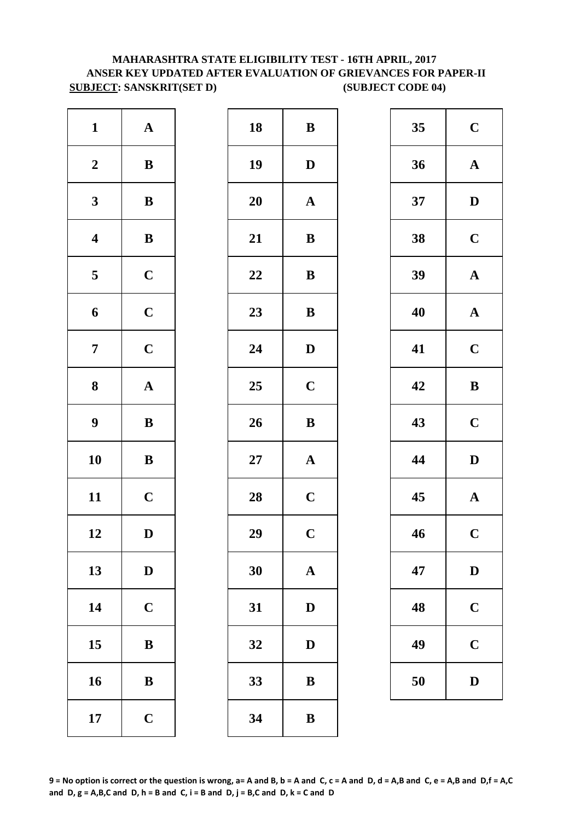### **MAHARASHTRA STATE ELIGIBILITY TEST - 16TH APRIL, 2017 ANSER KEY UPDATED AFTER EVALUATION OF GRIEVANCES FOR PAPER-II SUBJECT: SANSKRIT(SET D)** (SUBJECT CODE 04)

| $\mathbf{1}$     | ${\bf A}$             | 18        | $\bf{B}$     |
|------------------|-----------------------|-----------|--------------|
| $\boldsymbol{2}$ | $\, {\bf B}$          | 19        | $\mathbf{D}$ |
| $\mathbf{3}$     | $\, {\bf B}$          | 20        | $\mathbf A$  |
| $\boldsymbol{4}$ | $\, {\bf B}$          | 21        | $\bf{B}$     |
| $\mathbf 5$      | $\mathbf C$           | 22        | $\bf{B}$     |
| 6                | $\mathbf C$           | 23        | $\bf{B}$     |
| $\boldsymbol{7}$ | $\mathbf C$           | 24        | $\mathbf{D}$ |
| 8                | $\boldsymbol{\rm{A}}$ | 25        | $\mathbf C$  |
| $\boldsymbol{9}$ | $\, {\bf B}$          | 26        | $\bf{B}$     |
| 10               | $\, {\bf B}$          | <b>27</b> | $\mathbf{A}$ |
| 11               | $\mathbf C$           | 28        | $\mathbf C$  |
| 12               | $\mathbf D$           | 29        | $\mathbf C$  |
| 13               | $\mathbf D$           | 30        | $\mathbf A$  |
| 14               | $\mathbf C$           | 31        | D            |
| 15               | $\, {\bf B}$          | 32        | D            |
| 16               | ${\bf B}$             | 33        | B            |
| 17               | $\mathbf C$           | 34        | B            |

| $\mathbf{1}$            | ${\bf A}$    | 18 | $\, {\bf B}$ | 35 | $\mathbf C$  |
|-------------------------|--------------|----|--------------|----|--------------|
| $\boldsymbol{2}$        | ${\bf B}$    | 19 | $\mathbf{D}$ | 36 | $\mathbf A$  |
| $\mathbf{3}$            | ${\bf B}$    | 20 | ${\bf A}$    | 37 | $\mathbf{D}$ |
| $\overline{\mathbf{4}}$ | $\, {\bf B}$ | 21 | $\, {\bf B}$ | 38 | $\mathbf C$  |
| $\overline{\mathbf{5}}$ | $\mathbf C$  | 22 | $\bf{B}$     | 39 | $\mathbf A$  |
| $\boldsymbol{6}$        | $\mathbf C$  | 23 | $\bf{B}$     | 40 | $\mathbf A$  |
| $\overline{7}$          | $\mathbf C$  | 24 | $\mathbf D$  | 41 | $\mathbf C$  |
| $\boldsymbol{8}$        | ${\bf A}$    | 25 | $\mathbf C$  | 42 | $\bf{B}$     |
| $\boldsymbol{9}$        | $\bf{B}$     | 26 | $\, {\bf B}$ | 43 | $\mathbf C$  |
| 10                      | $\, {\bf B}$ | 27 | ${\bf A}$    | 44 | $\mathbf{D}$ |
| 11                      | $\mathbf C$  | 28 | $\mathbf C$  | 45 | $\mathbf A$  |
| 12                      | $\mathbf D$  | 29 | $\mathbf C$  | 46 | $\mathbf C$  |
| 13                      | $\mathbf D$  | 30 | $\mathbf A$  | 47 | D            |
| 14                      | $\mathbf C$  | 31 | ${\bf D}$    | 48 | $\mathbf C$  |
| 15                      | $\, {\bf B}$ | 32 | D            | 49 | $\mathbf C$  |
| 16                      | $\bf{B}$     | 33 | ${\bf B}$    | 50 | $\mathbf{D}$ |
| 17                      | $\mathbf C$  | 34 | $\, {\bf B}$ |    |              |
|                         |              |    |              |    |              |

| 35 | $\mathbf C$  |
|----|--------------|
| 36 | $\mathbf A$  |
| 37 | $\mathbf D$  |
| 38 | $\mathbf C$  |
| 39 | $\mathbf A$  |
| 40 | $\mathbf A$  |
| 41 | $\mathbf C$  |
| 42 | B            |
| 43 | $\mathbf C$  |
| 44 | $\mathbf{D}$ |
| 45 | $\mathbf A$  |
| 46 | $\mathbf C$  |
| 47 | $\bf{D}$     |
| 48 | $\mathbf C$  |
| 49 | $\mathbf C$  |
| 50 | $\mathbf D$  |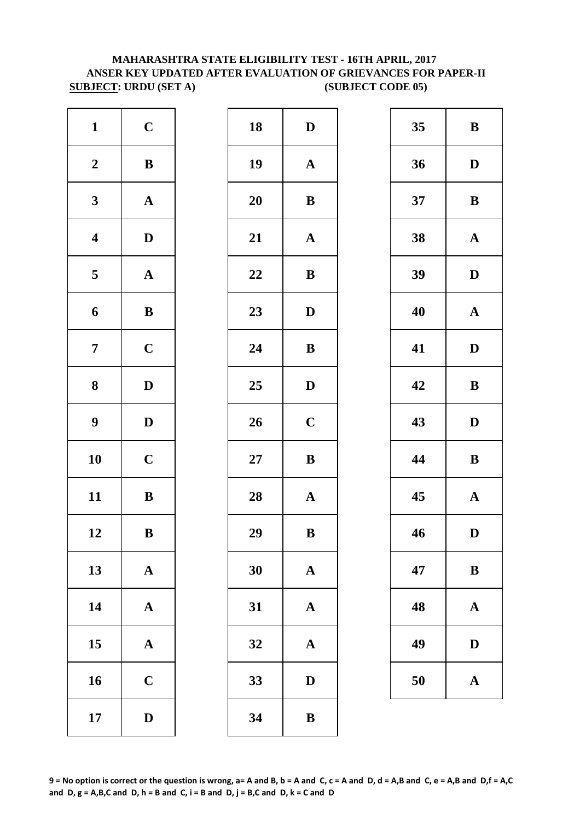## **SUBJECT: URDU (SET A) (SUBJECT CODE 05) MAHARASHTRA STATE ELIGIBILITY TEST - 16TH APRIL, 2017 ANSER KEY UPDATED AFTER EVALUATION OF GRIEVANCES FOR PAPER-II**

| $\mathbf{1}$            | $\mathbf C$           | 18        | $\mathbf{D}$ |
|-------------------------|-----------------------|-----------|--------------|
| $\boldsymbol{2}$        | $\, {\bf B}$          | 19        | $\mathbf A$  |
| $\mathbf{3}$            | ${\bf A}$             | 20        | $\bf{B}$     |
| $\boldsymbol{4}$        | $\mathbf D$           | 21        | $\mathbf A$  |
| $\overline{\mathbf{5}}$ | $\boldsymbol{\rm{A}}$ | 22        | $\bf{B}$     |
| 6                       | $\, {\bf B}$          | 23        | D            |
| $\overline{7}$          | $\mathbf C$           | 24        | ${\bf B}$    |
| 8                       | $\mathbf D$           | 25        | $\mathbf{D}$ |
| $\boldsymbol{9}$        | $\mathbf D$           | 26        | $\mathbf C$  |
| 10                      | $\mathbf C$           | <b>27</b> | $\bf{B}$     |
| 11                      | $\bf{B}$              | 28        | $\mathbf{A}$ |
| 12                      | $\bf{B}$              | 29        | $\bf{B}$     |
| 13                      | ${\bf A}$             | 30        | $\mathbf A$  |
| 14                      | ${\bf A}$             | 31        | $\mathbf A$  |
| 15                      | $\boldsymbol{\rm{A}}$ | 32        | $\mathbf{A}$ |
| 16                      | $\mathbf C$           | 33        | D            |
| 17                      | $\mathbf D$           | 34        | $\bf{B}$     |

| $\mathbf C$  | 18 | $\mathbf D$           | 35 | $\bf{B}$     |
|--------------|----|-----------------------|----|--------------|
| ${\bf B}$    | 19 | $\mathbf A$           | 36 | $\mathbf{D}$ |
| ${\bf A}$    | 20 | $\, {\bf B}$          | 37 | $\bf{B}$     |
| $\mathbf{D}$ | 21 | ${\bf A}$             | 38 | $\mathbf A$  |
| ${\bf A}$    | 22 | $\, {\bf B}$          | 39 | $\mathbf{D}$ |
| ${\bf B}$    | 23 | $\mathbf{D}$          | 40 | $\mathbf A$  |
| $\mathbf C$  | 24 | $\bf{B}$              | 41 | $\mathbf{D}$ |
| $\mathbf D$  | 25 | $\mathbf D$           | 42 | $\bf{B}$     |
| $\mathbf{D}$ | 26 | $\mathbf C$           | 43 | $\mathbf{D}$ |
| $\mathbf C$  | 27 | $\, {\bf B}$          | 44 | $\bf{B}$     |
| $\, {\bf B}$ | 28 | ${\bf A}$             | 45 | $\mathbf A$  |
| $\, {\bf B}$ | 29 | $\, {\bf B}$          | 46 | $\mathbf{D}$ |
| ${\bf A}$    | 30 | $\mathbf A$           | 47 | $\bf{B}$     |
| ${\bf A}$    | 31 | $\boldsymbol{\rm{A}}$ | 48 | $\mathbf A$  |
| ${\bf A}$    | 32 | $\mathbf A$           | 49 | $\mathbf{D}$ |
| $\mathbf C$  | 33 | $\mathbf D$           | 50 | $\mathbf A$  |
| $\mathbf D$  | 34 | $\, {\bf B}$          |    |              |
|              |    |                       |    |              |

| 35 | B            |
|----|--------------|
| 36 | D            |
| 37 | B            |
| 38 | $\mathbf A$  |
| 39 | D            |
| 40 | $\mathbf A$  |
| 41 | D            |
| 42 | B            |
| 43 | D            |
| 44 | B            |
| 45 | $\mathbf{A}$ |
| 46 | D            |
| 47 | $\bf{B}$     |
| 48 | $\mathbf A$  |
| 49 | $\mathbf D$  |
| 50 | $\mathbf{A}$ |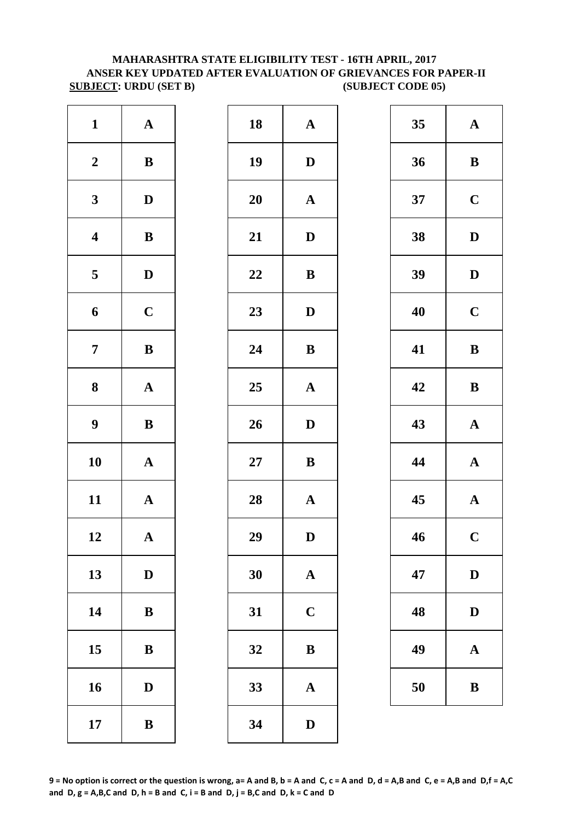#### **MAHARASHTRA STATE ELIGIBILITY TEST - 16TH APRIL, 2017 ANSER KEY UPDATED AFTER EVALUATION OF GRIEVANCES FOR PAPER-II SUBJECT: URDU (SET B) (SUBJECT CODE 05)**

| $\mathbf{1}$            | ${\bf A}$    | 18     | $\mathbf A$  |
|-------------------------|--------------|--------|--------------|
| $\boldsymbol{2}$        | $\, {\bf B}$ | 19     | $\mathbf{D}$ |
| $\mathbf{3}$            | $\mathbf D$  | 20     | $\mathbf A$  |
| $\overline{\mathbf{4}}$ | ${\bf B}$    | 21     | $\mathbf{D}$ |
| $\overline{\mathbf{5}}$ | $\mathbf D$  | 22     | $\bf{B}$     |
| 6                       | $\mathbf C$  | 23     | $\mathbf{D}$ |
| $\overline{7}$          | $\, {\bf B}$ | 24     | $\bf{B}$     |
| $\bf{8}$                | $\mathbf A$  | 25     | $\mathbf{A}$ |
| $\boldsymbol{9}$        | $\bf{B}$     | 26     | $\mathbf{D}$ |
| 10                      | $\mathbf A$  | $27\,$ | $\bf{B}$     |
| 11                      | $\mathbf A$  | 28     | $\mathbf{A}$ |
| 12                      | A            | 29     | D            |
| 13                      | $\mathbf D$  | 30     | $\mathbf{A}$ |
| 14                      | $\bf{B}$     | 31     | $\mathbf C$  |
| 15                      | $\, {\bf B}$ | 32     | $\bf{B}$     |
| 16                      | $\mathbf D$  | 33     | $\mathbf{A}$ |
| 17                      | $\bf{B}$     | 34     | $\mathbf{D}$ |

| $\mathbf{1}$            | ${\bf A}$    | 18     | ${\bf A}$    | 35 | $\mathbf A$  |
|-------------------------|--------------|--------|--------------|----|--------------|
| $\overline{2}$          | $\, {\bf B}$ | 19     | $\mathbf D$  | 36 | $\bf{B}$     |
| $\mathbf{3}$            | $\mathbf{D}$ | 20     | ${\bf A}$    | 37 | $\mathbf C$  |
| $\overline{\mathbf{4}}$ | ${\bf B}$    | 21     | $\mathbf D$  | 38 | $\mathbf{D}$ |
| $\overline{\mathbf{5}}$ | $\mathbf D$  | 22     | $\, {\bf B}$ | 39 | $\mathbf{D}$ |
| $\boldsymbol{6}$        | $\mathbf C$  | 23     | $\mathbf D$  | 40 | $\mathbf C$  |
| $\overline{7}$          | ${\bf B}$    | 24     | $\bf{B}$     | 41 | $\bf{B}$     |
| $\boldsymbol{8}$        | ${\bf A}$    | 25     | $\mathbf{A}$ | 42 | $\bf{B}$     |
| $\boldsymbol{9}$        | $\, {\bf B}$ | 26     | $\mathbf D$  | 43 | $\mathbf A$  |
| 10                      | ${\bf A}$    | $27\,$ | $\bf{B}$     | 44 | $\mathbf A$  |
| 11                      | ${\bf A}$    | 28     | ${\bf A}$    | 45 | $\mathbf A$  |
| 12                      | ${\bf A}$    | 29     | $\mathbf D$  | 46 | $\mathbf C$  |
| 13                      | $\mathbf D$  | 30     | $\mathbf{A}$ | 47 | $\mathbf{D}$ |
| 14                      | $\bf{B}$     | 31     | $\mathbf C$  | 48 | D            |
| 15                      | $\bf{B}$     | 32     | ${\bf B}$    | 49 | $\mathbf A$  |
| 16                      | $\mathbf D$  | 33     | $\mathbf A$  | 50 | $\bf{B}$     |
| 17                      | $\, {\bf B}$ | 34     | ${\bf D}$    |    |              |
|                         |              |        |              |    |              |

| 35 | A            |
|----|--------------|
| 36 | B            |
| 37 | $\mathbf C$  |
| 38 | D            |
| 39 | D            |
| 40 | $\mathbf C$  |
| 41 | B            |
| 42 | B            |
| 43 | $\mathbf A$  |
| 44 | $\mathbf{A}$ |
| 45 | $\mathbf A$  |
| 46 | $\mathbf C$  |
| 47 | $\bf{D}$     |
| 48 | $\mathbf D$  |
| 49 | A            |
| 50 | B            |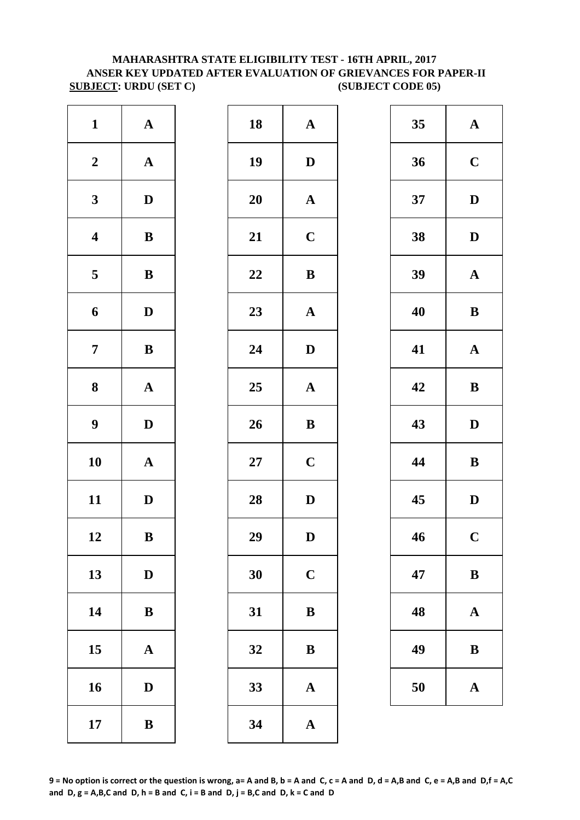#### **SUBJECT: URDU (SET C)** (SUBJECT CODE 05) **MAHARASHTRA STATE ELIGIBILITY TEST - 16TH APRIL, 2017 ANSER KEY UPDATED AFTER EVALUATION OF GRIEVANCES FOR PAPER-II**

| $\mathbf{1}$            | $\boldsymbol{\rm{A}}$ | 18        | $\mathbf A$  |
|-------------------------|-----------------------|-----------|--------------|
| $\boldsymbol{2}$        | $\boldsymbol{\rm{A}}$ | 19        | $\mathbf{D}$ |
| $\mathbf{3}$            | $\mathbf D$           | <b>20</b> | $\mathbf A$  |
| $\overline{\mathbf{4}}$ | ${\bf B}$             | 21        | $\mathbf C$  |
| $\overline{\mathbf{5}}$ | $\, {\bf B}$          | 22        | $\bf{B}$     |
| 6                       | $\mathbf D$           | 23        | $\mathbf{A}$ |
| $\overline{7}$          | $\bf{B}$              | 24        | $\mathbf{D}$ |
| 8                       | $\mathbf A$           | 25        | $\mathbf{A}$ |
| $\boldsymbol{9}$        | $\mathbf D$           | 26        | $\bf{B}$     |
| 10                      | $\mathbf A$           | $27\,$    | $\mathbf C$  |
| 11                      | $\mathbf D$           | 28        | D            |
| 12                      | ${\bf B}$             | 29        | D            |
| 13                      | $\mathbf D$           | 30        | $\mathbf C$  |
| 14                      | $\, {\bf B}$          | 31        | $\bf{B}$     |
| 15                      | ${\bf A}$             | 32        | $\bf{B}$     |
| 16                      | $\mathbf D$           | 33        | $\mathbf{A}$ |
| 17                      | ${\bf B}$             | 34        | $\mathbf{A}$ |

| $\mathbf{1}$            | ${\bf A}$    | 18 | ${\bf A}$             | 35 | $\mathbf A$  |
|-------------------------|--------------|----|-----------------------|----|--------------|
| $\boldsymbol{2}$        | ${\bf A}$    | 19 | $\mathbf D$           | 36 | $\mathbf C$  |
| $\mathbf{3}$            | $\mathbf D$  | 20 | ${\bf A}$             | 37 | $\mathbf{D}$ |
| $\overline{\mathbf{4}}$ | $\, {\bf B}$ | 21 | $\mathbf C$           | 38 | $\mathbf{D}$ |
| $\overline{\mathbf{5}}$ | $\, {\bf B}$ | 22 | $\, {\bf B}$          | 39 | $\mathbf A$  |
| $\boldsymbol{6}$        | $\mathbf D$  | 23 | ${\bf A}$             | 40 | $\bf{B}$     |
| $\overline{7}$          | ${\bf B}$    | 24 | $\mathbf{D}$          | 41 | $\mathbf A$  |
| $\boldsymbol{8}$        | ${\bf A}$    | 25 | $\mathbf{A}$          | 42 | $\bf{B}$     |
| $\boldsymbol{9}$        | $\mathbf D$  | 26 | $\, {\bf B}$          | 43 | $\mathbf{D}$ |
| 10                      | ${\bf A}$    | 27 | $\mathbf C$           | 44 | $\bf{B}$     |
| 11                      | $\mathbf{D}$ | 28 | $\mathbf D$           | 45 | $\mathbf{D}$ |
| 12                      | $\bf{B}$     | 29 | D                     | 46 | $\mathbf C$  |
| 13                      | $\mathbf D$  | 30 | $\mathbf C$           | 47 | $\bf{B}$     |
| 14                      | $\, {\bf B}$ | 31 | $\bf{B}$              | 48 | $\mathbf A$  |
| 15                      | $\mathbf{A}$ | 32 | $\, {\bf B}$          | 49 | $\bf{B}$     |
| 16                      | $\mathbf D$  | 33 | $\boldsymbol{\rm{A}}$ | 50 | $\mathbf A$  |
| 17                      | $\, {\bf B}$ | 34 | $\mathbf A$           |    |              |
|                         |              |    |                       |    |              |

| 35 | $\mathbf A$ |
|----|-------------|
| 36 | $\mathbf C$ |
| 37 | D           |
| 38 | D           |
| 39 | $\mathbf A$ |
| 40 | B           |
| 41 | $\mathbf A$ |
| 42 | B           |
|    |             |
| 43 | D           |
| 44 | B           |
| 45 | D           |
| 46 | $\mathbf C$ |
| 47 | B           |
| 48 | $\mathbf A$ |
| 49 | B           |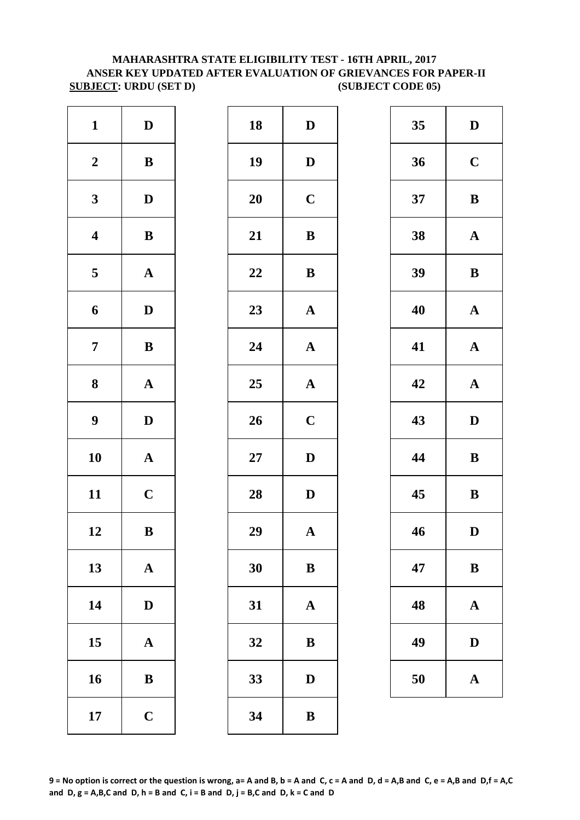#### **SUBJECT: URDU (SET D)** (SUBJECT CODE 05) **MAHARASHTRA STATE ELIGIBILITY TEST - 16TH APRIL, 2017 ANSER KEY UPDATED AFTER EVALUATION OF GRIEVANCES FOR PAPER-II**

| $\mathbf{1}$            | $\mathbf D$           | 18        | D            |
|-------------------------|-----------------------|-----------|--------------|
| $\boldsymbol{2}$        | $\, {\bf B}$          | 19        | D            |
| $\mathbf{3}$            | $\mathbf D$           | 20        | $\mathbf C$  |
| $\boldsymbol{4}$        | $\bf{B}$              | 21        | $\bf{B}$     |
| $\overline{\mathbf{5}}$ | $\mathbf A$           | 22        | $\bf{B}$     |
| 6                       | $\mathbf D$           | 23        | $\mathbf{A}$ |
| $\boldsymbol{7}$        | $\, {\bf B}$          | 24        | $\mathbf{A}$ |
| 8                       | $\mathbf A$           | 25        | $\mathbf{A}$ |
| $\boldsymbol{9}$        | $\mathbf D$           | 26        | $\mathbf C$  |
| 10                      | ${\bf A}$             | <b>27</b> | D            |
| 11                      | $\mathbf C$           | 28        | D            |
| 12                      | $\bf{B}$              | 29        | $\mathbf{A}$ |
| 13                      | ${\bf A}$             | 30        | $\bf{B}$     |
| 14                      | $\mathbf D$           | 31        | $\mathbf{A}$ |
| 15                      | $\boldsymbol{\rm{A}}$ | 32        | $\bf{B}$     |
| 16                      | $\bf{B}$              | 33        | D            |
| 17                      | $\mathbf C$           | 34        | B            |

| $\mathbf{D}$ | 18 | $\mathbf D$           | 35 | $\mathbf{D}$ |
|--------------|----|-----------------------|----|--------------|
| $\, {\bf B}$ | 19 | $\mathbf D$           | 36 | $\mathbf C$  |
| $\mathbf{D}$ | 20 | $\mathbf C$           | 37 | $\bf{B}$     |
| ${\bf B}$    | 21 | $\, {\bf B}$          | 38 | $\mathbf A$  |
| ${\bf A}$    | 22 | $\, {\bf B}$          | 39 | $\bf{B}$     |
| $\mathbf{D}$ | 23 | ${\bf A}$             | 40 | $\mathbf A$  |
| ${\bf B}$    | 24 | ${\bf A}$             | 41 | $\mathbf A$  |
| ${\bf A}$    | 25 | ${\bf A}$             | 42 | $\mathbf A$  |
| $\mathbf D$  | 26 | $\mathbf C$           | 43 | $\mathbf{D}$ |
| ${\bf A}$    | 27 | $\mathbf D$           | 44 | $\bf{B}$     |
| $\mathbf C$  | 28 | $\mathbf D$           | 45 | $\bf{B}$     |
| $\, {\bf B}$ | 29 | $\boldsymbol{\rm{A}}$ | 46 | $\mathbf{D}$ |
| ${\bf A}$    | 30 | $\, {\bf B}$          | 47 | $\bf{B}$     |
| $\mathbf D$  | 31 | $\mathbf A$           | 48 | $\mathbf A$  |
| ${\bf A}$    | 32 | $\bf{B}$              | 49 | $\mathbf{D}$ |
| $\bf{B}$     | 33 | $\mathbf D$           | 50 | $\mathbf A$  |
| $\mathbf C$  | 34 | $\bf{B}$              |    |              |
|              |    |                       |    |              |

| 35 | D            |
|----|--------------|
| 36 | $\mathbf C$  |
| 37 | B            |
| 38 | $\mathbf A$  |
| 39 | B            |
| 40 | $\mathbf A$  |
| 41 | $\mathbf{A}$ |
| 42 | $\mathbf A$  |
| 43 | D            |
| 44 | B            |
| 45 | $\bf{B}$     |
| 46 | D            |
| 47 | $\bf{B}$     |
| 48 | $\mathbf A$  |
| 49 | $\mathbf D$  |
| 50 | $\mathbf A$  |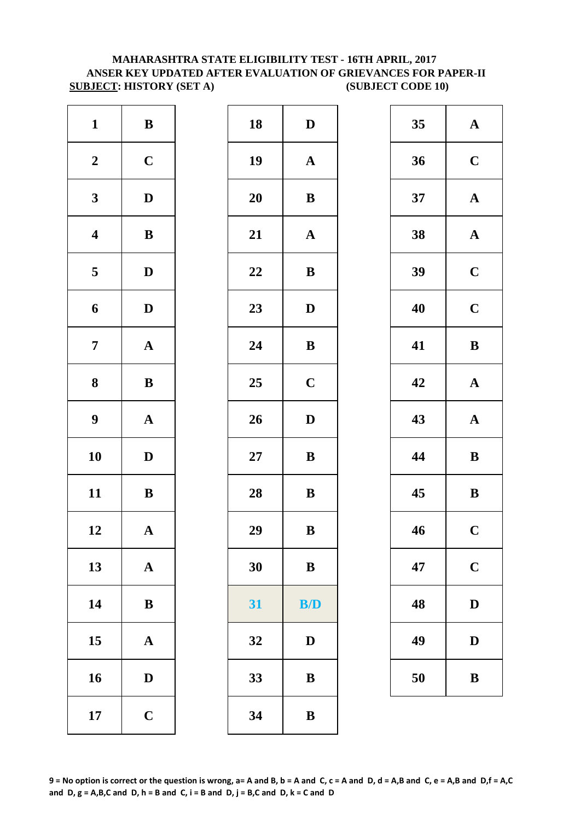#### **MAHARASHTRA STATE ELIGIBILITY TEST - 16TH APRIL, 2017 ANSER KEY UPDATED AFTER EVALUATION OF GRIEVANCES FOR PAPER-II SUBJECT: HISTORY (SET A)** (SUBJECT CODE 10)

| $\mathbf{1}$            | $\, {\bf B}$          | 18        | $\mathbf{D}$ |
|-------------------------|-----------------------|-----------|--------------|
| $\boldsymbol{2}$        | $\mathbf C$           | 19        | $\mathbf{A}$ |
| $\mathbf{3}$            | $\mathbf D$           | 20        | $\bf{B}$     |
| $\boldsymbol{4}$        | $\, {\bf B}$          | 21        | $\mathbf A$  |
| $\overline{\mathbf{5}}$ | $\mathbf D$           | 22        | $\bf{B}$     |
| 6                       | $\mathbf D$           | 23        | D            |
| $\boldsymbol{7}$        | $\boldsymbol{\rm{A}}$ | 24        | $\bf{B}$     |
| 8                       | $\, {\bf B}$          | 25        | $\mathbf C$  |
| $\boldsymbol{9}$        | $\boldsymbol{\rm{A}}$ | 26        | D            |
| 10                      | $\mathbf D$           | <b>27</b> | $\bf{B}$     |
| 11                      | $\, {\bf B}$          | 28        | $\bf{B}$     |
| 12                      | $\boldsymbol{\rm{A}}$ | 29        | $\bf{B}$     |
| 13                      | ${\bf A}$             | 30        | $\bf{B}$     |
| 14                      | $\, {\bf B}$          | 31        | B/           |
| 15                      | $\boldsymbol{\rm{A}}$ | 32        | D            |
| 16                      | $\mathbf D$           | 33        | $\bf{B}$     |
| 17                      | $\mathbf C$           | 34        | B            |

| $\mathbf{1}$            | $\bf{B}$     | 18     | $\mathbf{D}$ | 35 | $\mathbf A$  |
|-------------------------|--------------|--------|--------------|----|--------------|
| $\boldsymbol{2}$        | $\mathbf C$  | 19     | ${\bf A}$    | 36 | $\mathbf C$  |
| $\mathbf{3}$            | $\mathbf D$  | 20     | ${\bf B}$    | 37 | $\mathbf A$  |
| $\overline{\mathbf{4}}$ | ${\bf B}$    | 21     | $\mathbf A$  | 38 | $\mathbf A$  |
| $\overline{\mathbf{5}}$ | $\mathbf{D}$ | 22     | $\, {\bf B}$ | 39 | $\mathbf C$  |
| $\boldsymbol{6}$        | $\mathbf D$  | 23     | $\mathbf D$  | 40 | $\mathbf C$  |
| $\overline{7}$          | ${\bf A}$    | 24     | ${\bf B}$    | 41 | $\bf{B}$     |
| 8                       | ${\bf B}$    | 25     | $\mathbf C$  | 42 | $\mathbf A$  |
| $\boldsymbol{9}$        | ${\bf A}$    | 26     | $\mathbf D$  | 43 | $\mathbf A$  |
| 10                      | $\mathbf D$  | $27\,$ | ${\bf B}$    | 44 | $\bf{B}$     |
| 11                      | ${\bf B}$    | 28     | ${\bf B}$    | 45 | $\bf{B}$     |
| 12                      | ${\bf A}$    | 29     | $\, {\bf B}$ | 46 | $\mathbf C$  |
| 13                      | ${\bf A}$    | 30     | ${\bf B}$    | 47 | $\mathbf C$  |
| 14                      | ${\bf B}$    | 31     | B/D          | 48 | $\mathbf{D}$ |
| 15                      | ${\bf A}$    | 32     | $\mathbf{D}$ | 49 | $\mathbf{D}$ |
| 16                      | $\mathbf{D}$ | 33     | ${\bf B}$    | 50 | $\bf{B}$     |
| 17                      | $\mathbf C$  | 34     | $\bf{B}$     |    |              |

| 35 | $\mathbf A$ |
|----|-------------|
| 36 | $\mathbf C$ |
| 37 | $\mathbf A$ |
| 38 | $\mathbf A$ |
| 39 | $\mathbf C$ |
| 40 | $\mathbf C$ |
| 41 | B           |
| 42 | $\mathbf A$ |
| 43 | $\mathbf A$ |
| 44 | B           |
| 45 | B           |
| 46 | $\mathbf C$ |
| 47 | $\mathbf C$ |
| 48 | D           |
| 49 | $\bf{D}$    |
| 50 | B           |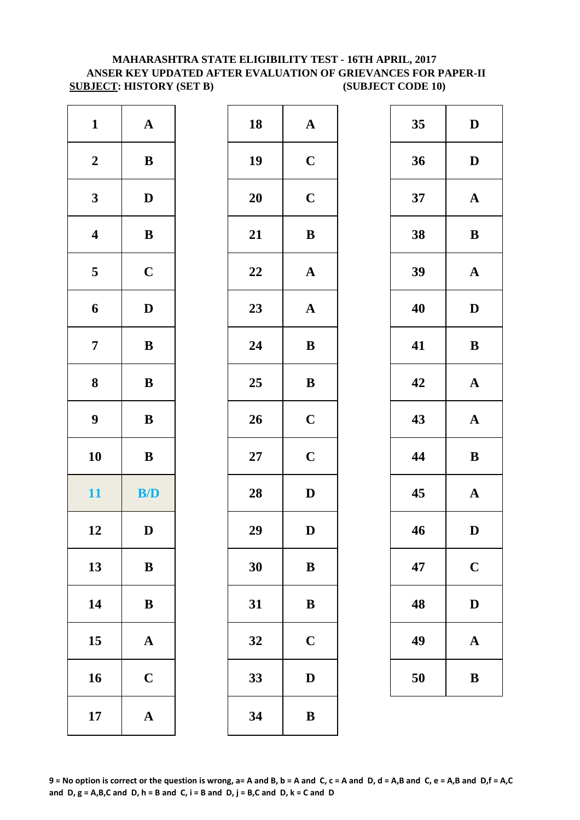#### **SUBJECT: HISTORY (SET B)** (SUBJECT CODE 10) **MAHARASHTRA STATE ELIGIBILITY TEST - 16TH APRIL, 2017 ANSER KEY UPDATED AFTER EVALUATION OF GRIEVANCES FOR PAPER-II**

| $\mathbf{1}$     | $\boldsymbol{\rm{A}}$ | 18        | $\mathbf A$ |
|------------------|-----------------------|-----------|-------------|
| $\boldsymbol{2}$ | $\, {\bf B}$          | 19        | $\mathbf C$ |
| $\mathbf{3}$     | $\mathbf D$           | 20        | $\mathbf C$ |
| $\boldsymbol{4}$ | $\, {\bf B}$          | 21        | $\bf{B}$    |
| 5                | $\mathbf C$           | 22        | $\mathbf A$ |
| 6                | $\mathbf D$           | 23        | $\mathbf A$ |
| $\boldsymbol{7}$ | $\, {\bf B}$          | 24        | $\bf{B}$    |
| 8                | $\, {\bf B}$          | 25        | $\bf{B}$    |
| 9                | $\, {\bf B}$          | 26        | $\mathbf C$ |
| 10               | $\, {\bf B}$          | <b>27</b> | $\mathbf C$ |
| 11               | B/D                   | 28        | D           |
| 12               | $\mathbf D$           | 29        | D           |
| 13               | $\, {\bf B}$          | 30        | $\bf{B}$    |
| 14               | $\, {\bf B}$          | 31        | $\bf{B}$    |
| 15               | $\boldsymbol{\rm{A}}$ | 32        | $\mathbf C$ |
| 16               | $\mathbf C$           | 33        | D           |
| 17               | ${\bf A}$             | 34        | $\bf{B}$    |
|                  |                       |           |             |

| $\mathbf{1}$            | ${\bf A}$    | 18     | ${\bf A}$    | 35 | $\mathbf{D}$ |
|-------------------------|--------------|--------|--------------|----|--------------|
| $\boldsymbol{2}$        | ${\bf B}$    | 19     | $\mathbf C$  | 36 | $\mathbf{D}$ |
| $\mathbf{3}$            | $\mathbf{D}$ | 20     | $\mathbf C$  | 37 | $\mathbf A$  |
| $\overline{\mathbf{4}}$ | ${\bf B}$    | 21     | $\, {\bf B}$ | 38 | $\bf{B}$     |
| $\overline{\mathbf{5}}$ | $\mathbf C$  | 22     | ${\bf A}$    | 39 | $\mathbf A$  |
| $\boldsymbol{6}$        | $\mathbf{D}$ | 23     | ${\bf A}$    | 40 | $\mathbf{D}$ |
| $\overline{7}$          | ${\bf B}$    | 24     | $\bf{B}$     | 41 | $\bf{B}$     |
| $\boldsymbol{8}$        | ${\bf B}$    | 25     | $\, {\bf B}$ | 42 | $\mathbf A$  |
| $\boldsymbol{9}$        | ${\bf B}$    | 26     | $\mathbf C$  | 43 | $\mathbf A$  |
| 10                      | $\bf{B}$     | $27\,$ | $\mathbf C$  | 44 | $\bf{B}$     |
| 11                      | B/D          | 28     | $\mathbf D$  | 45 | $\mathbf A$  |
| 12                      | $\mathbf D$  | 29     | $\mathbf D$  | 46 | $\mathbf{D}$ |
| 13                      | $\bf{B}$     | 30     | $\bf{B}$     | 47 | $\mathbf C$  |
| 14                      | $\, {\bf B}$ | 31     | $\bf{B}$     | 48 | $\mathbf{D}$ |
| 15                      | ${\bf A}$    | 32     | $\mathbf C$  | 49 | $\mathbf A$  |
| 16                      | $\mathbf C$  | 33     | D            | 50 | $\bf{B}$     |
| 17                      | ${\bf A}$    | 34     | $\bf{B}$     |    |              |
|                         |              |        |              |    |              |

| 35 | D           |
|----|-------------|
| 36 | D           |
| 37 | $\mathbf A$ |
| 38 | B           |
| 39 | $\mathbf A$ |
| 40 | D           |
| 41 | B           |
| 42 | $\mathbf A$ |
| 43 | $\mathbf A$ |
| 44 | B           |
| 45 | $\mathbf A$ |
| 46 | D           |
| 47 | $\mathbf C$ |
| 48 | D           |
| 49 | $\mathbf A$ |
| 50 | B           |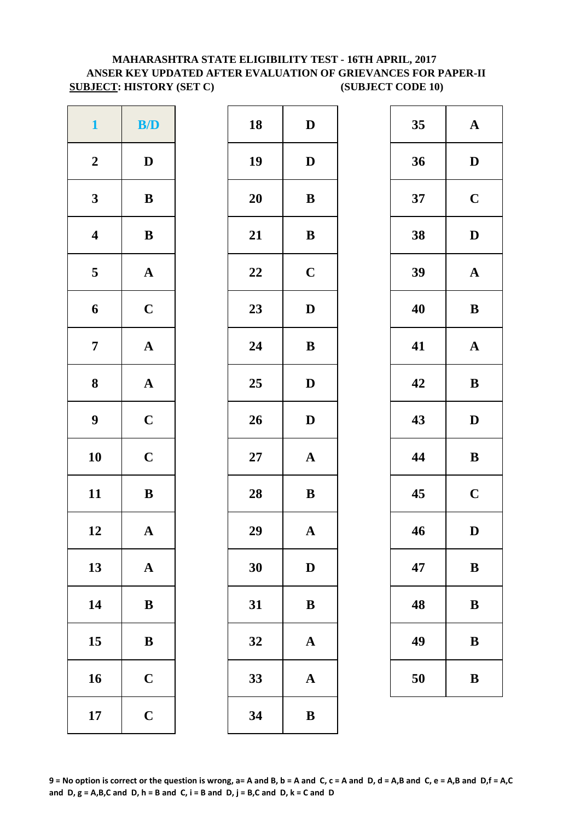### **MAHARASHTRA STATE ELIGIBILITY TEST - 16TH APRIL, 2017 ANSER KEY UPDATED AFTER EVALUATION OF GRIEVANCES FOR PAPER-II SUBJECT: HISTORY (SET C)** (SUBJECT CODE 10)

| $\mathbf{1}$            | B/D                   | 18        | D            |
|-------------------------|-----------------------|-----------|--------------|
| $\boldsymbol{2}$        | $\mathbf D$           | 19        | $\mathbf{D}$ |
| $\mathbf{3}$            | $\, {\bf B}$          | 20        | $\bf{B}$     |
| $\boldsymbol{4}$        | $\bf{B}$              | 21        | $\bf{B}$     |
| $\overline{\mathbf{5}}$ | $\boldsymbol{\rm{A}}$ | 22        | $\mathbf C$  |
| 6                       | $\mathbf C$           | 23        | D            |
| $\boldsymbol{7}$        | $\boldsymbol{\rm{A}}$ | 24        | ${\bf B}$    |
| $\bf 8$                 | $\mathbf A$           | 25        | $\mathbf{D}$ |
| $\boldsymbol{9}$        | $\mathbf C$           | 26        | D            |
| 10                      | $\mathbf C$           | <b>27</b> | $\mathbf{A}$ |
| 11                      | $\bf{B}$              | 28        | $\bf{B}$     |
| 12                      | $\mathbf A$           | 29        | $\mathbf{A}$ |
| 13                      | $\mathbf A$           | 30        | D            |
| 14                      | ${\bf B}$             | 31        | $\bf{B}$     |
| 15                      | $\, {\bf B}$          | 32        | $\mathbf{A}$ |
| 16                      | $\mathbf C$           | 33        | $\mathbf A$  |
| 17                      | $\mathbf C$           | 34        | $\bf{B}$     |

| $\mathbf{1}$            | B/D          | 18 | $\mathbf D$           | 35 | $\mathbf A$  |
|-------------------------|--------------|----|-----------------------|----|--------------|
| $\boldsymbol{2}$        | $\mathbf D$  | 19 | $\mathbf D$           | 36 | $\mathbf{D}$ |
| $\mathbf{3}$            | ${\bf B}$    | 20 | $\bf{B}$              | 37 | $\mathbf C$  |
| $\overline{\mathbf{4}}$ | ${\bf B}$    | 21 | ${\bf B}$             | 38 | $\mathbf{D}$ |
| $\overline{\mathbf{5}}$ | ${\bf A}$    | 22 | $\mathbf C$           | 39 | $\mathbf A$  |
| 6                       | $\mathbf C$  | 23 | $\mathbf D$           | 40 | $\bf{B}$     |
| $\overline{7}$          | ${\bf A}$    | 24 | ${\bf B}$             | 41 | $\mathbf A$  |
| $\boldsymbol{8}$        | $\mathbf{A}$ | 25 | $\mathbf{D}$          | 42 | $\bf{B}$     |
| $\boldsymbol{9}$        | $\mathbf C$  | 26 | $\mathbf{D}$          | 43 | $\mathbf{D}$ |
| 10                      | $\mathbf C$  | 27 | ${\bf A}$             | 44 | $\bf{B}$     |
| 11                      | $\, {\bf B}$ | 28 | $\, {\bf B}$          | 45 | $\mathbf C$  |
| 12                      | ${\bf A}$    | 29 | $\boldsymbol{\rm{A}}$ | 46 | $\mathbf{D}$ |
| 13                      | ${\bf A}$    | 30 | $\mathbf D$           | 47 | $\bf{B}$     |
| 14                      | $\, {\bf B}$ | 31 | $\, {\bf B}$          | 48 | $\bf{B}$     |
| 15                      | $\bf{B}$     | 32 | $\boldsymbol{\rm{A}}$ | 49 | $\bf{B}$     |
| 16                      | $\mathbf C$  | 33 | $\mathbf A$           | 50 | $\bf{B}$     |
| 17                      | $\mathbf C$  | 34 | ${\bf B}$             |    |              |

| 35 | $\mathbf A$             |
|----|-------------------------|
| 36 | D                       |
| 37 | $\mathbf C$             |
| 38 | D                       |
| 39 | $\mathbf A$             |
| 40 | B                       |
| 41 | $\mathbf A$             |
| 42 | B                       |
| 43 | D                       |
| 44 | B                       |
| 45 | $\overline{\mathbf{C}}$ |
| 46 | D                       |
| 47 | B                       |
| 48 | B                       |
| 49 | B                       |
| 50 | B                       |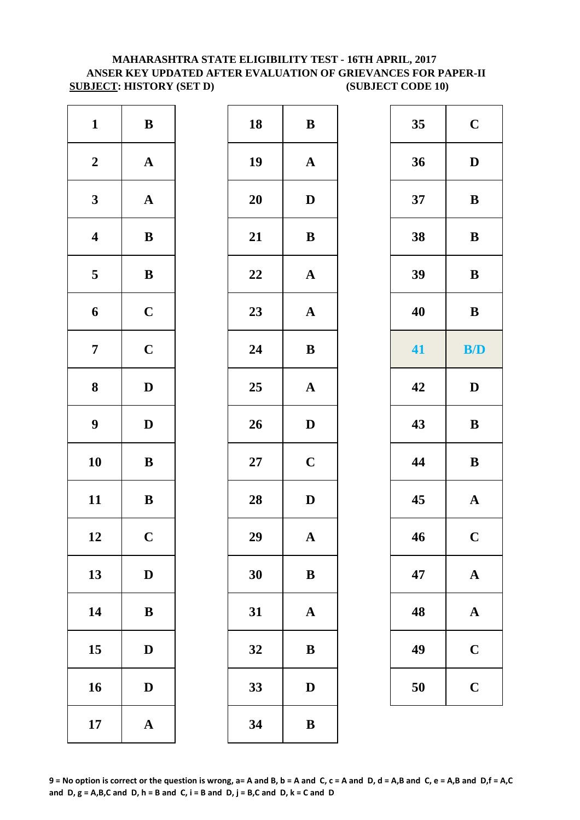#### **MAHARASHTRA STATE ELIGIBILITY TEST - 16TH APRIL, 2017 ANSER KEY UPDATED AFTER EVALUATION OF GRIEVANCES FOR PAPER-II SUBJECT: HISTORY (SET D)** (SUBJECT CODE 10)

| $\mathbf{1}$            | $\, {\bf B}$          | 18        | $\bf{B}$     |
|-------------------------|-----------------------|-----------|--------------|
| $\boldsymbol{2}$        | $\boldsymbol{\rm{A}}$ | 19        | $\mathbf{A}$ |
| $\mathbf{3}$            | $\boldsymbol{\rm{A}}$ | <b>20</b> | D            |
| $\overline{\mathbf{4}}$ | $\, {\bf B}$          | 21        | $\bf{B}$     |
| $\overline{\mathbf{5}}$ | $\bf{B}$              | 22        | $\mathbf A$  |
| 6                       | $\mathbf C$           | 23        | $\mathbf A$  |
| $\overline{7}$          | $\mathbf C$           | 24        | $\bf{B}$     |
| ${\bf 8}$               | $\mathbf D$           | 25        | $\mathbf A$  |
| $\boldsymbol{9}$        | $\mathbf D$           | 26        | D            |
| 10                      | $\, {\bf B}$          | $27\,$    | $\mathbf C$  |
| 11                      | $\, {\bf B}$          | 28        | D            |
| 12                      | $\mathbf C$           | 29        | A            |
| 13                      | $\mathbf D$           | 30        | $\bf{B}$     |
| 14                      | $\, {\bf B}$          | 31        | $\mathbf A$  |
| 15                      | $\mathbf D$           | 32        | $\bf{B}$     |
| 16                      | $\mathbf D$           | 33        | D            |
| 17                      | $\boldsymbol{\rm{A}}$ | 34        | $\bf{B}$     |

| $\mathbf{1}$            | ${\bf B}$             | 18 | $\, {\bf B}$          | 35 | $\mathbf C$           |
|-------------------------|-----------------------|----|-----------------------|----|-----------------------|
| $\boldsymbol{2}$        | ${\bf A}$             | 19 | ${\bf A}$             | 36 | $\mathbf D$           |
| $\mathbf{3}$            | ${\bf A}$             | 20 | $\mathbf D$           | 37 | $\bf{B}$              |
| $\overline{\mathbf{4}}$ | ${\bf B}$             | 21 | $\, {\bf B}$          | 38 | $\bf{B}$              |
| $\overline{\mathbf{5}}$ | ${\bf B}$             | 22 | $\boldsymbol{\rm{A}}$ | 39 | $\, {\bf B}$          |
| 6                       | $\mathbf C$           | 23 | $\mathbf A$           | 40 | ${\bf B}$             |
| $\overline{7}$          | $\mathbf C$           | 24 | $\, {\bf B}$          | 41 | B/D                   |
| $\boldsymbol{8}$        | $\mathbf D$           | 25 | ${\bf A}$             | 42 | $\mathbf D$           |
| $\boldsymbol{9}$        | $\mathbf{D}$          | 26 | $\mathbf D$           | 43 | $\bf{B}$              |
| 10                      | $\bf{B}$              | 27 | $\mathbf C$           | 44 | $\, {\bf B}$          |
| 11                      | ${\bf B}$             | 28 | $\mathbf D$           | 45 | $\boldsymbol{\rm{A}}$ |
| 12                      | $\mathbf C$           | 29 | $\mathbf A$           | 46 | $\mathbf C$           |
| 13                      | $\mathbf{D}$          | 30 | $\bf{B}$              | 47 | $\mathbf A$           |
| 14                      | $\, {\bf B}$          | 31 | ${\bf A}$             | 48 | $\mathbf A$           |
| 15                      | $\mathbf{D}$          | 32 | $\bf{B}$              | 49 | $\mathbf C$           |
| 16                      | $\mathbf{D}$          | 33 | $\mathbf D$           | 50 | $\mathbf C$           |
| 17                      | $\boldsymbol{\rm{A}}$ | 34 | $\, {\bf B}$          |    |                       |

| 35 | $\mathbf C$  |
|----|--------------|
| 36 | $\mathbf{D}$ |
| 37 | B            |
| 38 | B            |
| 39 | B            |
| 40 | B            |
| 41 | B/D          |
| 42 | D            |
| 43 | B            |
| 44 | B            |
| 45 | $\mathbf A$  |
| 46 | $\mathbf C$  |
| 47 | A            |
| 48 | $\mathbf A$  |
| 49 | $\mathbf C$  |
| 50 | $\mathbf C$  |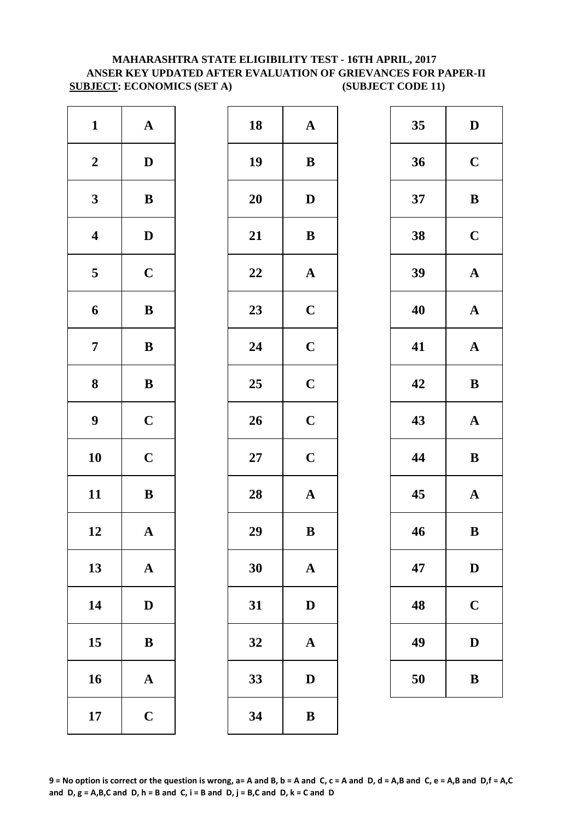#### **ANSER KEY UPDATED AFTER EVALUATION OF GRIEVANCES FOR PAPER-II SUBJECT: ECONOMICS (SET A) (SUBJECT CODE 11) MAHARASHTRA STATE ELIGIBILITY TEST - 16TH APRIL, 2017**

| $\mathbf{1}$            | ${\bf A}$             | 18        | $\mathbf A$  |
|-------------------------|-----------------------|-----------|--------------|
| $\boldsymbol{2}$        | $\mathbf D$           | 19        | $\bf{B}$     |
| $\mathbf{3}$            | $\, {\bf B}$          | 20        | $\mathbf{D}$ |
| $\boldsymbol{4}$        | $\mathbf D$           | 21        | $\bf{B}$     |
| $\overline{\mathbf{5}}$ | $\mathbf C$           | 22        | $\mathbf A$  |
| 6                       | $\, {\bf B}$          | 23        | $\mathbf C$  |
| $\boldsymbol{7}$        | $\, {\bf B}$          | 24        | $\mathbf C$  |
| $\bf 8$                 | $\, {\bf B}$          | 25        | $\mathbf C$  |
| $\boldsymbol{9}$        | $\mathbf C$           | 26        | $\mathbf C$  |
| 10                      | $\mathbf C$           | <b>27</b> | $\mathbf C$  |
| 11                      | $\, {\bf B}$          | 28        | $\mathbf{A}$ |
| 12                      | $\mathbf A$           | 29        | $\bf{B}$     |
| 13                      | ${\bf A}$             | 30        | $\mathbf A$  |
| 14                      | $\mathbf D$           | 31        | D            |
| 15                      | $\, {\bf B}$          | 32        | $\mathbf{A}$ |
| 16                      | $\boldsymbol{\rm{A}}$ | 33        | D            |
| 17                      | $\mathbf C$           | 34        | $\bf{B}$     |

| $\mathbf{1}$            | ${\bf A}$    | 18     | ${\bf A}$             | 35 | $\mathbf{D}$ |
|-------------------------|--------------|--------|-----------------------|----|--------------|
| $\boldsymbol{2}$        | $\mathbf{D}$ | 19     | ${\bf B}$             | 36 | $\mathbf C$  |
| $\mathbf{3}$            | ${\bf B}$    | 20     | $\mathbf D$           | 37 | $\bf{B}$     |
| $\overline{\mathbf{4}}$ | $\mathbf D$  | 21     | $\, {\bf B}$          | 38 | $\mathbf C$  |
| $\overline{\mathbf{5}}$ | $\mathbf C$  | 22     | $\boldsymbol{\rm{A}}$ | 39 | $\mathbf A$  |
| $\boldsymbol{6}$        | $\, {\bf B}$ | 23     | $\mathbf C$           | 40 | $\mathbf A$  |
| $\overline{7}$          | ${\bf B}$    | 24     | $\mathbf C$           | 41 | $\mathbf A$  |
| $\boldsymbol{8}$        | ${\bf B}$    | 25     | $\mathbf C$           | 42 | $\bf{B}$     |
| $\boldsymbol{9}$        | $\mathbf C$  | 26     | $\mathbf C$           | 43 | $\mathbf A$  |
| 10                      | $\mathbf C$  | $27\,$ | $\mathbf C$           | 44 | $\bf{B}$     |
| 11                      | ${\bf B}$    | 28     | ${\bf A}$             | 45 | $\mathbf A$  |
| 12                      | ${\bf A}$    | 29     | $\, {\bf B}$          | 46 | $\bf{B}$     |
| 13                      | ${\bf A}$    | 30     | $\mathbf A$           | 47 | D            |
| 14                      | $\mathbf D$  | 31     | ${\bf D}$             | 48 | $\mathbf C$  |
| 15                      | $\, {\bf B}$ | 32     | $\mathbf A$           | 49 | $\mathbf{D}$ |
| 16                      | ${\bf A}$    | 33     | $\mathbf D$           | 50 | $\bf{B}$     |
| 17                      | $\mathbf C$  | 34     | $\, {\bf B}$          |    |              |

| 35 | D            |
|----|--------------|
| 36 | $\mathbf C$  |
| 37 | B            |
| 38 | $\mathbf C$  |
| 39 | $\mathbf A$  |
| 40 | $\mathbf A$  |
| 41 | $\mathbf A$  |
| 42 | B            |
| 43 | $\mathbf A$  |
| 44 | B            |
| 45 | $\mathbf{A}$ |
| 46 | B            |
| 47 | $\mathbf D$  |
| 48 | $\mathbf C$  |
| 49 | $\bf{D}$     |
| 50 | B            |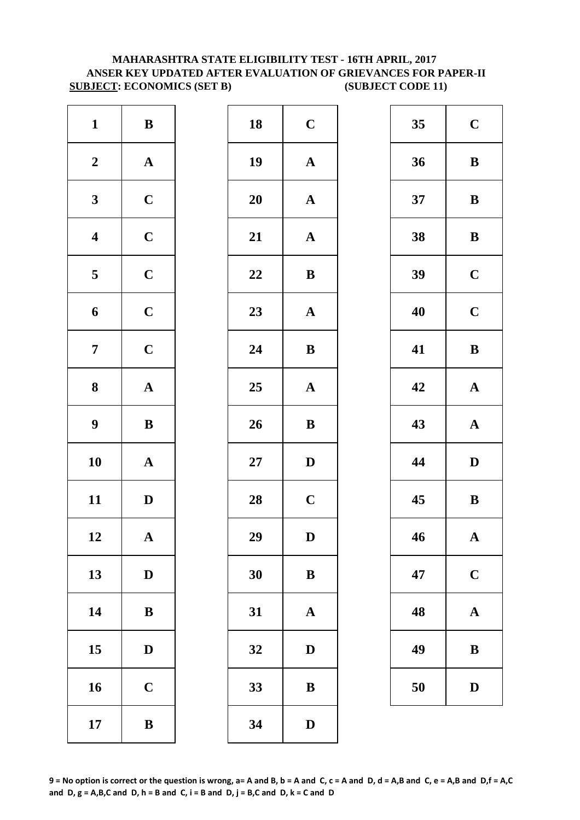#### **MAHARASHTRA STATE ELIGIBILITY TEST - 16TH APRIL, 2017 ANSER KEY UPDATED AFTER EVALUATION OF GRIEVANCES FOR PAPER-II SUBJECT: ECONOMICS (SET B) (SUBJECT CODE 11)**

| $\mathbf{1}$            | $\, {\bf B}$          | 18     | $\mathbf C$  |
|-------------------------|-----------------------|--------|--------------|
| $\boldsymbol{2}$        | $\boldsymbol{\rm{A}}$ | 19     | $\mathbf{A}$ |
| $\mathbf{3}$            | $\mathbf C$           | 20     | $\mathbf{A}$ |
| $\overline{\mathbf{4}}$ | $\mathbf C$           | 21     | $\mathbf{A}$ |
| $\overline{\mathbf{5}}$ | $\mathbf C$           | 22     | $\bf{B}$     |
| $\boldsymbol{6}$        | $\mathbf C$           | 23     | $\mathbf{A}$ |
| $\boldsymbol{7}$        | $\mathbf C$           | 24     | $\bf{B}$     |
| $\boldsymbol{8}$        | $\boldsymbol{\rm{A}}$ | 25     | $\mathbf{A}$ |
| $\boldsymbol{9}$        | $\, {\bf B}$          | 26     | $\bf{B}$     |
| 10                      | ${\bf A}$             | $27\,$ | $\mathbf{D}$ |
| 11                      | $\mathbf D$           | 28     | $\mathbf C$  |
| 12                      | A                     | 29     | D            |
| 13                      | $\mathbf D$           | 30     | $\bf{B}$     |
| 14                      | $\bf{B}$              | 31     | $\mathbf{A}$ |
| 15                      | $\mathbf D$           | 32     | D            |
| 16                      | $\mathbf C$           | 33     | $\bf{B}$     |
| 17                      | $\, {\bf B}$          | 34     | $\mathbf{D}$ |

| $\mathbf{1}$            | ${\bf B}$             | 18 | $\mathbf C$  | 35 | $\mathbf C$  |
|-------------------------|-----------------------|----|--------------|----|--------------|
| $\boldsymbol{2}$        | ${\bf A}$             | 19 | ${\bf A}$    | 36 | $\bf{B}$     |
| $\mathbf{3}$            | $\mathbf C$           | 20 | $\mathbf{A}$ | 37 | $\bf{B}$     |
| $\overline{\mathbf{4}}$ | $\mathbf C$           | 21 | ${\bf A}$    | 38 | $\bf{B}$     |
| $\overline{\mathbf{5}}$ | $\mathbf C$           | 22 | $\, {\bf B}$ | 39 | $\mathbf C$  |
| $\boldsymbol{6}$        | $\mathbf C$           | 23 | ${\bf A}$    | 40 | $\mathbf C$  |
| $\overline{7}$          | $\mathbf C$           | 24 | $\bf{B}$     | 41 | $\bf{B}$     |
| $\boldsymbol{8}$        | ${\bf A}$             | 25 | $\mathbf A$  | 42 | $\mathbf A$  |
| $\boldsymbol{9}$        | ${\bf B}$             | 26 | $\, {\bf B}$ | 43 | $\mathbf A$  |
| 10                      | ${\bf A}$             | 27 | $\mathbf{D}$ | 44 | $\mathbf{D}$ |
| 11                      | $\mathbf{D}$          | 28 | $\mathbf C$  | 45 | $\bf{B}$     |
| 12                      | $\boldsymbol{\rm{A}}$ | 29 | $\mathbf D$  | 46 | $\mathbf A$  |
| 13                      | $\mathbf D$           | 30 | ${\bf B}$    | 47 | $\mathbf C$  |
| 14                      | $\, {\bf B}$          | 31 | $\mathbf A$  | 48 | $\mathbf A$  |
| 15                      | $\mathbf{D}$          | 32 | $\mathbf D$  | 49 | $\bf{B}$     |
| 16                      | $\mathbf C$           | 33 | $\, {\bf B}$ | 50 | D            |
| 17                      | $\, {\bf B}$          | 34 | $\mathbf D$  |    |              |

| 35 | $\mathbf C$ |
|----|-------------|
| 36 | B           |
| 37 | B           |
| 38 | B           |
| 39 | $\mathbf C$ |
| 40 | $\mathbf C$ |
| 41 | B           |
| 42 | $\mathbf A$ |
| 43 | $\mathbf A$ |
| 44 | D           |
| 45 | B           |
| 46 | $\mathbf A$ |
| 47 | $\mathbf C$ |
| 48 | A           |
| 49 | B           |
| 50 | $\bf{D}$    |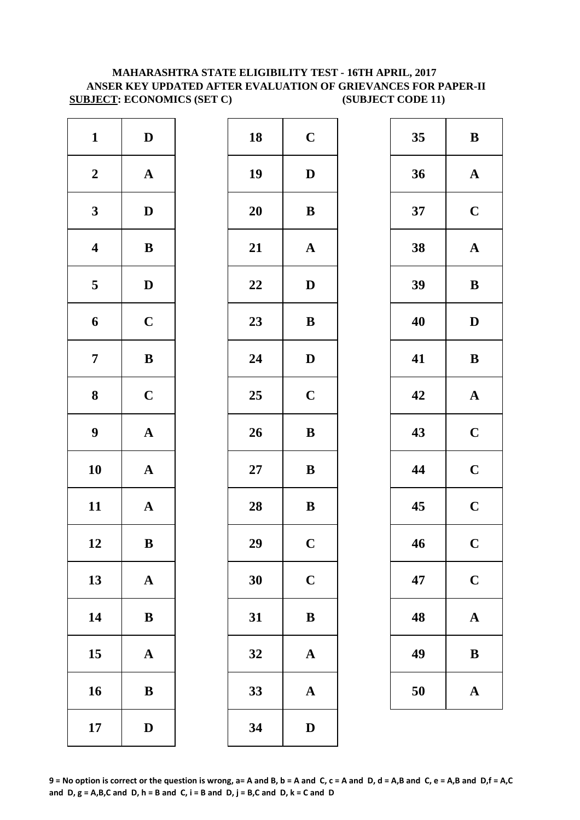#### **SUBJECT: ECONOMICS (SET C) (SUBJECT CODE 11) MAHARASHTRA STATE ELIGIBILITY TEST - 16TH APRIL, 2017 ANSER KEY UPDATED AFTER EVALUATION OF GRIEVANCES FOR PAPER-II**

| $\mathbf{1}$            | $\mathbf D$           | 18        | $\mathbf C$  |
|-------------------------|-----------------------|-----------|--------------|
| $\boldsymbol{2}$        | $\boldsymbol{\rm{A}}$ | 19        | $\mathbf{D}$ |
| $\mathbf{3}$            | $\mathbf D$           | <b>20</b> | $\bf{B}$     |
| $\overline{\mathbf{4}}$ | $\, {\bf B}$          | 21        | $\mathbf{A}$ |
| 5                       | $\mathbf D$           | 22        | $\mathbf{D}$ |
| 6                       | $\mathbf C$           | 23        | $\bf{B}$     |
| $\overline{7}$          | $\bf{B}$              | 24        | $\mathbf{D}$ |
| $\bf{8}$                | $\mathbf C$           | 25        | $\mathbf C$  |
| $\boldsymbol{9}$        | $\boldsymbol{\rm{A}}$ | 26        | $\bf{B}$     |
| 10                      | $\boldsymbol{\rm{A}}$ | $27\,$    | $\bf{B}$     |
| 11                      | $\mathbf A$           | 28        | $\bf{B}$     |
| 12                      | $\, {\bf B}$          | 29        | $\mathbf C$  |
| 13                      | $\boldsymbol{\rm{A}}$ | 30        | $\mathbf C$  |
| 14                      | $\, {\bf B}$          | 31        | $\bf{B}$     |
| 15                      | $\boldsymbol{\rm{A}}$ | 32        | $\mathbf{A}$ |
| 16                      | $\, {\bf B}$          | 33        | $\mathbf{A}$ |
| 17                      | $\mathbf D$           | 34        | $\mathbf{D}$ |

| $\mathbf{1}$            | $\mathbf D$  | 18     | $\mathbf C$           | 35 | $\bf{B}$     |
|-------------------------|--------------|--------|-----------------------|----|--------------|
| $\boldsymbol{2}$        | ${\bf A}$    | 19     | $\mathbf{D}$          | 36 | $\mathbf A$  |
| $\mathbf{3}$            | $\mathbf{D}$ | 20     | $\, {\bf B}$          | 37 | $\mathbf C$  |
| $\overline{\mathbf{4}}$ | $\, {\bf B}$ | 21     | $\boldsymbol{\rm{A}}$ | 38 | $\mathbf A$  |
| $\overline{\mathbf{5}}$ | $\mathbf{D}$ | 22     | $\mathbf{D}$          | 39 | $\bf{B}$     |
| 6                       | $\mathbf C$  | 23     | ${\bf B}$             | 40 | $\mathbf{D}$ |
| $\overline{7}$          | ${\bf B}$    | 24     | $\mathbf D$           | 41 | $\bf{B}$     |
| $\boldsymbol{8}$        | $\mathbf C$  | 25     | $\mathbf C$           | 42 | $\mathbf A$  |
| $\boldsymbol{9}$        | ${\bf A}$    | 26     | $\, {\bf B}$          | 43 | $\mathbf C$  |
| 10                      | ${\bf A}$    | $27\,$ | $\, {\bf B}$          | 44 | $\mathbf C$  |
| 11                      | ${\bf A}$    | 28     | $\bf{B}$              | 45 | $\mathbf C$  |
| 12                      | $\, {\bf B}$ | 29     | $\mathbf C$           | 46 | $\mathbf C$  |
| 13                      | ${\bf A}$    | 30     | $\mathbf C$           | 47 | $\mathbf C$  |
| 14                      | $\, {\bf B}$ | 31     | $\, {\bf B}$          | 48 | $\mathbf A$  |
| 15                      | ${\bf A}$    | 32     | $\mathbf A$           | 49 | $\bf{B}$     |
| 16                      | $\, {\bf B}$ | 33     | $\mathbf A$           | 50 | $\mathbf A$  |
| 17                      | $\mathbf{D}$ | 34     | $\mathbf D$           |    |              |
|                         |              |        |                       |    |              |

| 35 | B                       |
|----|-------------------------|
| 36 | $\mathbf A$             |
| 37 | $\mathbf C$             |
| 38 | $\mathbf A$             |
| 39 | B                       |
| 40 | D                       |
| 41 | B                       |
| 42 | $\mathbf A$             |
| 43 | $\mathbf C$             |
| 44 | $\mathbf C$             |
| 45 | $\overline{\mathbf{C}}$ |
| 46 | $\overline{\mathbf{C}}$ |
| 47 | $\mathbf C$             |
| 48 | $\mathbf{A}$            |
| 49 | B                       |
| 50 | $\mathbf A$             |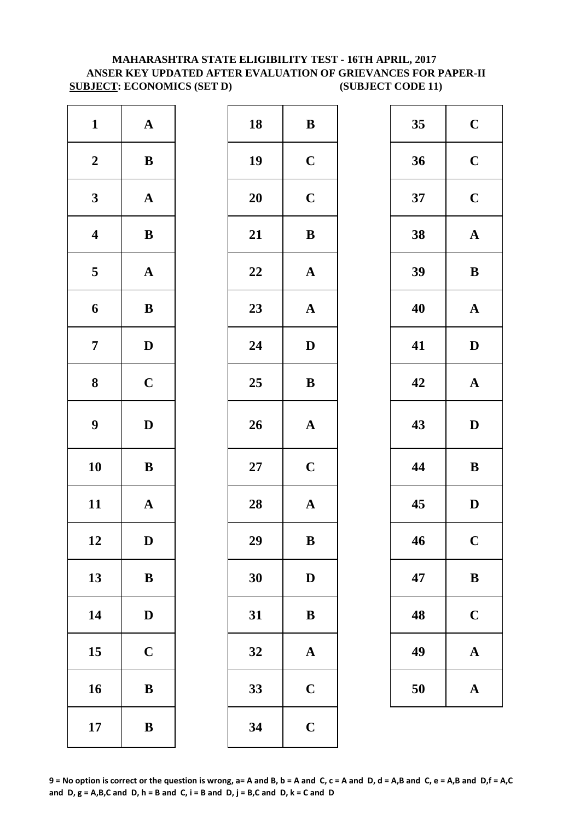#### **MAHARASHTRA STATE ELIGIBILITY TEST - 16TH APRIL, 2017 ANSER KEY UPDATED AFTER EVALUATION OF GRIEVANCES FOR PAPER-II SUBJECT: ECONOMICS (SET D) (SUBJECT CODE 11)**

| $\mathbf{1}$            | ${\bf A}$             | 18        | $\bf{B}$     |
|-------------------------|-----------------------|-----------|--------------|
| $\boldsymbol{2}$        | $\, {\bf B}$          | 19        | $\mathbf C$  |
| $\mathbf{3}$            | $\boldsymbol{\rm{A}}$ | 20        | $\mathbf C$  |
| $\overline{\mathbf{4}}$ | $\bf{B}$              | 21        | $\bf{B}$     |
| 5                       | ${\bf A}$             | 22        | $\mathbf A$  |
| 6                       | $\bf{B}$              | 23        | $\mathbf{A}$ |
| $\boldsymbol{7}$        | $\mathbf D$           | 24        | $\mathbf{D}$ |
| 8                       | $\mathbf C$           | 25        | $\bf{B}$     |
| $\boldsymbol{9}$        | $\mathbf D$           | 26        | $\mathbf{A}$ |
| 10                      | $\bf{B}$              | <b>27</b> | $\mathbf C$  |
| 11                      | ${\bf A}$             | 28        | $\mathbf{A}$ |
| 12                      | D                     | 29        | $\bf{B}$     |
| 13                      | $\bf{B}$              | 30        | $\mathbf{D}$ |
| 14                      | $\mathbf D$           | 31        | $\bf{B}$     |
| 15                      | $\mathbf C$           | 32        | $\mathbf{A}$ |
| 16                      | $\, {\bf B}$          | 33        | $\mathbf C$  |
| 17                      | $\, {\bf B}$          | 34        | $\mathbf C$  |

| $\mathbf{1}$            | ${\bf A}$    | 18     | ${\bf B}$             | 35 | $\mathbf C$  |
|-------------------------|--------------|--------|-----------------------|----|--------------|
| $\boldsymbol{2}$        | ${\bf B}$    | 19     | $\mathbf C$           | 36 | $\mathbf C$  |
| $\mathbf{3}$            | ${\bf A}$    | 20     | $\mathbf C$           | 37 | $\mathbf C$  |
| $\overline{\mathbf{4}}$ | ${\bf B}$    | 21     | ${\bf B}$             | 38 | $\mathbf A$  |
| $\overline{\mathbf{5}}$ | ${\bf A}$    | 22     | ${\bf A}$             | 39 | $\bf{B}$     |
| $\boldsymbol{6}$        | $\, {\bf B}$ | 23     | $\boldsymbol{\rm{A}}$ | 40 | $\mathbf A$  |
| $\overline{7}$          | $\mathbf D$  | 24     | $\mathbf D$           | 41 | $\mathbf{D}$ |
| $\boldsymbol{8}$        | $\mathbf C$  | 25     | ${\bf B}$             | 42 | $\mathbf A$  |
| $\boldsymbol{9}$        | $\mathbf D$  | 26     | ${\bf A}$             | 43 | $\mathbf{D}$ |
| 10                      | $\, {\bf B}$ | $27\,$ | $\mathbf C$           | 44 | $\bf{B}$     |
| 11                      | ${\bf A}$    | 28     | ${\bf A}$             | 45 | $\mathbf{D}$ |
| 12                      | D            | 29     | $\bf{B}$              | 46 | $\mathbf C$  |
| 13                      | $\, {\bf B}$ | 30     | $\mathbf D$           | 47 | $\bf{B}$     |
| 14                      | $\mathbf{D}$ | 31     | $\bf{B}$              | 48 | $\mathbf C$  |
| 15                      | $\mathbf C$  | 32     | $\boldsymbol{\rm{A}}$ | 49 | $\mathbf A$  |
| 16                      | $\, {\bf B}$ | 33     | $\mathbf C$           | 50 | $\mathbf A$  |
| 17                      | $\, {\bf B}$ | 34     | $\mathbf C$           |    |              |
|                         |              |        |                       |    |              |

| 35 | $\mathbf C$  |
|----|--------------|
| 36 | $\mathbf C$  |
| 37 | $\mathbf C$  |
| 38 | $\mathbf A$  |
| 39 | B            |
| 40 | $\mathbf{A}$ |
| 41 | D            |
| 42 | $\mathbf A$  |
|    |              |
| 43 | D            |
| 44 | B            |
| 45 | D            |
| 46 | $\mathbf C$  |
| 47 | B            |
| 48 | $\mathbf C$  |
| 49 | A            |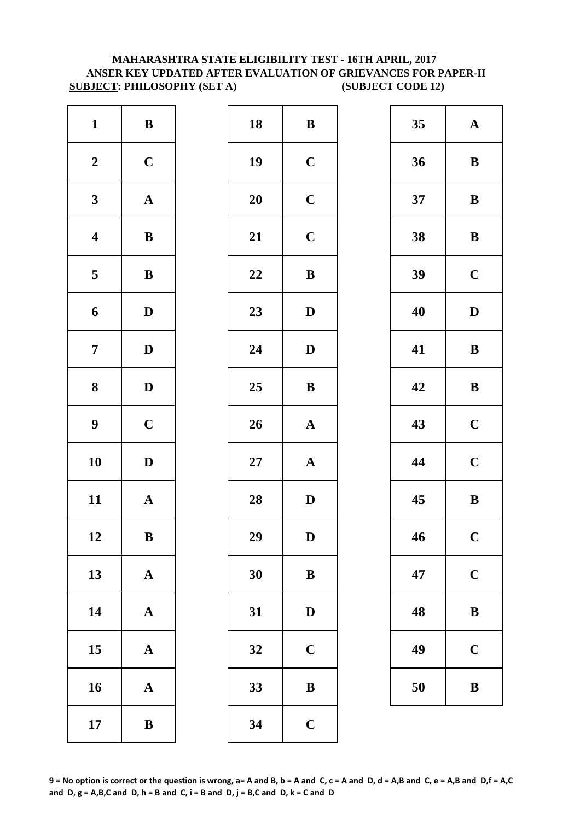#### **SUBJECT: PHILOSOPHY (SET A) (SUBJECT CODE 12) MAHARASHTRA STATE ELIGIBILITY TEST - 16TH APRIL, 2017 ANSER KEY UPDATED AFTER EVALUATION OF GRIEVANCES FOR PAPER-II**

| $\mathbf{1}$            | $\, {\bf B}$          | 18        | $\bf{B}$     |
|-------------------------|-----------------------|-----------|--------------|
| $\boldsymbol{2}$        | $\mathbf C$           | 19        | $\mathbf C$  |
| $\mathbf{3}$            | $\mathbf A$           | <b>20</b> | $\mathbf C$  |
| $\overline{\mathbf{4}}$ | $\bf{B}$              | 21        | $\mathbf C$  |
| $\overline{\mathbf{5}}$ | $\, {\bf B}$          | 22        | $\bf{B}$     |
| 6                       | $\mathbf D$           | 23        | $\mathbf{D}$ |
| $\overline{7}$          | $\mathbf D$           | 24        | $\mathbf{D}$ |
| 8                       | $\mathbf D$           | 25        | $\bf{B}$     |
| $\boldsymbol{9}$        | $\mathbf C$           | 26        | $\mathbf{A}$ |
| 10                      | $\mathbf D$           | $27\,$    | $\mathbf{A}$ |
| 11                      | $\mathbf A$           | 28        | $\mathbf{D}$ |
| 12                      | B                     | 29        | D            |
| 13                      | $\mathbf A$           | 30        | $\bf{B}$     |
| 14                      | $\boldsymbol{\rm{A}}$ | 31        | $\mathbf{D}$ |
| 15                      | $\mathbf A$           | 32        | $\mathbf C$  |
| 16                      | $\mathbf A$           | 33        | $\bf{B}$     |
| 17                      | $\bf{B}$              | 34        | $\mathbf C$  |

| $\mathbf{1}$            | $\bf{B}$     | 18 | ${\bf B}$    | 35 | $\mathbf A$  |
|-------------------------|--------------|----|--------------|----|--------------|
| $\boldsymbol{2}$        | $\mathbf C$  | 19 | $\mathbf C$  | 36 | $\bf{B}$     |
| $\mathbf{3}$            | ${\bf A}$    | 20 | $\mathbf C$  | 37 | $\bf{B}$     |
| $\overline{\mathbf{4}}$ | ${\bf B}$    | 21 | $\mathbf C$  | 38 | $\bf{B}$     |
| $\overline{\mathbf{5}}$ | ${\bf B}$    | 22 | ${\bf B}$    | 39 | $\mathbf C$  |
| $\boldsymbol{6}$        | $\mathbf D$  | 23 | $\mathbf D$  | 40 | $\mathbf{D}$ |
| $\overline{7}$          | $\mathbf D$  | 24 | $\mathbf D$  | 41 | $\bf{B}$     |
| $\boldsymbol{8}$        | $\mathbf{D}$ | 25 | ${\bf B}$    | 42 | $\bf{B}$     |
| $\boldsymbol{9}$        | $\mathbf C$  | 26 | ${\bf A}$    | 43 | $\mathbf C$  |
| 10                      | $\mathbf D$  | 27 | ${\bf A}$    | 44 | $\mathbf C$  |
| 11                      | ${\bf A}$    | 28 | $\mathbf{D}$ | 45 | $\bf{B}$     |
| 12                      | $\bf{B}$     | 29 | $\mathbf D$  | 46 | $\mathbf C$  |
| 13                      | ${\bf A}$    | 30 | $\bf{B}$     | 47 | $\mathbf C$  |
| 14                      | ${\bf A}$    | 31 | $\mathbf D$  | 48 | $\bf{B}$     |
| 15                      | ${\bf A}$    | 32 | $\mathbf C$  | 49 | $\mathbf C$  |
| 16                      | ${\bf A}$    | 33 | $\, {\bf B}$ | 50 | $\bf{B}$     |
| 17                      | $\, {\bf B}$ | 34 | $\mathbf C$  |    |              |
|                         |              |    |              |    |              |

| 35 | $\mathbf A$    |  |  |
|----|----------------|--|--|
| 36 | B              |  |  |
| 37 | B              |  |  |
| 38 | B              |  |  |
| 39 | $\mathbf C$    |  |  |
| 40 | D              |  |  |
| 41 | B              |  |  |
| 42 | B              |  |  |
| 43 | $\mathbf C$    |  |  |
| 44 | $\mathbf C$    |  |  |
| 45 | B              |  |  |
| 46 | $\overline{C}$ |  |  |
| 47 | $\mathbf C$    |  |  |
| 48 | B              |  |  |
| 49 | $\mathbf C$    |  |  |
| 50 | B              |  |  |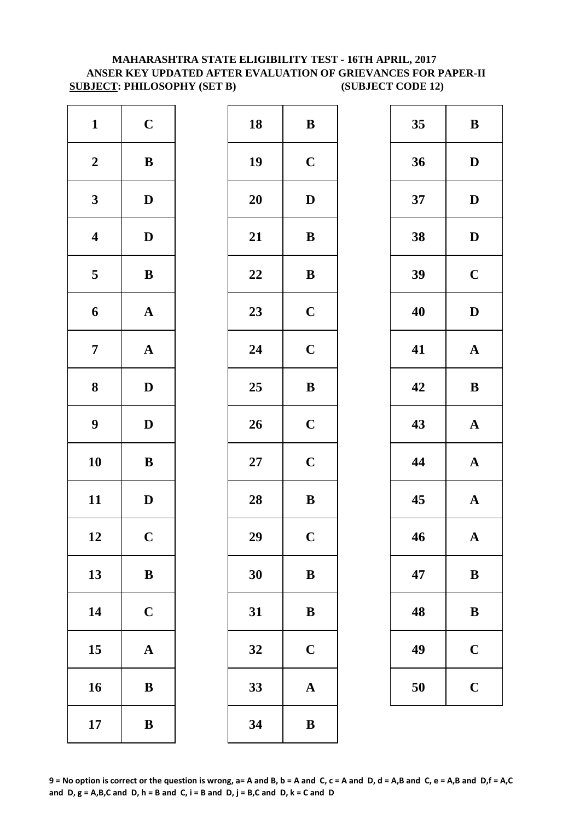#### **SUBJECT: PHILOSOPHY (SET B) (SUBJECT CODE 12) MAHARASHTRA STATE ELIGIBILITY TEST - 16TH APRIL, 2017 ANSER KEY UPDATED AFTER EVALUATION OF GRIEVANCES FOR PAPER-II**

| $\mathbf{1}$            | $\mathbf C$           | 18        | $\bf{B}$     |
|-------------------------|-----------------------|-----------|--------------|
| $\boldsymbol{2}$        | $\, {\bf B}$          | 19        | $\mathbf C$  |
| $\mathbf{3}$            | $\mathbf D$           | <b>20</b> | $\bf{D}$     |
| $\overline{\mathbf{4}}$ | $\mathbf D$           | 21        | $\bf{B}$     |
| 5                       | $\, {\bf B}$          | 22        | $\bf{B}$     |
| $\boldsymbol{6}$        | ${\bf A}$             | 23        | $\mathbf C$  |
| $\overline{7}$          | $\boldsymbol{\rm{A}}$ | 24        | $\mathbf C$  |
| $\bf 8$                 | $\mathbf D$           | 25        | $\bf{B}$     |
| $\boldsymbol{9}$        | $\mathbf D$           | 26        | $\mathbf C$  |
| 10                      | $\bf{B}$              | $27\,$    | $\mathbf C$  |
| 11                      | $\mathbf D$           | 28        | $\bf{B}$     |
| 12                      | $\mathbf C$           | 29        | $\mathbf C$  |
| 13                      | $\bf{B}$              | 30        | $\bf{B}$     |
| 14                      | $\mathbf C$           | 31        | $\bf{B}$     |
| 15                      | $\mathbf A$           | 32        | $\mathbf C$  |
| 16                      | ${\bf B}$             | 33        | $\mathbf{A}$ |
| 17                      | $\bf{B}$              | 34        | $\bf{B}$     |

| $\mathbf{1}$            | $\mathbf C$  | 18     | ${\bf B}$    | 35 | $\bf{B}$     |
|-------------------------|--------------|--------|--------------|----|--------------|
| $\boldsymbol{2}$        | $\, {\bf B}$ | 19     | $\mathbf C$  | 36 | $\mathbf{D}$ |
| $\mathbf{3}$            | $\mathbf D$  | 20     | $\mathbf D$  | 37 | $\mathbf{D}$ |
| $\overline{\mathbf{4}}$ | $\mathbf D$  | 21     | $\, {\bf B}$ | 38 | $\mathbf{D}$ |
| $\overline{5}$          | $\, {\bf B}$ | 22     | ${\bf B}$    | 39 | $\mathbf C$  |
| $\boldsymbol{6}$        | ${\bf A}$    | 23     | $\mathbf C$  | 40 | $\mathbf{D}$ |
| $\overline{7}$          | ${\bf A}$    | 24     | $\mathbf C$  | 41 | $\mathbf A$  |
| $\boldsymbol{8}$        | $\mathbf{D}$ | 25     | $\, {\bf B}$ | 42 | $\bf{B}$     |
| $\boldsymbol{9}$        | $\mathbf D$  | 26     | $\mathbf C$  | 43 | $\mathbf A$  |
| 10                      | $\, {\bf B}$ | $27\,$ | $\mathbf C$  | 44 | $\mathbf A$  |
| 11                      | $\mathbf D$  | 28     | $\, {\bf B}$ | 45 | $\mathbf A$  |
| 12                      | $\mathbf C$  | 29     | $\mathbf C$  | 46 | $\mathbf A$  |
| 13                      | $\, {\bf B}$ | 30     | $\bf{B}$     | 47 | $\bf{B}$     |
| 14                      | $\mathbf C$  | 31     | $\bf{B}$     | 48 | $\bf{B}$     |
| 15                      | ${\bf A}$    | 32     | $\mathbf C$  | 49 | $\mathbf C$  |
| 16                      | $\, {\bf B}$ | 33     | ${\bf A}$    | 50 | $\mathbf C$  |
| 17                      | $\, {\bf B}$ | 34     | $\bf{B}$     |    |              |
|                         |              |        |              |    |              |

| 35 | B                       |
|----|-------------------------|
| 36 | D                       |
| 37 | D                       |
| 38 | D                       |
| 39 | $\mathbf C$             |
| 40 | D                       |
| 41 | $\mathbf A$             |
| 42 | B                       |
| 43 | $\mathbf A$             |
| 44 | $\mathbf A$             |
| 45 | $\overline{\mathbf{A}}$ |
| 46 | ${\bf A}$               |
| 47 | B                       |
| 48 | B                       |
|    |                         |
| 49 | $\mathbf C$             |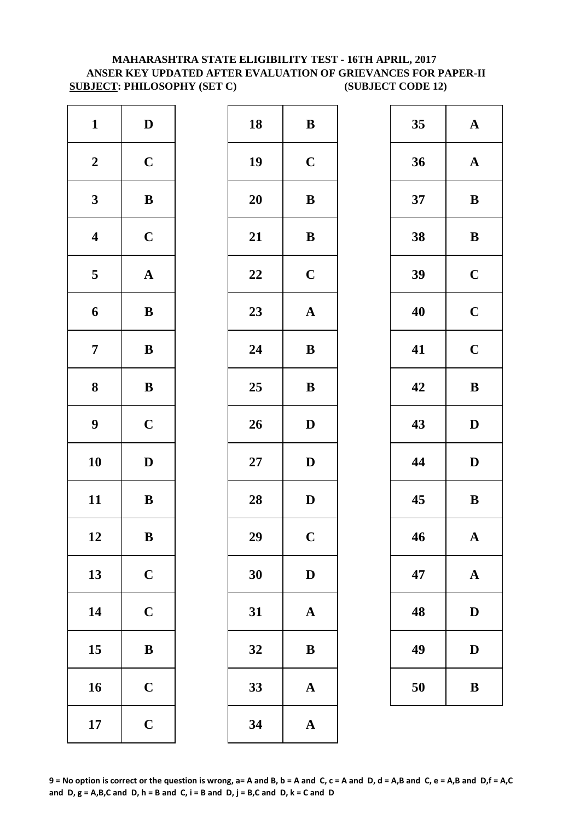#### **MAHARASHTRA STATE ELIGIBILITY TEST - 16TH APRIL, 2017 ANSER KEY UPDATED AFTER EVALUATION OF GRIEVANCES FOR PAPER-II SUBJECT: PHILOSOPHY (SET C) (SUBJECT CODE 12)**

| $\mathbf D$  |             | 18        | $\bf{B}$                |
|--------------|-------------|-----------|-------------------------|
| $\mathbf C$  |             | 19        | $\mathbf C$             |
| $\, {\bf B}$ |             | <b>20</b> | $\bf{B}$                |
| $\mathbf C$  |             | 21        | $\bf{B}$                |
| $\mathbf A$  |             | 22        | $\mathbf C$             |
| $\, {\bf B}$ |             | 23        | $\mathbf A$             |
| $\, {\bf B}$ |             | 24        | $\bf{B}$                |
| $\, {\bf B}$ |             | 25        | $\bf{B}$                |
| $\mathbf C$  |             | 26        | $\mathbf{D}$            |
| $\mathbf D$  |             | $27\,$    | $\mathbf{D}$            |
| $\, {\bf B}$ |             | 28        | $\mathbf{D}$            |
| B            |             | 29        | $\overline{\mathbf{C}}$ |
| $\mathbf C$  |             | 30        | $\mathbf{D}$            |
| $\mathbf C$  |             | 31        | $\mathbf{A}$            |
| $\, {\bf B}$ |             | 32        | $\bf{B}$                |
| $\mathbf C$  |             | 33        | $\mathbf{A}$            |
|              |             |           |                         |
|              | $\mathbf C$ |           |                         |

| $\mathbf{1}$            | $\mathbf D$  | 18     | ${\bf B}$    | 35 | $\mathbf A$  |
|-------------------------|--------------|--------|--------------|----|--------------|
| $\boldsymbol{2}$        | $\mathbf C$  | 19     | $\mathbf C$  | 36 | $\mathbf A$  |
| $\mathbf{3}$            | $\, {\bf B}$ | 20     | $\, {\bf B}$ | 37 | $\bf{B}$     |
| $\overline{\mathbf{4}}$ | $\mathbf C$  | 21     | $\, {\bf B}$ | 38 | $\bf{B}$     |
| $5\phantom{.0}$         | ${\bf A}$    | 22     | $\mathbf C$  | 39 | $\mathbf C$  |
| $\boldsymbol{6}$        | $\, {\bf B}$ | 23     | ${\bf A}$    | 40 | $\mathbf C$  |
| $\overline{7}$          | ${\bf B}$    | 24     | ${\bf B}$    | 41 | $\mathbf C$  |
| $\boldsymbol{8}$        | ${\bf B}$    | 25     | ${\bf B}$    | 42 | $\bf{B}$     |
| $\boldsymbol{9}$        | $\mathbf C$  | 26     | ${\bf D}$    | 43 | $\mathbf{D}$ |
| 10                      | $\mathbf D$  | $27\,$ | $\mathbf D$  | 44 | $\mathbf{D}$ |
| 11                      | ${\bf B}$    | 28     | $\mathbf D$  | 45 | $\bf{B}$     |
| 12                      | $\, {\bf B}$ | 29     | $\mathbf C$  | 46 | $\mathbf A$  |
| 13                      | $\mathbf C$  | 30     | $\mathbf D$  | 47 | $\mathbf A$  |
| 14                      | $\mathbf C$  | 31     | $\mathbf A$  | 48 | $\mathbf{D}$ |
| 15                      | $\bf{B}$     | 32     | ${\bf B}$    | 49 | $\mathbf{D}$ |
| 16                      | $\mathbf C$  | 33     | ${\bf A}$    | 50 | $\bf{B}$     |
| 17                      | $\mathbf C$  | 34     | $\mathbf{A}$ |    |              |
|                         |              |        |              |    |              |

| 35 | $\mathbf A$ |
|----|-------------|
| 36 | $\mathbf A$ |
| 37 | B           |
| 38 | B           |
| 39 | $\mathbf C$ |
| 40 | $\mathbf C$ |
| 41 | $\mathbf C$ |
| 42 | B           |
| 43 | D           |
|    |             |
| 44 | D           |
| 45 | B           |
| 46 | $\mathbf A$ |
| 47 | $\mathbf A$ |
| 48 | D           |
| 49 | $\mathbf D$ |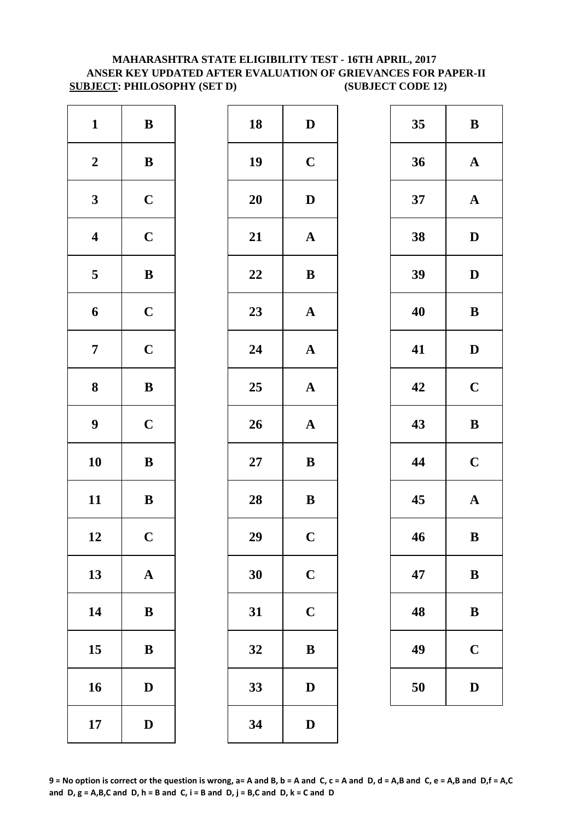#### **SUBJECT: PHILOSOPHY (SET D) (SUBJECT CODE 12) MAHARASHTRA STATE ELIGIBILITY TEST - 16TH APRIL, 2017 ANSER KEY UPDATED AFTER EVALUATION OF GRIEVANCES FOR PAPER-II**

| $\mathbf{1}$            | $\, {\bf B}$          | 18     | $\mathbf{D}$            |
|-------------------------|-----------------------|--------|-------------------------|
| $\boldsymbol{2}$        | $\, {\bf B}$          | 19     | $\mathbf C$             |
| $\mathbf{3}$            | $\mathbf C$           | 20     | $\mathbf{D}$            |
| $\overline{\mathbf{4}}$ | $\mathbf C$           | 21     | $\mathbf{A}$            |
| 5                       | $\, {\bf B}$          | 22     | $\bf{B}$                |
| $\boldsymbol{6}$        | $\mathbf C$           | 23     | $\mathbf{A}$            |
| $\overline{7}$          | $\mathbf C$           | 24     | $\mathbf{A}$            |
| $\bf{8}$                | $\bf{B}$              | 25     | $\mathbf{A}$            |
| $\boldsymbol{9}$        | $\mathbf C$           | 26     | $\mathbf{A}$            |
| 10                      | $\bf{B}$              | $27\,$ | $\bf{B}$                |
| 11                      | $\bf{B}$              | 28     | $\bf{B}$                |
| 12                      | $\mathbf C$           | 29     | $\overline{\mathbf{C}}$ |
| 13                      | $\boldsymbol{\rm{A}}$ | 30     | $\mathbf C$             |
| 14                      | $\bf{B}$              | 31     | $\mathbf C$             |
| 15                      | $\bf{B}$              | 32     | $\bf{B}$                |
| 16                      | $\mathbf D$           | 33     | D                       |
| 17                      | $\mathbf D$           | 34     | $\mathbf{D}$            |

| $\mathbf{1}$            | ${\bf B}$    | 18 | $\mathbf D$  | 35 | $\bf{B}$     |
|-------------------------|--------------|----|--------------|----|--------------|
| $\boldsymbol{2}$        | ${\bf B}$    | 19 | $\mathbf C$  | 36 | $\mathbf A$  |
| $\mathbf{3}$            | $\mathbf C$  | 20 | $\mathbf D$  | 37 | $\mathbf A$  |
| $\overline{\mathbf{4}}$ | $\mathbf C$  | 21 | ${\bf A}$    | 38 | $\mathbf{D}$ |
| $\overline{\mathbf{5}}$ | $\, {\bf B}$ | 22 | $\bf{B}$     | 39 | $\mathbf{D}$ |
| $\boldsymbol{6}$        | $\mathbf C$  | 23 | ${\bf A}$    | 40 | $\bf{B}$     |
| $\overline{7}$          | $\mathbf C$  | 24 | $\mathbf A$  | 41 | $\mathbf{D}$ |
| $\boldsymbol{8}$        | ${\bf B}$    | 25 | ${\bf A}$    | 42 | $\mathbf C$  |
| $\boldsymbol{9}$        | $\mathbf C$  | 26 | ${\bf A}$    | 43 | $\bf{B}$     |
| 10                      | ${\bf B}$    | 27 | $\bf{B}$     | 44 | $\mathbf C$  |
| 11                      | ${\bf B}$    | 28 | $\, {\bf B}$ | 45 | $\mathbf A$  |
| 12                      | $\mathbf C$  | 29 | $\mathbf C$  | 46 | $\bf{B}$     |
| 13                      | ${\bf A}$    | 30 | $\mathbf C$  | 47 | $\bf{B}$     |
| 14                      | $\bf{B}$     | 31 | $\mathbf C$  | 48 | $\bf{B}$     |
| 15                      | ${\bf B}$    | 32 | $\bf{B}$     | 49 | $\mathbf C$  |
| 16                      | $\mathbf D$  | 33 | $\mathbf D$  | 50 | D            |
| 17                      | $\mathbf D$  | 34 | $\mathbf D$  |    |              |

| 35 | B                       |
|----|-------------------------|
| 36 | $\mathbf A$             |
| 37 | $\mathbf A$             |
| 38 | D                       |
| 39 | D                       |
| 40 | B                       |
| 41 | D                       |
| 42 | $\overline{\mathbf{C}}$ |
| 43 | B                       |
| 44 | $\mathbf C$             |
| 45 | $\mathbf{A}$            |
| 46 | B                       |
| 47 | $\bf{B}$                |
| 48 | B                       |
| 49 | $\mathbf C$             |
| 50 | $\bf{D}$                |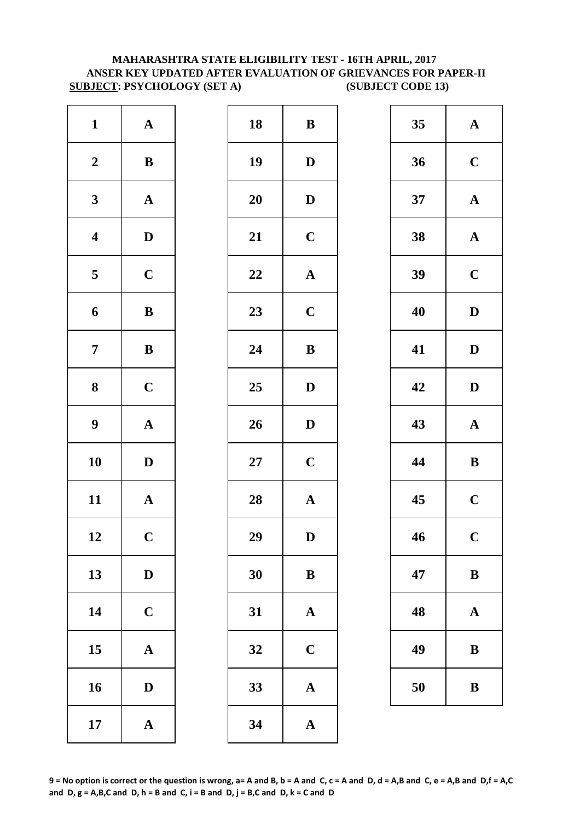#### **MAHARASHTRA STATE ELIGIBILITY TEST - 16TH APRIL, 2017 ANSER KEY UPDATED AFTER EVALUATION OF GRIEVANCES FOR PAPER-II SUBJECT: PSYCHOLOGY (SET A) (SUBJECT CODE 13)**

| $\mathbf{1}$            | ${\bf A}$             | 18         | $\bf{B}$     |
|-------------------------|-----------------------|------------|--------------|
| $\boldsymbol{2}$        | $\bf{B}$              | 19         | $\mathbf{D}$ |
| $\mathbf{3}$            | $\boldsymbol{\rm{A}}$ | <b>20</b>  | $\mathbf{D}$ |
| $\overline{\mathbf{4}}$ | $\mathbf D$           | 21         | $\mathbf C$  |
| $\overline{\mathbf{5}}$ | $\mathbf C$           | 22         | $\mathbf A$  |
| 6                       | $\, {\bf B}$          | 23         | $\mathbf C$  |
| $\boldsymbol{7}$        | $\, {\bf B}$          | 24         | $\bf{B}$     |
| $\boldsymbol{8}$        | $\mathbf C$           | 25         | $\mathbf{D}$ |
| $\boldsymbol{9}$        | ${\bf A}$             | 26         | $\mathbf{D}$ |
| 10                      | $\mathbf D$           | ${\bf 27}$ | $\mathbf C$  |
| 11                      | ${\bf A}$             | 28         | $\mathbf{A}$ |
| 12                      | $\mathbf C$           | 29         | D            |
| 13                      | $\mathbf D$           | 30         | $\bf{B}$     |
| 14                      | $\mathbf C$           | 31         | $\mathbf{A}$ |
| 15                      | $\mathbf A$           | 32         | $\mathbf C$  |
| 16                      | $\mathbf D$           | 33         | $\mathbf{A}$ |
| 17                      | ${\bf A}$             | 34         | $\mathbf A$  |

| ${\bf A}$    | 18 | $\bf{B}$              | 35 | $\mathbf A$  |
|--------------|----|-----------------------|----|--------------|
| $\, {\bf B}$ | 19 | $\mathbf D$           | 36 | $\mathbf C$  |
| ${\bf A}$    | 20 | $\mathbf{D}$          | 37 | $\mathbf A$  |
| $\mathbf D$  | 21 | $\mathbf C$           | 38 | $\mathbf A$  |
| $\mathbf C$  | 22 | $\boldsymbol{\rm{A}}$ | 39 | $\mathbf C$  |
| ${\bf B}$    | 23 | $\mathbf C$           | 40 | $\mathbf{D}$ |
| $\bf{B}$     | 24 | $\bf{B}$              | 41 | $\mathbf{D}$ |
| $\mathbf C$  | 25 | $\mathbf D$           | 42 | $\mathbf{D}$ |
| ${\bf A}$    | 26 | $\mathbf D$           | 43 | $\mathbf A$  |
| $\mathbf{D}$ | 27 | $\mathbf C$           | 44 | $\bf{B}$     |
| ${\bf A}$    | 28 | $\boldsymbol{\rm{A}}$ | 45 | $\mathbf C$  |
| $\mathbf C$  | 29 | ${\bf D}$             | 46 | $\mathbf C$  |
| $\mathbf D$  | 30 | ${\bf B}$             | 47 | $\bf{B}$     |
| $\mathbf C$  | 31 | $\mathbf A$           | 48 | $\mathbf A$  |
| ${\bf A}$    | 32 | $\mathbf C$           | 49 | $\bf{B}$     |
| $\mathbf D$  | 33 | ${\bf A}$             | 50 | $\bf{B}$     |
| ${\bf A}$    | 34 | $\mathbf A$           |    |              |
|              |    |                       |    |              |

| 35 | $\mathbf A$ |
|----|-------------|
| 36 | $\mathbf C$ |
| 37 | $\mathbf A$ |
| 38 | $\mathbf A$ |
| 39 | $\mathbf C$ |
| 40 | D           |
| 41 | D           |
| 42 | D           |
|    |             |
| 43 | $\mathbf A$ |
| 44 | B           |
| 45 | $\mathbf C$ |
| 46 | $\mathbf C$ |
| 47 | B           |
| 48 | $\mathbf A$ |
| 49 | B           |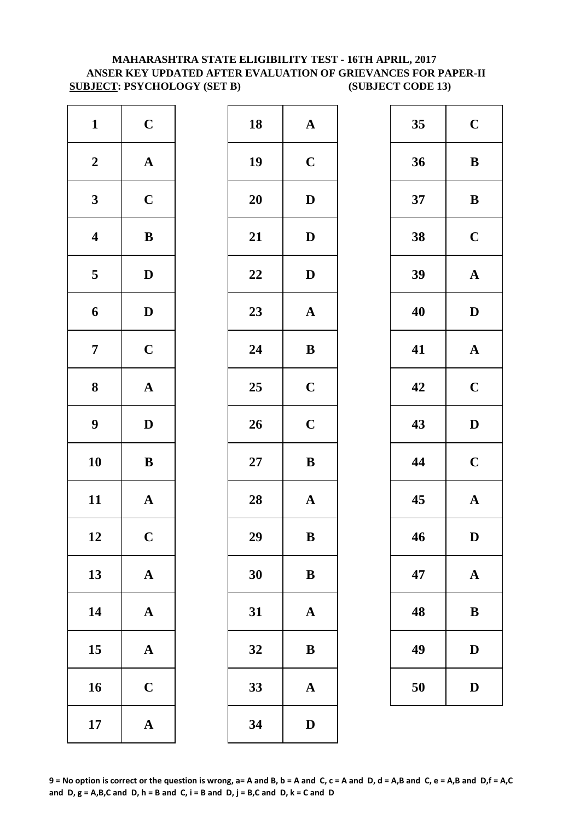#### **SUBJECT: PSYCHOLOGY (SET B) (SUBJECT CODE 13) MAHARASHTRA STATE ELIGIBILITY TEST - 16TH APRIL, 2017 ANSER KEY UPDATED AFTER EVALUATION OF GRIEVANCES FOR PAPER-II**

| $\mathbf{1}$            | $\mathbf C$           | 18        | $\mathbf A$  |
|-------------------------|-----------------------|-----------|--------------|
| $\boldsymbol{2}$        | $\boldsymbol{\rm{A}}$ | 19        | $\mathbf C$  |
| $\mathbf{3}$            | $\mathbf C$           | <b>20</b> | $\mathbf{D}$ |
| $\overline{\mathbf{4}}$ | $\, {\bf B}$          | 21        | $\mathbf{D}$ |
| 5                       | $\mathbf D$           | 22        | $\mathbf{D}$ |
| $\boldsymbol{6}$        | $\mathbf D$           | 23        | $\mathbf{A}$ |
| $\overline{7}$          | $\mathbf C$           | 24        | $\bf{B}$     |
| 8                       | $\boldsymbol{\rm{A}}$ | 25        | $\mathbf C$  |
| $\boldsymbol{9}$        | $\mathbf D$           | 26        | $\mathbf C$  |
| 10                      | $\, {\bf B}$          | $27\,$    | $\bf{B}$     |
| 11                      | ${\bf A}$             | 28        | $\mathbf A$  |
| 12                      | $\mathbf C$           | 29        | B            |
| 13                      | $\mathbf A$           | 30        | $\bf{B}$     |
| 14                      | $\boldsymbol{\rm{A}}$ | 31        | $\mathbf{A}$ |
| 15                      | $\boldsymbol{\rm{A}}$ | 32        | $\bf{B}$     |
| 16                      | $\mathbf C$           | 33        | $\mathbf{A}$ |
| 17                      | $\boldsymbol{\rm{A}}$ | 34        | $\mathbf{D}$ |

| $\mathbf{1}$            | $\mathbf C$  | 18     | ${\bf A}$    | 35 | $\mathbf C$  |
|-------------------------|--------------|--------|--------------|----|--------------|
| $\boldsymbol{2}$        | ${\bf A}$    | 19     | $\mathbf C$  | 36 | $\bf{B}$     |
| $\mathbf{3}$            | $\mathbf C$  | 20     | $\mathbf D$  | 37 | $\bf{B}$     |
| $\overline{\mathbf{4}}$ | $\, {\bf B}$ | 21     | ${\bf D}$    | 38 | $\mathbf C$  |
| $\overline{5}$          | $\mathbf D$  | 22     | $\mathbf D$  | 39 | $\mathbf A$  |
| $\boldsymbol{6}$        | $\mathbf D$  | 23     | ${\bf A}$    | 40 | $\mathbf{D}$ |
| $\overline{7}$          | $\mathbf C$  | 24     | $\bf{B}$     | 41 | $\mathbf A$  |
| $\boldsymbol{8}$        | ${\bf A}$    | 25     | $\mathbf C$  | 42 | $\mathbf C$  |
| $\boldsymbol{9}$        | $\mathbf D$  | 26     | $\mathbf C$  | 43 | $\mathbf{D}$ |
| 10                      | $\, {\bf B}$ | $27\,$ | $\bf{B}$     | 44 | $\mathbf C$  |
| 11                      | ${\bf A}$    | 28     | ${\bf A}$    | 45 | $\mathbf A$  |
| 12                      | $\mathbf C$  | 29     | $\, {\bf B}$ | 46 | D            |
| 13                      | ${\bf A}$    | 30     | $\bf{B}$     | 47 | $\mathbf A$  |
| 14                      | ${\bf A}$    | 31     | $\mathbf A$  | 48 | $\bf{B}$     |
| 15                      | ${\bf A}$    | 32     | ${\bf B}$    | 49 | $\mathbf{D}$ |
| 16                      | $\mathbf C$  | 33     | ${\bf A}$    | 50 | D            |
| 17                      | ${\bf A}$    | 34     | $\mathbf{D}$ |    |              |
|                         |              |        |              |    |              |

| 35 | $\mathbf C$  |
|----|--------------|
| 36 | B            |
| 37 | B            |
| 38 | $\mathbf C$  |
| 39 | $\mathbf A$  |
| 40 | D            |
| 41 | $\mathbf{A}$ |
| 42 | $\mathbf C$  |
| 43 | D            |
|    |              |
| 44 | $\mathbf C$  |
| 45 | $\mathbf{A}$ |
| 46 | $\bf{D}$     |
| 47 | $\mathbf A$  |
| 48 | B            |
| 49 | D            |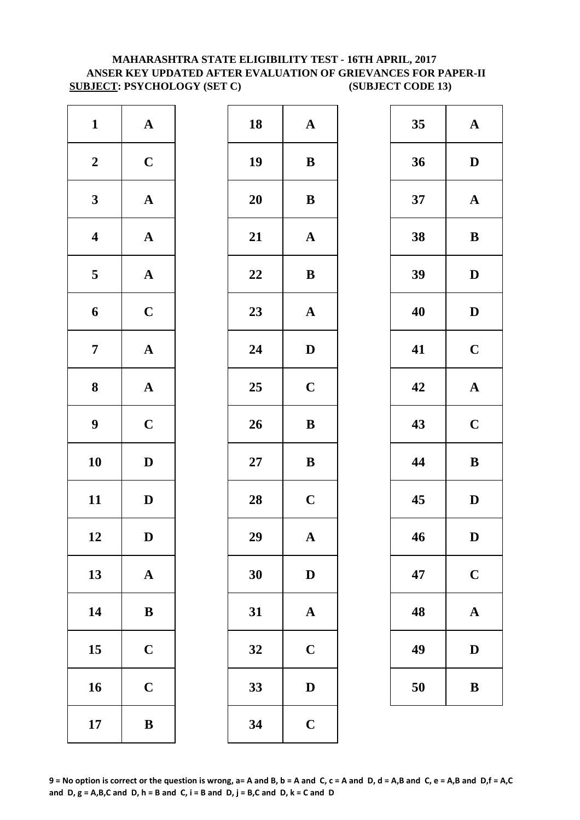#### **MAHARASHTRA STATE ELIGIBILITY TEST - 16TH APRIL, 2017 ANSER KEY UPDATED AFTER EVALUATION OF GRIEVANCES FOR PAPER-II SUBJECT: PSYCHOLOGY (SET C) (SUBJECT CODE 13)**

| $\mathbf{1}$            | ${\bf A}$             | 18     | $\mathbf A$  |
|-------------------------|-----------------------|--------|--------------|
| $\boldsymbol{2}$        | $\mathbf C$           | 19     | $\bf{B}$     |
| $\mathbf{3}$            | $\boldsymbol{\rm{A}}$ | 20     | $\bf{B}$     |
| $\overline{\mathbf{4}}$ | ${\bf A}$             | 21     | $\mathbf{A}$ |
| 5                       | $\mathbf A$           | 22     | $\bf{B}$     |
| $\boldsymbol{6}$        | $\mathbf C$           | 23     | $\mathbf{A}$ |
| $\boldsymbol{7}$        | $\boldsymbol{\rm{A}}$ | 24     | $\mathbf{D}$ |
| $\boldsymbol{8}$        | $\boldsymbol{\rm{A}}$ | 25     | $\mathbf C$  |
| $\boldsymbol{9}$        | $\mathbf C$           | 26     | $\bf{B}$     |
| 10                      | $\mathbf D$           | $27\,$ | $\bf{B}$     |
| 11                      | $\mathbf D$           | 28     | $\mathbf C$  |
| 12                      | D                     | 29     | A            |
| 13                      | $\boldsymbol{\rm{A}}$ | 30     | $\mathbf{D}$ |
| 14                      | $\, {\bf B}$          | 31     | $\mathbf{A}$ |
| 15                      | $\mathbf C$           | 32     | $\mathbf C$  |
| 16                      | $\mathbf C$           | 33     | D            |
| 17                      | $\, {\bf B}$          | 34     | $\mathbf C$  |

| $\mathbf{1}$            | ${\bf A}$    | 18 | ${\bf A}$    | 35 | $\mathbf A$  |
|-------------------------|--------------|----|--------------|----|--------------|
| $\boldsymbol{2}$        | $\mathbf C$  | 19 | $\, {\bf B}$ | 36 | $\mathbf{D}$ |
| $\mathbf{3}$            | ${\bf A}$    | 20 | $\bf{B}$     | 37 | $\mathbf A$  |
| $\overline{\mathbf{4}}$ | ${\bf A}$    | 21 | ${\bf A}$    | 38 | $\bf{B}$     |
| $5\overline{)}$         | ${\bf A}$    | 22 | $\, {\bf B}$ | 39 | $\mathbf{D}$ |
| $\boldsymbol{6}$        | $\mathbf C$  | 23 | ${\bf A}$    | 40 | $\mathbf{D}$ |
| $\overline{7}$          | ${\bf A}$    | 24 | $\mathbf{D}$ | 41 | $\mathbf C$  |
| $\boldsymbol{8}$        | ${\bf A}$    | 25 | $\mathbf C$  | 42 | $\mathbf{A}$ |
| $\boldsymbol{9}$        | $\mathbf C$  | 26 | $\, {\bf B}$ | 43 | $\mathbf C$  |
| 10                      | $\mathbf{D}$ | 27 | ${\bf B}$    | 44 | $\bf{B}$     |
| 11                      | $\mathbf D$  | 28 | $\mathbf C$  | 45 | $\mathbf{D}$ |
| 12                      | $\mathbf D$  | 29 | $\mathbf{A}$ | 46 | D            |
| 13                      | ${\bf A}$    | 30 | $\mathbf D$  | 47 | $\mathbf C$  |
| 14                      | ${\bf B}$    | 31 | $\mathbf A$  | 48 | $\mathbf A$  |
| 15                      | $\mathbf C$  | 32 | $\mathbf C$  | 49 | $\mathbf{D}$ |
| 16                      | $\mathbf C$  | 33 | $\mathbf D$  | 50 | $\bf{B}$     |
| 17                      | $\bf{B}$     | 34 | $\mathbf C$  |    |              |
|                         |              |    |              |    |              |

| 35 | $\mathbf A$  |  |  |
|----|--------------|--|--|
| 36 | D            |  |  |
| 37 | ${\bf A}$    |  |  |
| 38 | B            |  |  |
| 39 | D            |  |  |
| 40 | D            |  |  |
| 41 | $\mathbf C$  |  |  |
| 42 | $\mathbf A$  |  |  |
| 43 | $\mathbf C$  |  |  |
| 44 | B            |  |  |
| 45 | D            |  |  |
| 46 | D            |  |  |
| 47 | $\mathbf C$  |  |  |
| 48 | $\bf A$      |  |  |
| 49 | $\mathbf{D}$ |  |  |
| 50 | B            |  |  |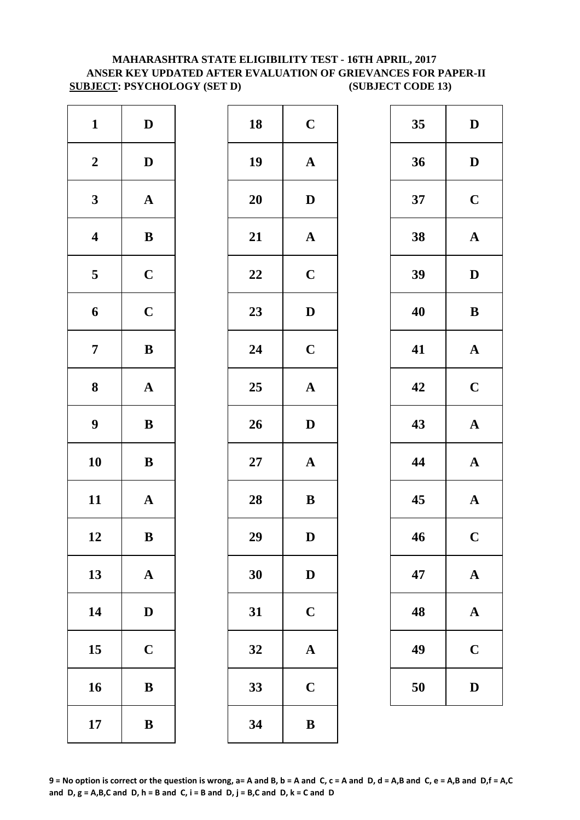#### **ANSER KEY UPDATED AFTER EVALUATION OF GRIEVANCES FOR PAPER-II SUBJECT: PSYCHOLOGY (SET D) (SUBJECT CODE 13) MAHARASHTRA STATE ELIGIBILITY TEST - 16TH APRIL, 2017**

| $\mathbf{1}$            | $\mathbf D$           | 18        | $\mathbf C$  |
|-------------------------|-----------------------|-----------|--------------|
| $\boldsymbol{2}$        | $\mathbf D$           | 19        | $\mathbf A$  |
| $\mathbf{3}$            | $\mathbf A$           | <b>20</b> | $\bf{D}$     |
| $\boldsymbol{4}$        | $\, {\bf B}$          | 21        | $\mathbf A$  |
| $\overline{\mathbf{5}}$ | $\mathbf C$           | 22        | $\mathbf C$  |
| 6                       | $\mathbf C$           | 23        | $\mathbf{D}$ |
| $\overline{7}$          | $\, {\bf B}$          | 24        | $\mathbf C$  |
| ${\bf 8}$               | $\boldsymbol{\rm{A}}$ | 25        | $\mathbf A$  |
| $\boldsymbol{9}$        | $\, {\bf B}$          | 26        | D            |
| 10                      | $\bf{B}$              | $27\,$    | $\mathbf A$  |
| 11                      | $\mathbf A$           | 28        | $\bf{B}$     |
| 12                      | B                     | 29        | D            |
| 13                      | $\mathbf A$           | 30        | $\mathbf{D}$ |
| 14                      | $\mathbf D$           | 31        | $\mathbf C$  |
| 15                      | $\mathbf C$           | 32        | $\mathbf A$  |
| 16                      | ${\bf B}$             | 33        | $\mathbf C$  |
| 17                      | $\bf{B}$              | 34        | $\bf{B}$     |

| $\mathbf{1}$            | $\mathbf D$  | 18 | $\mathbf C$           | 35 | $\mathbf{D}$ |
|-------------------------|--------------|----|-----------------------|----|--------------|
| $\boldsymbol{2}$        | $\mathbf D$  | 19 | $\boldsymbol{\rm{A}}$ | 36 | $\mathbf{D}$ |
| $\mathbf{3}$            | ${\bf A}$    | 20 | $\mathbf{D}$          | 37 | $\mathbf C$  |
| $\overline{\mathbf{4}}$ | $\, {\bf B}$ | 21 | ${\bf A}$             | 38 | $\mathbf A$  |
| $5\phantom{.0}$         | $\mathbf C$  | 22 | $\mathbf C$           | 39 | $\mathbf{D}$ |
| $\boldsymbol{6}$        | $\mathbf C$  | 23 | $\mathbf D$           | 40 | $\bf{B}$     |
| $\overline{7}$          | $\, {\bf B}$ | 24 | $\mathbf C$           | 41 | $\mathbf A$  |
| $\boldsymbol{8}$        | ${\bf A}$    | 25 | $\boldsymbol{\rm{A}}$ | 42 | $\mathbf C$  |
| $\boldsymbol{9}$        | $\, {\bf B}$ | 26 | $\mathbf D$           | 43 | $\mathbf A$  |
| 10                      | $\, {\bf B}$ | 27 | ${\bf A}$             | 44 | $\mathbf A$  |
| 11                      | ${\bf A}$    | 28 | ${\bf B}$             | 45 | $\mathbf A$  |
| 12                      | $\, {\bf B}$ | 29 | ${\bf D}$             | 46 | $\mathbf C$  |
| 13                      | ${\bf A}$    | 30 | $\mathbf D$           | 47 | $\mathbf A$  |
| 14                      | $\mathbf D$  | 31 | $\mathbf C$           | 48 | $\mathbf A$  |
| 15                      | $\mathbf C$  | 32 | $\mathbf A$           | 49 | $\mathbf C$  |
| 16                      | $\bf{B}$     | 33 | $\mathbf C$           | 50 | D            |
| 17                      | $\, {\bf B}$ | 34 | $\, {\bf B}$          |    |              |

| 35 | D                       |
|----|-------------------------|
| 36 | D                       |
| 37 | $\mathbf C$             |
| 38 | $\mathbf{A}$            |
| 39 | D                       |
| 40 | B                       |
| 41 | $\mathbf A$             |
| 42 | $\mathbf C$             |
| 43 | $\mathbf A$             |
| 44 | $\mathbf A$             |
| 45 | $\overline{\mathbf{A}}$ |
| 46 | $\mathbf C$             |
| 47 | $\mathbf A$             |
| 48 | $\mathbf{A}$            |
| 49 | $\mathbf C$             |
| 50 | $\overline{\mathbf{D}}$ |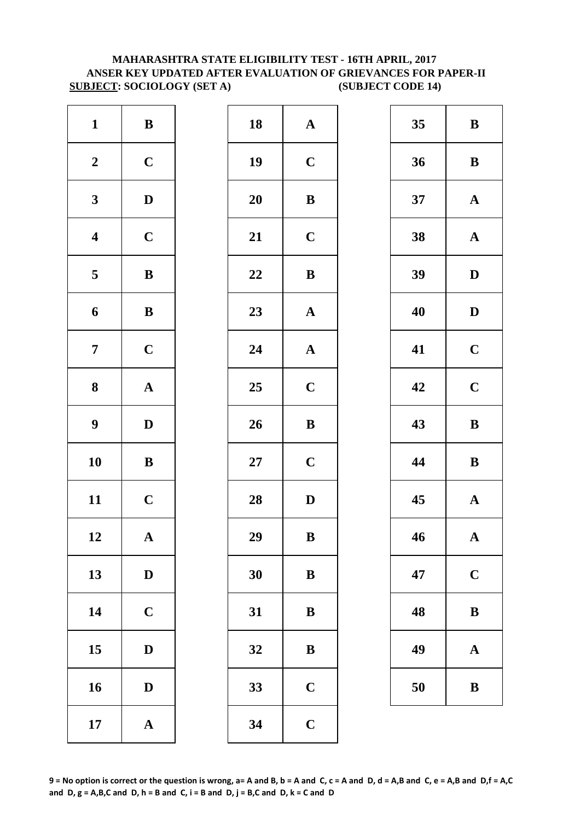# **MAHARASHTRA STATE ELIGIBILITY TEST - 16TH APRIL, 2017 ANSER KEY UPDATED AFTER EVALUATION OF GRIEVANCES FOR PAPER-II SUBJECT: SOCIOLOGY (SET A) (SUBJECT CODE 14)**

| 18<br>19  | $\mathbf A$  |
|-----------|--------------|
|           |              |
|           | $\mathbf C$  |
| <b>20</b> | $\bf{B}$     |
| 21        | $\mathbf C$  |
| 22        | $\bf{B}$     |
| 23        | $\mathbf A$  |
| 24        | $\mathbf A$  |
| 25        | $\mathbf C$  |
| 26        | $\bf{B}$     |
| $27\,$    | $\mathbf C$  |
| 28        | $\mathbf{D}$ |
| 29        | B            |
| 30        | $\bf{B}$     |
| 31        | $\bf{B}$     |
| 32        | $\bf{B}$     |
| 33        | $\mathbf C$  |
| 34        | $\mathbf C$  |
|           |              |

| $\mathbf{1}$            | $\, {\bf B}$ | 18 | ${\bf A}$             | 35 | $\bf{B}$     |
|-------------------------|--------------|----|-----------------------|----|--------------|
| $\boldsymbol{2}$        | $\mathbf C$  | 19 | $\mathbf C$           | 36 | $\bf{B}$     |
| $\mathbf{3}$            | $\mathbf{D}$ | 20 | $\bf{B}$              | 37 | $\mathbf A$  |
| $\overline{\mathbf{4}}$ | $\mathbf C$  | 21 | $\mathbf C$           | 38 | $\mathbf A$  |
| $5\phantom{.0}$         | $\, {\bf B}$ | 22 | $\, {\bf B}$          | 39 | $\mathbf{D}$ |
| $\boldsymbol{6}$        | ${\bf B}$    | 23 | ${\bf A}$             | 40 | $\mathbf{D}$ |
| $\overline{7}$          | $\mathbf C$  | 24 | $\boldsymbol{\rm{A}}$ | 41 | $\mathbf C$  |
| $\boldsymbol{8}$        | ${\bf A}$    | 25 | $\mathbf C$           | 42 | $\mathbf C$  |
| $\boldsymbol{9}$        | $\mathbf D$  | 26 | $\, {\bf B}$          | 43 | $\bf{B}$     |
| 10                      | $\, {\bf B}$ | 27 | $\mathbf C$           | 44 | $\bf{B}$     |
| 11                      | $\mathbf C$  | 28 | $\mathbf D$           | 45 | $\mathbf A$  |
| 12                      | $\mathbf{A}$ | 29 | $\, {\bf B}$          | 46 | $\mathbf A$  |
| 13                      | $\mathbf D$  | 30 | ${\bf B}$             | 47 | $\mathbf C$  |
| 14                      | $\mathbf C$  | 31 | $\bf{B}$              | 48 | $\bf{B}$     |
| 15                      | $\mathbf D$  | 32 | $\bf{B}$              | 49 | $\mathbf A$  |
| 16                      | $\mathbf D$  | 33 | $\mathbf C$           | 50 | $\bf{B}$     |
| 17                      | ${\bf A}$    | 34 | $\mathbf C$           |    |              |
|                         |              |    |                       |    |              |

| 35 | B            |
|----|--------------|
| 36 | B            |
| 37 | $\mathbf A$  |
| 38 | $\mathbf A$  |
| 39 | D            |
| 40 | D            |
| 41 | $\mathbf C$  |
| 42 | $\mathbf C$  |
|    |              |
| 43 | $\bf{B}$     |
| 44 | $\bf{B}$     |
| 45 | $\mathbf{A}$ |
| 46 | $\mathbf A$  |
| 47 | $\mathbf C$  |
| 48 | B            |
| 49 | A            |

**9 = No option is correct or the question is wrong, a= A and B, b = A and C, c = A and D, d = A,B and C, e = A,B and D,f = A,C**  and  $D$ ,  $g = A$ ,  $B$ ,  $C$  and  $D$ ,  $h = B$  and  $C$ ,  $i = B$  and  $D$ ,  $j = B$ ,  $C$  and  $D$ ,  $k = C$  and  $D$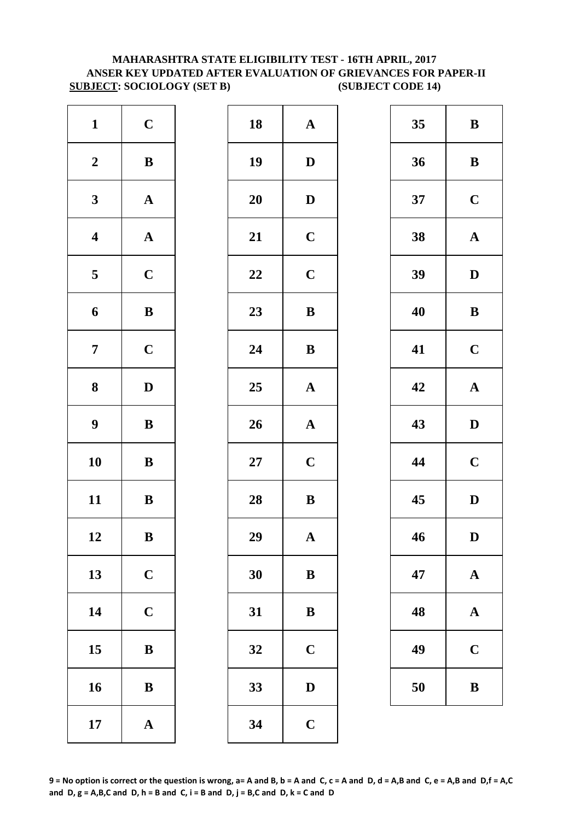# **MAHARASHTRA STATE ELIGIBILITY TEST - 16TH APRIL, 2017 ANSER KEY UPDATED AFTER EVALUATION OF GRIEVANCES FOR PAPER-II SUBJECT: SOCIOLOGY (SET B) (SUBJECT CODE 14)**

| $\mathbf{1}$            | $\mathbf C$           | 18        | $\mathbf A$  |
|-------------------------|-----------------------|-----------|--------------|
| $\boldsymbol{2}$        | $\, {\bf B}$          | 19        | $\mathbf{D}$ |
| $\mathbf{3}$            | ${\bf A}$             | <b>20</b> | $\mathbf{D}$ |
| $\overline{\mathbf{4}}$ | ${\bf A}$             | 21        | $\mathbf C$  |
| 5                       | $\mathbf C$           | 22        | $\mathbf C$  |
| $\boldsymbol{6}$        | $\bf{B}$              | 23        | $\bf{B}$     |
| $\overline{7}$          | $\mathbf C$           | 24        | $\bf{B}$     |
| 8                       | $\mathbf D$           | 25        | $\mathbf{A}$ |
| $\boldsymbol{9}$        | $\, {\bf B}$          | 26        | $\mathbf{A}$ |
| 10                      | $\, {\bf B}$          | $27\,$    | $\mathbf C$  |
| 11                      | $\, {\bf B}$          | 28        | $\bf{B}$     |
| 12                      | $\bf{B}$              | 29        | A            |
| 13                      | $\mathbf C$           | 30        | $\bf{B}$     |
| 14                      | $\mathbf C$           | 31        | $\bf{B}$     |
| 15                      | ${\bf B}$             | 32        | $\mathbf C$  |
| 16                      | ${\bf B}$             | 33        | D            |
| 17                      | $\boldsymbol{\rm{A}}$ | 34        | $\mathbf C$  |

| $\mathbf C$  | 18     | ${\bf A}$             | 35 | $\bf{B}$     |
|--------------|--------|-----------------------|----|--------------|
| $\, {\bf B}$ | 19     | $\mathbf D$           | 36 | $\bf{B}$     |
| ${\bf A}$    | 20     | $\mathbf D$           | 37 | $\mathbf C$  |
| ${\bf A}$    | 21     | $\mathbf C$           | 38 | $\mathbf A$  |
| $\mathbf C$  | 22     | $\mathbf C$           | 39 | $\mathbf{D}$ |
| $\, {\bf B}$ | 23     | $\, {\bf B}$          | 40 | $\bf{B}$     |
| $\mathbf C$  | 24     | $\bf{B}$              | 41 | $\mathbf C$  |
| $\mathbf D$  | 25     | ${\bf A}$             | 42 | $\mathbf A$  |
| $\, {\bf B}$ | 26     | $\boldsymbol{\rm{A}}$ | 43 | $\mathbf{D}$ |
| ${\bf B}$    | $27\,$ | $\mathbf C$           | 44 | $\mathbf C$  |
| ${\bf B}$    | 28     | $\bf{B}$              | 45 | $\mathbf{D}$ |
| $\, {\bf B}$ | 29     | $\mathbf{A}$          | 46 | D            |
| $\mathbf C$  | 30     | $\bf{B}$              | 47 | $\mathbf A$  |
| $\mathbf C$  | 31     | $\bf{B}$              | 48 | $\mathbf A$  |
| $\, {\bf B}$ | 32     | $\mathbf C$           | 49 | $\mathbf C$  |
| $\, {\bf B}$ | 33     | $\mathbf D$           | 50 | $\bf{B}$     |
| ${\bf A}$    | 34     | $\mathbf C$           |    |              |
|              |        |                       |    |              |

| 35 | B           |
|----|-------------|
| 36 | B           |
| 37 | $\mathbf C$ |
| 38 | $\mathbf A$ |
| 39 | D           |
| 40 | B           |
| 41 | $\mathbf C$ |
| 42 | $\mathbf A$ |
| 43 | D           |
| 44 | $\mathbf C$ |
| 45 | D           |
| 46 | D           |
| 47 | $\mathbf A$ |
| 48 | $\bf A$     |
| 49 | $\mathbf C$ |
| 50 | B           |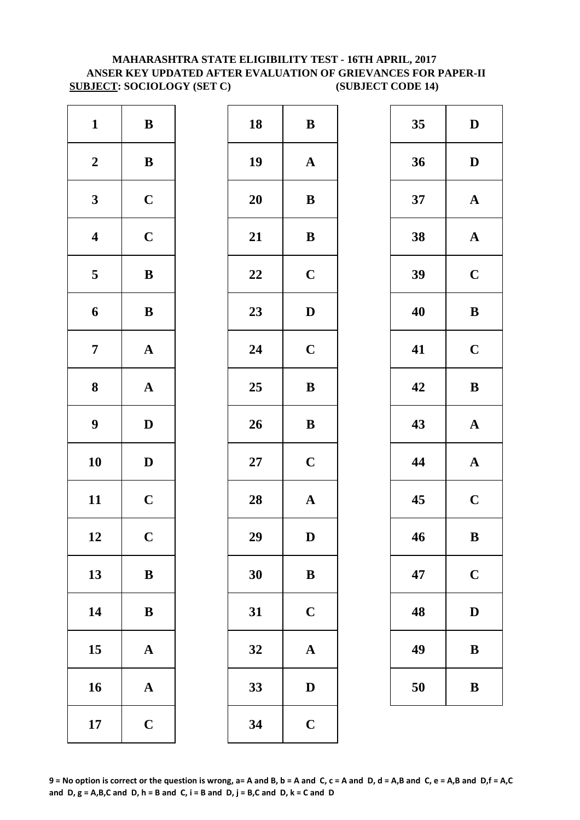# **SUBJECT: SOCIOLOGY (SET C) (SUBJECT CODE 14) MAHARASHTRA STATE ELIGIBILITY TEST - 16TH APRIL, 2017 ANSER KEY UPDATED AFTER EVALUATION OF GRIEVANCES FOR PAPER-II**

| $\mathbf{1}$            | $\, {\bf B}$          | 18     | $\bf{B}$     |
|-------------------------|-----------------------|--------|--------------|
| $\boldsymbol{2}$        | $\, {\bf B}$          | 19     | $\mathbf{A}$ |
| $\mathbf{3}$            | $\mathbf C$           | 20     | $\bf{B}$     |
| $\overline{\mathbf{4}}$ | $\mathbf C$           | 21     | $\bf{B}$     |
| 5                       | $\, {\bf B}$          | 22     | $\mathbf C$  |
| $\boldsymbol{6}$        | $\, {\bf B}$          | 23     | $\mathbf{D}$ |
| $\boldsymbol{7}$        | $\boldsymbol{\rm{A}}$ | 24     | $\mathbf C$  |
| $\bf{8}$                | $\boldsymbol{\rm{A}}$ | 25     | $\bf{B}$     |
| $\boldsymbol{9}$        | $\mathbf D$           | 26     | $\bf{B}$     |
| 10                      | $\mathbf D$           | $27\,$ | $\mathbf C$  |
| 11                      | $\mathbf C$           | 28     | $\mathbf{A}$ |
| 12                      | $\mathbf C$           | 29     | D            |
| 13                      | $\bf{B}$              | 30     | $\bf{B}$     |
| 14                      | $\, {\bf B}$          | 31     | $\mathbf C$  |
| 15                      | ${\bf A}$             | 32     | $\mathbf{A}$ |
| 16                      | $\mathbf A$           | 33     | D            |
| 17                      | $\mathbf C$           | 34     | $\mathbf C$  |

| $\mathbf{1}$            | ${\bf B}$    | 18 | ${\bf B}$    | 35 | $\mathbf{D}$ |
|-------------------------|--------------|----|--------------|----|--------------|
| $\boldsymbol{2}$        | $\, {\bf B}$ | 19 | ${\bf A}$    | 36 | $\mathbf{D}$ |
| $\mathbf{3}$            | $\mathbf C$  | 20 | $\bf{B}$     | 37 | $\mathbf A$  |
| $\overline{\mathbf{4}}$ | $\mathbf C$  | 21 | $\, {\bf B}$ | 38 | $\mathbf A$  |
| $\overline{\mathbf{5}}$ | $\, {\bf B}$ | 22 | $\mathbf C$  | 39 | $\mathbf C$  |
| $\boldsymbol{6}$        | ${\bf B}$    | 23 | ${\bf D}$    | 40 | $\bf{B}$     |
| $\overline{7}$          | ${\bf A}$    | 24 | $\mathbf C$  | 41 | $\mathbf C$  |
| $\boldsymbol{8}$        | ${\bf A}$    | 25 | $\, {\bf B}$ | 42 | $\bf{B}$     |
| $\boldsymbol{9}$        | $\mathbf D$  | 26 | $\, {\bf B}$ | 43 | $\mathbf A$  |
| 10                      | $\mathbf{D}$ | 27 | $\mathbf C$  | 44 | $\mathbf A$  |
| 11                      | $\mathbf C$  | 28 | ${\bf A}$    | 45 | $\mathbf C$  |
| 12                      | $\mathbf C$  | 29 | $\mathbf D$  | 46 | $\bf{B}$     |
| 13                      | $\bf{B}$     | 30 | $\bf{B}$     | 47 | $\mathbf C$  |
| 14                      | $\, {\bf B}$ | 31 | $\mathbf C$  | 48 | $\mathbf{D}$ |
| 15                      | $\mathbf{A}$ | 32 | $\mathbf A$  | 49 | $\bf{B}$     |
| 16                      | ${\bf A}$    | 33 | $\mathbf D$  | 50 | $\bf{B}$     |
| 17                      | $\mathbf C$  | 34 | $\mathbf C$  |    |              |

| 35 | $\mathbf D$  |
|----|--------------|
| 36 | D            |
| 37 | $\mathbf A$  |
| 38 | $\mathbf A$  |
| 39 | $\mathbf C$  |
| 40 | B            |
| 41 | $\mathbf C$  |
| 42 | B            |
| 43 | $\mathbf A$  |
| 44 | $\mathbf{A}$ |
| 45 | $\mathbf C$  |
| 46 | B            |
| 47 | $\mathbf C$  |
| 48 | $\mathbf D$  |
| 49 | B            |
| 50 | B            |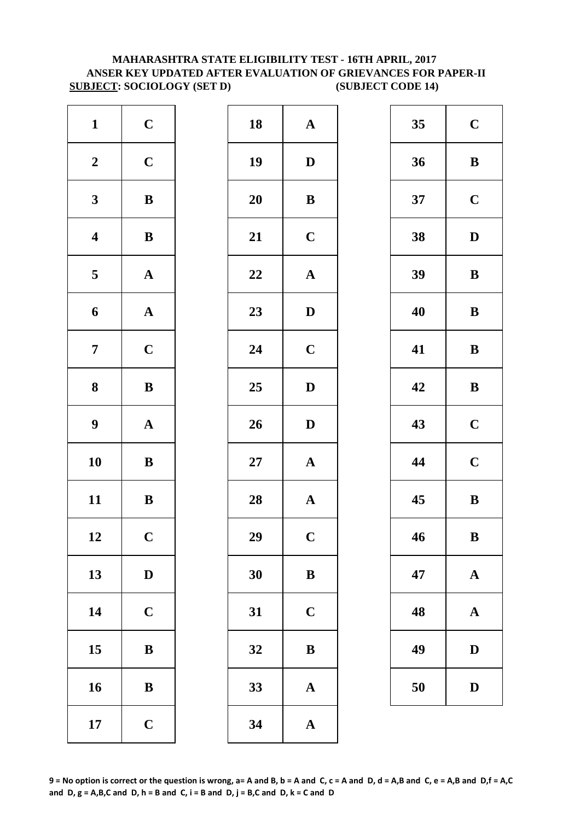# **MAHARASHTRA STATE ELIGIBILITY TEST - 16TH APRIL, 2017 ANSER KEY UPDATED AFTER EVALUATION OF GRIEVANCES FOR PAPER-II SUBJECT: SOCIOLOGY (SET D) (SUBJECT CODE 14)**

| $\mathbf{1}$            | $\mathbf C$           | 18     | $\mathbf A$             |
|-------------------------|-----------------------|--------|-------------------------|
| $\boldsymbol{2}$        | $\mathbf C$           | 19     | $\mathbf{D}$            |
| $\mathbf{3}$            | $\bf{B}$              | 20     | $\bf{B}$                |
| $\overline{\mathbf{4}}$ | $\, {\bf B}$          | 21     | $\mathbf C$             |
| 5                       | ${\bf A}$             | 22     | $\mathbf{A}$            |
| $\boldsymbol{6}$        | ${\bf A}$             | 23     | $\mathbf{D}$            |
| $\boldsymbol{7}$        | $\mathbf C$           | 24     | $\mathbf C$             |
| $\bf{8}$                | $\bf{B}$              | 25     | $\mathbf{D}$            |
| $\boldsymbol{9}$        | $\boldsymbol{\rm{A}}$ | 26     | $\mathbf{D}$            |
| 10                      | $\, {\bf B}$          | $27\,$ | $\mathbf A$             |
| 11                      | $\bf{B}$              | 28     | $\mathbf A$             |
| 12                      | $\mathbf C$           | 29     | $\overline{\mathbf{C}}$ |
| 13                      | $\mathbf D$           | 30     | $\bf{B}$                |
| 14                      | $\mathbf C$           | 31     | $\mathbf C$             |
| 15                      | $\bf{B}$              | 32     | $\bf{B}$                |
| 16                      | ${\bf B}$             | 33     | $\mathbf{A}$            |
| 17                      | $\mathbf C$           | 34     | $\mathbf A$             |

| $\mathbf{1}$            | $\mathbf C$  | 18 | ${\bf A}$             | 35 | $\mathbf C$  |
|-------------------------|--------------|----|-----------------------|----|--------------|
| $\boldsymbol{2}$        | $\mathbf C$  | 19 | $\mathbf D$           | 36 | $\bf{B}$     |
| $\mathbf{3}$            | ${\bf B}$    | 20 | $\bf{B}$              | 37 | $\mathbf C$  |
| $\overline{\mathbf{4}}$ | ${\bf B}$    | 21 | $\mathbf C$           | 38 | $\mathbf{D}$ |
| $\overline{\mathbf{5}}$ | ${\bf A}$    | 22 | $\boldsymbol{\rm{A}}$ | 39 | $\bf{B}$     |
| $\boldsymbol{6}$        | ${\bf A}$    | 23 | $\mathbf D$           | 40 | $\bf{B}$     |
| $\overline{7}$          | $\mathbf C$  | 24 | $\mathbf C$           | 41 | $\bf{B}$     |
| $\boldsymbol{8}$        | ${\bf B}$    | 25 | $\mathbf{D}$          | 42 | $\bf{B}$     |
| $\boldsymbol{9}$        | ${\bf A}$    | 26 | $\mathbf D$           | 43 | $\mathbf C$  |
| 10                      | $\, {\bf B}$ | 27 | ${\bf A}$             | 44 | $\mathbf C$  |
| 11                      | ${\bf B}$    | 28 | ${\bf A}$             | 45 | $\bf{B}$     |
| 12                      | $\mathbf C$  | 29 | $\mathbf C$           | 46 | $\bf{B}$     |
| 13                      | $\mathbf D$  | 30 | $\bf{B}$              | 47 | $\mathbf A$  |
| 14                      | $\mathbf C$  | 31 | $\mathbf C$           | 48 | $\mathbf A$  |
| 15                      | $\bf{B}$     | 32 | $\bf{B}$              | 49 | $\mathbf{D}$ |
| 16                      | $\, {\bf B}$ | 33 | $\boldsymbol{\rm{A}}$ | 50 | D            |
| 17                      | $\mathbf C$  | 34 | $\mathbf A$           |    |              |

| 35 | $\mathbf C$  |
|----|--------------|
| 36 | B            |
| 37 | $\mathbf C$  |
| 38 | D            |
| 39 | B            |
| 40 | B            |
| 41 | B            |
| 42 | B            |
| 43 | $\mathbf C$  |
| 44 | $\mathbf C$  |
| 45 | B            |
| 46 | B            |
| 47 | $\mathbf A$  |
| 48 | $\mathbf A$  |
| 49 | $\mathbf D$  |
| 50 | $\mathbf{D}$ |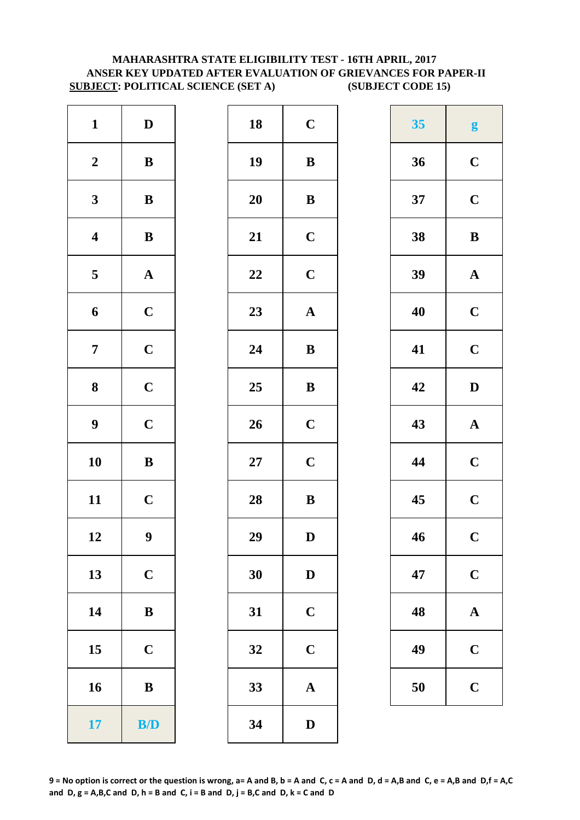# **ANSER KEY UPDATED AFTER EVALUATION OF GRIEVANCES FOR PAPER-II SUBJECT: POLITICAL SCIENCE (SET A) (SUBJECT CODE 15) MAHARASHTRA STATE ELIGIBILITY TEST - 16TH APRIL, 2017**

| $\mathbf{1}$            | $\mathbf D$           | 18        | $\mathbf C$  |
|-------------------------|-----------------------|-----------|--------------|
| $\boldsymbol{2}$        | $\, {\bf B}$          | 19        | $\bf{B}$     |
| $\mathbf{3}$            | $\bf{B}$              | <b>20</b> | $\bf{B}$     |
| $\overline{\mathbf{4}}$ | $\bf{B}$              | 21        | $\mathbf C$  |
| $\overline{\mathbf{5}}$ | $\boldsymbol{\rm{A}}$ | 22        | $\mathbf C$  |
| $\boldsymbol{6}$        | $\mathbf C$           | 23        | $\mathbf{A}$ |
| $\overline{7}$          | $\mathbf C$           | 24        | $\bf{B}$     |
| 8                       | $\mathbf C$           | 25        | $\bf{B}$     |
| $\boldsymbol{9}$        | $\mathbf C$           | 26        | $\mathbf C$  |
| 10                      | $\bf{B}$              | $27\,$    | $\mathbf C$  |
| 11                      | $\mathbf C$           | 28        | $\bf{B}$     |
| 12                      | $\boldsymbol{9}$      | 29        | D            |
| 13                      | $\mathbf C$           | 30        | $\mathbf{D}$ |
| 14                      | $\, {\bf B}$          | 31        | $\mathbf C$  |
| 15                      | $\mathbf C$           | 32        | $\mathbf C$  |
| 16                      | $\, {\bf B}$          | 33        | $\mathbf{A}$ |
| 17                      | B/D                   | 34        | $\mathbf{D}$ |

| $\mathbf{1}$            | $\mathbf D$      | 18 | $\mathbf C$           | 35 | $\boldsymbol{g}$ |
|-------------------------|------------------|----|-----------------------|----|------------------|
| $\boldsymbol{2}$        | ${\bf B}$        | 19 | $\bf{B}$              | 36 | $\mathbf C$      |
| $\mathbf{3}$            | $\bf{B}$         | 20 | $\bf{B}$              | 37 | $\mathbf C$      |
| $\overline{\mathbf{4}}$ | $\, {\bf B}$     | 21 | $\mathbf C$           | 38 | $\bf{B}$         |
| $\overline{\mathbf{5}}$ | ${\bf A}$        | 22 | $\mathbf C$           | 39 | $\mathbf A$      |
| $\boldsymbol{6}$        | $\mathbf C$      | 23 | $\boldsymbol{\rm{A}}$ | 40 | $\mathbf C$      |
| $\overline{7}$          | $\mathbf C$      | 24 | $\bf{B}$              | 41 | $\mathbf C$      |
| $\boldsymbol{8}$        | $\mathbf C$      | 25 | ${\bf B}$             | 42 | $\mathbf{D}$     |
| $\boldsymbol{9}$        | $\mathbf C$      | 26 | $\mathbf C$           | 43 | $\mathbf A$      |
| 10                      | $\, {\bf B}$     | 27 | $\mathbf C$           | 44 | $\mathbf C$      |
| 11                      | $\mathbf C$      | 28 | $\, {\bf B}$          | 45 | $\mathbf C$      |
| 12                      | $\boldsymbol{9}$ | 29 | D                     | 46 | $\mathbf C$      |
| 13                      | $\mathbf C$      | 30 | $\mathbf D$           | 47 | $\mathbf C$      |
| 14                      | ${\bf B}$        | 31 | $\mathbf C$           | 48 | $\mathbf A$      |
| 15                      | $\mathbf C$      | 32 | $\mathbf C$           | 49 | $\mathbf C$      |
| 16                      | $\, {\bf B}$     | 33 | $\boldsymbol{\rm{A}}$ | 50 | $\mathbf C$      |
| 17                      | B/D              | 34 | $\mathbf D$           |    |                  |

| 35 | g                       |
|----|-------------------------|
| 36 | $\mathbf C$             |
| 37 | $\mathbf C$             |
| 38 | B                       |
| 39 | $\mathbf A$             |
| 40 | $\overline{\mathbf{C}}$ |
| 41 | $\mathbf C$             |
| 42 | D                       |
|    |                         |
| 43 | $\mathbf A$             |
| 44 | $\mathbf C$             |
| 45 | $\overline{\mathbf{C}}$ |
| 46 | $\overline{\mathbf{C}}$ |
| 47 | $\mathbf C$             |
| 48 | $\bf A$                 |
| 49 | $\mathbf C$             |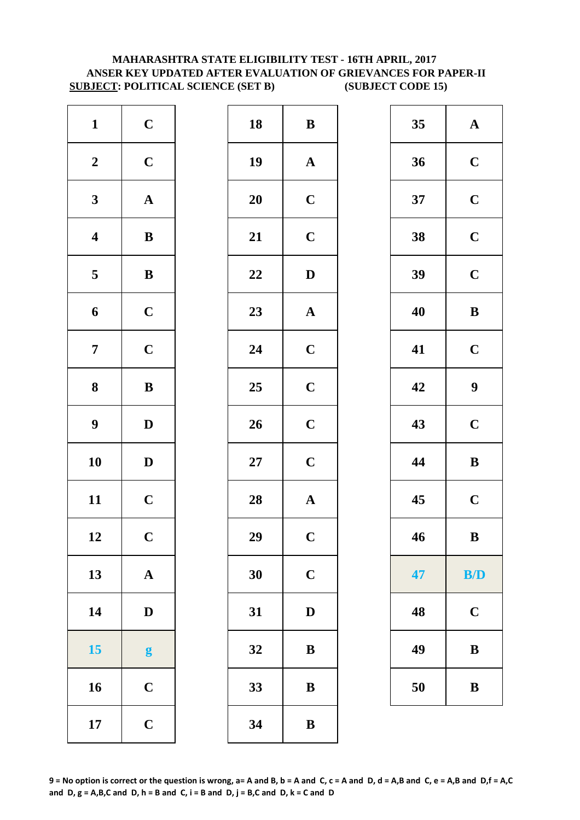# **MAHARASHTRA STATE ELIGIBILITY TEST - 16TH APRIL, 2017 ANSER KEY UPDATED AFTER EVALUATION OF GRIEVANCES FOR PAPER-II SUBJECT: POLITICAL SCIENCE (SET B) (SUBJECT CODE 15)**

| $\mathbf{1}$            | $\mathbf C$           | 18        | $\bf{B}$                |
|-------------------------|-----------------------|-----------|-------------------------|
| $\boldsymbol{2}$        | $\mathbf C$           | 19        | $\mathbf A$             |
| $\mathbf{3}$            | $\boldsymbol{\rm{A}}$ | <b>20</b> | $\mathbf C$             |
| $\boldsymbol{4}$        | $\, {\bf B}$          | 21        | $\mathbf C$             |
| $\overline{\mathbf{5}}$ | $\, {\bf B}$          | 22        | D                       |
| 6                       | $\mathbf C$           | 23        | $\mathbf A$             |
| $\overline{7}$          | $\mathbf C$           | 24        | $\mathbf C$             |
| ${\bf 8}$               | $\, {\bf B}$          | 25        | $\mathbf C$             |
| $\boldsymbol{9}$        | $\mathbf D$           | 26        | $\mathbf C$             |
| 10                      | $\mathbf D$           | $27\,$    | $\mathbf C$             |
| 11                      | $\mathbf C$           | 28        | $\mathbf{A}$            |
| 12                      | $\mathbf C$           | 29        | $\overline{\mathbf{C}}$ |
| 13                      | $\mathbf A$           | 30        | $\mathbf C$             |
| 14                      | $\mathbf D$           | 31        | D                       |
| 15                      | g                     | 32        | $\bf{B}$                |
| 16                      | $\mathbf C$           | 33        | $\bf{B}$                |
| 17                      | $\mathbf C$           | 34        | $\bf{B}$                |

| $\mathbf{1}$            | $\mathbf C$      | 18 | $\, {\bf B}$          | 35 | ${\bf A}$        |
|-------------------------|------------------|----|-----------------------|----|------------------|
| $\boldsymbol{2}$        | $\mathbf C$      | 19 | ${\bf A}$             | 36 | $\mathbf C$      |
| $\mathbf{3}$            | ${\bf A}$        | 20 | $\mathbf C$           | 37 | $\mathbf C$      |
| $\overline{\mathbf{4}}$ | ${\bf B}$        | 21 | $\mathbf C$           | 38 | $\mathbf C$      |
| $\overline{\mathbf{5}}$ | ${\bf B}$        | 22 | $\mathbf D$           | 39 | $\mathbf C$      |
| 6                       | $\mathbf C$      | 23 | ${\bf A}$             | 40 | $\bf{B}$         |
| $\overline{7}$          | $\mathbf C$      | 24 | $\mathbf C$           | 41 | $\mathbf C$      |
| $\boldsymbol{8}$        | $\, {\bf B}$     | 25 | $\mathbf C$           | 42 | $\boldsymbol{9}$ |
| $\boldsymbol{9}$        | $\mathbf{D}$     | 26 | $\mathbf C$           | 43 | $\mathbf C$      |
| 10                      | $\mathbf D$      | 27 | $\mathbf C$           | 44 | $\, {\bf B}$     |
| 11                      | $\mathbf C$      | 28 | $\boldsymbol{\rm{A}}$ | 45 | $\mathbf C$      |
| 12                      | $\mathbf C$      | 29 | $\mathbf C$           | 46 | $\bf{B}$         |
| 13                      | ${\bf A}$        | 30 | $\mathbf C$           | 47 | B/D              |
| 14                      | $\mathbf D$      | 31 | $\mathbf D$           | 48 | $\mathbf C$      |
| 15                      | $\boldsymbol{g}$ | 32 | $\, {\bf B}$          | 49 | $\bf{B}$         |
| 16                      | $\mathbf C$      | 33 | $\, {\bf B}$          | 50 | $\bf{B}$         |
| 17                      | $\mathbf C$      | 34 | $\, {\bf B}$          |    |                  |
|                         |                  |    |                       |    |                  |

| 35 | $\mathbf A$ |
|----|-------------|
| 36 | $\mathbf C$ |
| 37 | $\mathbf C$ |
| 38 | $\mathbf C$ |
| 39 | $\mathbf C$ |
| 40 | B           |
| 41 | $\mathbf C$ |
| 42 | 9           |
| 43 | $\mathbf C$ |
| 44 | B           |
| 45 | $\mathbf C$ |
| 46 | B           |
| 47 | B/D         |
| 48 | $\mathbf C$ |
| 49 | B           |
| 50 | B           |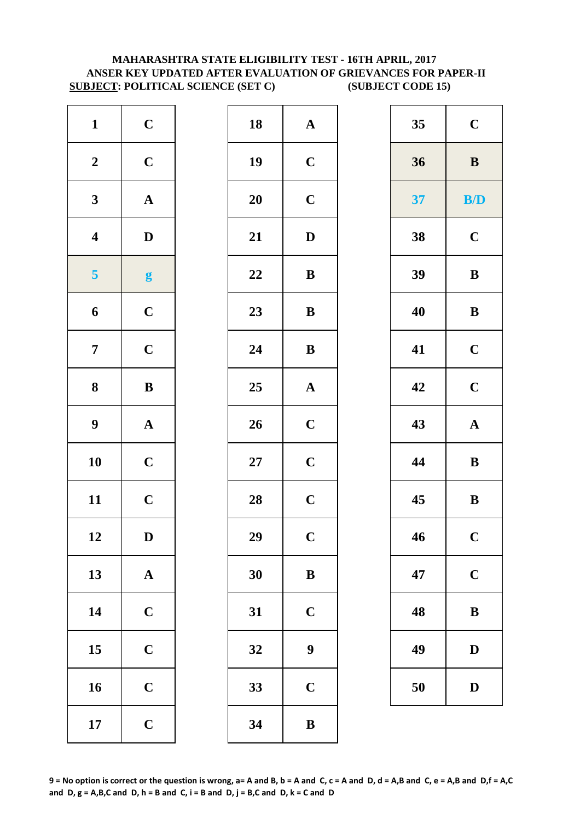# **MAHARASHTRA STATE ELIGIBILITY TEST - 16TH APRIL, 2017 ANSER KEY UPDATED AFTER EVALUATION OF GRIEVANCES FOR PAPER-II SUBJECT: POLITICAL SCIENCE (SET C) (SUBJECT CODE 15)**

| $\mathbf{1}$            | $\mathbf C$           | 18        | $\mathbf A$             |
|-------------------------|-----------------------|-----------|-------------------------|
| $\boldsymbol{2}$        | $\mathbf C$           | 19        | $\mathbf C$             |
| $\mathbf{3}$            | $\boldsymbol{\rm{A}}$ | <b>20</b> | $\mathbf C$             |
| $\overline{\mathbf{4}}$ | $\mathbf D$           | 21        | D                       |
| 5                       | g                     | 22        | $\bf{B}$                |
| 6                       | $\mathbf C$           | 23        | $\bf{B}$                |
| $\overline{7}$          | $\mathbf C$           | 24        | $\bf{B}$                |
| 8                       | $\bf{B}$              | 25        | $\mathbf A$             |
| $\boldsymbol{9}$        | $\boldsymbol{\rm{A}}$ | 26        | $\mathbf C$             |
| 10                      | $\mathbf C$           | $27\,$    | $\mathbf C$             |
| 11                      | $\mathbf C$           | 28        | $\mathbf C$             |
| 12                      | D                     | 29        | $\overline{\mathbf{C}}$ |
| 13                      | ${\bf A}$             | 30        | $\bf{B}$                |
| 14                      | $\mathbf C$           | 31        | $\mathbf C$             |
| 15                      | $\mathbf C$           | 32        | 9                       |
| 16                      | $\mathbf C$           | 33        | $\mathbf C$             |
| 17                      | $\mathbf C$           | 34        | $\bf{B}$                |

| $\mathbf{1}$            | $\mathbf C$      | 18     | ${\bf A}$        | 35 | $\mathbf C$  |
|-------------------------|------------------|--------|------------------|----|--------------|
| $\boldsymbol{2}$        | $\mathbf C$      | 19     | $\mathbf C$      | 36 | $\, {\bf B}$ |
| $\mathbf{3}$            | ${\bf A}$        | 20     | $\mathbf C$      | 37 | B/D          |
| $\overline{\mathbf{4}}$ | $\mathbf D$      | 21     | $\mathbf D$      | 38 | $\mathbf C$  |
| 5 <sup>5</sup>          | $\boldsymbol{g}$ | 22     | $\, {\bf B}$     | 39 | $\, {\bf B}$ |
| 6                       | $\mathbf C$      | 23     | $\, {\bf B}$     | 40 | $\bf{B}$     |
| $\overline{7}$          | $\mathbf C$      | 24     | $\, {\bf B}$     | 41 | $\mathbf C$  |
| $\boldsymbol{8}$        | $\, {\bf B}$     | 25     | ${\bf A}$        | 42 | $\mathbf C$  |
| $\boldsymbol{9}$        | ${\bf A}$        | 26     | $\mathbf C$      | 43 | ${\bf A}$    |
| 10                      | $\mathbf C$      | $27\,$ | $\mathbf C$      | 44 | $\, {\bf B}$ |
| 11                      | $\mathbf C$      | 28     | $\mathbf C$      | 45 | $\, {\bf B}$ |
| 12                      | $\mathbf D$      | 29     | $\mathbf C$      | 46 | $\mathbf C$  |
| 13                      | ${\bf A}$        | 30     | $\, {\bf B}$     | 47 | $\mathbf C$  |
| 14                      | $\mathbf C$      | 31     | $\mathbf C$      | 48 | $\bf{B}$     |
| 15                      | $\mathbf C$      | 32     | $\boldsymbol{9}$ | 49 | $\mathbf D$  |
| 16                      | $\mathbf C$      | 33     | $\mathbf C$      | 50 | D            |
| 17                      | $\mathbf C$      | 34     | $\, {\bf B}$     |    |              |

| 35 | $\mathbf C$ |
|----|-------------|
| 36 | $\bf{B}$    |
| 37 | B/D         |
| 38 | $\mathbf C$ |
| 39 | B           |
| 40 | B           |
| 41 | $\mathbf C$ |
| 42 | $\mathbf C$ |
| 43 | $\mathbf A$ |
| 44 | B           |
| 45 | B           |
| 46 | $\mathbf C$ |
| 47 | $\mathbf C$ |
| 48 | B           |
| 49 | D           |
| 50 | $\bf{D}$    |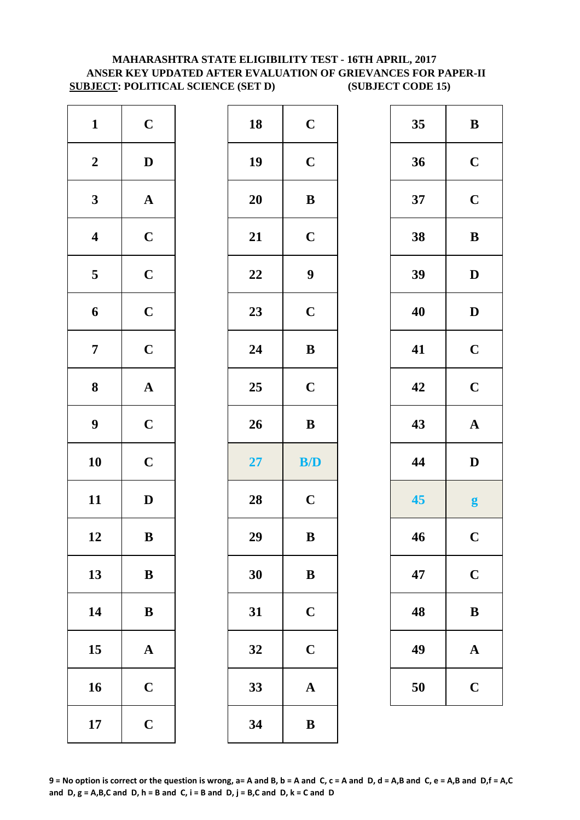# **SUBJECT: POLITICAL SCIENCE (SET D) (SUBJECT CODE 15) MAHARASHTRA STATE ELIGIBILITY TEST - 16TH APRIL, 2017 ANSER KEY UPDATED AFTER EVALUATION OF GRIEVANCES FOR PAPER-II**

| $\mathbf C$           | 18        | $\mathbf C$      |
|-----------------------|-----------|------------------|
| $\mathbf D$           | 19        | $\mathbf C$      |
| $\boldsymbol{\rm{A}}$ | <b>20</b> | $\bf{B}$         |
| $\mathbf C$           | 21        | $\mathbf C$      |
| $\mathbf C$           | 22        | $\boldsymbol{9}$ |
| $\mathbf C$           | 23        | $\mathbf C$      |
| $\mathbf C$           | 24        | $\bf{B}$         |
|                       |           | $\mathbf C$      |
| $\boldsymbol{\rm{A}}$ | 25        |                  |
| $\mathbf C$           | 26        |                  |
| $\mathbf C$           | 27        | $\bf{B}$<br>B/   |
| $\mathbf D$           | 28        | $\mathbf C$      |
| B                     | 29        | B                |
| $\, {\bf B}$          | 30        | $\bf{B}$         |
| $\bf{B}$              | 31        | $\mathbf C$      |
| $\mathbf A$           | 32        | $\mathbf C$      |
| $\mathbf C$           | 33        | $\mathbf{A}$     |
|                       |           |                  |

| $\mathbf{1}$            | $\mathbf C$  | 18 | $\mathbf C$             | 35 | $\bf{B}$     |
|-------------------------|--------------|----|-------------------------|----|--------------|
| $\boldsymbol{2}$        | $\mathbf D$  | 19 | $\mathbf C$             | 36 | $\mathbf C$  |
| $\mathbf{3}$            | ${\bf A}$    | 20 | $\bf{B}$                | 37 | $\mathbf C$  |
| $\overline{\mathbf{4}}$ | $\mathbf C$  | 21 | $\mathbf C$             | 38 | $\bf{B}$     |
| $\overline{\mathbf{5}}$ | $\mathbf C$  | 22 | $\boldsymbol{9}$        | 39 | $\mathbf{D}$ |
| $\boldsymbol{6}$        | $\mathbf C$  | 23 | $\mathbf C$             | 40 | $\mathbf{D}$ |
| $\overline{7}$          | $\mathbf C$  | 24 | $\, {\bf B}$            | 41 | $\mathbf C$  |
| $\boldsymbol{8}$        | ${\bf A}$    | 25 | $\mathbf C$             | 42 | $\mathbf C$  |
| $\boldsymbol{9}$        | $\mathbf C$  | 26 | $\, {\bf B}$            | 43 | $\mathbf A$  |
| 10                      | $\mathbf C$  | 27 | $\mathbf{B}/\mathbf{D}$ | 44 | $\mathbf{D}$ |
| 11                      | $\mathbf{D}$ | 28 | $\mathbf C$             | 45 | g            |
| 12                      | $\, {\bf B}$ | 29 | $\, {\bf B}$            | 46 | $\mathbf C$  |
| 13                      | $\bf{B}$     | 30 | ${\bf B}$               | 47 | $\mathbf C$  |
| 14                      | $\, {\bf B}$ | 31 | $\mathbf C$             | 48 | $\bf{B}$     |
| 15                      | ${\bf A}$    | 32 | $\mathbf C$             | 49 | $\mathbf A$  |
| 16                      | $\mathbf C$  | 33 | $\boldsymbol{\rm{A}}$   | 50 | $\mathbf C$  |
| 17                      | $\mathbf C$  | 34 | $\, {\bf B}$            |    |              |
|                         |              |    |                         |    |              |

| 35 | B            |  |
|----|--------------|--|
| 36 | $\mathbf C$  |  |
| 37 | $\mathbf C$  |  |
| 38 | B            |  |
| 39 | $\mathbf{D}$ |  |
| 40 | D            |  |
| 41 | $\mathbf C$  |  |
| 42 | $\mathbf C$  |  |
| 43 | $\mathbf A$  |  |
| 44 | $\mathbf{D}$ |  |
| 45 | g            |  |
| 46 | $\mathbf C$  |  |
| 47 | $\mathbf C$  |  |
| 48 | B            |  |
| 49 | A            |  |
| 50 | $\mathbf C$  |  |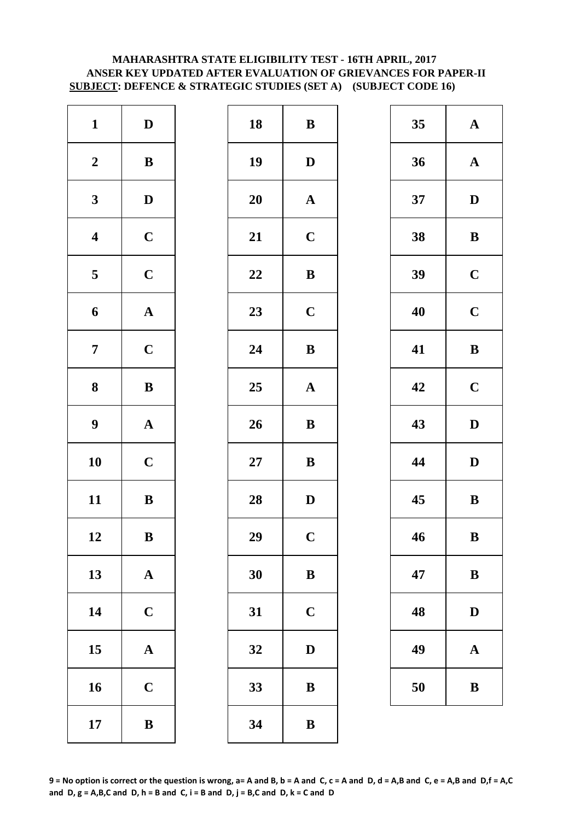# **MAHARASHTRA STATE ELIGIBILITY TEST - 16TH APRIL, 2017 ANSER KEY UPDATED AFTER EVALUATION OF GRIEVANCES FOR PAPER-II SUBJECT: DEFENCE & STRATEGIC STUDIES (SET A) (SUBJECT CODE 16)**

| $\mathbf{1}$            | ${\bf D}$             | 18        | $\bf{B}$       |
|-------------------------|-----------------------|-----------|----------------|
| $\boldsymbol{2}$        | $\, {\bf B}$          | 19        | D              |
| $\mathbf{3}$            | $\mathbf D$           | <b>20</b> | $\mathbf A$    |
| $\overline{\mathbf{4}}$ | $\mathbf C$           | 21        | $\mathbf C$    |
| $\overline{\mathbf{5}}$ | $\mathbf C$           | 22        | $\bf{B}$       |
| 6                       | ${\bf A}$             | 23        | $\mathbf C$    |
| $\overline{7}$          | $\mathbf C$           | 24        | $\bf{B}$       |
| 8                       | ${\bf B}$             | 25        | $\mathbf A$    |
| $\boldsymbol{9}$        | $\boldsymbol{\rm{A}}$ | 26        | $\bf{B}$       |
| 10                      | $\mathbf C$           | $27\,$    | $\bf{B}$       |
| 11                      | $\bf{B}$              | 28        | D              |
| 12                      | B                     | 29        | $\overline{C}$ |
| 13                      | ${\bf A}$             | 30        | $\bf{B}$       |
| 14                      | $\mathbf C$           | 31        | $\mathbf C$    |
| 15                      | $\mathbf A$           | 32        | D              |
| 16                      | $\mathbf C$           | 33        | $\bf{B}$       |
| 17                      | $\bf{B}$              | 34        | $\bf{B}$       |

| $\mathbf{1}$            | $\mathbf D$  | 18 | $\, {\bf B}$ | 35 | $\mathbf A$  |
|-------------------------|--------------|----|--------------|----|--------------|
| $\boldsymbol{2}$        | $\, {\bf B}$ | 19 | $\mathbf D$  | 36 | $\mathbf A$  |
| $\mathbf{3}$            | $\mathbf{D}$ | 20 | ${\bf A}$    | 37 | $\mathbf{D}$ |
| $\overline{\mathbf{4}}$ | $\mathbf C$  | 21 | $\mathbf C$  | 38 | $\bf{B}$     |
| $\overline{\mathbf{5}}$ | $\mathbf C$  | 22 | $\, {\bf B}$ | 39 | $\mathbf C$  |
| $\boldsymbol{6}$        | ${\bf A}$    | 23 | $\mathbf C$  | 40 | $\mathbf C$  |
| $\overline{7}$          | $\mathbf C$  | 24 | $\bf{B}$     | 41 | $\bf{B}$     |
| $\boldsymbol{8}$        | ${\bf B}$    | 25 | ${\bf A}$    | 42 | $\mathbf C$  |
| $\boldsymbol{9}$        | ${\bf A}$    | 26 | $\, {\bf B}$ | 43 | $\mathbf{D}$ |
| 10                      | $\mathbf C$  | 27 | $\bf{B}$     | 44 | $\mathbf{D}$ |
| 11                      | ${\bf B}$    | 28 | $\mathbf D$  | 45 | $\bf{B}$     |
| 12                      | $\, {\bf B}$ | 29 | $\mathbf C$  | 46 | $\bf{B}$     |
| 13                      | ${\bf A}$    | 30 | ${\bf B}$    | 47 | $\bf{B}$     |
| 14                      | $\mathbf C$  | 31 | $\mathbf C$  | 48 | $\mathbf{D}$ |
| 15                      | ${\bf A}$    | 32 | $\mathbf D$  | 49 | $\mathbf A$  |
| 16                      | $\mathbf C$  | 33 | $\, {\bf B}$ | 50 | $\bf{B}$     |
| 17                      | $\, {\bf B}$ | 34 | $\, {\bf B}$ |    |              |

| 35 | $\mathbf A$ |
|----|-------------|
| 36 | $\mathbf A$ |
| 37 | D           |
| 38 | B           |
| 39 | $\mathbf C$ |
| 40 | $\mathbf C$ |
| 41 | B           |
| 42 | $\mathbf C$ |
|    |             |
| 43 | D           |
| 44 | D           |
| 45 | B           |
| 46 | B           |
| 47 | B           |
| 48 | $\bf{D}$    |
| 49 | A           |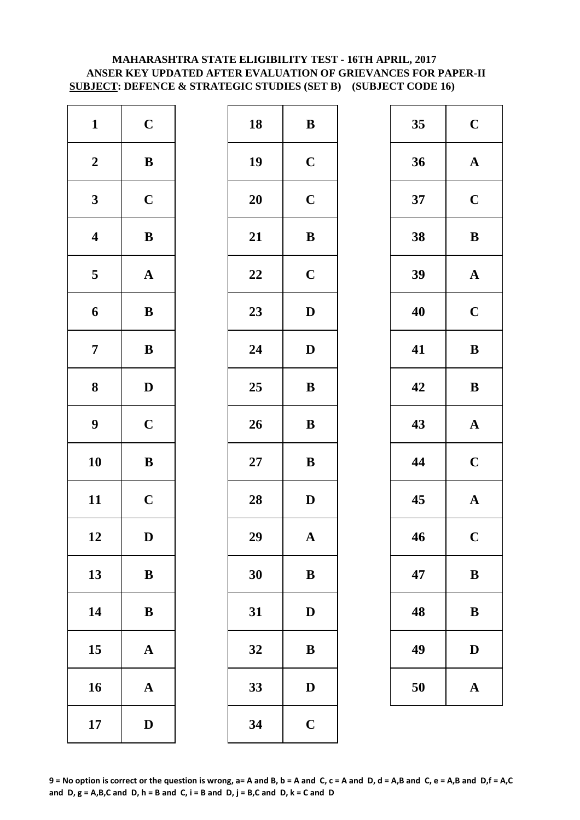# **ANSER KEY UPDATED AFTER EVALUATION OF GRIEVANCES FOR PAPER-II SUBJECT: DEFENCE & STRATEGIC STUDIES (SET B) (SUBJECT CODE 16) MAHARASHTRA STATE ELIGIBILITY TEST - 16TH APRIL, 2017**

| $\mathbf{1}$            | $\mathbf C$           | 18        | $\bf{B}$     |
|-------------------------|-----------------------|-----------|--------------|
| $\boldsymbol{2}$        | $\, {\bf B}$          | 19        | $\mathbf C$  |
| $\mathbf{3}$            | $\mathbf C$           | <b>20</b> | $\mathbf C$  |
| $\overline{\mathbf{4}}$ | $\bf{B}$              | 21        | $\bf{B}$     |
| $\overline{\mathbf{5}}$ | $\boldsymbol{\rm{A}}$ | 22        | $\mathbf C$  |
| 6                       | $\, {\bf B}$          | 23        | $\mathbf{D}$ |
| $\overline{7}$          | $\bf{B}$              | 24        | $\mathbf{D}$ |
| 8                       | $\mathbf D$           | 25        | $\bf{B}$     |
| $\boldsymbol{9}$        | $\mathbf C$           | 26        | $\bf{B}$     |
| 10                      | $\bf{B}$              | $27\,$    | $\bf{B}$     |
| 11                      | $\mathbf C$           | 28        | $\mathbf{D}$ |
| 12                      | D                     | 29        | A            |
| 13                      | $\, {\bf B}$          | 30        | $\bf{B}$     |
| 14                      | ${\bf B}$             | 31        | $\mathbf{D}$ |
| 15                      | $\mathbf A$           | 32        | $\bf{B}$     |
| 16                      | $\mathbf A$           | 33        | D            |
| 17                      | $\mathbf D$           | 34        | $\mathbf C$  |

| $\mathbf{1}$            | $\mathbf C$  | 18 | $\, {\bf B}$ | 35 | $\mathbf C$  |
|-------------------------|--------------|----|--------------|----|--------------|
| $\boldsymbol{2}$        | $\, {\bf B}$ | 19 | $\mathbf C$  | 36 | $\mathbf A$  |
| $\mathbf{3}$            | $\mathbf C$  | 20 | $\mathbf C$  | 37 | $\mathbf C$  |
| $\overline{\mathbf{4}}$ | $\, {\bf B}$ | 21 | $\, {\bf B}$ | 38 | $\bf{B}$     |
| $\overline{\mathbf{5}}$ | ${\bf A}$    | 22 | $\mathbf C$  | 39 | $\mathbf A$  |
| $\boldsymbol{6}$        | ${\bf B}$    | 23 | $\mathbf D$  | 40 | $\mathbf C$  |
| $\overline{7}$          | $\, {\bf B}$ | 24 | $\mathbf D$  | 41 | $\bf{B}$     |
| $\boldsymbol{8}$        | $\mathbf{D}$ | 25 | ${\bf B}$    | 42 | $\bf{B}$     |
| $\boldsymbol{9}$        | $\mathbf C$  | 26 | $\, {\bf B}$ | 43 | $\mathbf A$  |
| 10                      | ${\bf B}$    | 27 | $\bf{B}$     | 44 | $\mathbf C$  |
| 11                      | $\mathbf C$  | 28 | $\mathbf D$  | 45 | $\mathbf A$  |
| 12                      | $\mathbf D$  | 29 | $\mathbf A$  | 46 | $\mathbf C$  |
| 13                      | $\bf{B}$     | 30 | ${\bf B}$    | 47 | $\bf{B}$     |
| 14                      | $\, {\bf B}$ | 31 | $\mathbf D$  | 48 | $\bf{B}$     |
| 15                      | $\mathbf{A}$ | 32 | $\bf{B}$     | 49 | $\mathbf{D}$ |
| 16                      | ${\bf A}$    | 33 | ${\bf D}$    | 50 | $\mathbf A$  |
| 17                      | $\mathbf D$  | 34 | $\mathbf C$  |    |              |

| 35 | $\mathbf C$             |
|----|-------------------------|
| 36 | $\mathbf A$             |
| 37 | $\mathbf C$             |
| 38 | B                       |
| 39 | $\mathbf A$             |
| 40 | $\mathbf C$             |
| 41 | B                       |
| 42 | B                       |
| 43 | $\mathbf A$             |
| 44 | $\mathbf C$             |
| 45 | $\mathbf A$             |
| 46 | $\overline{\mathbf{C}}$ |
| 47 | $\bf{B}$                |
| 48 | B                       |
| 49 | D                       |
| 50 | $\bf A$                 |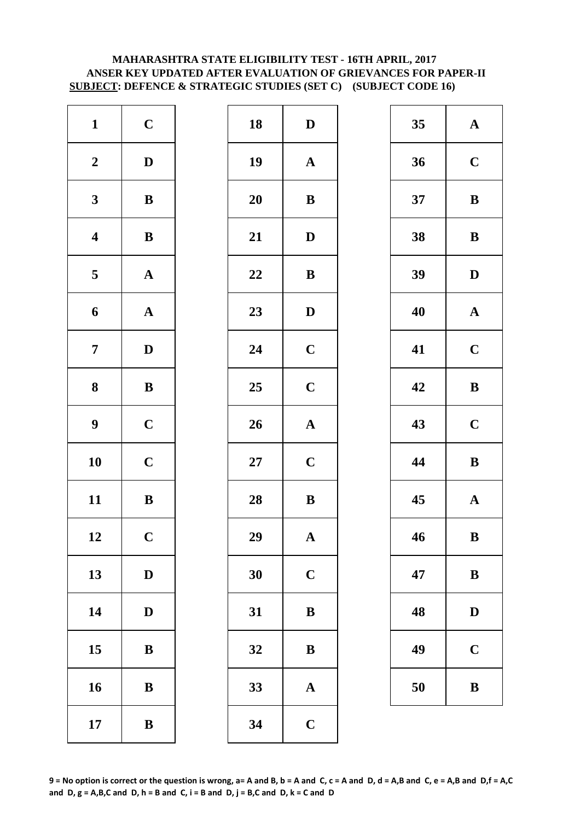# **MAHARASHTRA STATE ELIGIBILITY TEST - 16TH APRIL, 2017 ANSER KEY UPDATED AFTER EVALUATION OF GRIEVANCES FOR PAPER-II SUBJECT: DEFENCE & STRATEGIC STUDIES (SET C) (SUBJECT CODE 16)**

| $\mathbf{1}$            | $\mathbf C$           | 18        | $\mathbf{D}$ |
|-------------------------|-----------------------|-----------|--------------|
| $\boldsymbol{2}$        | $\mathbf D$           | 19        | $\mathbf A$  |
| $\mathbf{3}$            | $\bf{B}$              | <b>20</b> | $\bf{B}$     |
| $\boldsymbol{4}$        | ${\bf B}$             | 21        | $\mathbf{D}$ |
| $\overline{\mathbf{5}}$ | $\boldsymbol{\rm{A}}$ | 22        | $\bf{B}$     |
| 6                       | ${\bf A}$             | 23        | $\mathbf{D}$ |
| $\overline{7}$          | $\mathbf D$           | 24        | $\mathbf C$  |
| 8                       | $\bf{B}$              | 25        | $\mathbf C$  |
| $\boldsymbol{9}$        | $\mathbf C$           | 26        | $\mathbf{A}$ |
| 10                      | $\mathbf C$           | $27\,$    | $\mathbf C$  |
| 11                      | $\, {\bf B}$          | 28        | $\bf{B}$     |
| 12                      | $\mathbf C$           | 29        | A            |
| 13                      | $\mathbf D$           | 30        | $\mathbf C$  |
| 14                      | $\mathbf D$           | 31        | $\bf{B}$     |
| 15                      | $\bf{B}$              | 32        | $\bf{B}$     |
| 16                      | $\bf{B}$              | 33        | $\mathbf{A}$ |
| 17                      | $\bf{B}$              | 34        | $\mathbf C$  |

| $\mathbf C$  | 18     | $\mathbf{D}$          | 35 | $\mathbf A$  |
|--------------|--------|-----------------------|----|--------------|
| $\mathbf D$  | 19     | $\mathbf A$           | 36 | $\mathbf C$  |
| ${\bf B}$    | 20     | ${\bf B}$             | 37 | $\bf{B}$     |
| ${\bf B}$    | 21     | $\mathbf D$           | 38 | $\bf{B}$     |
| ${\bf A}$    | 22     | $\, {\bf B}$          | 39 | $\mathbf{D}$ |
| ${\bf A}$    | 23     | $\mathbf D$           | 40 | $\mathbf A$  |
| $\mathbf D$  | 24     | $\mathbf C$           | 41 | $\mathbf C$  |
| ${\bf B}$    | 25     | $\mathbf C$           | 42 | $\bf{B}$     |
| $\mathbf C$  | 26     | $\mathbf A$           | 43 | $\mathbf C$  |
| $\mathbf C$  | $27\,$ | $\mathbf C$           | 44 | $\bf{B}$     |
| $\mathbf{B}$ | 28     | ${\bf B}$             | 45 | $\mathbf A$  |
| $\mathbf C$  | 29     | $\boldsymbol{\rm{A}}$ | 46 | $\bf{B}$     |
| $\mathbf D$  | 30     | $\mathbf C$           | 47 | $\bf{B}$     |
| $\mathbf D$  | 31     | $\bf{B}$              | 48 | $\mathbf{D}$ |
| $\bf{B}$     | 32     | $\bf{B}$              | 49 | $\mathbf C$  |
| ${\bf B}$    | 33     | $\mathbf A$           | 50 | $\bf{B}$     |
| $\, {\bf B}$ | 34     | $\mathbf C$           |    |              |
|              |        |                       |    |              |

| 35 | $\mathbf A$ |
|----|-------------|
| 36 | $\mathbf C$ |
| 37 | B           |
| 38 | B           |
| 39 | D           |
| 40 | $\mathbf A$ |
| 41 | $\mathbf C$ |
| 42 | B           |
| 43 | $\mathbf C$ |
| 44 | B           |
| 45 | $\mathbf A$ |
| 46 | B           |
| 47 | B           |
| 48 | $\bf{D}$    |
| 49 | $\mathbf C$ |
| 50 | B           |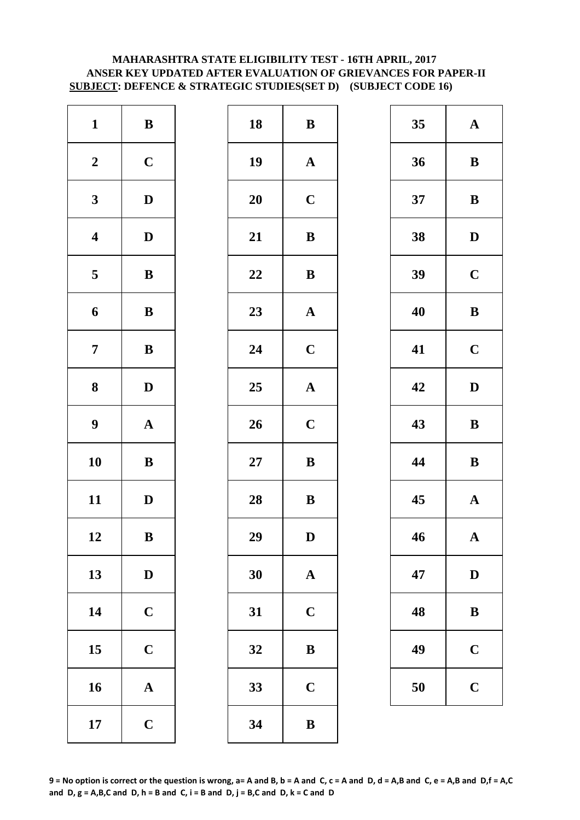# **MAHARASHTRA STATE ELIGIBILITY TEST - 16TH APRIL, 2017 ANSER KEY UPDATED AFTER EVALUATION OF GRIEVANCES FOR PAPER-II SUBJECT: DEFENCE & STRATEGIC STUDIES(SET D) (SUBJECT CODE 16)**

| $\mathbf{1}$            | $\, {\bf B}$          | 18 | $\bf{B}$     |
|-------------------------|-----------------------|----|--------------|
| $\boldsymbol{2}$        | $\mathbf C$           | 19 | $\mathbf A$  |
| $\mathbf{3}$            | $\mathbf D$           | 20 | $\mathbf C$  |
| $\overline{\mathbf{4}}$ | $\mathbf D$           | 21 | $\bf{B}$     |
| $\overline{\mathbf{5}}$ | $\bf{B}$              | 22 | $\bf{B}$     |
| 6                       | $\, {\bf B}$          | 23 | $\mathbf A$  |
| $\overline{7}$          | $\bf{B}$              | 24 | $\mathbf C$  |
| 8                       | $\mathbf D$           | 25 | $\mathbf{A}$ |
| $\boldsymbol{9}$        | $\boldsymbol{\rm{A}}$ | 26 | $\mathbf C$  |
| 10                      | $\bf{B}$              | 27 | $\bf{B}$     |
| 11                      | $\mathbf D$           | 28 | $\bf{B}$     |
| 12                      | B                     | 29 | D            |
| 13                      | $\mathbf D$           | 30 | $\mathbf{A}$ |
| 14                      | $\mathbf C$           | 31 | $\mathbf C$  |
| 15                      | $\mathbf C$           | 32 | $\bf{B}$     |
| 16                      | $\mathbf A$           | 33 | $\mathbf C$  |
| 17                      | $\mathbf C$           | 34 | $\bf{B}$     |

| $\mathbf{1}$            | $\, {\bf B}$ | 18     | ${\bf B}$             | 35 | $\mathbf A$  |
|-------------------------|--------------|--------|-----------------------|----|--------------|
| $\boldsymbol{2}$        | $\mathbf C$  | 19     | $\mathbf A$           | 36 | $\bf{B}$     |
| $\mathbf{3}$            | $\mathbf{D}$ | 20     | $\mathbf C$           | 37 | $\bf{B}$     |
| $\overline{\mathbf{4}}$ | $\mathbf D$  | 21     | ${\bf B}$             | 38 | $\mathbf{D}$ |
| $\overline{\mathbf{5}}$ | $\, {\bf B}$ | $22\,$ | $\, {\bf B}$          | 39 | $\mathbf C$  |
| $\boldsymbol{6}$        | ${\bf B}$    | 23     | $\mathbf A$           | 40 | $\bf{B}$     |
| $\overline{7}$          | ${\bf B}$    | 24     | $\mathbf C$           | 41 | $\mathbf C$  |
| $\boldsymbol{8}$        | $\mathbf{D}$ | 25     | $\boldsymbol{\rm{A}}$ | 42 | $\mathbf{D}$ |
| $\boldsymbol{9}$        | ${\bf A}$    | 26     | $\mathbf C$           | 43 | $\bf{B}$     |
| 10                      | ${\bf B}$    | $27\,$ | $\, {\bf B}$          | 44 | $\bf{B}$     |
| 11                      | $\mathbf D$  | 28     | ${\bf B}$             | 45 | $\mathbf A$  |
| 12                      | $\, {\bf B}$ | 29     | $\mathbf D$           | 46 | $\mathbf A$  |
| 13                      | $\mathbf D$  | 30     | $\mathbf A$           | 47 | $\mathbf{D}$ |
| 14                      | $\mathbf C$  | 31     | $\mathbf C$           | 48 | $\bf{B}$     |
| 15                      | $\mathbf C$  | 32     | $\bf{B}$              | 49 | $\mathbf C$  |
| 16                      | $\mathbf A$  | 33     | $\mathbf C$           | 50 | $\mathbf C$  |
| 17                      | $\mathbf C$  | 34     | $\, {\bf B}$          |    |              |

| 35 | $\mathbf A$ |
|----|-------------|
| 36 | B           |
| 37 | B           |
| 38 | D           |
| 39 | $\mathbf C$ |
| 40 | B           |
| 41 | $\mathbf C$ |
| 42 | D           |
|    |             |
| 43 | $\bf{B}$    |
| 44 | B           |
| 45 | $\mathbf A$ |
| 46 | $\mathbf A$ |
| 47 | $\mathbf D$ |
| 48 | B           |
| 49 | $\mathbf C$ |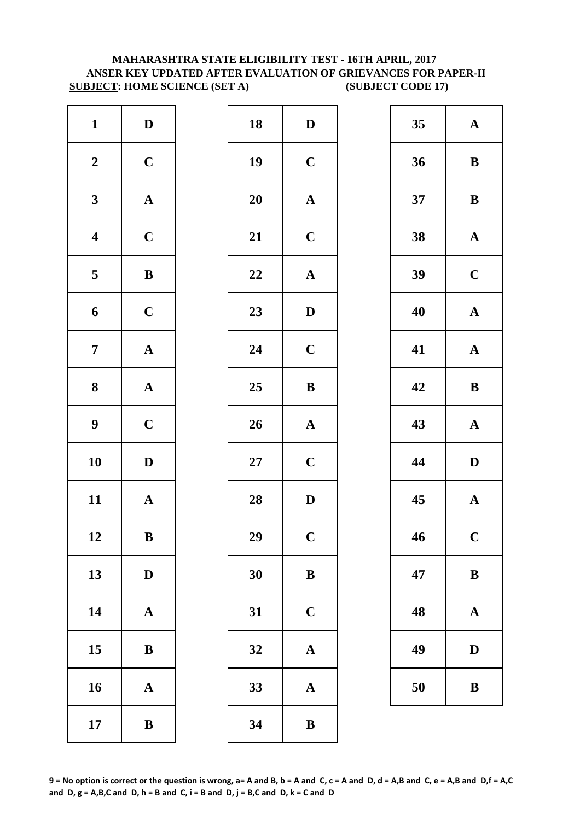# **SUBJECT: HOME SCIENCE (SET A) (SUBJECT CODE 17) MAHARASHTRA STATE ELIGIBILITY TEST - 16TH APRIL, 2017 ANSER KEY UPDATED AFTER EVALUATION OF GRIEVANCES FOR PAPER-II**

| $\mathbf{1}$            | $\mathbf D$           | 18        | D              |
|-------------------------|-----------------------|-----------|----------------|
| $\boldsymbol{2}$        | $\mathbf C$           | 19        | $\mathbf C$    |
| $\mathbf{3}$            | ${\bf A}$             | <b>20</b> | $\mathbf A$    |
| $\overline{\mathbf{4}}$ | $\mathbf C$           | 21        | $\mathbf C$    |
| $\overline{\mathbf{5}}$ | $\bf{B}$              | 22        | $\mathbf{A}$   |
| 6                       | $\mathbf C$           | 23        | $\mathbf{D}$   |
| $\overline{7}$          | $\boldsymbol{\rm{A}}$ | 24        | $\mathbf C$    |
| $\bf 8$                 | ${\bf A}$             | 25        | $\bf{B}$       |
| $\boldsymbol{9}$        | $\mathbf C$           | 26        | $\mathbf A$    |
| 10                      | $\mathbf D$           | $27\,$    | $\mathbf C$    |
| 11                      | $\mathbf A$           | 28        | $\mathbf{D}$   |
| 12                      | B                     | 29        | $\overline{C}$ |
| 13                      | $\mathbf D$           | 30        | $\bf{B}$       |
| 14                      | $\boldsymbol{\rm{A}}$ | 31        | $\mathbf C$    |
| 15                      | ${\bf B}$             | 32        | $\mathbf A$    |
| 16                      | ${\bf A}$             | 33        | $\mathbf A$    |
| 17                      | $\bf{B}$              | 34        | $\bf{B}$       |

| $\mathbf{1}$            | $\mathbf D$  | 18 | $\mathbf D$           | 35 | $\mathbf A$  |
|-------------------------|--------------|----|-----------------------|----|--------------|
| $\boldsymbol{2}$        | $\mathbf C$  | 19 | $\mathbf C$           | 36 | $\bf{B}$     |
| $\mathbf{3}$            | ${\bf A}$    | 20 | ${\bf A}$             | 37 | $\bf{B}$     |
| $\overline{\mathbf{4}}$ | $\mathbf C$  | 21 | $\mathbf C$           | 38 | $\mathbf A$  |
| $\overline{\mathbf{5}}$ | $\, {\bf B}$ | 22 | $\mathbf A$           | 39 | $\mathbf C$  |
| $\boldsymbol{6}$        | $\mathbf C$  | 23 | $\mathbf D$           | 40 | $\mathbf A$  |
| $\overline{7}$          | ${\bf A}$    | 24 | $\mathbf C$           | 41 | $\mathbf A$  |
| $\boldsymbol{8}$        | ${\bf A}$    | 25 | $\, {\bf B}$          | 42 | $\bf{B}$     |
| $\boldsymbol{9}$        | $\mathbf C$  | 26 | $\boldsymbol{\rm{A}}$ | 43 | $\mathbf A$  |
| 10                      | $\mathbf D$  | 27 | $\mathbf C$           | 44 | $\mathbf{D}$ |
| 11                      | ${\bf A}$    | 28 | $\mathbf D$           | 45 | $\mathbf A$  |
| 12                      | B            | 29 | $\mathbf C$           | 46 | $\mathbf C$  |
| 13                      | $\mathbf D$  | 30 | $\bf{B}$              | 47 | $\bf{B}$     |
| 14                      | ${\bf A}$    | 31 | $\mathbf C$           | 48 | $\mathbf A$  |
| 15                      | $\, {\bf B}$ | 32 | $\boldsymbol{\rm{A}}$ | 49 | $\mathbf{D}$ |
| 16                      | ${\bf A}$    | 33 | $\boldsymbol{\rm{A}}$ | 50 | $\bf{B}$     |
| 17                      | $\bf{B}$     | 34 | ${\bf B}$             |    |              |
|                         |              |    |                       |    |              |

| 35 | $\mathbf A$  |
|----|--------------|
| 36 | B            |
| 37 | B            |
| 38 | $\mathbf A$  |
| 39 | $\mathbf C$  |
| 40 | $\mathbf A$  |
| 41 | $\mathbf A$  |
| 42 | B            |
|    |              |
| 43 | $\mathbf A$  |
| 44 | D            |
| 45 | $\mathbf{A}$ |
| 46 | $\mathbf C$  |
| 47 | B            |
| 48 | $\mathbf A$  |
| 49 | D            |

**9 = No option is correct or the question is wrong, a= A and B, b = A and C, c = A and D, d = A,B and C, e = A,B and D,f = A,C**  and  $D$ ,  $g = A$ ,  $B$ ,  $C$  and  $D$ ,  $h = B$  and  $C$ ,  $i = B$  and  $D$ ,  $j = B$ ,  $C$  and  $D$ ,  $k = C$  and  $D$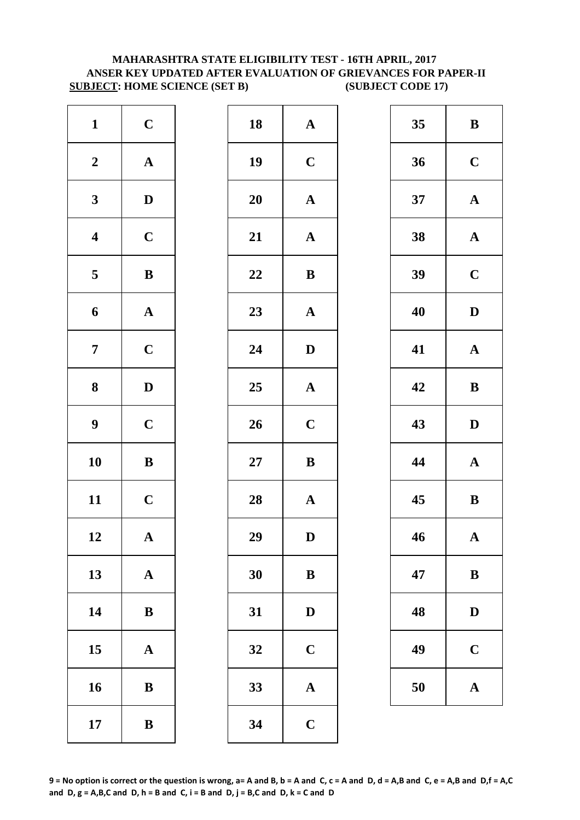# **MAHARASHTRA STATE ELIGIBILITY TEST - 16TH APRIL, 2017 ANSER KEY UPDATED AFTER EVALUATION OF GRIEVANCES FOR PAPER-II SUBJECT: HOME SCIENCE (SET B) (SUBJECT CODE 17)**

| $\mathbf{1}$     | $\mathbf C$           | 18        | $\mathbf{A}$ |
|------------------|-----------------------|-----------|--------------|
| $\boldsymbol{2}$ | $\boldsymbol{\rm{A}}$ | 19        | $\mathbf C$  |
| $\mathbf{3}$     | $\mathbf D$           | <b>20</b> | $\mathbf{A}$ |
| $\boldsymbol{4}$ | $\mathbf C$           | 21        | $\mathbf{A}$ |
| $\sqrt{5}$       | $\, {\bf B}$          | 22        | $\bf{B}$     |
| $\boldsymbol{6}$ | ${\bf A}$             | 23        | $\mathbf{A}$ |
| $\overline{7}$   | $\mathbf C$           | 24        | $\mathbf{D}$ |
| 8                | $\mathbf D$           | 25        | $\mathbf{A}$ |
| $\boldsymbol{9}$ | $\mathbf C$           | 26        | $\mathbf C$  |
| 10               | $\bf{B}$              | $27\,$    | $\bf{B}$     |
| 11               | $\mathbf C$           | 28        | $\mathbf{A}$ |
| 12               | A                     | 29        | D            |
| 13               | $\mathbf A$           | 30        | $\bf{B}$     |
| 14               | $\bf{B}$              | 31        | $\mathbf{D}$ |
| 15               | $\mathbf A$           | 32        | $\mathbf C$  |
| 16               | $\bf{B}$              | 33        | $\mathbf{A}$ |
| 17               | $\, {\bf B}$          | 34        | $\mathbf C$  |

| $\mathbf{1}$            | $\mathbf C$  | 18 | ${\bf A}$             | 35 | $\bf{B}$     |
|-------------------------|--------------|----|-----------------------|----|--------------|
| $\boldsymbol{2}$        | ${\bf A}$    | 19 | $\mathbf C$           | 36 | $\mathbf C$  |
| $\mathbf{3}$            | $\mathbf D$  | 20 | ${\bf A}$             | 37 | $\mathbf A$  |
| $\overline{\mathbf{4}}$ | $\mathbf C$  | 21 | ${\bf A}$             | 38 | $\mathbf A$  |
| $\overline{\mathbf{5}}$ | $\, {\bf B}$ | 22 | ${\bf B}$             | 39 | $\mathbf C$  |
| $\boldsymbol{6}$        | ${\bf A}$    | 23 | ${\bf A}$             | 40 | $\mathbf{D}$ |
| $\overline{7}$          | $\mathbf C$  | 24 | $\mathbf{D}$          | 41 | $\mathbf A$  |
| $\boldsymbol{8}$        | $\mathbf D$  | 25 | $\mathbf A$           | 42 | $\bf{B}$     |
| $\boldsymbol{9}$        | $\mathbf C$  | 26 | $\mathbf C$           | 43 | $\mathbf{D}$ |
| 10                      | $\, {\bf B}$ | 27 | $\, {\bf B}$          | 44 | $\mathbf A$  |
| 11                      | $\mathbf C$  | 28 | $\boldsymbol{\rm{A}}$ | 45 | $\bf{B}$     |
| 12                      | $\mathbf A$  | 29 | D                     | 46 | $\mathbf A$  |
| 13                      | ${\bf A}$    | 30 | $\, {\bf B}$          | 47 | $\bf{B}$     |
| 14                      | ${\bf B}$    | 31 | $\mathbf D$           | 48 | $\mathbf{D}$ |
| 15                      | $\mathbf{A}$ | 32 | $\mathbf C$           | 49 | $\mathbf C$  |
| 16                      | $\, {\bf B}$ | 33 | $\boldsymbol{\rm{A}}$ | 50 | $\mathbf A$  |
| 17                      | $\, {\bf B}$ | 34 | $\mathbf C$           |    |              |
|                         |              |    |                       |    |              |

| 35 | B           |
|----|-------------|
| 36 | $\mathbf C$ |
| 37 | $\mathbf A$ |
| 38 | $\mathbf A$ |
| 39 | $\mathbf C$ |
| 40 | D           |
| 41 | $\mathbf A$ |
| 42 | B           |
|    |             |
| 43 | D           |
| 44 | $\mathbf A$ |
| 45 | $\bf{B}$    |
| 46 | $\mathbf A$ |
| 47 | B           |
| 48 | D           |
| 49 | $\mathbf C$ |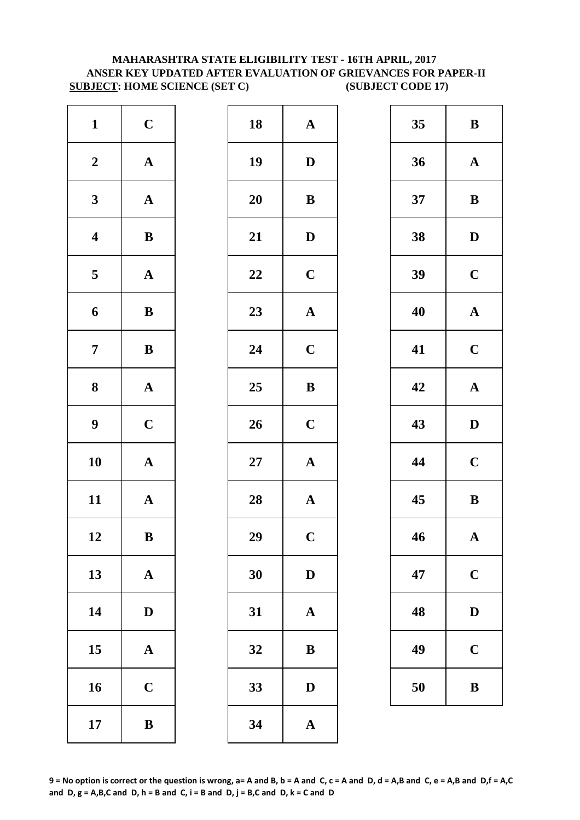# **ANSER KEY UPDATED AFTER EVALUATION OF GRIEVANCES FOR PAPER-II SUBJECT: HOME SCIENCE (SET C) (SUBJECT CODE 17) MAHARASHTRA STATE ELIGIBILITY TEST - 16TH APRIL, 2017**

| $\mathbf{1}$            | $\mathbf C$           | 18     | $\mathbf A$             |
|-------------------------|-----------------------|--------|-------------------------|
| $\boldsymbol{2}$        | $\boldsymbol{\rm{A}}$ | 19     | $\mathbf{D}$            |
| $\mathbf{3}$            | $\boldsymbol{\rm{A}}$ | 20     | $\bf{B}$                |
| $\overline{\mathbf{4}}$ | $\bf{B}$              | 21     | $\mathbf{D}$            |
| $\overline{\mathbf{5}}$ | $\boldsymbol{\rm{A}}$ | 22     | $\mathbf C$             |
| 6                       | $\, {\bf B}$          | 23     | $\mathbf{A}$            |
| $\boldsymbol{7}$        | $\, {\bf B}$          | 24     | $\mathbf C$             |
| $\bf{8}$                | $\boldsymbol{\rm{A}}$ | 25     | $\bf{B}$                |
| $\boldsymbol{9}$        | $\mathbf C$           | 26     | $\mathbf C$             |
| 10                      | $\boldsymbol{\rm{A}}$ | $27\,$ | $\mathbf{A}$            |
| 11                      | $\mathbf A$           | 28     | $\mathbf{A}$            |
| 12                      | B                     | 29     | $\overline{\mathbf{C}}$ |
| 13                      | $\boldsymbol{\rm{A}}$ | 30     | $\mathbf{D}$            |
| 14                      | $\mathbf D$           | 31     | $\mathbf{A}$            |
| 15                      | $\mathbf A$           | 32     | $\bf{B}$                |
| 16                      | $\mathbf C$           | 33     | D                       |
| 17                      | $\bf{B}$              | 34     | $\mathbf{A}$            |

| $\mathbf{1}$            | $\mathbf C$  | 18 | ${\bf A}$             | 35 | $\bf{B}$     |
|-------------------------|--------------|----|-----------------------|----|--------------|
| $\boldsymbol{2}$        | ${\bf A}$    | 19 | $\mathbf D$           | 36 | $\mathbf A$  |
| $\mathbf{3}$            | ${\bf A}$    | 20 | $\, {\bf B}$          | 37 | $\bf{B}$     |
| $\overline{\mathbf{4}}$ | $\, {\bf B}$ | 21 | $\mathbf D$           | 38 | $\mathbf{D}$ |
| $\overline{\mathbf{5}}$ | ${\bf A}$    | 22 | $\mathbf C$           | 39 | $\mathbf C$  |
| $\boldsymbol{6}$        | $\, {\bf B}$ | 23 | ${\bf A}$             | 40 | $\mathbf A$  |
| $\overline{7}$          | ${\bf B}$    | 24 | $\mathbf C$           | 41 | $\mathbf C$  |
| $\boldsymbol{8}$        | ${\bf A}$    | 25 | $\, {\bf B}$          | 42 | $\mathbf A$  |
| $\boldsymbol{9}$        | $\mathbf C$  | 26 | $\mathbf C$           | 43 | $\mathbf{D}$ |
| 10                      | ${\bf A}$    | 27 | $\boldsymbol{\rm{A}}$ | 44 | $\mathbf C$  |
| 11                      | ${\bf A}$    | 28 | ${\bf A}$             | 45 | $\bf{B}$     |
| 12                      | $\bf{B}$     | 29 | $\mathbf C$           | 46 | $\mathbf A$  |
| 13                      | ${\bf A}$    | 30 | $\mathbf D$           | 47 | $\mathbf C$  |
| 14                      | $\mathbf D$  | 31 | $\mathbf A$           | 48 | $\mathbf{D}$ |
| 15                      | $\mathbf A$  | 32 | $\, {\bf B}$          | 49 | $\mathbf C$  |
| 16                      | $\mathbf C$  | 33 | $\mathbf D$           | 50 | $\bf{B}$     |
| 17                      | ${\bf B}$    | 34 | $\mathbf A$           |    |              |
|                         |              |    |                       |    |              |

| 35 | B            |
|----|--------------|
| 36 | $\mathbf A$  |
| 37 | B            |
| 38 | D            |
| 39 | $\mathbf C$  |
| 40 | $\mathbf A$  |
| 41 | $\mathbf C$  |
| 42 | $\mathbf A$  |
| 43 | $\mathbf D$  |
| 44 | $\mathbf C$  |
| 45 | B            |
| 46 | $\mathbf A$  |
| 47 | $\mathbf C$  |
| 48 | $\mathbf{D}$ |
| 49 | $\mathbf C$  |
| 50 | B            |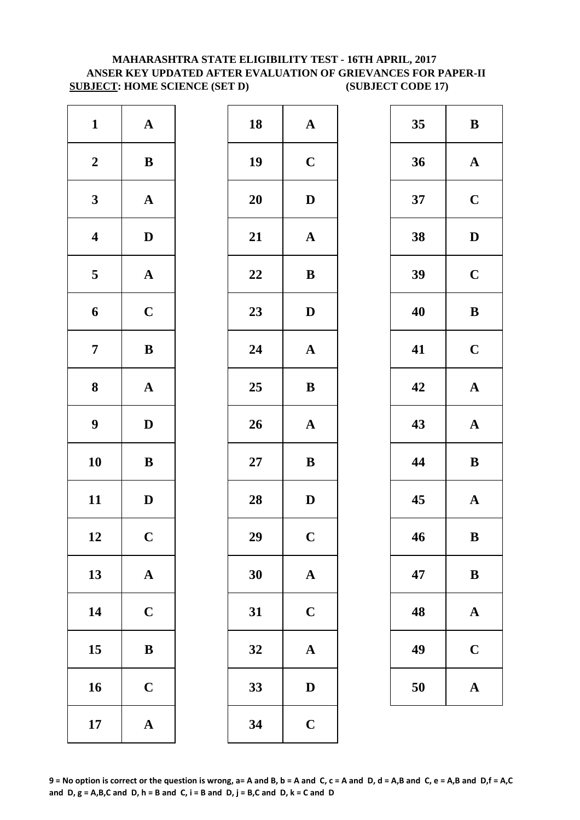# **MAHARASHTRA STATE ELIGIBILITY TEST - 16TH APRIL, 2017 ANSER KEY UPDATED AFTER EVALUATION OF GRIEVANCES FOR PAPER-II SUBJECT: HOME SCIENCE (SET D) (SUBJECT CODE 17)**

| $\mathbf{1}$            | ${\bf A}$             | 18        | $\mathbf{A}$            |
|-------------------------|-----------------------|-----------|-------------------------|
| $\boldsymbol{2}$        | $\bf{B}$              | 19        | $\mathbf C$             |
| $\mathbf{3}$            | $\mathbf A$           | <b>20</b> | $\mathbf{D}$            |
| $\overline{\mathbf{4}}$ | $\mathbf D$           | 21        | $\mathbf{A}$            |
| $\overline{\mathbf{5}}$ | ${\bf A}$             | 22        | $\bf{B}$                |
| 6                       | $\mathbf C$           | 23        | $\mathbf{D}$            |
| $\overline{7}$          | ${\bf B}$             | 24        | $\mathbf A$             |
| 8                       | $\boldsymbol{\rm{A}}$ | 25        | $\bf{B}$                |
| $\boldsymbol{9}$        | $\mathbf D$           | 26        | $\mathbf{A}$            |
| 10                      | $\bf{B}$              | $27\,$    | $\bf{B}$                |
| 11                      | $\mathbf D$           | 28        | $\mathbf{D}$            |
| 12                      | $\mathbf C$           | 29        | $\overline{\mathbf{C}}$ |
| 13                      | ${\bf A}$             | 30        | $\mathbf{A}$            |
| 14                      | $\mathbf C$           | 31        | $\mathbf C$             |
| 15                      | ${\bf B}$             | 32        | $\mathbf{A}$            |
| 16                      | $\mathbf C$           | 33        | $\mathbf{D}$            |
| 17                      | ${\bf A}$             | 34        | $\mathbf C$             |

| $\mathbf{1}$            | ${\bf A}$    | 18     | ${\bf A}$             | 35 | $\bf{B}$     |
|-------------------------|--------------|--------|-----------------------|----|--------------|
| $\boldsymbol{2}$        | $\, {\bf B}$ | 19     | $\mathbf C$           | 36 | $\mathbf A$  |
| $\mathbf{3}$            | ${\bf A}$    | 20     | $\mathbf D$           | 37 | $\mathbf C$  |
| $\overline{\mathbf{4}}$ | $\mathbf D$  | 21     | $\boldsymbol{\rm{A}}$ | 38 | $\mathbf{D}$ |
| $5\overline{)}$         | ${\bf A}$    | 22     | $\bf{B}$              | 39 | $\mathbf C$  |
| $\boldsymbol{6}$        | $\mathbf C$  | 23     | ${\bf D}$             | 40 | $\bf{B}$     |
| $\overline{7}$          | ${\bf B}$    | 24     | $\mathbf A$           | 41 | $\mathbf C$  |
| $\boldsymbol{8}$        | ${\bf A}$    | 25     | $\, {\bf B}$          | 42 | $\mathbf A$  |
| $\boldsymbol{9}$        | $\mathbf D$  | 26     | $\boldsymbol{\rm{A}}$ | 43 | $\mathbf A$  |
| 10                      | $\, {\bf B}$ | $27\,$ | $\bf{B}$              | 44 | $\bf{B}$     |
| 11                      | $\mathbf D$  | 28     | $\mathbf D$           | 45 | $\mathbf A$  |
| 12                      | $\mathbf C$  | 29     | $\mathbf C$           | 46 | $\bf{B}$     |
| 13                      | ${\bf A}$    | 30     | $\mathbf{A}$          | 47 | $\bf{B}$     |
| 14                      | $\mathbf C$  | 31     | $\mathbf C$           | 48 | $\mathbf A$  |
| 15                      | $\bf{B}$     | 32     | $\boldsymbol{\rm{A}}$ | 49 | $\mathbf C$  |
| 16                      | $\mathbf C$  | 33     | ${\bf D}$             | 50 | $\mathbf A$  |
| 17                      | ${\bf A}$    | 34     | $\mathbf C$           |    |              |
|                         |              |        |                       |    |              |

| 35 | B            |
|----|--------------|
| 36 | $\mathbf A$  |
| 37 | $\mathbf C$  |
| 38 | D            |
| 39 | $\mathbf C$  |
| 40 | B            |
| 41 | $\mathbf C$  |
| 42 | $\mathbf A$  |
| 43 | $\mathbf{A}$ |
| 44 | B            |
| 45 | $\mathbf A$  |
| 46 | $\bf{B}$     |
| 47 | B            |
| 48 | $\mathbf A$  |
| 49 | $\mathbf C$  |
| 50 | $\mathbf A$  |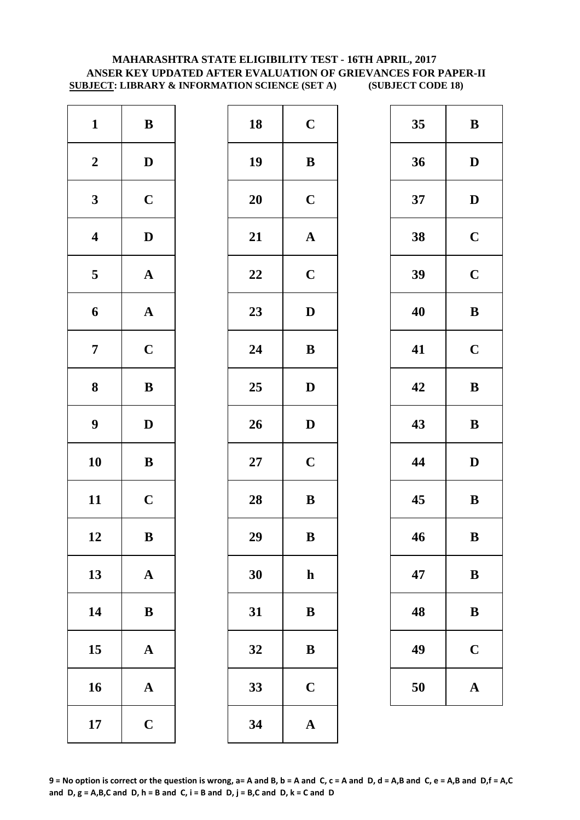#### **MAHARASHTRA STATE ELIGIBILITY TEST - 16TH APRIL, 2017 ANSER KEY UPDATED AFTER EVALUATION OF GRIEVANCES FOR PAPER-II SUBJECT: LIBRARY & INFORMATION SCIENCE (SET A) (SUBJECT CODE 18)**

| $\mathbf{1}$            | $\, {\bf B}$          | 18        | $\mathbf C$  |
|-------------------------|-----------------------|-----------|--------------|
| $\boldsymbol{2}$        | $\mathbf D$           | 19        | $\bf{B}$     |
| $\mathbf{3}$            | $\mathbf C$           | <b>20</b> | $\mathbf C$  |
| $\overline{\mathbf{4}}$ | $\mathbf D$           | 21        | $\mathbf{A}$ |
| $\overline{\mathbf{5}}$ | $\boldsymbol{\rm{A}}$ | 22        | $\mathbf C$  |
| 6                       | ${\bf A}$             | 23        | $\mathbf{D}$ |
| $\overline{7}$          | $\mathbf C$           | 24        | $\bf{B}$     |
| $\bf 8$                 | ${\bf B}$             | 25        | $\mathbf{D}$ |
| $\boldsymbol{9}$        | $\mathbf D$           | 26        | $\mathbf{D}$ |
| 10                      | $\bf{B}$              | $27\,$    | $\mathbf C$  |
| 11                      | $\mathbf C$           | 28        | $\bf{B}$     |
| 12                      | B                     | 29        | B            |
| 13                      | $\mathbf A$           | 30        | $\mathbf h$  |
| 14                      | ${\bf B}$             | 31        | $\bf{B}$     |
| 15                      | $\mathbf A$           | 32        | $\bf{B}$     |
| 16                      | $\mathbf A$           | 33        | $\mathbf C$  |
| 17                      | $\mathbf C$           | 34        | $\mathbf{A}$ |

| $\mathbf{1}$            | $\, {\bf B}$ | 18 | $\mathbf C$           | 35 | $\bf{B}$     |
|-------------------------|--------------|----|-----------------------|----|--------------|
| $\boldsymbol{2}$        | $\mathbf{D}$ | 19 | ${\bf B}$             | 36 | $\mathbf{D}$ |
| $\mathbf{3}$            | $\mathbf C$  | 20 | $\mathbf C$           | 37 | $\mathbf{D}$ |
| $\overline{\mathbf{4}}$ | $\mathbf D$  | 21 | $\boldsymbol{\rm{A}}$ | 38 | $\mathbf C$  |
| $\overline{\mathbf{5}}$ | ${\bf A}$    | 22 | $\mathbf C$           | 39 | $\mathbf C$  |
| $\boldsymbol{6}$        | ${\bf A}$    | 23 | $\mathbf D$           | 40 | $\bf{B}$     |
| $\overline{7}$          | $\mathbf C$  | 24 | ${\bf B}$             | 41 | $\mathbf C$  |
| $\boldsymbol{8}$        | ${\bf B}$    | 25 | $\mathbf D$           | 42 | $\bf{B}$     |
| $\boldsymbol{9}$        | $\mathbf D$  | 26 | $\mathbf D$           | 43 | $\bf{B}$     |
| 10                      | $\, {\bf B}$ | 27 | $\mathbf C$           | 44 | $\mathbf{D}$ |
| 11                      | $\mathbf C$  | 28 | ${\bf B}$             | 45 | $\bf{B}$     |
| 12                      | $\bf{B}$     | 29 | $\bf{B}$              | 46 | $\bf{B}$     |
| 13                      | ${\bf A}$    | 30 | $\mathbf h$           | 47 | $\bf{B}$     |
| 14                      | ${\bf B}$    | 31 | $\bf{B}$              | 48 | $\bf{B}$     |
| 15                      | $\mathbf A$  | 32 | $\bf{B}$              | 49 | $\mathbf C$  |
| 16                      | ${\bf A}$    | 33 | $\mathbf C$           | 50 | $\mathbf A$  |
| 17                      | $\mathbf C$  | 34 | $\mathbf A$           |    |              |
|                         |              |    |                       |    |              |

| 35 | B           |
|----|-------------|
| 36 | D           |
| 37 | D           |
| 38 | $\mathbf C$ |
| 39 | $\mathbf C$ |
| 40 | B           |
| 41 | $\mathbf C$ |
| 42 | $\bf{B}$    |
| 43 | B           |
| 44 | D           |
| 45 | B           |
| 46 | B           |
| 47 | B           |
| 48 | B           |
| 49 | $\mathbf C$ |
| 50 | A           |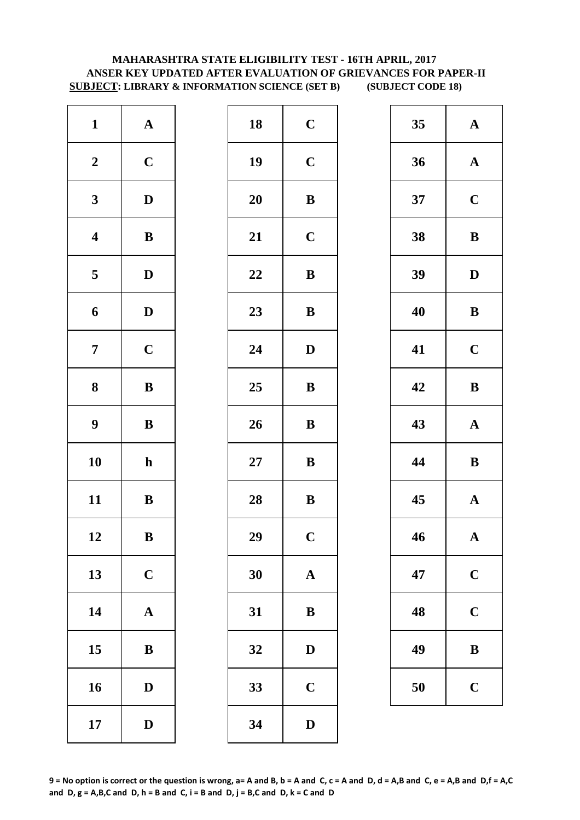# **SUBJECT: LIBRARY & INFORMATION SCIENCE (SET B) (SUBJECT CODE 18) MAHARASHTRA STATE ELIGIBILITY TEST - 16TH APRIL, 2017 ANSER KEY UPDATED AFTER EVALUATION OF GRIEVANCES FOR PAPER-II**

| $\mathbf{1}$            | ${\bf A}$    | 18        | $\mathbf C$    |
|-------------------------|--------------|-----------|----------------|
| $\boldsymbol{2}$        | $\mathbf C$  | 19        | $\mathbf C$    |
| $\mathbf{3}$            | $\mathbf D$  | <b>20</b> | $\bf{B}$       |
| $\overline{\mathbf{4}}$ | $\bf{B}$     | 21        | $\mathbf C$    |
| $\overline{\mathbf{5}}$ | $\mathbf D$  | 22        | $\bf{B}$       |
| 6                       | $\mathbf D$  | 23        | $\bf{B}$       |
| $\overline{7}$          | $\mathbf C$  | 24        | $\mathbf{D}$   |
| 8                       | ${\bf B}$    | 25        | $\bf{B}$       |
| $\boldsymbol{9}$        | $\, {\bf B}$ | 26        | $\bf{B}$       |
| 10                      | $\mathbf h$  | $27\,$    | ${\bf B}$      |
| 11                      | $\bf{B}$     | 28        | $\bf{B}$       |
| 12                      | B            | 29        | $\overline{C}$ |
| 13                      | $\mathbf C$  | 30        | $\mathbf{A}$   |
| 14                      | $\mathbf A$  | 31        | $\bf{B}$       |
| 15                      | ${\bf B}$    | 32        | D              |
| 16                      | $\mathbf D$  | 33        | $\mathbf C$    |
| 17                      | $\mathbf D$  | 34        | $\mathbf{D}$   |

| ${\bf A}$    | 18 | $\mathbf C$  | 35 | $\mathbf A$  |
|--------------|----|--------------|----|--------------|
| $\mathbf C$  | 19 | $\mathbf C$  | 36 | $\mathbf A$  |
| $\mathbf{D}$ | 20 | ${\bf B}$    | 37 | $\mathbf C$  |
| $\, {\bf B}$ | 21 | $\mathbf C$  | 38 | $\bf{B}$     |
| $\mathbf{D}$ | 22 | ${\bf B}$    | 39 | $\mathbf{D}$ |
| $\mathbf D$  | 23 | ${\bf B}$    | 40 | $\bf{B}$     |
| $\mathbf C$  | 24 | $\mathbf D$  | 41 | $\mathbf C$  |
| ${\bf B}$    | 25 | ${\bf B}$    | 42 | $\bf{B}$     |
| ${\bf B}$    | 26 | $\, {\bf B}$ | 43 | $\mathbf A$  |
| $\mathbf{h}$ | 27 | ${\bf B}$    | 44 | $\bf{B}$     |
| ${\bf B}$    | 28 | $\, {\bf B}$ | 45 | $\mathbf A$  |
| $\, {\bf B}$ | 29 | $\mathbf C$  | 46 | $\mathbf A$  |
| $\mathbf C$  | 30 | $\mathbf A$  | 47 | $\mathbf C$  |
| ${\bf A}$    | 31 | $\, {\bf B}$ | 48 | $\mathbf C$  |
| ${\bf B}$    | 32 | $\mathbf{D}$ | 49 | $\bf{B}$     |
| $\mathbf D$  | 33 | $\mathbf C$  | 50 | $\mathbf C$  |
| $\mathbf D$  | 34 | $\mathbf D$  |    |              |
|              |    |              |    |              |

| 35 | $\mathbf{A}$           |
|----|------------------------|
| 36 | $\mathbf A$            |
| 37 | $\mathbf C$            |
| 38 | B                      |
| 39 | D                      |
| 40 | B                      |
| 41 | $\mathbf C$            |
| 42 | $\bf{B}$               |
| 43 | $\mathbf A$            |
| 44 | B                      |
| 45 | $\mathbf A$            |
|    |                        |
| 46 | $\boldsymbol{\Lambda}$ |
| 47 | $\mathbf C$            |
| 48 | $\mathbf C$            |
| 49 | B                      |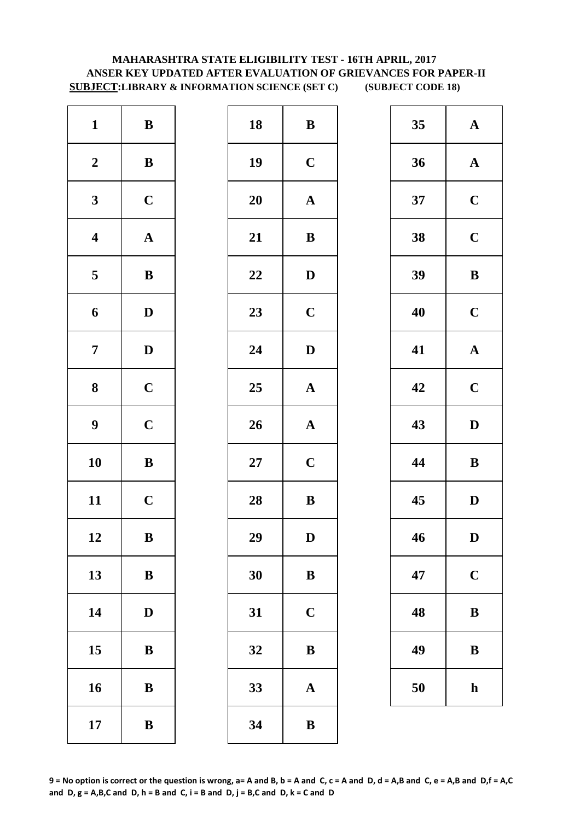# **MAHARASHTRA STATE ELIGIBILITY TEST - 16TH APRIL, 2017 ANSER KEY UPDATED AFTER EVALUATION OF GRIEVANCES FOR PAPER-II SUBJECT:LIBRARY & INFORMATION SCIENCE (SET C) (SUBJECT CODE 18)**

| $\mathbf{1}$            | $\, {\bf B}$ | 18        | $\bf{B}$     |
|-------------------------|--------------|-----------|--------------|
| $\boldsymbol{2}$        | $\, {\bf B}$ | 19        | $\mathbf C$  |
| $\mathbf{3}$            | $\mathbf C$  | <b>20</b> | $\mathbf A$  |
| $\overline{\mathbf{4}}$ | $\mathbf{A}$ | 21        | $\bf{B}$     |
| $\overline{\mathbf{5}}$ | $\, {\bf B}$ | 22        | $\mathbf{D}$ |
| 6                       | $\mathbf D$  | 23        | $\mathbf C$  |
| $\overline{7}$          | $\mathbf D$  | 24        | D            |
| ${\bf 8}$               | $\mathbf C$  | 25        | $\mathbf A$  |
| $\boldsymbol{9}$        | $\mathbf C$  | 26        | $\mathbf{A}$ |
| 10                      | $\bf{B}$     | $27\,$    | $\mathbf C$  |
| 11                      | $\mathbf C$  | 28        | $\bf{B}$     |
| 12                      | B            | 29        | D            |
| 13                      | $\, {\bf B}$ | 30        | $\bf{B}$     |
| 14                      | $\mathbf D$  | 31        | $\mathbf C$  |
| 15                      | ${\bf B}$    | 32        | $\bf{B}$     |
| 16                      | $\, {\bf B}$ | 33        | $\mathbf A$  |
| 17                      | $\bf{B}$     | 34        | $\bf{B}$     |

| $\mathbf{1}$            | $\, {\bf B}$ | 18 | $\, {\bf B}$          | 35 | $\mathbf A$  |
|-------------------------|--------------|----|-----------------------|----|--------------|
| $\boldsymbol{2}$        | ${\bf B}$    | 19 | $\mathbf C$           | 36 | $\mathbf A$  |
| $\mathbf{3}$            | $\mathbf C$  | 20 | ${\bf A}$             | 37 | $\mathbf C$  |
| $\overline{\mathbf{4}}$ | ${\bf A}$    | 21 | $\bf{B}$              | 38 | $\mathbf C$  |
| $\overline{\mathbf{5}}$ | ${\bf B}$    | 22 | $\mathbf D$           | 39 | $\bf{B}$     |
| $\boldsymbol{6}$        | $\mathbf D$  | 23 | $\mathbf C$           | 40 | $\mathbf C$  |
| $\overline{7}$          | $\mathbf{D}$ | 24 | $\mathbf D$           | 41 | $\mathbf A$  |
| $\boldsymbol{8}$        | $\mathbf C$  | 25 | ${\bf A}$             | 42 | $\mathbf C$  |
| $\boldsymbol{9}$        | $\mathbf C$  | 26 | ${\bf A}$             | 43 | $\mathbf{D}$ |
| 10                      | ${\bf B}$    | 27 | $\mathbf C$           | 44 | $\bf{B}$     |
| 11                      | $\mathbf C$  | 28 | $\, {\bf B}$          | 45 | $\mathbf{D}$ |
| 12                      | $\bf{B}$     | 29 | D                     | 46 | D            |
| 13                      | $\, {\bf B}$ | 30 | $\bf{B}$              | 47 | $\mathbf C$  |
| 14                      | $\mathbf D$  | 31 | $\mathbf C$           | 48 | $\bf{B}$     |
| 15                      | $\, {\bf B}$ | 32 | $\, {\bf B}$          | 49 | $\bf{B}$     |
| 16                      | $\, {\bf B}$ | 33 | $\boldsymbol{\rm{A}}$ | 50 | $\mathbf h$  |
| 17                      | $\, {\bf B}$ | 34 | $\bf{B}$              |    |              |

| 35 | $\mathbf A$             |
|----|-------------------------|
| 36 | $\mathbf A$             |
| 37 | $\mathbf C$             |
| 38 | $\mathbf C$             |
| 39 | B                       |
| 40 | $\mathbf C$             |
| 41 | $\mathbf{A}$            |
| 42 | $\overline{\mathbf{C}}$ |
| 43 | D                       |
| 44 | B                       |
| 45 | D                       |
| 46 | D                       |
| 47 | $\mathbf C$             |
| 48 | B                       |
| 49 | B                       |
| 50 | h                       |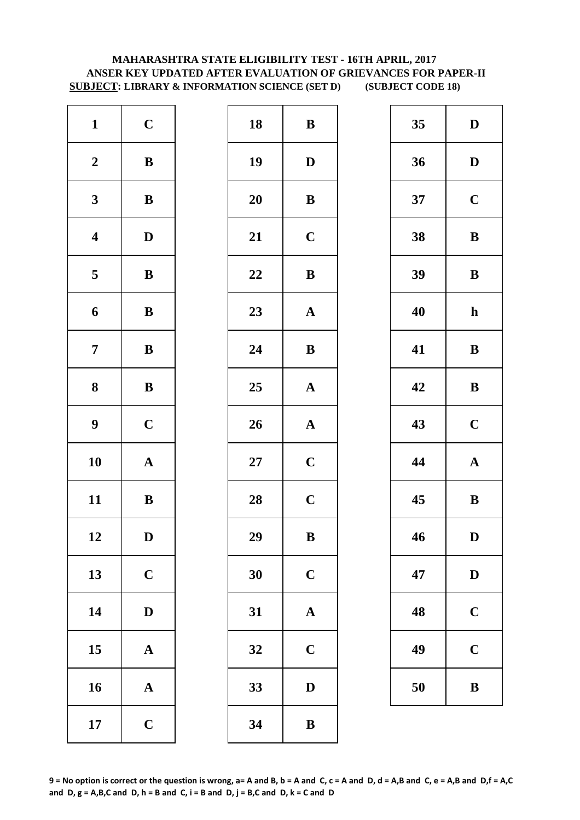# **ANSER KEY UPDATED AFTER EVALUATION OF GRIEVANCES FOR PAPER-II SUBJECT: LIBRARY & INFORMATION SCIENCE (SET D) (SUBJECT CODE 18) MAHARASHTRA STATE ELIGIBILITY TEST - 16TH APRIL, 2017**

| $\mathbf{1}$            | $\mathbf C$  | 18        | $\bf{B}$     |
|-------------------------|--------------|-----------|--------------|
| $\boldsymbol{2}$        | $\, {\bf B}$ | 19        | D            |
| $\mathbf{3}$            | $\bf{B}$     | <b>20</b> | $\bf{B}$     |
| $\overline{\mathbf{4}}$ | $\mathbf D$  | 21        | $\mathbf C$  |
| $\overline{\mathbf{5}}$ | $\, {\bf B}$ | 22        | $\bf{B}$     |
| 6                       | $\, {\bf B}$ | 23        | $\mathbf A$  |
| $\overline{7}$          | $\bf{B}$     | 24        | $\bf{B}$     |
| 8                       | ${\bf B}$    | 25        | $\mathbf A$  |
| $\boldsymbol{9}$        | $\mathbf C$  | 26        | $\mathbf{A}$ |
| 10                      | $\mathbf A$  | $27\,$    | $\mathbf C$  |
| 11                      | $\bf{B}$     | 28        | $\mathbf C$  |
| 12                      | D            | 29        | B            |
| 13                      | $\mathbf C$  | 30        | $\mathbf C$  |
| 14                      | $\mathbf D$  | 31        | $\mathbf A$  |
| 15                      | $\mathbf A$  | 32        | $\mathbf C$  |
| 16                      | $\mathbf A$  | 33        | D            |
| 17                      | $\mathbf C$  | 34        | $\bf{B}$     |

| $\mathbf{1}$            | $\mathbf C$  | 18 | $\, {\bf B}$ | 35 | $\mathbf{D}$ |
|-------------------------|--------------|----|--------------|----|--------------|
| $\boldsymbol{2}$        | $\, {\bf B}$ | 19 | $\mathbf D$  | 36 | $\mathbf{D}$ |
| $\mathbf{3}$            | ${\bf B}$    | 20 | ${\bf B}$    | 37 | $\mathbf C$  |
| $\overline{\mathbf{4}}$ | $\mathbf D$  | 21 | $\mathbf C$  | 38 | $\bf{B}$     |
| $\overline{\mathbf{5}}$ | $\, {\bf B}$ | 22 | $\, {\bf B}$ | 39 | $\bf{B}$     |
| 6                       | ${\bf B}$    | 23 | ${\bf A}$    | 40 | $\mathbf h$  |
| $\overline{7}$          | $\, {\bf B}$ | 24 | $\bf{B}$     | 41 | $\bf{B}$     |
| $\boldsymbol{8}$        | ${\bf B}$    | 25 | ${\bf A}$    | 42 | $\bf{B}$     |
| $\boldsymbol{9}$        | $\mathbf C$  | 26 | ${\bf A}$    | 43 | $\mathbf C$  |
| 10                      | ${\bf A}$    | 27 | $\mathbf C$  | 44 | $\mathbf A$  |
| 11                      | ${\bf B}$    | 28 | $\mathbf C$  | 45 | $\bf{B}$     |
| 12                      | $\mathbf D$  | 29 | $\, {\bf B}$ | 46 | $\mathbf{D}$ |
| 13                      | $\mathbf C$  | 30 | $\mathbf C$  | 47 | $\mathbf{D}$ |
| 14                      | $\mathbf D$  | 31 | $\mathbf A$  | 48 | $\mathbf C$  |
| 15                      | ${\bf A}$    | 32 | $\mathbf C$  | 49 | $\mathbf C$  |
| 16                      | ${\bf A}$    | 33 | $\mathbf D$  | 50 | $\bf{B}$     |
| 17                      | $\mathbf C$  | 34 | $\, {\bf B}$ |    |              |

| 35 | D            |
|----|--------------|
| 36 | D            |
| 37 | $\mathbf C$  |
| 38 | B            |
| 39 | B            |
| 40 | $\mathbf h$  |
| 41 | B            |
| 42 | B            |
| 43 | $\mathbf C$  |
| 44 | $\mathbf A$  |
| 45 | B            |
| 46 | D            |
| 47 | $\mathbf{D}$ |
| 48 | $\mathbf C$  |
| 49 | $\mathbf C$  |
| 50 | B            |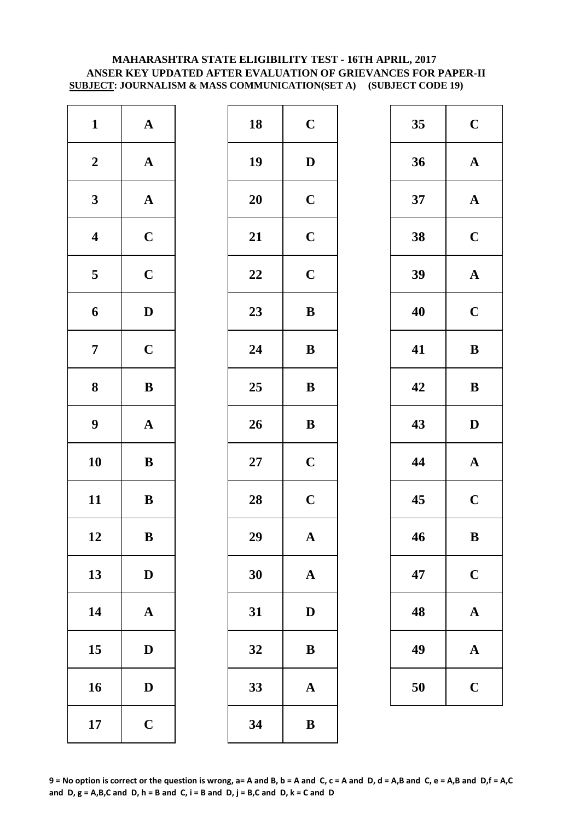#### **MAHARASHTRA STATE ELIGIBILITY TEST - 16TH APRIL, 2017 ANSER KEY UPDATED AFTER EVALUATION OF GRIEVANCES FOR PAPER-II SUBJECT: JOURNALISM & MASS COMMUNICATION(SET A) (SUBJECT CODE 19)**

| $\mathbf{1}$            | $\boldsymbol{\rm{A}}$ | 18        | $\mathbf C$  |
|-------------------------|-----------------------|-----------|--------------|
| $\boldsymbol{2}$        | $\boldsymbol{\rm{A}}$ | 19        | D            |
| $\mathbf{3}$            | $\boldsymbol{\rm{A}}$ | <b>20</b> | $\mathbf C$  |
| $\overline{\mathbf{4}}$ | $\mathbf C$           | 21        | $\mathbf C$  |
| $\overline{\mathbf{5}}$ | $\mathbf C$           | 22        | $\mathbf C$  |
| 6                       | $\mathbf D$           | 23        | $\bf{B}$     |
| $\overline{7}$          | $\mathbf C$           | 24        | $\bf{B}$     |
| 8                       | $\bf{B}$              | 25        | $\bf{B}$     |
| $\boldsymbol{9}$        | $\boldsymbol{\rm{A}}$ | 26        | $\bf{B}$     |
| 10                      | $\bf{B}$              | $27\,$    | $\mathbf C$  |
| 11                      | $\bf{B}$              | 28        | $\mathbf C$  |
| 12                      | B                     | 29        | A            |
| 13                      | $\mathbf D$           | 30        | $\mathbf A$  |
| 14                      | $\boldsymbol{\rm{A}}$ | 31        | D            |
| 15                      | $\mathbf D$           | 32        | $\bf{B}$     |
| 16                      | $\mathbf D$           | 33        | $\mathbf{A}$ |
| 17                      | $\mathbf C$           | 34        | $\bf{B}$     |

| $\mathbf{1}$            | ${\bf A}$    | 18 | $\mathbf C$           | 35 | $\mathbf C$  |
|-------------------------|--------------|----|-----------------------|----|--------------|
| $\boldsymbol{2}$        | ${\bf A}$    | 19 | $\mathbf D$           | 36 | $\mathbf A$  |
| $\mathbf{3}$            | ${\bf A}$    | 20 | $\mathbf C$           | 37 | $\mathbf A$  |
| $\overline{\mathbf{4}}$ | $\mathbf C$  | 21 | $\mathbf C$           | 38 | $\mathbf C$  |
| $\overline{\mathbf{5}}$ | $\mathbf C$  | 22 | $\mathbf C$           | 39 | $\mathbf A$  |
| $\boldsymbol{6}$        | $\mathbf D$  | 23 | ${\bf B}$             | 40 | $\mathbf C$  |
| $\overline{7}$          | $\mathbf C$  | 24 | $\, {\bf B}$          | 41 | $\bf{B}$     |
| $\boldsymbol{8}$        | ${\bf B}$    | 25 | ${\bf B}$             | 42 | $\bf{B}$     |
| $\boldsymbol{9}$        | ${\bf A}$    | 26 | $\, {\bf B}$          | 43 | $\mathbf{D}$ |
| 10                      | $\, {\bf B}$ | 27 | $\mathbf C$           | 44 | $\mathbf A$  |
| 11                      | $\bf{B}$     | 28 | $\mathbf C$           | 45 | $\mathbf C$  |
| 12                      | $\, {\bf B}$ | 29 | $\mathbf A$           | 46 | $\bf{B}$     |
| 13                      | $\mathbf D$  | 30 | $\mathbf A$           | 47 | $\mathbf C$  |
| 14                      | ${\bf A}$    | 31 | $\mathbf D$           | 48 | $\mathbf A$  |
| 15                      | $\mathbf{D}$ | 32 | $\bf{B}$              | 49 | $\mathbf A$  |
| 16                      | $\mathbf D$  | 33 | $\boldsymbol{\rm{A}}$ | 50 | $\mathbf C$  |
| 17                      | $\mathbf C$  | 34 | $\, {\bf B}$          |    |              |

| 35 | $\mathbf C$ |
|----|-------------|
| 36 | ${\bf A}$   |
| 37 | $\mathbf A$ |
| 38 | $\mathbf C$ |
| 39 | $\mathbf A$ |
| 40 | $\mathbf C$ |
| 41 | B           |
| 42 | $\bf{B}$    |
|    |             |
| 43 | D           |
| 44 | $\mathbf A$ |
| 45 | $\mathbf C$ |
| 46 | B           |
| 47 | $\mathbf C$ |
| 48 | A           |
| 49 | $\mathbf A$ |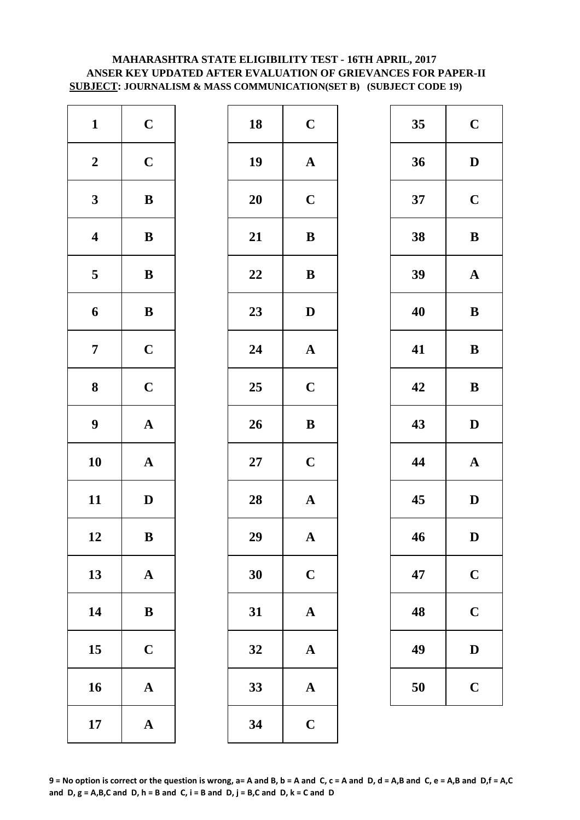# **MAHARASHTRA STATE ELIGIBILITY TEST - 16TH APRIL, 2017 ANSER KEY UPDATED AFTER EVALUATION OF GRIEVANCES FOR PAPER-II SUBJECT: JOURNALISM & MASS COMMUNICATION(SET B) (SUBJECT CODE 19)**

| $\mathbf{1}$            | $\mathbf C$           | 18        | $\mathbf C$  |
|-------------------------|-----------------------|-----------|--------------|
| $\boldsymbol{2}$        | $\mathbf C$           | 19        | $\mathbf{A}$ |
| $\mathbf{3}$            | $\bf{B}$              | <b>20</b> | $\mathbf C$  |
| $\overline{\mathbf{4}}$ | $\, {\bf B}$          | 21        | $\bf{B}$     |
| $\overline{\mathbf{5}}$ | $\, {\bf B}$          | 22        | $\bf{B}$     |
| 6                       | $\, {\bf B}$          | 23        | $\mathbf{D}$ |
| $\overline{7}$          | $\mathbf C$           | 24        | $\mathbf{A}$ |
| ${\bf 8}$               | $\mathbf C$           | 25        | $\mathbf C$  |
| $\boldsymbol{9}$        | $\boldsymbol{\rm{A}}$ | 26        | $\bf{B}$     |
| 10                      | $\boldsymbol{\rm{A}}$ | $27\,$    | $\mathbf C$  |
| 11                      | $\mathbf D$           | 28        | $\mathbf{A}$ |
| 12                      | B                     | 29        | A            |
| 13                      | ${\bf A}$             | 30        | $\mathbf C$  |
| 14                      | $\, {\bf B}$          | 31        | $\mathbf{A}$ |
| 15                      | $\mathbf C$           | 32        | $\mathbf{A}$ |
| 16                      | $\boldsymbol{\rm{A}}$ | 33        | $\mathbf{A}$ |
| 17                      | ${\bf A}$             | 34        | $\mathbf C$  |

| $\mathbf{1}$            | $\mathbf C$  | 18     | $\mathbf C$           | 35 | $\mathbf C$  |
|-------------------------|--------------|--------|-----------------------|----|--------------|
| $\boldsymbol{2}$        | $\mathbf C$  | 19     | ${\bf A}$             | 36 | $\mathbf{D}$ |
| $\mathbf{3}$            | $\, {\bf B}$ | 20     | $\mathbf C$           | 37 | $\mathbf C$  |
| $\overline{\mathbf{4}}$ | $\, {\bf B}$ | 21     | $\, {\bf B}$          | 38 | $\bf{B}$     |
| $\overline{5}$          | $\, {\bf B}$ | 22     | $\bf{B}$              | 39 | $\mathbf A$  |
| 6                       | $\, {\bf B}$ | 23     | $\mathbf D$           | 40 | $\bf{B}$     |
| $\overline{7}$          | $\mathbf C$  | 24     | $\boldsymbol{\rm{A}}$ | 41 | $\bf{B}$     |
| $\boldsymbol{8}$        | $\mathbf C$  | 25     | $\mathbf C$           | 42 | $\bf{B}$     |
| $\boldsymbol{9}$        | ${\bf A}$    | 26     | $\, {\bf B}$          | 43 | $\mathbf{D}$ |
| 10                      | ${\bf A}$    | $27\,$ | $\mathbf C$           | 44 | $\mathbf A$  |
| 11                      | $\mathbf D$  | 28     | $\boldsymbol{\rm{A}}$ | 45 | $\mathbf{D}$ |
| 12                      | $\, {\bf B}$ | 29     | $\mathbf A$           | 46 | D            |
| 13                      | ${\bf A}$    | 30     | $\mathbf C$           | 47 | $\mathbf C$  |
| 14                      | ${\bf B}$    | 31     | $\mathbf A$           | 48 | $\mathbf C$  |
| 15                      | $\mathbf C$  | 32     | $\mathbf A$           | 49 | $\mathbf{D}$ |
| 16                      | ${\bf A}$    | 33     | ${\bf A}$             | 50 | $\mathbf C$  |
| 17                      | ${\bf A}$    | 34     | $\mathbf C$           |    |              |

| 35 | $\mathbf C$ |
|----|-------------|
| 36 | D           |
| 37 | $\mathbf C$ |
| 38 | B           |
| 39 | $\mathbf A$ |
| 40 | B           |
| 41 | B           |
| 42 | B           |
|    |             |
| 43 | D           |
| 44 | $\mathbf A$ |
| 45 | D           |
| 46 | D           |
| 47 | $\mathbf C$ |
| 48 | $\mathbf C$ |
| 49 | D           |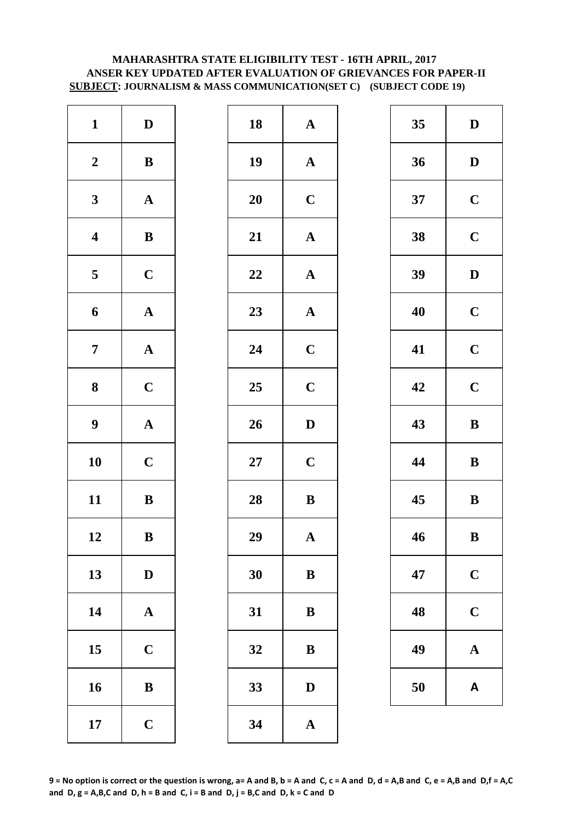# **SUBJECT: JOURNALISM & MASS COMMUNICATION(SET C) (SUBJECT CODE 19) MAHARASHTRA STATE ELIGIBILITY TEST - 16TH APRIL, 2017 ANSER KEY UPDATED AFTER EVALUATION OF GRIEVANCES FOR PAPER-II**

| $\mathbf{1}$            | ${\bf D}$             | 18        | $\mathbf A$  |
|-------------------------|-----------------------|-----------|--------------|
| $\boldsymbol{2}$        | $\, {\bf B}$          | 19        | $\mathbf{A}$ |
| $\mathbf{3}$            | $\boldsymbol{\rm{A}}$ | <b>20</b> | $\mathbf C$  |
| $\overline{\mathbf{4}}$ | $\, {\bf B}$          | 21        | $\mathbf{A}$ |
| $\overline{\mathbf{5}}$ | $\mathbf C$           | 22        | $\mathbf{A}$ |
| 6                       | ${\bf A}$             | 23        | $\mathbf{A}$ |
| $\overline{7}$          | $\boldsymbol{\rm{A}}$ | 24        | $\mathbf C$  |
| 8                       | $\mathbf C$           | 25        | $\mathbf C$  |
| $\boldsymbol{9}$        | $\boldsymbol{\rm{A}}$ | 26        | $\mathbf{D}$ |
| 10                      | $\mathbf C$           | $27\,$    | $\mathbf C$  |
| 11                      | $\, {\bf B}$          | 28        | $\bf{B}$     |
| 12                      | B                     | 29        | A            |
| 13                      | $\mathbf D$           | 30        | $\bf{B}$     |
| 14                      | $\boldsymbol{\rm{A}}$ | 31        | $\bf{B}$     |
| 15                      | $\mathbf C$           | 32        | $\bf{B}$     |
| 16                      | ${\bf B}$             | 33        | $\mathbf{D}$ |
| 17                      | $\mathbf C$           | 34        | $\mathbf{A}$ |

| $\mathbf{1}$            | $\mathbf{D}$ | 18 | $\boldsymbol{\rm{A}}$ | 35 | $\mathbf{D}$ |
|-------------------------|--------------|----|-----------------------|----|--------------|
| $\boldsymbol{2}$        | ${\bf B}$    | 19 | ${\bf A}$             | 36 | $\mathbf{D}$ |
| $\mathbf{3}$            | ${\bf A}$    | 20 | $\mathbf C$           | 37 | $\mathbf C$  |
| $\overline{\mathbf{4}}$ | $\, {\bf B}$ | 21 | $\boldsymbol{\rm{A}}$ | 38 | $\mathbf C$  |
| $\overline{\mathbf{5}}$ | $\mathbf C$  | 22 | $\boldsymbol{\rm{A}}$ | 39 | $\mathbf{D}$ |
| $\boldsymbol{6}$        | ${\bf A}$    | 23 | ${\bf A}$             | 40 | $\mathbf C$  |
| $\overline{7}$          | ${\bf A}$    | 24 | $\mathbf C$           | 41 | $\mathbf C$  |
| $\boldsymbol{8}$        | $\mathbf C$  | 25 | $\mathbf C$           | 42 | $\mathbf C$  |
| $\boldsymbol{9}$        | ${\bf A}$    | 26 | $\mathbf D$           | 43 | $\bf{B}$     |
| 10                      | $\mathbf C$  | 27 | $\mathbf C$           | 44 | $\bf{B}$     |
| 11                      | ${\bf B}$    | 28 | $\bf{B}$              | 45 | $\bf{B}$     |
| 12                      | $\, {\bf B}$ | 29 | $\mathbf A$           | 46 | $\bf{B}$     |
| 13                      | $\mathbf D$  | 30 | ${\bf B}$             | 47 | $\mathbf C$  |
| 14                      | ${\bf A}$    | 31 | $\, {\bf B}$          | 48 | $\mathbf C$  |
| 15                      | $\mathbf C$  | 32 | $\bf{B}$              | 49 | $\mathbf A$  |
| 16                      | $\, {\bf B}$ | 33 | $\mathbf D$           | 50 | A            |
| 17                      | $\mathbf C$  | 34 | $\mathbf A$           |    |              |

| 35 | $\mathbf D$ |
|----|-------------|
| 36 | D           |
| 37 | $\mathbf C$ |
| 38 | $\mathbf C$ |
| 39 | D           |
| 40 | $\mathbf C$ |
| 41 | $\mathbf C$ |
| 42 | $\mathbf C$ |
| 43 | B           |
| 44 | B           |
| 45 | B           |
| 46 | B           |
| 47 | $\mathbf C$ |
| 48 | $\mathbf C$ |
|    |             |
| 49 | $\mathbf A$ |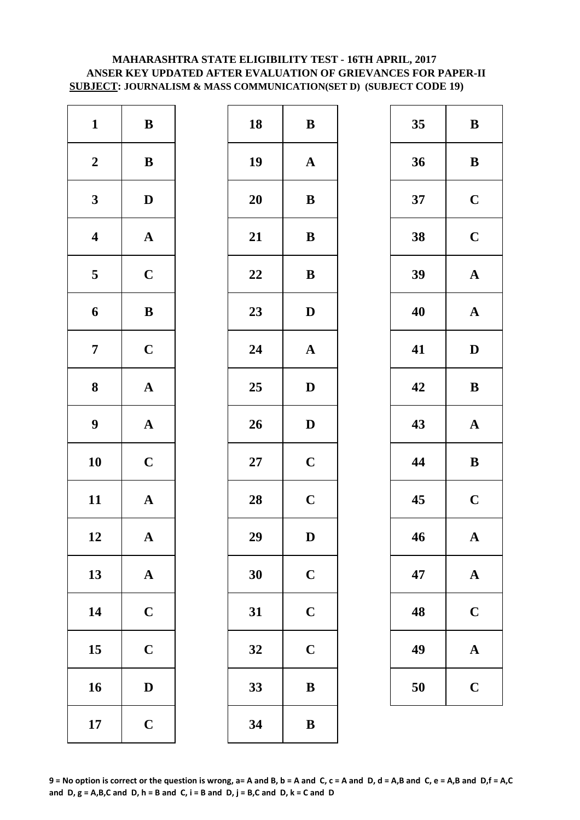# **MAHARASHTRA STATE ELIGIBILITY TEST - 16TH APRIL, 2017 ANSER KEY UPDATED AFTER EVALUATION OF GRIEVANCES FOR PAPER-II SUBJECT: JOURNALISM & MASS COMMUNICATION(SET D) (SUBJECT CODE 19)**

| $\mathbf{1}$            | $\, {\bf B}$          | 18        | $\bf{B}$     |
|-------------------------|-----------------------|-----------|--------------|
| $\boldsymbol{2}$        | $\bf{B}$              | 19        | $\mathbf A$  |
| $\mathbf{3}$            | $\mathbf D$           | <b>20</b> | $\bf{B}$     |
| $\overline{\mathbf{4}}$ | $\boldsymbol{\rm{A}}$ | 21        | $\bf{B}$     |
| $\overline{\mathbf{5}}$ | $\mathbf C$           | 22        | $\bf{B}$     |
| 6                       | $\, {\bf B}$          | 23        | $\mathbf{D}$ |
| $\overline{7}$          | $\mathbf C$           | 24        | $\mathbf{A}$ |
| 8                       | $\boldsymbol{\rm{A}}$ | 25        | D            |
| $\boldsymbol{9}$        | $\boldsymbol{\rm{A}}$ | 26        | D            |
| 10                      | $\mathbf C$           | $27\,$    | $\mathbf C$  |
| 11                      | ${\bf A}$             | 28        | $\mathbf C$  |
| 12                      | A                     | 29        | D            |
| 13                      | ${\bf A}$             | 30        | $\mathbf C$  |
| 14                      | $\mathbf C$           | 31        | $\mathbf C$  |
| 15                      | $\mathbf C$           | 32        | $\mathbf C$  |
| 16                      | $\mathbf D$           | 33        | $\bf{B}$     |
| 17                      | $\mathbf C$           | 34        | $\bf{B}$     |

| $\mathbf{1}$            | ${\bf B}$    | 18     | ${\bf B}$    | 35 | $\bf{B}$     |
|-------------------------|--------------|--------|--------------|----|--------------|
| $\boldsymbol{2}$        | $\, {\bf B}$ | 19     | $\mathbf A$  | 36 | $\bf{B}$     |
| $\mathbf{3}$            | $\mathbf{D}$ | 20     | ${\bf B}$    | 37 | $\mathbf C$  |
| $\overline{\mathbf{4}}$ | ${\bf A}$    | 21     | $\, {\bf B}$ | 38 | $\mathbf C$  |
| $5\phantom{.0}$         | $\mathbf C$  | 22     | $\bf{B}$     | 39 | $\mathbf A$  |
| $\boldsymbol{6}$        | ${\bf B}$    | 23     | $\mathbf D$  | 40 | $\mathbf A$  |
| $\overline{7}$          | $\mathbf C$  | 24     | $\mathbf A$  | 41 | $\mathbf{D}$ |
| $\boldsymbol{8}$        | ${\bf A}$    | 25     | ${\bf D}$    | 42 | $\bf{B}$     |
| $\boldsymbol{9}$        | ${\bf A}$    | 26     | $\mathbf D$  | 43 | $\mathbf A$  |
| 10                      | $\mathbf C$  | $27\,$ | $\mathbf C$  | 44 | $\bf{B}$     |
| 11                      | ${\bf A}$    | 28     | $\mathbf C$  | 45 | $\mathbf C$  |
| 12                      | $\mathbf{A}$ | 29     | ${\bf D}$    | 46 | $\mathbf A$  |
| 13                      | ${\bf A}$    | 30     | $\mathbf C$  | 47 | $\mathbf A$  |
| 14                      | $\mathbf C$  | 31     | $\mathbf C$  | 48 | $\mathbf C$  |
| 15                      | $\mathbf C$  | 32     | $\mathbf C$  | 49 | $\mathbf A$  |
| 16                      | $\mathbf D$  | 33     | $\, {\bf B}$ | 50 | $\mathbf C$  |
| 17                      | $\mathbf C$  | 34     | $\, {\bf B}$ |    |              |

| 35 | B                       |
|----|-------------------------|
| 36 | B                       |
| 37 | $\mathbf C$             |
| 38 | $\mathbf C$             |
| 39 | $\mathbf A$             |
| 40 | $\mathbf A$             |
| 41 | D                       |
| 42 | $\bf{B}$                |
| 43 | ${\bf A}$               |
|    |                         |
| 44 | B                       |
| 45 | $\overline{\mathbf{C}}$ |
| 46 | A                       |
| 47 | $\mathbf A$             |
| 48 | $\mathbf C$             |
| 49 | $\bf A$                 |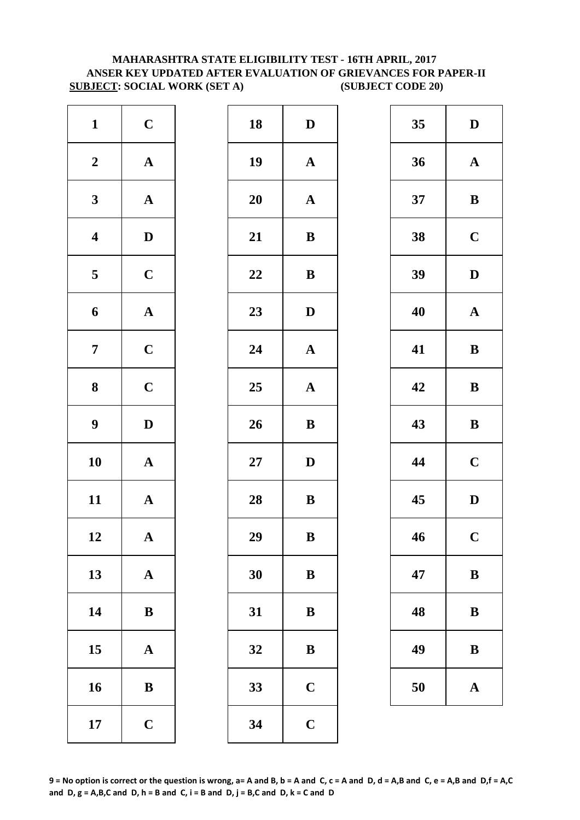# **ANSER KEY UPDATED AFTER EVALUATION OF GRIEVANCES FOR PAPER-II SUBJECT: SOCIAL WORK (SET A) (SUBJECT CODE 20) MAHARASHTRA STATE ELIGIBILITY TEST - 16TH APRIL, 2017**

| $\mathbf{1}$            | $\mathbf C$           | 18     | $\mathbf{D}$ |
|-------------------------|-----------------------|--------|--------------|
| $\boldsymbol{2}$        | $\boldsymbol{\rm{A}}$ | 19     | $\mathbf{A}$ |
| $\mathbf{3}$            | ${\bf A}$             | 20     | $\mathbf{A}$ |
| $\overline{\mathbf{4}}$ | $\mathbf D$           | 21     | $\bf{B}$     |
| 5                       | $\mathbf C$           | 22     | $\bf{B}$     |
| $\boldsymbol{6}$        | ${\bf A}$             | 23     | $\mathbf{D}$ |
| $\boldsymbol{7}$        | $\mathbf C$           | 24     | $\mathbf{A}$ |
| $\bf{8}$                | $\mathbf C$           | 25     | $\mathbf{A}$ |
| $\boldsymbol{9}$        | $\mathbf D$           | 26     | $\bf{B}$     |
| 10                      | ${\bf A}$             | $27\,$ | $\mathbf{D}$ |
| 11                      | ${\bf A}$             | 28     | $\bf{B}$     |
| 12                      | A                     | 29     | $\bf{B}$     |
| 13                      | $\boldsymbol{\rm{A}}$ | 30     | $\bf{B}$     |
| 14                      | $\, {\bf B}$          | 31     | $\bf{B}$     |
| 15                      | ${\bf A}$             | 32     | $\bf{B}$     |
| 16                      | ${\bf B}$             | 33     | $\mathbf C$  |
| 17                      | $\mathbf C$           | 34     | $\mathbf C$  |

| $\mathbf{1}$            | $\mathbf C$  | 18     | $\mathbf D$           | 35 | $\mathbf{D}$ |
|-------------------------|--------------|--------|-----------------------|----|--------------|
| $\boldsymbol{2}$        | ${\bf A}$    | 19     | ${\bf A}$             | 36 | $\mathbf A$  |
| $\mathbf{3}$            | ${\bf A}$    | 20     | ${\bf A}$             | 37 | $\bf{B}$     |
| $\overline{\mathbf{4}}$ | $\mathbf D$  | 21     | $\, {\bf B}$          | 38 | $\mathbf C$  |
| $5\overline{)}$         | $\mathbf C$  | 22     | $\bf{B}$              | 39 | $\mathbf{D}$ |
| 6                       | ${\bf A}$    | 23     | $\mathbf D$           | 40 | $\mathbf A$  |
| $\overline{7}$          | $\mathbf C$  | 24     | $\boldsymbol{\rm{A}}$ | 41 | $\bf{B}$     |
| $\boldsymbol{8}$        | $\mathbf C$  | 25     | ${\bf A}$             | 42 | $\bf{B}$     |
| $\boldsymbol{9}$        | $\mathbf D$  | 26     | $\, {\bf B}$          | 43 | $\bf{B}$     |
| 10                      | ${\bf A}$    | $27\,$ | $\mathbf D$           | 44 | $\mathbf C$  |
| 11                      | ${\bf A}$    | 28     | ${\bf B}$             | 45 | $\mathbf{D}$ |
| 12                      | $\mathbf A$  | 29     | $\, {\bf B}$          | 46 | $\mathbf C$  |
| 13                      | ${\bf A}$    | 30     | $\bf{B}$              | 47 | $\bf{B}$     |
| 14                      | ${\bf B}$    | 31     | $\bf{B}$              | 48 | $\bf{B}$     |
| 15                      | $\mathbf A$  | 32     | $\, {\bf B}$          | 49 | $\bf{B}$     |
| 16                      | $\, {\bf B}$ | 33     | $\mathbf C$           | 50 | $\mathbf A$  |
| 17                      | $\mathbf C$  | 34     | $\mathbf C$           |    |              |
|                         |              |        |                       |    |              |

| 35 | D           |
|----|-------------|
| 36 | $\mathbf A$ |
| 37 | B           |
| 38 | $\mathbf C$ |
| 39 | D           |
| 40 | $\mathbf A$ |
| 41 | B           |
| 42 | B           |
| 43 | B           |
| 44 | $\mathbf C$ |
| 45 | D           |
| 46 | $\mathbf C$ |
| 47 | B           |
| 48 | B           |
| 49 | B           |
| 50 | $\mathbf A$ |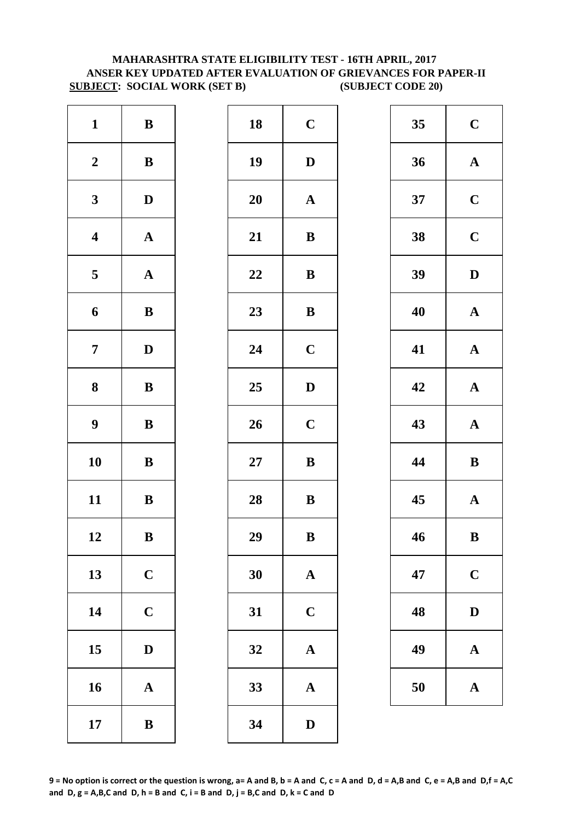# **MAHARASHTRA STATE ELIGIBILITY TEST - 16TH APRIL, 2017 ANSER KEY UPDATED AFTER EVALUATION OF GRIEVANCES FOR PAPER-II SUBJECT: SOCIAL WORK (SET B) (SUBJECT CODE 20)**

| $\mathbf{1}$            | $\, {\bf B}$          | 18        | $\mathbf C$  |
|-------------------------|-----------------------|-----------|--------------|
| $\boldsymbol{2}$        | $\bf{B}$              | 19        | $\mathbf{D}$ |
| $\mathbf{3}$            | $\mathbf D$           | <b>20</b> | $\mathbf{A}$ |
| $\boldsymbol{4}$        | $\boldsymbol{\rm{A}}$ | 21        | $\bf{B}$     |
| $\overline{\mathbf{5}}$ | ${\bf A}$             | 22        | $\bf{B}$     |
| 6                       | $\, {\bf B}$          | 23        | $\bf{B}$     |
| $\overline{7}$          | $\mathbf D$           | 24        | $\mathbf C$  |
| 8                       | ${\bf B}$             | 25        | $\mathbf{D}$ |
| $\boldsymbol{9}$        | $\bf{B}$              | 26        | $\mathbf C$  |
| 10                      | $\bf{B}$              | $27\,$    | $\bf{B}$     |
| 11                      | $\bf{B}$              | 28        | $\bf{B}$     |
| 12                      | B                     | 29        | B            |
| 13                      | $\mathbf C$           | 30        | $\mathbf A$  |
| 14                      | $\mathbf C$           | 31        | $\mathbf C$  |
| 15                      | $\mathbf D$           | 32        | $\mathbf A$  |
| 16                      | $\mathbf A$           | 33        | $\mathbf{A}$ |
| 17                      | $\bf{B}$              | 34        | $\mathbf{D}$ |

| $\mathbf{1}$            | $\, {\bf B}$ | 18 | $\mathbf C$           | 35 | $\mathbf C$  |
|-------------------------|--------------|----|-----------------------|----|--------------|
| $\boldsymbol{2}$        | ${\bf B}$    | 19 | $\mathbf D$           | 36 | $\mathbf A$  |
| $\mathbf{3}$            | $\mathbf D$  | 20 | $\mathbf A$           | 37 | $\mathbf C$  |
| $\overline{\mathbf{4}}$ | ${\bf A}$    | 21 | $\, {\bf B}$          | 38 | $\mathbf C$  |
| $\overline{\mathbf{5}}$ | ${\bf A}$    | 22 | ${\bf B}$             | 39 | $\mathbf{D}$ |
| $\boldsymbol{6}$        | $\, {\bf B}$ | 23 | $\, {\bf B}$          | 40 | $\mathbf A$  |
| $\overline{7}$          | $\mathbf{D}$ | 24 | $\mathbf C$           | 41 | $\mathbf A$  |
| $\boldsymbol{8}$        | $\, {\bf B}$ | 25 | $\mathbf{D}$          | 42 | $\mathbf A$  |
| $\boldsymbol{9}$        | $\, {\bf B}$ | 26 | $\mathbf C$           | 43 | $\mathbf A$  |
| 10                      | ${\bf B}$    | 27 | $\bf{B}$              | 44 | $\bf{B}$     |
| 11                      | ${\bf B}$    | 28 | $\, {\bf B}$          | 45 | $\mathbf A$  |
| 12                      | B            | 29 | $\bf{B}$              | 46 | $\bf{B}$     |
| 13                      | $\mathbf C$  | 30 | ${\bf A}$             | 47 | $\mathbf C$  |
| 14                      | $\mathbf C$  | 31 | $\mathbf C$           | 48 | $\mathbf{D}$ |
| 15                      | $\mathbf{D}$ | 32 | $\boldsymbol{\rm{A}}$ | 49 | $\mathbf A$  |
| 16                      | ${\bf A}$    | 33 | $\boldsymbol{\rm{A}}$ | 50 | $\mathbf A$  |
| 17                      | $\, {\bf B}$ | 34 | $\mathbf D$           |    |              |
|                         |              |    |                       |    |              |

| 35 | $\mathbf C$             |
|----|-------------------------|
| 36 | $\mathbf A$             |
| 37 | $\mathbf C$             |
| 38 | $\overline{\mathbf{C}}$ |
| 39 | D                       |
| 40 | $\mathbf A$             |
| 41 | $\mathbf A$             |
| 42 | $\mathbf A$             |
| 43 | $\mathbf{A}$            |
| 44 | B                       |
| 45 | $\mathbf A$             |
| 46 | B                       |
| 47 | $\mathbf C$             |
| 48 | D                       |
| 49 | $\mathbf A$             |
| 50 | $\mathbf A$             |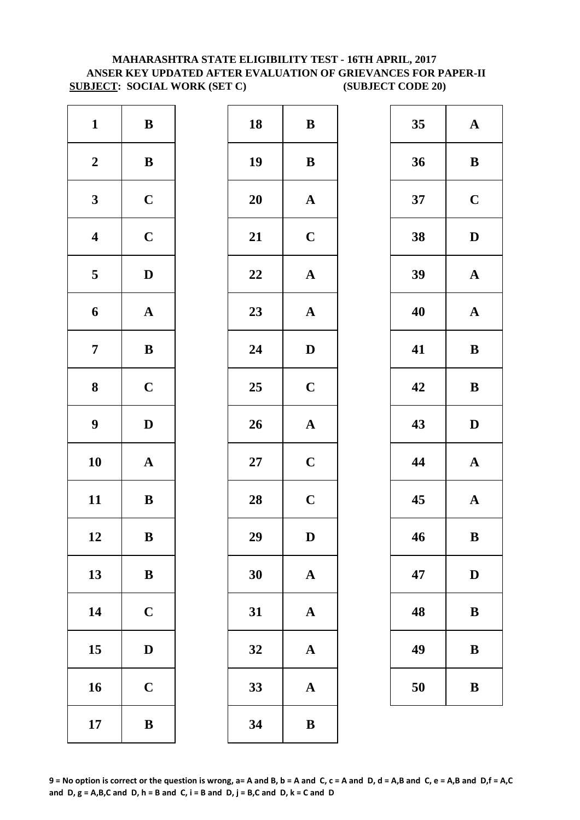# **MAHARASHTRA STATE ELIGIBILITY TEST - 16TH APRIL, 2017 ANSER KEY UPDATED AFTER EVALUATION OF GRIEVANCES FOR PAPER-II SUBJECT: SOCIAL WORK (SET C) (SUBJECT CODE 20)**

| $\mathbf{1}$            | $\, {\bf B}$          | 18        | ${\bf B}$    |
|-------------------------|-----------------------|-----------|--------------|
| $\boldsymbol{2}$        | $\, {\bf B}$          | 19        | $\bf{B}$     |
| $\mathbf{3}$            | $\mathbf C$           | <b>20</b> | $\mathbf A$  |
| $\overline{\mathbf{4}}$ | $\mathbf C$           | 21        | $\mathbf C$  |
| $\overline{\mathbf{5}}$ | $\mathbf D$           | 22        | $\mathbf A$  |
| 6                       | $\boldsymbol{\rm{A}}$ | 23        | $\mathbf{A}$ |
| $\overline{7}$          | $\, {\bf B}$          | 24        | D            |
| ${\bf 8}$               | $\mathbf C$           | 25        | $\mathbf C$  |
| $\boldsymbol{9}$        | $\mathbf D$           | 26        | $\mathbf{A}$ |
| 10                      | $\boldsymbol{\rm{A}}$ | $27\,$    | $\mathbf C$  |
| 11                      | $\bf{B}$              | 28        | $\mathbf C$  |
| 12                      | B                     | 29        | D            |
| 13                      | $\bf{B}$              | 30        | $\mathbf A$  |
| 14                      | $\mathbf C$           | 31        | $\mathbf{A}$ |
| 15                      | $\mathbf D$           | 32        | $\mathbf A$  |
| 16                      | $\mathbf C$           | 33        | $\mathbf{A}$ |
| 17                      | $\bf{B}$              | 34        | $\bf{B}$     |

| $\mathbf{1}$            | ${\bf B}$    | 18     | ${\bf B}$             | 35 | $\mathbf A$  |
|-------------------------|--------------|--------|-----------------------|----|--------------|
| $\boldsymbol{2}$        | $\, {\bf B}$ | 19     | $\, {\bf B}$          | 36 | $\bf{B}$     |
| $\mathbf{3}$            | $\mathbf C$  | 20     | ${\bf A}$             | 37 | $\mathbf C$  |
| $\overline{\mathbf{4}}$ | $\mathbf C$  | 21     | $\mathbf C$           | 38 | $\mathbf{D}$ |
| $\overline{5}$          | $\mathbf D$  | 22     | $\boldsymbol{\rm{A}}$ | 39 | $\mathbf A$  |
| $\boldsymbol{6}$        | ${\bf A}$    | 23     | ${\bf A}$             | 40 | $\mathbf A$  |
| $\overline{7}$          | ${\bf B}$    | 24     | $\mathbf D$           | 41 | $\bf{B}$     |
| $\boldsymbol{8}$        | $\mathbf C$  | 25     | $\mathbf C$           | 42 | $\bf{B}$     |
| $\boldsymbol{9}$        | $\mathbf D$  | 26     | ${\bf A}$             | 43 | $\mathbf{D}$ |
| 10                      | ${\bf A}$    | $27\,$ | $\mathbf C$           | 44 | $\mathbf A$  |
| 11                      | ${\bf B}$    | 28     | $\mathbf C$           | 45 | $\mathbf A$  |
| 12                      | $\, {\bf B}$ | 29     | $\mathbf D$           | 46 | $\bf{B}$     |
| 13                      | $\, {\bf B}$ | 30     | $\mathbf{A}$          | 47 | D            |
| 14                      | $\mathbf C$  | 31     | $\mathbf A$           | 48 | $\bf{B}$     |
| 15                      | $\mathbf D$  | 32     | $\mathbf A$           | 49 | $\bf{B}$     |
| 16                      | $\mathbf C$  | 33     | ${\bf A}$             | 50 | $\bf{B}$     |
| 17                      | $\, {\bf B}$ | 34     | $\bf{B}$              |    |              |
|                         |              |        |                       |    |              |

| 35 | A           |
|----|-------------|
| 36 | B           |
| 37 | $\mathbf C$ |
| 38 | D           |
| 39 | $\mathbf A$ |
| 40 | $\mathbf A$ |
| 41 | B           |
| 42 | B           |
| 43 | D           |
| 44 | $\mathbf A$ |
| 45 | $\mathbf A$ |
| 46 | B           |
| 47 | D           |
| 48 | B           |
| 49 | B           |
|    |             |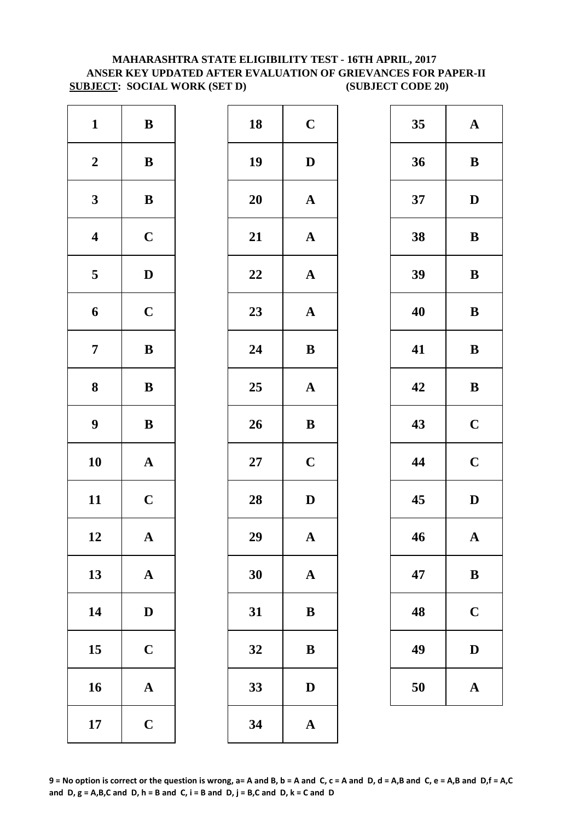# **SUBJECT: SOCIAL WORK (SET D) (SUBJECT CODE 20) MAHARASHTRA STATE ELIGIBILITY TEST - 16TH APRIL, 2017 ANSER KEY UPDATED AFTER EVALUATION OF GRIEVANCES FOR PAPER-II**

| $\mathbf{1}$            | $\, {\bf B}$          | 18        | $\mathbf C$  |
|-------------------------|-----------------------|-----------|--------------|
| $\boldsymbol{2}$        | $\, {\bf B}$          | 19        | $\mathbf{D}$ |
| $\mathbf{3}$            | $\, {\bf B}$          | <b>20</b> | $\mathbf A$  |
| $\overline{\mathbf{4}}$ | $\mathbf C$           | 21        | $\mathbf{A}$ |
| 5                       | $\mathbf D$           | 22        | $\mathbf{A}$ |
| 6                       | $\mathbf C$           | 23        | $\mathbf A$  |
| $\overline{7}$          | $\, {\bf B}$          | 24        | $\bf{B}$     |
| ${\bf 8}$               | $\, {\bf B}$          | 25        | $\mathbf A$  |
| $\boldsymbol{9}$        | $\, {\bf B}$          | 26        | $\bf{B}$     |
| 10                      | $\boldsymbol{\rm{A}}$ | $27\,$    | $\mathbf C$  |
| 11                      | $\mathbf C$           | 28        | $\mathbf{D}$ |
| 12                      | A                     | 29        | A            |
| 13                      | ${\bf A}$             | 30        | $\mathbf A$  |
| 14                      | $\mathbf D$           | 31        | $\bf{B}$     |
| 15                      | $\mathbf C$           | 32        | $\bf{B}$     |
| 16                      | $\boldsymbol{\rm{A}}$ | 33        | D            |
| 17                      | $\mathbf C$           | 34        | $\mathbf{A}$ |

| $\mathbf{1}$            | $\, {\bf B}$ | 18 | $\mathbf C$           | 35 | $\mathbf A$  |
|-------------------------|--------------|----|-----------------------|----|--------------|
| $\boldsymbol{2}$        | ${\bf B}$    | 19 | $\mathbf D$           | 36 | $\bf{B}$     |
| $\mathbf{3}$            | $\bf{B}$     | 20 | $\boldsymbol{\rm{A}}$ | 37 | $\mathbf{D}$ |
| $\overline{\mathbf{4}}$ | $\mathbf C$  | 21 | $\boldsymbol{\rm{A}}$ | 38 | $\bf{B}$     |
| $\overline{\mathbf{5}}$ | $\mathbf D$  | 22 | ${\bf A}$             | 39 | $\bf{B}$     |
| $\boldsymbol{6}$        | $\mathbf C$  | 23 | ${\bf A}$             | 40 | $\bf{B}$     |
| $\overline{7}$          | ${\bf B}$    | 24 | ${\bf B}$             | 41 | $\bf{B}$     |
| $\boldsymbol{8}$        | $\, {\bf B}$ | 25 | ${\bf A}$             | 42 | $\bf{B}$     |
| $\boldsymbol{9}$        | $\, {\bf B}$ | 26 | $\, {\bf B}$          | 43 | $\mathbf C$  |
| 10                      | ${\bf A}$    | 27 | $\mathbf C$           | 44 | $\mathbf C$  |
| 11                      | $\mathbf C$  | 28 | $\mathbf D$           | 45 | $\mathbf{D}$ |
| 12                      | $\mathbf{A}$ | 29 | $\mathbf{A}$          | 46 | $\mathbf A$  |
| 13                      | ${\bf A}$    | 30 | ${\bf A}$             | 47 | $\bf{B}$     |
| 14                      | $\mathbf D$  | 31 | $\bf{B}$              | 48 | $\mathbf C$  |
| 15                      | $\mathbf C$  | 32 | $\, {\bf B}$          | 49 | $\mathbf{D}$ |
| 16                      | ${\bf A}$    | 33 | $\mathbf D$           | 50 | $\mathbf A$  |
| 17                      | $\mathbf C$  | 34 | $\mathbf A$           |    |              |
|                         |              |    |                       |    |              |

| 35 | $\mathbf A$             |
|----|-------------------------|
| 36 | B                       |
| 37 | D                       |
| 38 | B                       |
| 39 | B                       |
| 40 | B                       |
| 41 | B                       |
| 42 | B                       |
| 43 | $\mathbf C$             |
| 44 | $\mathbf C$             |
| 45 | D                       |
| 46 | $\overline{\mathbf{A}}$ |
| 47 | B                       |
| 48 | $\mathbf C$             |
| 49 | $\mathbf D$             |
| 50 | $\mathbf A$             |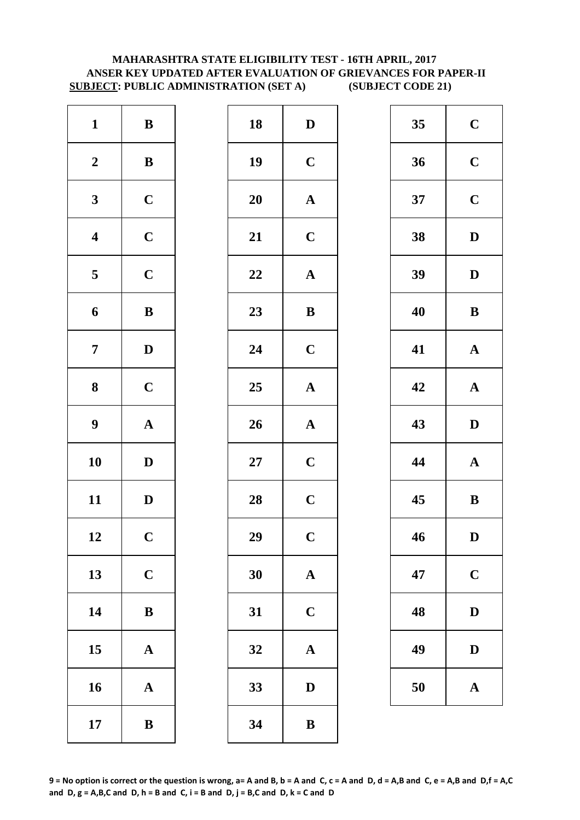# **MAHARASHTRA STATE ELIGIBILITY TEST - 16TH APRIL, 2017 ANSER KEY UPDATED AFTER EVALUATION OF GRIEVANCES FOR PAPER-II SUBJECT: PUBLIC ADMINISTRATION (SET A) (SUBJECT CODE 21)**

| $\mathbf{1}$            | $\, {\bf B}$          | 18        | $\mathbf{D}$   |
|-------------------------|-----------------------|-----------|----------------|
| $\boldsymbol{2}$        | $\, {\bf B}$          | 19        | $\mathbf C$    |
| $\mathbf{3}$            | $\mathbf C$           | <b>20</b> | $\mathbf A$    |
| $\overline{\mathbf{4}}$ | $\mathbf C$           | 21        | $\mathbf C$    |
| $\overline{\mathbf{5}}$ | $\mathbf C$           | 22        | $\mathbf A$    |
| $\boldsymbol{6}$        | $\, {\bf B}$          | 23        | $\bf{B}$       |
| $\overline{7}$          | $\mathbf D$           | 24        | $\mathbf C$    |
| ${\bf 8}$               | $\mathbf C$           | 25        | $\mathbf A$    |
| $\boldsymbol{9}$        | $\boldsymbol{\rm{A}}$ | 26        | $\mathbf A$    |
| 10                      | $\mathbf D$           | $27\,$    | $\mathbf C$    |
| 11                      | $\mathbf D$           | 28        | $\mathbf C$    |
| 12                      | $\mathbf C$           | 29        | $\overline{C}$ |
| 13                      | $\mathbf C$           | 30        | $\mathbf{A}$   |
| 14                      | $\, {\bf B}$          | 31        | $\mathbf C$    |
| 15                      | $\mathbf A$           | 32        | $\mathbf A$    |
| 16                      | $\boldsymbol{\rm{A}}$ | 33        | D              |
| 17                      | $\bf{B}$              | 34        | $\bf{B}$       |

| $\mathbf{1}$            | ${\bf B}$    | 18 | $\mathbf D$           | 35 | $\mathbf C$  |
|-------------------------|--------------|----|-----------------------|----|--------------|
| $\boldsymbol{2}$        | ${\bf B}$    | 19 | $\mathbf C$           | 36 | $\mathbf C$  |
| $\mathbf{3}$            | $\mathbf C$  | 20 | ${\bf A}$             | 37 | $\mathbf C$  |
| $\overline{\mathbf{4}}$ | $\mathbf C$  | 21 | $\mathbf C$           | 38 | $\mathbf{D}$ |
| $\overline{\mathbf{5}}$ | $\mathbf C$  | 22 | $\boldsymbol{\rm{A}}$ | 39 | $\mathbf{D}$ |
| $\boldsymbol{6}$        | $\, {\bf B}$ | 23 | ${\bf B}$             | 40 | $\bf{B}$     |
| $\overline{7}$          | $\mathbf D$  | 24 | $\mathbf C$           | 41 | $\mathbf A$  |
| $\boldsymbol{8}$        | $\mathbf C$  | 25 | ${\bf A}$             | 42 | $\mathbf A$  |
| $\boldsymbol{9}$        | ${\bf A}$    | 26 | ${\bf A}$             | 43 | $\mathbf{D}$ |
| 10                      | $\mathbf{D}$ | 27 | $\mathbf C$           | 44 | $\mathbf A$  |
| 11                      | $\mathbf D$  | 28 | $\mathbf C$           | 45 | $\bf{B}$     |
| 12                      | $\mathbf C$  | 29 | $\mathbf C$           | 46 | $\mathbf{D}$ |
| 13                      | $\mathbf C$  | 30 | $\mathbf{A}$          | 47 | $\mathbf C$  |
| 14                      | $\, {\bf B}$ | 31 | $\mathbf C$           | 48 | $\mathbf{D}$ |
| 15                      | ${\bf A}$    | 32 | $\mathbf{A}$          | 49 | $\mathbf{D}$ |
| 16                      | ${\bf A}$    | 33 | $\mathbf D$           | 50 | $\mathbf A$  |
| 17                      | $\, {\bf B}$ | 34 | $\, {\bf B}$          |    |              |
|                         |              |    |                       |    |              |

| 35 | $\mathbf C$  |
|----|--------------|
| 36 | $\mathbf C$  |
| 37 | $\mathbf C$  |
| 38 | D            |
| 39 | D            |
| 40 | B            |
| 41 | $\mathbf A$  |
| 42 | ${\bf A}$    |
| 43 | $\mathbf{D}$ |
|    |              |
| 44 | $\mathbf{A}$ |
| 45 | $\bf{B}$     |
| 46 | $\bf{D}$     |
| 47 | $\mathbf C$  |
| 48 | D            |
| 49 | D            |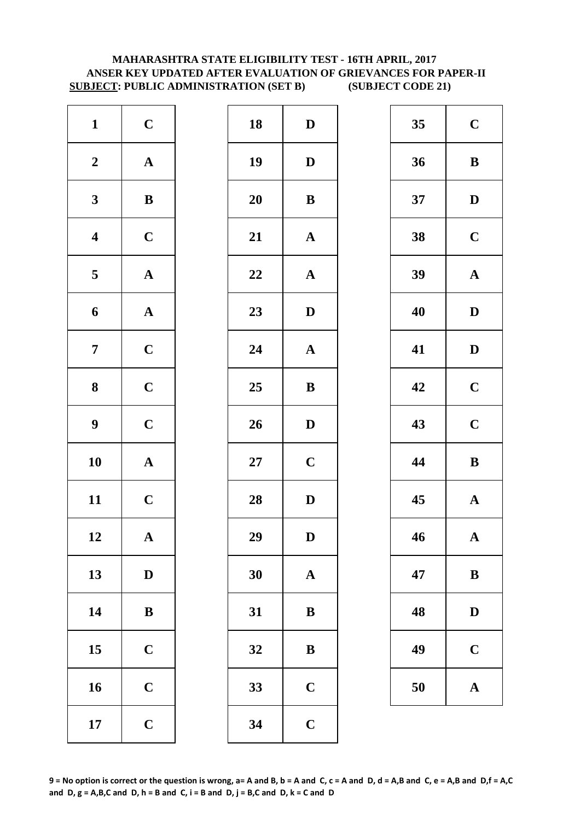# **ANSER KEY UPDATED AFTER EVALUATION OF GRIEVANCES FOR PAPER-II SUBJECT: PUBLIC ADMINISTRATION (SET B) (SUBJECT CODE 21) MAHARASHTRA STATE ELIGIBILITY TEST - 16TH APRIL, 2017**

| $\mathbf{1}$            | $\mathbf C$           | 18        | $\mathbf{D}$ |
|-------------------------|-----------------------|-----------|--------------|
| $\boldsymbol{2}$        | $\boldsymbol{\rm{A}}$ | 19        | $\mathbf{D}$ |
| $\mathbf{3}$            | $\bf{B}$              | <b>20</b> | $\bf{B}$     |
| $\overline{\mathbf{4}}$ | $\mathbf C$           | 21        | $\mathbf{A}$ |
| $\overline{\mathbf{5}}$ | $\boldsymbol{\rm{A}}$ | 22        | $\mathbf{A}$ |
| 6                       | ${\bf A}$             | 23        | $\mathbf{D}$ |
| $\overline{7}$          | $\mathbf C$           | 24        | $\mathbf A$  |
| 8                       | $\mathbf C$           | 25        | $\bf{B}$     |
| $\boldsymbol{9}$        | $\mathbf C$           | 26        | $\mathbf{D}$ |
| 10                      | $\mathbf A$           | $27\,$    | $\mathbf C$  |
| 11                      | $\mathbf C$           | 28        | $\mathbf{D}$ |
| 12                      | $\mathbf{A}$          | 29        | D            |
| 13                      | $\mathbf D$           | 30        | $\mathbf A$  |
| 14                      | $\, {\bf B}$          | 31        | $\bf{B}$     |
| 15                      | $\mathbf C$           | 32        | $\bf{B}$     |
| 16                      | $\mathbf C$           | 33        | $\mathbf C$  |
| 17                      | $\mathbf C$           | 34        | $\mathbf C$  |

| $\mathbf{1}$            | $\mathbf C$           | 18 | $\mathbf D$           | 35 | $\mathbf C$  |
|-------------------------|-----------------------|----|-----------------------|----|--------------|
| $\boldsymbol{2}$        | ${\bf A}$             | 19 | $\mathbf D$           | 36 | $\bf{B}$     |
| $\mathbf{3}$            | ${\bf B}$             | 20 | $\bf{B}$              | 37 | $\mathbf{D}$ |
| $\overline{\mathbf{4}}$ | $\mathbf C$           | 21 | ${\bf A}$             | 38 | $\mathbf C$  |
| $\overline{\mathbf{5}}$ | ${\bf A}$             | 22 | $\boldsymbol{\rm{A}}$ | 39 | $\mathbf A$  |
| $\boldsymbol{6}$        | ${\bf A}$             | 23 | $\mathbf D$           | 40 | $\mathbf{D}$ |
| $\overline{7}$          | $\mathbf C$           | 24 | $\boldsymbol{\rm{A}}$ | 41 | $\mathbf{D}$ |
| $\boldsymbol{8}$        | $\mathbf C$           | 25 | $\bf{B}$              | 42 | $\mathbf C$  |
| $\boldsymbol{9}$        | $\mathbf C$           | 26 | $\mathbf D$           | 43 | $\mathbf C$  |
| 10                      | ${\bf A}$             | 27 | $\mathbf C$           | 44 | $\bf{B}$     |
| 11                      | $\mathbf C$           | 28 | $\mathbf D$           | 45 | $\mathbf A$  |
| 12                      | $\boldsymbol{\rm{A}}$ | 29 | $\mathbf D$           | 46 | $\mathbf A$  |
| 13                      | $\mathbf D$           | 30 | $\mathbf{A}$          | 47 | $\bf{B}$     |
| 14                      | $\, {\bf B}$          | 31 | $\, {\bf B}$          | 48 | $\mathbf{D}$ |
| 15                      | $\mathbf C$           | 32 | $\bf{B}$              | 49 | $\mathbf C$  |
| 16                      | $\mathbf C$           | 33 | $\mathbf C$           | 50 | $\mathbf A$  |
| 17                      | $\mathbf C$           | 34 | $\mathbf C$           |    |              |

| 35 | $\mathbf C$ |
|----|-------------|
| 36 | B           |
| 37 | D           |
| 38 | $\mathbf C$ |
| 39 | $\mathbf A$ |
| 40 | D           |
| 41 | D           |
| 42 | $\mathbf C$ |
| 43 | $\mathbf C$ |
| 44 | B           |
| 45 | $\mathbf A$ |
| 46 | $\mathbf A$ |
| 47 | $\bf{B}$    |
| 48 | $\bf{D}$    |
| 49 | $\mathbf C$ |
| 50 | $\mathbf A$ |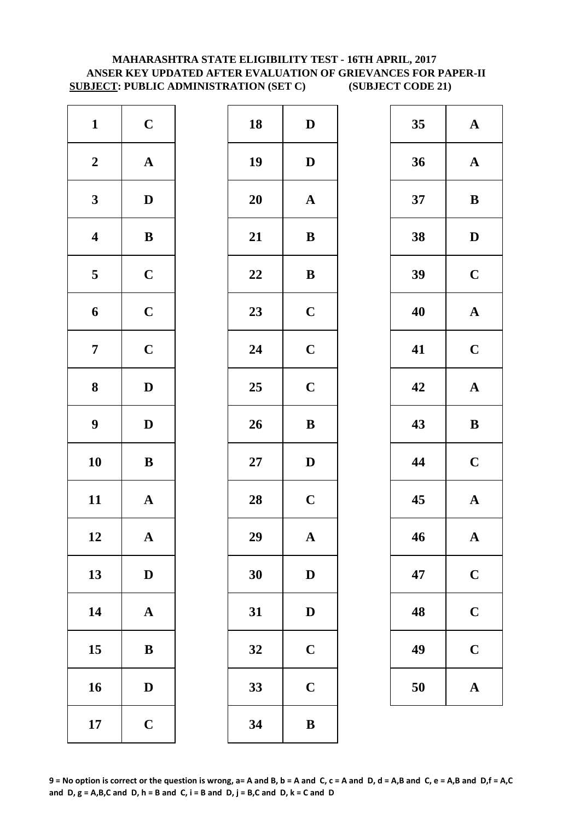# **MAHARASHTRA STATE ELIGIBILITY TEST - 16TH APRIL, 2017 ANSER KEY UPDATED AFTER EVALUATION OF GRIEVANCES FOR PAPER-II SUBJECT: PUBLIC ADMINISTRATION (SET C) (SUBJECT CODE 21)**

| $\mathbf{1}$            | $\mathbf C$           | 18        | $\mathbf{D}$ |
|-------------------------|-----------------------|-----------|--------------|
| $\boldsymbol{2}$        | $\boldsymbol{\rm{A}}$ | 19        | D            |
| $\mathbf{3}$            | $\mathbf D$           | <b>20</b> | $\mathbf A$  |
| $\overline{\mathbf{4}}$ | $\, {\bf B}$          | 21        | $\bf{B}$     |
| $\overline{\mathbf{5}}$ | $\mathbf C$           | 22        | $\bf{B}$     |
| $\boldsymbol{6}$        | $\mathbf C$           | 23        | $\mathbf C$  |
| $\boldsymbol{7}$        | $\mathbf C$           | 24        | $\mathbf C$  |
| ${\bf 8}$               | $\mathbf D$           | 25        | $\mathbf C$  |
| $\boldsymbol{9}$        | $\mathbf D$           | 26        | $\bf{B}$     |
| 10                      | $\bf{B}$              | $27\,$    | $\mathbf{D}$ |
| 11                      | $\mathbf A$           | 28        | $\mathbf C$  |
| 12                      | $\mathbf A$           | 29        | A            |
| 13                      | $\mathbf D$           | 30        | D            |
| 14                      | $\boldsymbol{\rm{A}}$ | 31        | $\mathbf{D}$ |
| 15                      | ${\bf B}$             | 32        | $\mathbf C$  |
| 16                      | $\mathbf D$           | 33        | $\mathbf C$  |
| 17                      | $\mathbf C$           | 34        | $\bf{B}$     |

| $\mathbf{1}$            | $\mathbf C$           | 18 | $\mathbf D$           | 35 | $\mathbf A$  |
|-------------------------|-----------------------|----|-----------------------|----|--------------|
| $\boldsymbol{2}$        | ${\bf A}$             | 19 | $\mathbf D$           | 36 | $\mathbf A$  |
| $\mathbf{3}$            | $\mathbf{D}$          | 20 | $\mathbf{A}$          | 37 | $\bf{B}$     |
| $\overline{\mathbf{4}}$ | $\, {\bf B}$          | 21 | $\, {\bf B}$          | 38 | $\mathbf{D}$ |
| $\overline{\mathbf{5}}$ | $\mathbf C$           | 22 | $\, {\bf B}$          | 39 | $\mathbf C$  |
| $\boldsymbol{6}$        | $\mathbf C$           | 23 | $\mathbf C$           | 40 | $\mathbf A$  |
| $\overline{7}$          | $\mathbf C$           | 24 | $\mathbf C$           | 41 | $\mathbf C$  |
| $\boldsymbol{8}$        | $\mathbf{D}$          | 25 | $\mathbf C$           | 42 | $\mathbf A$  |
| $\boldsymbol{9}$        | $\mathbf D$           | 26 | $\, {\bf B}$          | 43 | $\bf{B}$     |
| 10                      | ${\bf B}$             | 27 | $\mathbf D$           | 44 | $\mathbf C$  |
| 11                      | ${\bf A}$             | 28 | $\mathbf C$           | 45 | $\mathbf A$  |
| 12                      | $\boldsymbol{\rm{A}}$ | 29 | $\boldsymbol{\rm{A}}$ | 46 | $\mathbf A$  |
| 13                      | $\mathbf D$           | 30 | $\mathbf D$           | 47 | $\mathbf C$  |
| 14                      | ${\bf A}$             | 31 | ${\bf D}$             | 48 | $\mathbf C$  |
| 15                      | $\bf{B}$              | 32 | $\mathbf C$           | 49 | $\mathbf C$  |
| 16                      | $\mathbf D$           | 33 | $\mathbf C$           | 50 | $\mathbf A$  |
| 17                      | $\mathbf C$           | 34 | $\, {\bf B}$          |    |              |
|                         |                       |    |                       |    |              |

| 35 | $\mathbf A$  |
|----|--------------|
| 36 | $\mathbf A$  |
| 37 | $\bf{B}$     |
| 38 | D            |
| 39 | $\mathbf C$  |
| 40 | $\mathbf{A}$ |
| 41 | $\mathbf C$  |
| 42 | $\mathbf A$  |
|    |              |
| 43 | B            |
| 44 | $\mathbf C$  |
| 45 | $\mathbf A$  |
| 46 | $\mathbf A$  |
| 47 | $\mathbf C$  |
| 48 | $\mathbf C$  |
| 49 | $\mathbf C$  |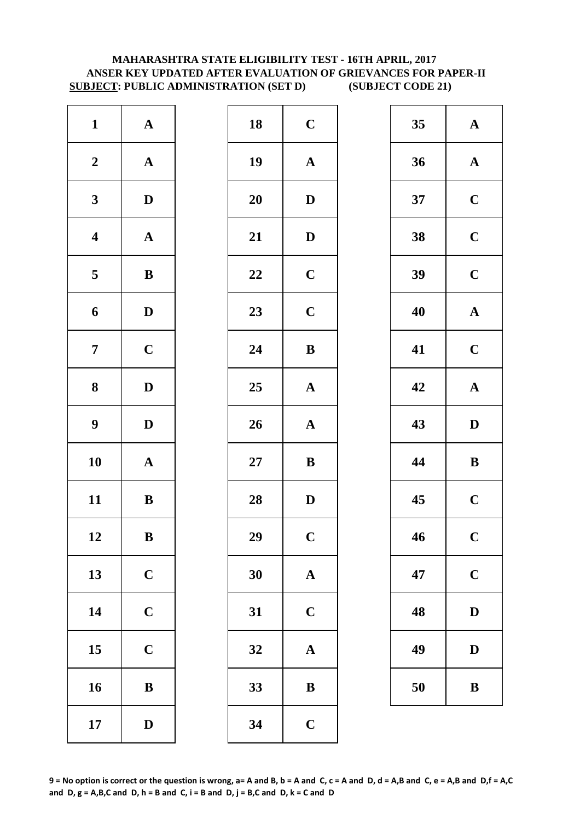# **MAHARASHTRA STATE ELIGIBILITY TEST - 16TH APRIL, 2017 ANSER KEY UPDATED AFTER EVALUATION OF GRIEVANCES FOR PAPER-II SUBJECT: PUBLIC ADMINISTRATION (SET D) (SUBJECT CODE 21)**

| $\mathbf{1}$            | $\mathbf A$           | 18     | $\mathbf C$  |
|-------------------------|-----------------------|--------|--------------|
| $\boldsymbol{2}$        | $\boldsymbol{\rm{A}}$ | 19     | $\mathbf{A}$ |
| $\mathbf{3}$            | $\mathbf D$           | 20     | $\mathbf{D}$ |
| $\boldsymbol{4}$        | $\boldsymbol{\rm{A}}$ | 21     | $\mathbf{D}$ |
| $\overline{\mathbf{5}}$ | $\bf{B}$              | 22     | $\mathbf C$  |
| 6                       | $\mathbf D$           | 23     | $\mathbf C$  |
| $\overline{7}$          | $\mathbf C$           | 24     | $\bf{B}$     |
| 8                       | $\mathbf D$           | 25     | $\mathbf{A}$ |
| $\boldsymbol{9}$        | $\mathbf D$           | 26     | $\mathbf{A}$ |
| 10                      | $\mathbf A$           | $27\,$ | $\bf{B}$     |
| 11                      | $\, {\bf B}$          | 28     | $\mathbf{D}$ |
| 12                      | B                     | 29     | $\mathbf C$  |
| 13                      | $\mathbf C$           | 30     | $\mathbf{A}$ |
| 14                      | $\mathbf C$           | 31     | $\mathbf C$  |
| 15                      | $\mathbf C$           | 32     | $\mathbf{A}$ |
| 16                      | $\bf{B}$              | 33     | $\bf{B}$     |
| 17                      | $\mathbf D$           | 34     | $\mathbf C$  |

| $\mathbf{1}$            | ${\bf A}$    | 18 | $\mathbf C$           | 35 | $\mathbf A$  |
|-------------------------|--------------|----|-----------------------|----|--------------|
| $\boldsymbol{2}$        | ${\bf A}$    | 19 | $\boldsymbol{\rm{A}}$ | 36 | $\mathbf A$  |
| $\mathbf{3}$            | $\mathbf{D}$ | 20 | $\mathbf{D}$          | 37 | $\mathbf C$  |
| $\overline{\mathbf{4}}$ | ${\bf A}$    | 21 | ${\bf D}$             | 38 | $\mathbf C$  |
| $5\phantom{.0}$         | $\, {\bf B}$ | 22 | $\mathbf C$           | 39 | $\mathbf C$  |
| $\boldsymbol{6}$        | $\mathbf{D}$ | 23 | $\mathbf C$           | 40 | $\mathbf A$  |
| $\overline{7}$          | $\mathbf C$  | 24 | $\bf{B}$              | 41 | $\mathbf C$  |
| $\boldsymbol{8}$        | $\mathbf D$  | 25 | $\boldsymbol{\rm{A}}$ | 42 | $\mathbf A$  |
| $\boldsymbol{9}$        | $\mathbf D$  | 26 | ${\bf A}$             | 43 | $\mathbf{D}$ |
| 10                      | ${\bf A}$    | 27 | $\bf{B}$              | 44 | $\bf{B}$     |
| 11                      | ${\bf B}$    | 28 | $\mathbf D$           | 45 | $\mathbf C$  |
| 12                      | $\, {\bf B}$ | 29 | $\mathbf C$           | 46 | $\mathbf C$  |
| 13                      | $\mathbf C$  | 30 | $\mathbf A$           | 47 | $\mathbf C$  |
| 14                      | $\mathbf C$  | 31 | $\mathbf C$           | 48 | $\mathbf{D}$ |
| 15                      | $\mathbf C$  | 32 | $\mathbf A$           | 49 | $\mathbf{D}$ |
| 16                      | $\, {\bf B}$ | 33 | $\, {\bf B}$          | 50 | $\bf{B}$     |
| 17                      | $\mathbf D$  | 34 | $\mathbf C$           |    |              |
|                         |              |    |                       |    |              |

| 35 | $\mathbf A$             |
|----|-------------------------|
| 36 | $\mathbf A$             |
| 37 | $\mathbf C$             |
| 38 | $\overline{\mathbf{C}}$ |
| 39 | $\mathbf C$             |
| 40 | $\mathbf A$             |
| 41 | $\mathbf C$             |
| 42 | $\mathbf A$             |
|    |                         |
| 43 | $\mathbf{D}$            |
| 44 | B                       |
| 45 | $\mathbf C$             |
| 46 | $\mathbf C$             |
| 47 | $\mathbf C$             |
| 48 | D                       |
| 49 | $\mathbf D$             |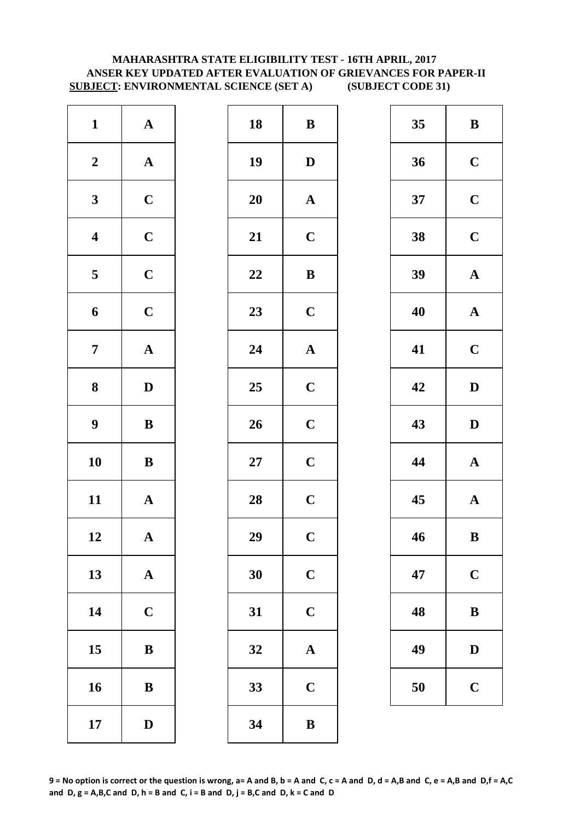# **MAHARASHTRA STATE ELIGIBILITY TEST - 16TH APRIL, 2017 ANSER KEY UPDATED AFTER EVALUATION OF GRIEVANCES FOR PAPER-II SUBJECT: ENVIRONMENTAL SCIENCE (SET A) (SUBJECT CODE 31)**

| $\mathbf{1}$            | $\boldsymbol{\rm{A}}$ | 18        | $\bf{B}$       |
|-------------------------|-----------------------|-----------|----------------|
| $\boldsymbol{2}$        | $\boldsymbol{\rm{A}}$ | 19        | D              |
| $\mathbf{3}$            | $\mathbf C$           | <b>20</b> | $\mathbf A$    |
| $\overline{\mathbf{4}}$ | $\mathbf C$           | 21        | $\mathbf C$    |
| $\overline{\mathbf{5}}$ | $\mathbf C$           | 22        | $\bf{B}$       |
| 6                       | $\mathbf C$           | 23        | $\mathbf C$    |
| $\boldsymbol{7}$        | $\boldsymbol{\rm{A}}$ | 24        | $\mathbf{A}$   |
| $\bf 8$                 | $\mathbf D$           | 25        | $\mathbf C$    |
| $\boldsymbol{9}$        | $\, {\bf B}$          | 26        | $\mathbf C$    |
| 10                      | $\bf{B}$              | $27\,$    | $\mathbf C$    |
| 11                      | $\mathbf A$           | 28        | $\mathbf C$    |
| 12                      | A                     | 29        | $\overline{C}$ |
| 13                      | ${\bf A}$             | 30        | $\mathbf C$    |
| 14                      | $\mathbf C$           | 31        | $\mathbf C$    |
| 15                      | ${\bf B}$             | 32        | $\mathbf A$    |
| 16                      | $\bf{B}$              | 33        | $\mathbf C$    |
| 17                      | $\mathbf D$           | 34        | $\bf{B}$       |

| ${\bf A}$             | 18 | $\, {\bf B}$ | 35 | $\bf{B}$     |
|-----------------------|----|--------------|----|--------------|
| ${\bf A}$             | 19 | $\mathbf D$  | 36 | $\mathbf C$  |
| $\mathbf C$           | 20 | $\mathbf{A}$ | 37 | $\mathbf C$  |
| $\mathbf C$           | 21 | $\mathbf C$  | 38 | $\mathbf C$  |
| $\mathbf C$           | 22 | $\, {\bf B}$ | 39 | $\mathbf A$  |
| $\mathbf C$           | 23 | $\mathbf C$  | 40 | $\mathbf A$  |
| ${\bf A}$             | 24 | ${\bf A}$    | 41 | $\mathbf C$  |
| $\mathbf{D}$          | 25 | $\mathbf C$  | 42 | $\mathbf{D}$ |
| ${\bf B}$             | 26 | $\mathbf C$  | 43 | $\mathbf{D}$ |
| ${\bf B}$             | 27 | $\mathbf C$  | 44 | $\mathbf A$  |
| ${\bf A}$             | 28 | $\mathbf C$  | 45 | $\mathbf A$  |
| $\boldsymbol{\rm{A}}$ | 29 | $\mathbf C$  | 46 | $\bf{B}$     |
| ${\bf A}$             | 30 | $\mathbf C$  | 47 | $\mathbf C$  |
| $\mathbf C$           | 31 | $\mathbf C$  | 48 | $\bf{B}$     |
| $\bf{B}$              | 32 | $\mathbf{A}$ | 49 | $\mathbf{D}$ |
| $\, {\bf B}$          | 33 | $\mathbf C$  | 50 | $\mathbf C$  |
| $\mathbf D$           | 34 | $\, {\bf B}$ |    |              |
|                       |    |              |    |              |

| 35 | B           |
|----|-------------|
| 36 | $\mathbf C$ |
| 37 | $\mathbf C$ |
| 38 | $\mathbf C$ |
| 39 | $\mathbf A$ |
| 40 | $\mathbf A$ |
| 41 | $\mathbf C$ |
| 42 | D           |
| 43 | D           |
|    |             |
| 44 | $\mathbf A$ |
| 45 | $\mathbf A$ |
| 46 | B           |
| 47 | $\mathbf C$ |
| 48 | B           |
| 49 | $\mathbf D$ |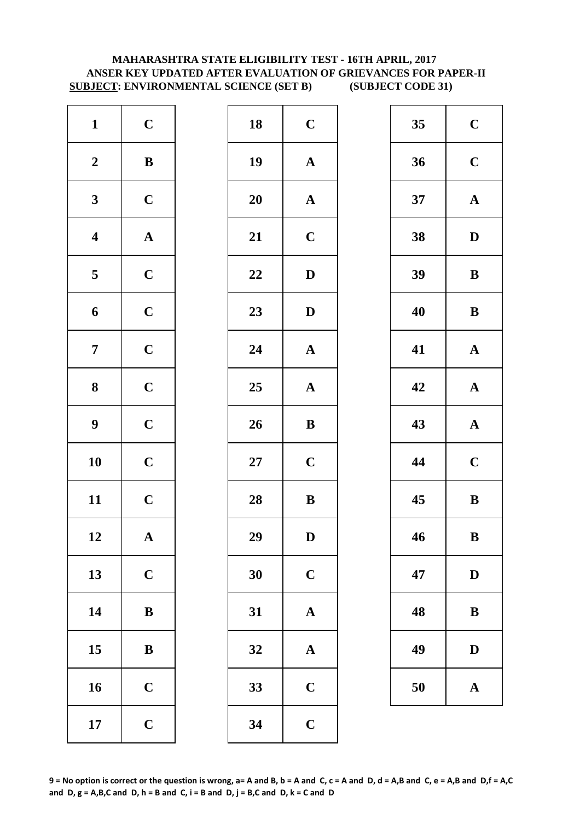# **SUBJECT: ENVIRONMENTAL SCIENCE (SET B) (SUBJECT CODE 31) MAHARASHTRA STATE ELIGIBILITY TEST - 16TH APRIL, 2017 ANSER KEY UPDATED AFTER EVALUATION OF GRIEVANCES FOR PAPER-II**

| $\mathbf{1}$            | $\mathbf C$           | 18        | $\mathbf C$  |
|-------------------------|-----------------------|-----------|--------------|
| $\boldsymbol{2}$        | $\, {\bf B}$          | 19        | $\mathbf{A}$ |
| $\mathbf{3}$            | $\mathbf C$           | <b>20</b> | $\mathbf{A}$ |
| $\overline{\mathbf{4}}$ | $\boldsymbol{\rm{A}}$ | 21        | $\mathbf C$  |
| $\overline{\mathbf{5}}$ | $\mathbf C$           | 22        | $\mathbf{D}$ |
| $\boldsymbol{6}$        | $\mathbf C$           | 23        | $\mathbf{D}$ |
| $\overline{7}$          | $\mathbf C$           | 24        | $\mathbf{A}$ |
| 8                       | $\mathbf C$           | 25        | $\mathbf{A}$ |
| $\boldsymbol{9}$        | $\mathbf C$           | 26        | $\bf{B}$     |
| 10                      | $\mathbf C$           | $27\,$    | $\mathbf C$  |
| 11                      | $\mathbf C$           | 28        | $\bf{B}$     |
| 12                      | $\mathbf A$           | 29        | D            |
| 13                      | $\mathbf C$           | 30        | $\mathbf C$  |
| 14                      | $\, {\bf B}$          | 31        | $\mathbf{A}$ |
| 15                      | $\bf{B}$              | 32        | $\mathbf{A}$ |
| 16                      | $\mathbf C$           | 33        | $\mathbf C$  |
| 17                      | $\mathbf C$           | 34        | $\mathbf C$  |

| $\mathbf C$  | 18     | $\mathbf C$   | 35 | $\mathbf C$  |
|--------------|--------|---------------|----|--------------|
| $\, {\bf B}$ | 19     | ${\bf A}$     | 36 | $\mathbf C$  |
| $\mathbf C$  | 20     | ${\bf A}$     | 37 | $\mathbf A$  |
| ${\bf A}$    | 21     | $\mathbf C$   | 38 | $\mathbf{D}$ |
| $\mathbf C$  | 22     | $\mathbf D$   | 39 | $\bf{B}$     |
| $\mathbf C$  | 23     | $\mathbf D$   | 40 | $\bf{B}$     |
| $\mathbf C$  | 24     | ${\bf A}$     | 41 | $\mathbf A$  |
| $\mathbf C$  | 25     | ${\bf A}$     | 42 | $\mathbf A$  |
| $\mathbf C$  | 26     | $\, {\bf B}$  | 43 | $\mathbf A$  |
| $\mathbf C$  | $27\,$ | $\mathbf C$   | 44 | $\mathbf C$  |
| $\mathbf C$  | 28     | $\bf{B}$      | 45 | $\bf{B}$     |
| ${\bf A}$    | 29     | $\mathbf{D}%$ | 46 | $\bf{B}$     |
| $\mathbf C$  | 30     | $\mathbf C$   | 47 | $\mathbf{D}$ |
| $\, {\bf B}$ | 31     | $\mathbf A$   | 48 | $\bf{B}$     |
| ${\bf B}$    | 32     | $\mathbf{A}$  | 49 | $\mathbf{D}$ |
| $\mathbf C$  | 33     | $\mathbf C$   | 50 | $\mathbf A$  |
| $\mathbf C$  | 34     | $\mathbf C$   |    |              |
|              |        |               |    |              |

| 35 | $\mathbf C$  |
|----|--------------|
| 36 | $\mathbf C$  |
| 37 | $\mathbf A$  |
| 38 | D            |
| 39 | B            |
| 40 | B            |
| 41 | $\mathbf A$  |
| 42 | $\mathbf A$  |
| 43 | $\mathbf A$  |
| 44 | $\mathbf C$  |
| 45 | B            |
| 46 | B            |
| 47 | $\mathbf{D}$ |
| 48 | B            |
| 49 | D            |
| 50 | $\mathbf A$  |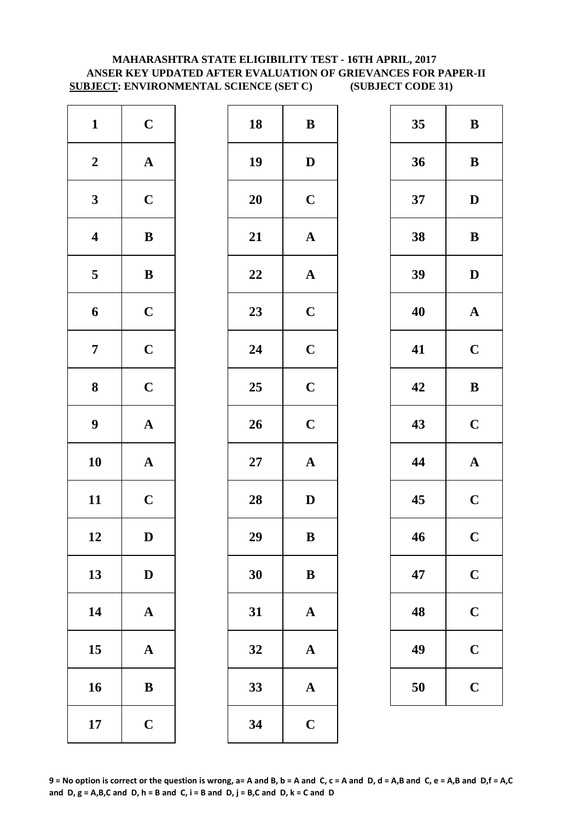# **MAHARASHTRA STATE ELIGIBILITY TEST - 16TH APRIL, 2017 ANSER KEY UPDATED AFTER EVALUATION OF GRIEVANCES FOR PAPER-II SUBJECT: ENVIRONMENTAL SCIENCE (SET C) (SUBJECT CODE 31)**

| $\mathbf{1}$            | $\mathbf C$           | 18        | $\bf{B}$     |
|-------------------------|-----------------------|-----------|--------------|
| $\boldsymbol{2}$        | $\boldsymbol{\rm{A}}$ | 19        | $\mathbf{D}$ |
| $\mathbf{3}$            | $\mathbf C$           | <b>20</b> | $\mathbf C$  |
| $\overline{\mathbf{4}}$ | $\, {\bf B}$          | 21        | $\mathbf{A}$ |
| $\overline{\mathbf{5}}$ | $\, {\bf B}$          | 22        | $\mathbf{A}$ |
| $\boldsymbol{6}$        | $\mathbf C$           | 23        | $\mathbf C$  |
| $\overline{7}$          | $\mathbf C$           | 24        | $\mathbf C$  |
| 8                       | $\mathbf C$           | 25        | $\mathbf C$  |
| $\boldsymbol{9}$        | $\boldsymbol{\rm{A}}$ | 26        | $\mathbf C$  |
| 10                      | $\boldsymbol{\rm{A}}$ | $27\,$    | $\mathbf{A}$ |
| 11                      | $\mathbf C$           | 28        | $\mathbf{D}$ |
| 12                      | D                     | 29        | B            |
| 13                      | $\mathbf D$           | 30        | $\bf{B}$     |
| 14                      | $\boldsymbol{\rm{A}}$ | 31        | $\mathbf{A}$ |
| 15                      | $\mathbf A$           | 32        | $\mathbf{A}$ |
| 16                      | $\bf{B}$              | 33        | $\mathbf{A}$ |
| 17                      | $\mathbf C$           | 34        | $\mathbf C$  |

| $\mathbf{1}$            | $\mathbf C$  | 18 | ${\bf B}$             | 35 | $\bf{B}$     |
|-------------------------|--------------|----|-----------------------|----|--------------|
| $\boldsymbol{2}$        | ${\bf A}$    | 19 | $\mathbf D$           | 36 | $\bf{B}$     |
| $\mathbf{3}$            | $\mathbf C$  | 20 | $\mathbf C$           | 37 | $\mathbf{D}$ |
| $\overline{\mathbf{4}}$ | ${\bf B}$    | 21 | ${\bf A}$             | 38 | $\bf{B}$     |
| $\overline{\mathbf{5}}$ | ${\bf B}$    | 22 | $\boldsymbol{\rm{A}}$ | 39 | $\mathbf{D}$ |
| $\boldsymbol{6}$        | $\mathbf C$  | 23 | $\mathbf C$           | 40 | $\mathbf A$  |
| $\overline{7}$          | $\mathbf C$  | 24 | $\mathbf C$           | 41 | $\mathbf C$  |
| $\boldsymbol{8}$        | $\mathbf C$  | 25 | $\mathbf C$           | 42 | $\bf{B}$     |
| $\boldsymbol{9}$        | ${\bf A}$    | 26 | $\mathbf C$           | 43 | $\mathbf C$  |
| 10                      | ${\bf A}$    | 27 | ${\bf A}$             | 44 | $\mathbf A$  |
| 11                      | $\mathbf C$  | 28 | $\mathbf{D}$          | 45 | $\mathbf C$  |
| 12                      | $\mathbf D$  | 29 | $\, {\bf B}$          | 46 | $\mathbf C$  |
| 13                      | $\mathbf D$  | 30 | ${\bf B}$             | 47 | $\mathbf C$  |
| 14                      | ${\bf A}$    | 31 | $\mathbf A$           | 48 | $\mathbf C$  |
| 15                      | ${\bf A}$    | 32 | $\mathbf{A}$          | 49 | $\mathbf C$  |
| 16                      | $\, {\bf B}$ | 33 | $\mathbf A$           | 50 | $\mathbf C$  |
| 17                      | $\mathbf C$  | 34 | $\mathbf C$           |    |              |
|                         |              |    |                       |    |              |

| 35 | B              |
|----|----------------|
| 36 | B              |
| 37 | D              |
| 38 | B              |
| 39 | D              |
| 40 | $\mathbf A$    |
| 41 | $\mathbf C$    |
| 42 | B              |
| 43 | $\mathbf C$    |
| 44 | $\mathbf A$    |
| 45 | $\mathbf C$    |
| 46 | $\overline{C}$ |
|    |                |
| 47 | $\mathbf C$    |
| 48 | $\mathbf C$    |
| 49 | $\mathbf C$    |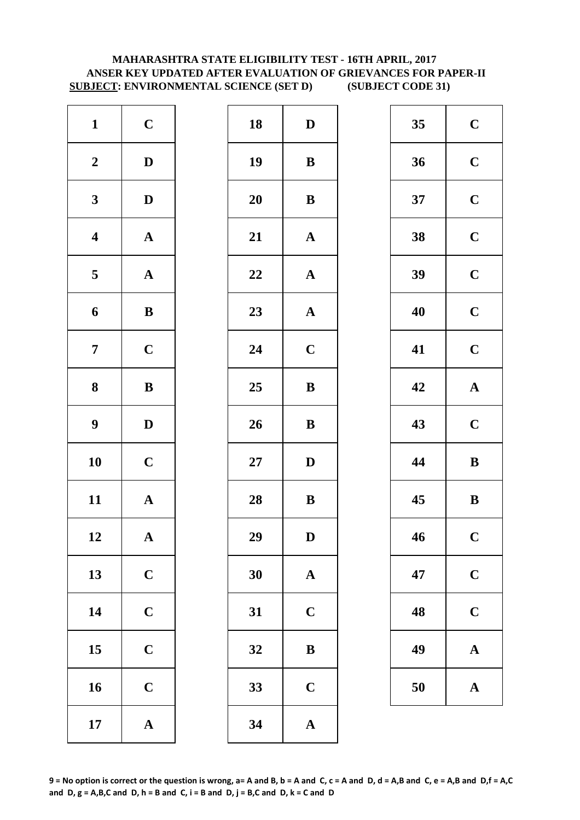# **ANSER KEY UPDATED AFTER EVALUATION OF GRIEVANCES FOR PAPER-II SUBJECT: ENVIRONMENTAL SCIENCE (SET D) (SUBJECT CODE 31) MAHARASHTRA STATE ELIGIBILITY TEST - 16TH APRIL, 2017**

| $\mathbf{1}$            | $\mathbf C$           | 18        | $\mathbf{D}$ |
|-------------------------|-----------------------|-----------|--------------|
| $\boldsymbol{2}$        | $\mathbf D$           | 19        | $\bf{B}$     |
| $\mathbf{3}$            | $\mathbf D$           | <b>20</b> | $\bf{B}$     |
| $\overline{\mathbf{4}}$ | $\boldsymbol{\rm{A}}$ | 21        | $\mathbf{A}$ |
| $\overline{\mathbf{5}}$ | ${\bf A}$             | 22        | $\mathbf A$  |
| 6                       | $\, {\bf B}$          | 23        | $\mathbf{A}$ |
| $\overline{7}$          | $\mathbf C$           | 24        | $\mathbf C$  |
| 8                       | ${\bf B}$             | 25        | $\bf{B}$     |
| $\boldsymbol{9}$        | $\mathbf D$           | 26        | $\bf{B}$     |
| 10                      | $\mathbf C$           | $27\,$    | $\mathbf{D}$ |
| 11                      | ${\bf A}$             | 28        | $\bf{B}$     |
| 12                      | A                     | 29        | D            |
| 13                      | $\mathbf C$           | 30        | $\mathbf{A}$ |
| 14                      | $\mathbf C$           | 31        | $\mathbf C$  |
| 15                      | $\mathbf C$           | 32        | $\bf{B}$     |
| 16                      | $\mathbf C$           | 33        | $\mathbf C$  |
| 17                      | $\boldsymbol{\rm{A}}$ | 34        | $\mathbf{A}$ |

| $\mathbf{1}$            | $\mathbf C$  | 18     | $\mathbf D$           | 35 | $\mathbf C$ |
|-------------------------|--------------|--------|-----------------------|----|-------------|
| $\boldsymbol{2}$        | $\mathbf D$  | 19     | ${\bf B}$             | 36 | $\mathbf C$ |
| $\mathbf{3}$            | $\mathbf{D}$ | 20     | ${\bf B}$             | 37 | $\mathbf C$ |
| $\overline{\mathbf{4}}$ | ${\bf A}$    | 21     | ${\bf A}$             | 38 | $\mathbf C$ |
| $\overline{\mathbf{5}}$ | ${\bf A}$    | 22     | $\boldsymbol{\rm{A}}$ | 39 | $\mathbf C$ |
| $\boldsymbol{6}$        | ${\bf B}$    | 23     | ${\bf A}$             | 40 | $\mathbf C$ |
| $\overline{7}$          | $\mathbf C$  | 24     | $\mathbf C$           | 41 | $\mathbf C$ |
| 8                       | ${\bf B}$    | 25     | $\bf{B}$              | 42 | $\mathbf A$ |
| $\boldsymbol{9}$        | $\mathbf{D}$ | 26     | $\, {\bf B}$          | 43 | $\mathbf C$ |
| 10                      | $\mathbf C$  | $27\,$ | $\mathbf D$           | 44 | $\bf{B}$    |
| 11                      | ${\bf A}$    | 28     | ${\bf B}$             | 45 | $\bf{B}$    |
| 12                      | ${\bf A}$    | 29     | $\mathbf D$           | 46 | $\mathbf C$ |
| 13                      | $\mathbf C$  | 30     | $\mathbf{A}$          | 47 | $\mathbf C$ |
| 14                      | $\mathbf C$  | 31     | $\mathbf C$           | 48 | $\mathbf C$ |
| 15                      | $\mathbf C$  | 32     | ${\bf B}$             | 49 | $\mathbf A$ |
| 16                      | $\mathbf C$  | 33     | $\mathbf C$           | 50 | $\mathbf A$ |
| 17                      | ${\bf A}$    | 34     | $\boldsymbol{\rm{A}}$ |    |             |

| 35 | $\mathbf C$ |
|----|-------------|
| 36 | $\mathbf C$ |
| 37 | $\mathbf C$ |
| 38 | $\mathbf C$ |
| 39 | $\mathbf C$ |
| 40 | $\mathbf C$ |
| 41 | $\mathbf C$ |
| 42 | $\mathbf A$ |
| 43 | $\mathbf C$ |
|    |             |
| 44 | B           |
| 45 | B           |
| 46 | $\mathbf C$ |
| 47 | $\mathbf C$ |
| 48 | $\mathbf C$ |
| 49 | $\mathbf A$ |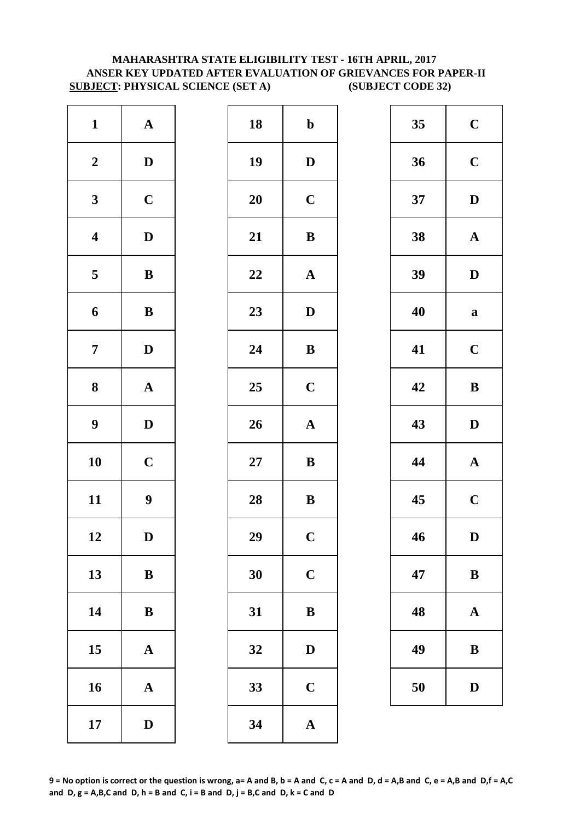# **MAHARASHTRA STATE ELIGIBILITY TEST - 16TH APRIL, 2017 ANSER KEY UPDATED AFTER EVALUATION OF GRIEVANCES FOR PAPER-II SUBJECT: PHYSICAL SCIENCE (SET A) (SUBJECT CODE 32)**

| $\mathbf{1}$            | ${\bf A}$             | 18        | $\mathbf b$             |
|-------------------------|-----------------------|-----------|-------------------------|
| $\boldsymbol{2}$        | $\mathbf D$           | 19        | $\mathbf{D}$            |
| $\mathbf{3}$            | $\mathbf C$           | <b>20</b> | $\mathbf C$             |
| $\boldsymbol{4}$        | $\mathbf D$           | 21        | $\bf{B}$                |
| $\overline{\mathbf{5}}$ | $\bf{B}$              | 22        | $\mathbf A$             |
| 6                       | $\, {\bf B}$          | 23        | $\mathbf{D}$            |
| $\overline{7}$          | $\mathbf D$           | 24        | $\bf{B}$                |
| 8                       | $\boldsymbol{\rm{A}}$ | 25        | $\mathbf C$             |
| $\boldsymbol{9}$        | $\mathbf D$           | 26        | $\mathbf{A}$            |
| 10                      | $\mathbf C$           | $27\,$    | $\bf{B}$                |
| 11                      | 9                     | 28        | $\bf{B}$                |
| 12                      | D                     | 29        | $\overline{\mathbf{C}}$ |
| 13                      | ${\bf B}$             | 30        | $\mathbf C$             |
| 14                      | $\bf{B}$              | 31        | $\bf{B}$                |
| 15                      | $\mathbf A$           | 32        | $\mathbf{D}$            |
| 16                      | $\mathbf A$           | 33        | $\mathbf C$             |
| 17                      | $\mathbf D$           | 34        | $\mathbf{A}$            |

| $\mathbf{1}$            | ${\bf A}$        | 18     | $\mathbf b$           | 35 | $\mathbf C$  |
|-------------------------|------------------|--------|-----------------------|----|--------------|
| $\boldsymbol{2}$        | $\mathbf D$      | 19     | $\mathbf D$           | 36 | $\mathbf C$  |
| $\mathbf{3}$            | $\mathbf C$      | 20     | $\mathbf C$           | 37 | $\mathbf{D}$ |
| $\overline{\mathbf{4}}$ | $\mathbf D$      | 21     | $\, {\bf B}$          | 38 | $\mathbf A$  |
| $\overline{5}$          | $\, {\bf B}$     | 22     | $\mathbf A$           | 39 | $\mathbf{D}$ |
| $\boldsymbol{6}$        | $\, {\bf B}$     | 23     | $\mathbf D$           | 40 | $\mathbf a$  |
| $\overline{7}$          | $\mathbf{D}$     | 24     | ${\bf B}$             | 41 | $\mathbf C$  |
| $\boldsymbol{8}$        | ${\bf A}$        | 25     | $\mathbf C$           | 42 | $\bf{B}$     |
| $\boldsymbol{9}$        | $\mathbf D$      | 26     | $\boldsymbol{\rm{A}}$ | 43 | $\mathbf{D}$ |
| 10                      | $\mathbf C$      | $27\,$ | ${\bf B}$             | 44 | $\mathbf A$  |
| 11                      | $\boldsymbol{9}$ | 28     | ${\bf B}$             | 45 | $\mathbf C$  |
| 12                      | D                | 29     | $\mathbf C$           | 46 | D            |
| 13                      | $\, {\bf B}$     | 30     | $\mathbf C$           | 47 | $\bf{B}$     |
| 14                      | ${\bf B}$        | 31     | $\bf{B}$              | 48 | $\mathbf A$  |
| 15                      | ${\bf A}$        | 32     | $\mathbf D$           | 49 | $\bf{B}$     |
| 16                      | ${\bf A}$        | 33     | $\mathbf C$           | 50 | $\mathbf{D}$ |
| 17                      | $\mathbf D$      | 34     | $\mathbf{A}$          |    |              |

| 35 | $\mathbf C$             |
|----|-------------------------|
| 36 | $\mathbf C$             |
| 37 | D                       |
| 38 | $\mathbf A$             |
| 39 | D                       |
| 40 | a                       |
| 41 | $\mathbf C$             |
| 42 | B                       |
|    |                         |
| 43 | D                       |
| 44 | $\mathbf A$             |
| 45 | $\overline{\mathbf{C}}$ |
| 46 | D                       |
| 47 | B                       |
| 48 | A                       |
| 49 | B                       |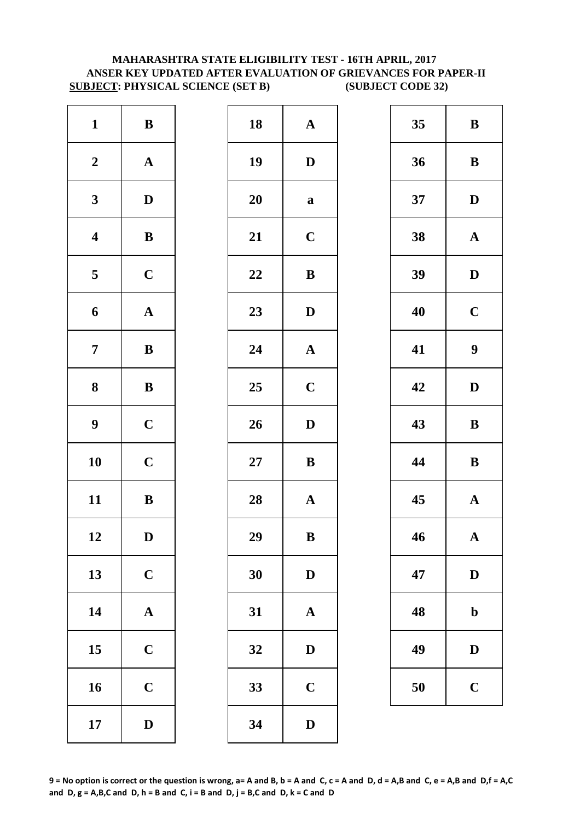# **MAHARASHTRA STATE ELIGIBILITY TEST - 16TH APRIL, 2017 ANSER KEY UPDATED AFTER EVALUATION OF GRIEVANCES FOR PAPER-II SUBJECT: PHYSICAL SCIENCE (SET B) (SUBJECT CODE 32)**

| $\mathbf{1}$            | $\, {\bf B}$          | 18        | $\mathbf{A}$ |
|-------------------------|-----------------------|-----------|--------------|
| $\boldsymbol{2}$        | $\boldsymbol{\rm{A}}$ | 19        | $\mathbf{D}$ |
| $\mathbf{3}$            | $\mathbf D$           | <b>20</b> | $\mathbf a$  |
| $\boldsymbol{4}$        | $\, {\bf B}$          | 21        | $\mathbf C$  |
| $\overline{\mathbf{5}}$ | $\mathbf C$           | 22        | $\bf{B}$     |
| 6                       | $\mathbf A$           | 23        | $\mathbf{D}$ |
| $\overline{7}$          | $\bf{B}$              | 24        | $\mathbf{A}$ |
| 8                       | $\bf{B}$              | 25        | $\mathbf C$  |
| $\boldsymbol{9}$        | $\mathbf C$           | 26        | $\mathbf{D}$ |
| 10                      | $\mathbf C$           | $27\,$    | $\bf{B}$     |
| 11                      | $\, {\bf B}$          | 28        | $\mathbf{A}$ |
| 12                      | D                     | 29        | B            |
| 13                      | $\mathbf C$           | 30        | $\mathbf{D}$ |
| 14                      | $\boldsymbol{\rm{A}}$ | 31        | $\mathbf{A}$ |
| 15                      | $\mathbf C$           | 32        | $\mathbf{D}$ |
| 16                      | $\mathbf C$           | 33        | $\mathbf C$  |
| 17                      | $\mathbf D$           | 34        | D            |

| $\mathbf{1}$            | $\, {\bf B}$ | 18     | ${\bf A}$             | 35 | $\bf{B}$     |
|-------------------------|--------------|--------|-----------------------|----|--------------|
| $\boldsymbol{2}$        | ${\bf A}$    | 19     | $\mathbf D$           | 36 | $\bf{B}$     |
| $\mathbf{3}$            | $\mathbf D$  | 20     | $\mathbf a$           | 37 | $\mathbf{D}$ |
| $\overline{\mathbf{4}}$ | $\, {\bf B}$ | 21     | $\mathbf C$           | 38 | $\mathbf A$  |
| $\overline{5}$          | $\mathbf C$  | 22     | $\, {\bf B}$          | 39 | $\mathbf{D}$ |
| $\boldsymbol{6}$        | ${\bf A}$    | 23     | $\mathbf D$           | 40 | $\mathbf C$  |
| $\overline{7}$          | ${\bf B}$    | 24     | $\boldsymbol{\rm{A}}$ | 41 | 9            |
| $\boldsymbol{8}$        | ${\bf B}$    | 25     | $\mathbf C$           | 42 | $\mathbf{D}$ |
| $\boldsymbol{9}$        | $\mathbf C$  | 26     | $\mathbf D$           | 43 | $\bf{B}$     |
| 10                      | $\mathbf C$  | $27\,$ | ${\bf B}$             | 44 | $\bf{B}$     |
| 11                      | $\, {\bf B}$ | 28     | $\mathbf A$           | 45 | $\mathbf A$  |
| 12                      | D            | 29     | $\, {\bf B}$          | 46 | $\mathbf A$  |
| 13                      | $\mathbf C$  | 30     | $\mathbf D$           | 47 | $\mathbf{D}$ |
| 14                      | ${\bf A}$    | 31     | $\mathbf A$           | 48 | $\mathbf b$  |
| 15                      | $\mathbf C$  | 32     | $\mathbf D$           | 49 | $\mathbf{D}$ |
| 16                      | $\mathbf C$  | 33     | $\mathbf C$           | 50 | $\mathbf C$  |
| 17                      | $\mathbf D$  | 34     | $\mathbf D$           |    |              |
|                         |              |        |                       |    |              |

| 35 | B           |
|----|-------------|
| 36 | B           |
| 37 | D           |
| 38 | $\mathbf A$ |
| 39 | D           |
| 40 | $\mathbf C$ |
| 41 | 9           |
| 42 | D           |
| 43 | B           |
| 44 | B           |
| 45 | $\mathbf A$ |
| 46 | $\mathbf A$ |
| 47 | D           |
| 48 | $\mathbf b$ |
| 49 | $\mathbf D$ |
|    |             |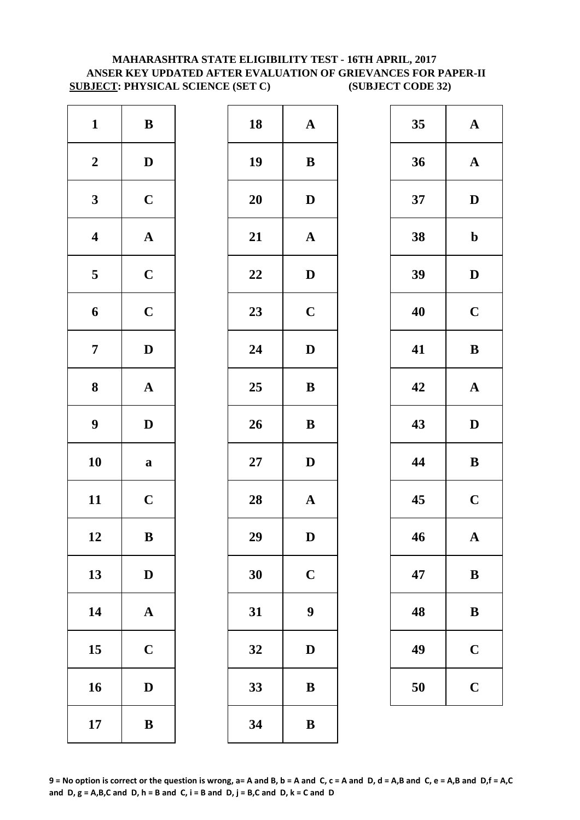# **SUBJECT: PHYSICAL SCIENCE (SET C) (SUBJECT CODE 32) MAHARASHTRA STATE ELIGIBILITY TEST - 16TH APRIL, 2017 ANSER KEY UPDATED AFTER EVALUATION OF GRIEVANCES FOR PAPER-II**

| $\mathbf{1}$            | $\bf{B}$              | 18        | $\mathbf A$  |
|-------------------------|-----------------------|-----------|--------------|
| $\boldsymbol{2}$        | $\mathbf D$           | 19        | $\bf{B}$     |
| $\mathbf{3}$            | $\mathbf C$           | <b>20</b> | $\bf{D}$     |
| $\overline{\mathbf{4}}$ | $\boldsymbol{\rm{A}}$ | 21        | $\mathbf{A}$ |
| $\overline{\mathbf{5}}$ | $\mathbf C$           | 22        | $\mathbf{D}$ |
| 6                       | $\mathbf C$           | 23        | $\mathbf C$  |
| $\overline{7}$          | $\mathbf D$           | 24        | $\mathbf{D}$ |
| 8                       | $\mathbf A$           | 25        | $\bf{B}$     |
| $\boldsymbol{9}$        | $\mathbf D$           | 26        | $\bf{B}$     |
| 10                      | $\mathbf a$           | $27\,$    | $\mathbf{D}$ |
| 11                      | $\mathbf C$           | 28        | $\mathbf A$  |
| 12                      | B                     | 29        | D            |
| 13                      | $\mathbf D$           | 30        | $\mathbf C$  |
| 14                      | $\boldsymbol{\rm{A}}$ | 31        | 9            |
| 15                      | $\mathbf C$           | 32        | D            |
| 16                      | $\mathbf D$           | 33        | $\bf{B}$     |
| 17                      | $\, {\bf B}$          | 34        | $\bf{B}$     |

| $\mathbf{1}$            | $\, {\bf B}$ | 18 | ${\bf A}$        | 35 | $\mathbf A$  |
|-------------------------|--------------|----|------------------|----|--------------|
| $\boldsymbol{2}$        | $\mathbf D$  | 19 | ${\bf B}$        | 36 | $\mathbf A$  |
| $\mathbf{3}$            | $\mathbf C$  | 20 | $\mathbf D$      | 37 | $\mathbf{D}$ |
| $\overline{\mathbf{4}}$ | ${\bf A}$    | 21 | ${\bf A}$        | 38 | $\mathbf b$  |
| $\overline{\mathbf{5}}$ | $\mathbf C$  | 22 | $\mathbf D$      | 39 | $\mathbf{D}$ |
| $\boldsymbol{6}$        | $\mathbf C$  | 23 | $\mathbf C$      | 40 | $\mathbf C$  |
| $\overline{7}$          | $\mathbf{D}$ | 24 | $\mathbf{D}$     | 41 | $\bf{B}$     |
| $\boldsymbol{8}$        | ${\bf A}$    | 25 | ${\bf B}$        | 42 | $\mathbf A$  |
| $\boldsymbol{9}$        | $\mathbf D$  | 26 | $\, {\bf B}$     | 43 | $\mathbf{D}$ |
| 10                      | $\mathbf a$  | 27 | $\mathbf D$      | 44 | $\bf{B}$     |
| 11                      | $\mathbf C$  | 28 | ${\bf A}$        | 45 | $\mathbf C$  |
| 12                      | $\bf{B}$     | 29 | D                | 46 | $\mathbf A$  |
| 13                      | $\mathbf D$  | 30 | $\mathbf C$      | 47 | $\bf{B}$     |
| 14                      | ${\bf A}$    | 31 | $\boldsymbol{9}$ | 48 | $\bf{B}$     |
| 15                      | $\mathbf C$  | 32 | $\mathbf D$      | 49 | $\mathbf C$  |
| 16                      | $\mathbf D$  | 33 | $\, {\bf B}$     | 50 | $\mathbf C$  |
| 17                      | $\, {\bf B}$ | 34 | $\bf{B}$         |    |              |

| 35 | $\mathbf A$ |  |  |
|----|-------------|--|--|
| 36 | $\mathbf A$ |  |  |
| 37 | D           |  |  |
| 38 | $\mathbf b$ |  |  |
| 39 | D           |  |  |
| 40 | $\mathbf C$ |  |  |
| 41 | B           |  |  |
| 42 | $\mathbf A$ |  |  |
| 43 | D           |  |  |
| 44 | B           |  |  |
| 45 | $\mathbf C$ |  |  |
| 46 | $\mathbf A$ |  |  |
| 47 | B           |  |  |
| 48 | B           |  |  |
| 49 | $\mathbf C$ |  |  |
|    |             |  |  |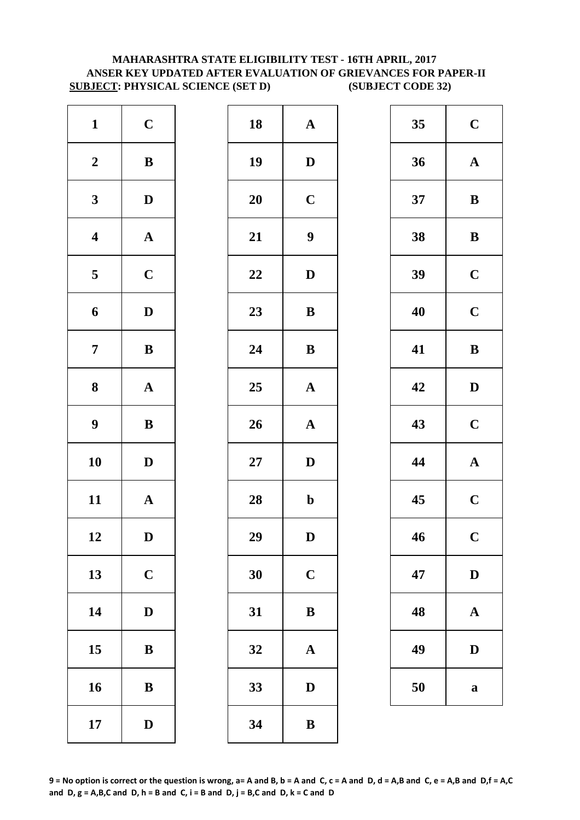# **MAHARASHTRA STATE ELIGIBILITY TEST - 16TH APRIL, 2017 ANSER KEY UPDATED AFTER EVALUATION OF GRIEVANCES FOR PAPER-II SUBJECT: PHYSICAL SCIENCE (SET D) (SUBJECT CODE 32)**

| $\mathbf{1}$            | $\mathbf C$           | 18        | $\mathbf{A}$     |
|-------------------------|-----------------------|-----------|------------------|
| $\boldsymbol{2}$        | $\, {\bf B}$          | 19        | D                |
| $\mathbf{3}$            | $\mathbf D$           | <b>20</b> | $\mathbf C$      |
| $\overline{\mathbf{4}}$ | $\boldsymbol{\rm{A}}$ | 21        | $\boldsymbol{9}$ |
| $\overline{\mathbf{5}}$ | $\mathbf C$           | 22        | $\mathbf{D}$     |
| 6                       | $\mathbf D$           | 23        | $\bf{B}$         |
| $\overline{7}$          | $\bf{B}$              | 24        | $\bf{B}$         |
| 8                       | $\boldsymbol{\rm{A}}$ | 25        | $\mathbf A$      |
| $\boldsymbol{9}$        | $\, {\bf B}$          | 26        | $\mathbf{A}$     |
| 10                      | $\mathbf D$           | $27\,$    | $\mathbf{D}$     |
| 11                      | ${\bf A}$             | 28        | $\mathbf b$      |
| 12                      | D                     | 29        | D                |
| 13                      | $\mathbf C$           | 30        | $\mathbf C$      |
| 14                      | $\mathbf D$           | 31        | $\bf{B}$         |
| 15                      | ${\bf B}$             | 32        | $\mathbf{A}$     |
| 16                      | $\, {\bf B}$          | 33        | D                |
| 17                      | $\mathbf D$           | 34        | $\bf{B}$         |

| $\mathbf{1}$            | $\mathbf C$  | 18 | $\boldsymbol{\rm{A}}$ | 35 | $\mathbf C$  |
|-------------------------|--------------|----|-----------------------|----|--------------|
| $\boldsymbol{2}$        | $\, {\bf B}$ | 19 | $\mathbf D$           | 36 | $\mathbf A$  |
| $\mathbf{3}$            | $\mathbf{D}$ | 20 | $\mathbf C$           | 37 | $\bf{B}$     |
| $\overline{\mathbf{4}}$ | ${\bf A}$    | 21 | $\boldsymbol{9}$      | 38 | $\bf{B}$     |
| $5\phantom{.0}$         | $\mathbf C$  | 22 | $\mathbf D$           | 39 | $\mathbf C$  |
| $\boldsymbol{6}$        | $\mathbf D$  | 23 | ${\bf B}$             | 40 | $\mathbf C$  |
| $\overline{7}$          | ${\bf B}$    | 24 | ${\bf B}$             | 41 | $\bf{B}$     |
| $\boldsymbol{8}$        | ${\bf A}$    | 25 | $\boldsymbol{\rm{A}}$ | 42 | $\mathbf{D}$ |
| $\boldsymbol{9}$        | $\, {\bf B}$ | 26 | ${\bf A}$             | 43 | $\mathbf C$  |
| 10                      | $\mathbf{D}$ | 27 | $\mathbf D$           | 44 | $\mathbf A$  |
| 11                      | ${\bf A}$    | 28 | $\mathbf b$           | 45 | $\mathbf C$  |
| 12                      | $\mathbf D$  | 29 | ${\bf D}$             | 46 | $\mathbf C$  |
| 13                      | $\mathbf C$  | 30 | $\mathbf C$           | 47 | $\mathbf{D}$ |
| 14                      | $\mathbf D$  | 31 | $\, {\bf B}$          | 48 | $\mathbf A$  |
| 15                      | $\bf{B}$     | 32 | $\mathbf A$           | 49 | $\mathbf{D}$ |
| 16                      | $\, {\bf B}$ | 33 | $\mathbf D$           | 50 | $\bf a$      |
| 17                      | $\mathbf D$  | 34 | $\, {\bf B}$          |    |              |
|                         |              |    |                       |    |              |

| 35 | $\mathbf C$             |
|----|-------------------------|
| 36 | $\mathbf A$             |
| 37 | B                       |
| 38 | B                       |
| 39 | $\mathbf C$             |
| 40 | $\mathbf C$             |
| 41 | B                       |
| 42 | D                       |
| 43 | $\mathbf C$             |
| 44 | $\mathbf{A}$            |
| 45 | $\overline{\mathbf{C}}$ |
| 46 | $\mathbf C$             |
| 47 | D                       |
| 48 | A                       |
| 49 | D                       |
| 50 | a                       |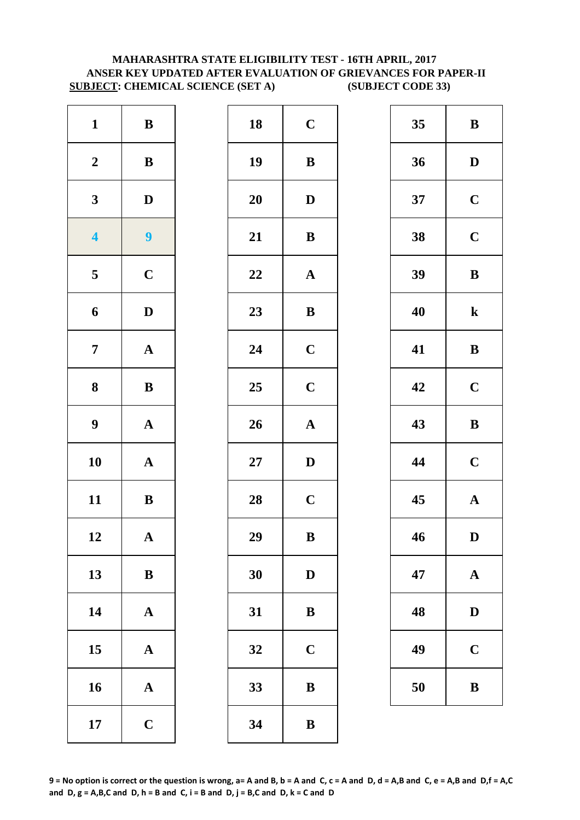# **MAHARASHTRA STATE ELIGIBILITY TEST - 16TH APRIL, 2017 ANSER KEY UPDATED AFTER EVALUATION OF GRIEVANCES FOR PAPER-II SUBJECT: CHEMICAL SCIENCE (SET A) (SUBJECT CODE 33)**

| $\mathbf{1}$            | $\, {\bf B}$          | 18        | $\mathbf C$  |
|-------------------------|-----------------------|-----------|--------------|
| $\boldsymbol{2}$        | $\bf{B}$              | 19        | $\bf{B}$     |
| $\mathbf{3}$            | $\mathbf D$           | <b>20</b> | $\bf{D}$     |
| $\overline{\mathbf{4}}$ | $\overline{9}$        | 21        | $\bf{B}$     |
| $\overline{\mathbf{5}}$ | $\mathbf C$           | 22        | $\mathbf A$  |
| 6                       | $\mathbf D$           | 23        | $\bf{B}$     |
| $\overline{7}$          | $\boldsymbol{\rm{A}}$ | 24        | $\mathbf C$  |
| 8                       | $\bf{B}$              | 25        | $\mathbf C$  |
| $\boldsymbol{9}$        | $\boldsymbol{\rm{A}}$ | 26        | $\mathbf{A}$ |
| 10                      | $\boldsymbol{\rm{A}}$ | $27\,$    | D            |
| 11                      | $\, {\bf B}$          | 28        | $\mathbf C$  |
| 12                      | A                     | 29        | B            |
| 13                      | $\bf{B}$              | 30        | $\mathbf{D}$ |
| 14                      | $\boldsymbol{\rm{A}}$ | 31        | $\bf{B}$     |
| 15                      | $\mathbf A$           | 32        | $\mathbf C$  |
| 16                      | $\mathbf A$           | 33        | $\bf{B}$     |
| 17                      | $\mathbf C$           | 34        | $\bf{B}$     |

| $\mathbf{1}$            | $\, {\bf B}$   | 18              | $\mathbf C$           | 35 | $\bf{B}$     |
|-------------------------|----------------|-----------------|-----------------------|----|--------------|
| $\boldsymbol{2}$        | $\, {\bf B}$   | 19              | $\, {\bf B}$          | 36 | $\mathbf{D}$ |
| $\mathbf{3}$            | $\mathbf D$    | 20              | $\mathbf D$           | 37 | $\mathbf C$  |
| $\overline{\mathbf{4}}$ | $\overline{9}$ | 21              | $\, {\bf B}$          | 38 | $\mathbf C$  |
| $5\overline{)}$         | $\mathbf C$    | 22              | ${\bf A}$             | 39 | $\bf{B}$     |
| $\boldsymbol{6}$        | $\mathbf D$    | 23              | $\, {\bf B}$          | 40 | $\mathbf k$  |
| $\overline{7}$          | ${\bf A}$      | 24              | $\mathbf C$           | 41 | $\bf{B}$     |
| $\boldsymbol{8}$        | ${\bf B}$      | 25              | $\mathbf C$           | 42 | $\mathbf C$  |
| $\boldsymbol{9}$        | ${\bf A}$      | $26\phantom{.}$ | $\boldsymbol{\rm{A}}$ | 43 | $\bf{B}$     |
| 10                      | ${\bf A}$      | $27\,$          | $\mathbf D$           | 44 | $\mathbf C$  |
| 11                      | $\bf{B}$       | 28              | $\mathbf C$           | 45 | $\mathbf A$  |
| 12                      | $\mathbf A$    | 29              | $\, {\bf B}$          | 46 | D            |
| 13                      | $\, {\bf B}$   | 30              | $\mathbf D$           | 47 | $\mathbf A$  |
| 14                      | $\mathbf A$    | 31              | $\bf{B}$              | 48 | $\mathbf{D}$ |
| 15                      | ${\bf A}$      | 32              | $\mathbf C$           | 49 | $\mathbf C$  |
| 16                      | ${\bf A}$      | 33              | $\, {\bf B}$          | 50 | $\bf{B}$     |
| 17                      | $\mathbf C$    | 34              | $\bf{B}$              |    |              |
|                         |                |                 |                       |    |              |

| 35 | B           |
|----|-------------|
| 36 | D           |
| 37 | $\mathbf C$ |
| 38 | $\mathbf C$ |
| 39 | B           |
| 40 | $\bf k$     |
| 41 | B           |
| 42 | $\mathbf C$ |
| 43 | $\bf{B}$    |
|    |             |
| 44 | $\mathbf C$ |
| 45 | $\mathbf A$ |
| 46 | $\bf{D}$    |
| 47 | $\mathbf A$ |
| 48 | $\bf{D}$    |
| 49 | $\mathbf C$ |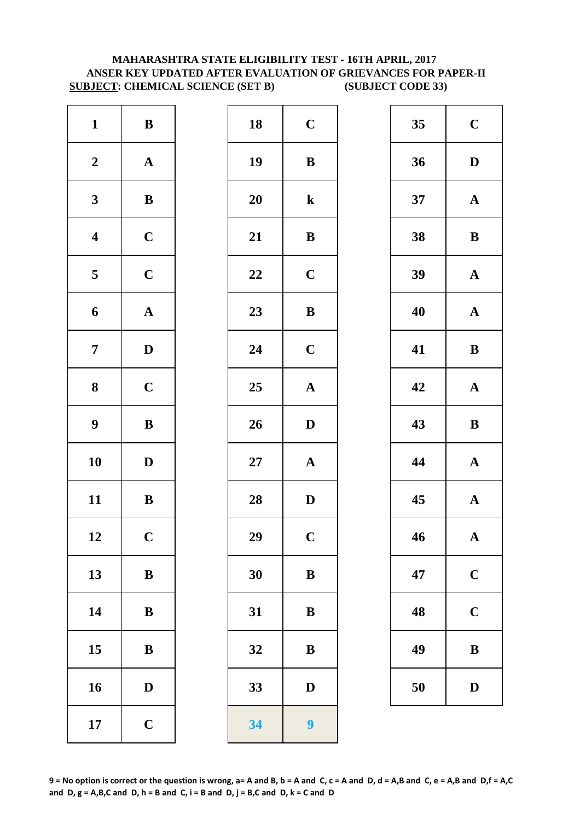# **MAHARASHTRA STATE ELIGIBILITY TEST - 16TH APRIL, 2017 ANSER KEY UPDATED AFTER EVALUATION OF GRIEVANCES FOR PAPER-II SUBJECT: CHEMICAL SCIENCE (SET B) (SUBJECT CODE 33)**

| $\mathbf{1}$            | $\, {\bf B}$          | 18        | $\mathbf C$  |
|-------------------------|-----------------------|-----------|--------------|
| $\boldsymbol{2}$        | $\boldsymbol{\rm{A}}$ | 19        | $\bf{B}$     |
| $\mathbf{3}$            | $\bf{B}$              | <b>20</b> | $\mathbf k$  |
| $\boldsymbol{4}$        | $\mathbf C$           | 21        | $\bf{B}$     |
| $\overline{\mathbf{5}}$ | $\mathbf C$           | 22        | $\mathbf C$  |
| 6                       | ${\bf A}$             | 23        | $\bf{B}$     |
| $\overline{7}$          | $\mathbf D$           | 24        | $\mathbf C$  |
| $\boldsymbol{8}$        | $\mathbf C$           | 25        | $\mathbf{A}$ |
| $\boldsymbol{9}$        | $\, {\bf B}$          | 26        | $\bf{D}$     |
| 10                      | $\mathbf D$           | $27\,$    | $\mathbf{A}$ |
| 11                      | $\bf{B}$              | 28        | $\bf{D}$     |
| 12                      | $\mathbf C$           | 29        | $\mathbf C$  |
| 13                      | $\bf{B}$              | 30        | $\bf{B}$     |
| 14                      | $\, {\bf B}$          | 31        | $\bf{B}$     |
| 15                      | $\bf{B}$              | 32        | B            |
| 16                      | $\mathbf D$           | 33        | $\mathbf{D}$ |
| 17                      | $\mathbf C$           | 34        | 9            |

| $\mathbf{1}$            | ${\bf B}$    | 18 | $\mathbf C$           | 35 | $\mathbf C$  |
|-------------------------|--------------|----|-----------------------|----|--------------|
| $\boldsymbol{2}$        | ${\bf A}$    | 19 | ${\bf B}$             | 36 | $\mathbf{D}$ |
| $\mathbf{3}$            | $\, {\bf B}$ | 20 | ${\bf k}$             | 37 | $\mathbf A$  |
| $\overline{\mathbf{4}}$ | $\mathbf C$  | 21 | $\, {\bf B}$          | 38 | $\bf{B}$     |
| $\overline{\mathbf{5}}$ | $\mathbf C$  | 22 | $\mathbf C$           | 39 | $\mathbf A$  |
| $\boldsymbol{6}$        | ${\bf A}$    | 23 | $\, {\bf B}$          | 40 | $\mathbf A$  |
| $\overline{7}$          | $\mathbf{D}$ | 24 | $\mathbf C$           | 41 | $\bf{B}$     |
| 8                       | $\mathbf C$  | 25 | $\boldsymbol{\rm{A}}$ | 42 | $\mathbf A$  |
| $\boldsymbol{9}$        | $\, {\bf B}$ | 26 | $\mathbf{D}$          | 43 | $\bf{B}$     |
| 10                      | $\mathbf D$  | 27 | ${\bf A}$             | 44 | $\mathbf A$  |
| 11                      | ${\bf B}$    | 28 | $\mathbf D$           | 45 | $\mathbf A$  |
| 12                      | $\mathbf C$  | 29 | $\mathbf C$           | 46 | $\mathbf A$  |
| 13                      | $\, {\bf B}$ | 30 | $\, {\bf B}$          | 47 | $\mathbf C$  |
| 14                      | $\, {\bf B}$ | 31 | ${\bf B}$             | 48 | $\mathbf C$  |
| 15                      | $\, {\bf B}$ | 32 | $\, {\bf B}$          | 49 | $\bf{B}$     |
| 16                      | $\mathbf D$  | 33 | $\mathbf D$           | 50 | $\mathbf{D}$ |
| 17                      | $\mathbf C$  | 34 | $\boldsymbol{9}$      |    |              |
|                         |              |    |                       |    |              |

| 35 | $\mathbf C$  |
|----|--------------|
| 36 | D            |
| 37 | $\mathbf A$  |
| 38 | B            |
| 39 | $\mathbf A$  |
| 40 | $\mathbf A$  |
| 41 | B            |
| 42 | $\mathbf A$  |
|    |              |
| 43 | $\bf{B}$     |
| 44 | $\mathbf A$  |
| 45 | $\mathbf{A}$ |
| 46 | ${\bf A}$    |
| 47 | $\mathbf C$  |
| 48 | $\mathbf C$  |
| 49 | B            |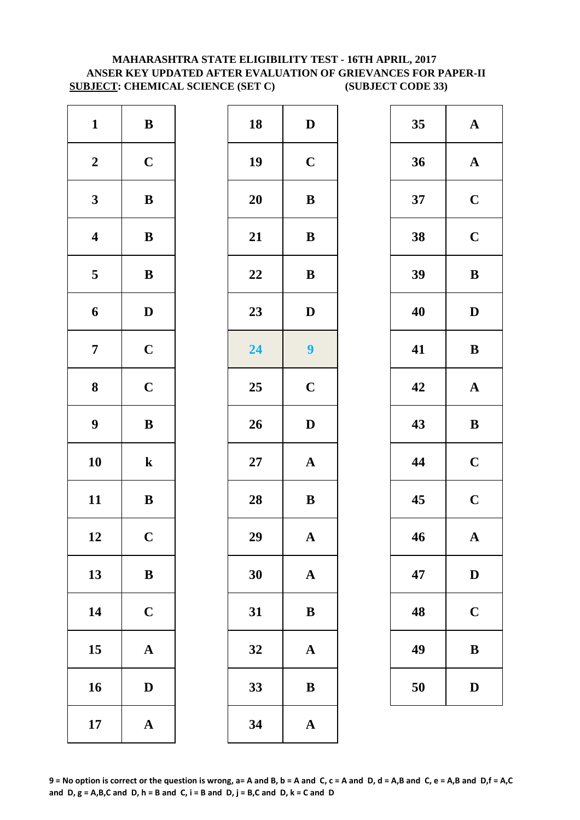# **MAHARASHTRA STATE ELIGIBILITY TEST - 16TH APRIL, 2017 ANSER KEY UPDATED AFTER EVALUATION OF GRIEVANCES FOR PAPER-II SUBJECT: CHEMICAL SCIENCE (SET C) (SUBJECT CODE 33)**

| $\mathbf{1}$            | $\bf{B}$     | 18        | $\mathbf{D}$   |
|-------------------------|--------------|-----------|----------------|
| $\boldsymbol{2}$        | $\mathbf C$  | 19        | $\mathbf C$    |
| $\mathbf{3}$            | $\bf{B}$     | <b>20</b> | $\bf{B}$       |
| $\overline{\mathbf{4}}$ | ${\bf B}$    | 21        | $\bf{B}$       |
| $\overline{\mathbf{5}}$ | $\bf{B}$     | 22        | $\bf{B}$       |
| 6                       | $\mathbf D$  | 23        | $\mathbf{D}$   |
| $\overline{7}$          | $\mathbf C$  | 24        | $\overline{9}$ |
| $\boldsymbol{8}$        | $\mathbf C$  | 25        | $\mathbf C$    |
| $\boldsymbol{9}$        | $\bf{B}$     | 26        | D              |
| 10                      | $\bf k$      | $27\,$    | $\mathbf A$    |
| 11                      | $\, {\bf B}$ | 28        | $\bf{B}$       |
| 12                      | $\mathbf C$  | 29        | A              |
| 13                      | $\bf{B}$     | 30        | $\mathbf{A}$   |
| 14                      | $\mathbf C$  | 31        | $\bf{B}$       |
| 15                      | $\mathbf A$  | 32        | $\mathbf A$    |
| 16                      | $\mathbf D$  | 33        | $\bf{B}$       |
| 17                      | ${\bf A}$    | 34        | $\mathbf A$    |

| $\mathbf{1}$            | $\, {\bf B}$ | 18 | $\mathbf D$      | 35 | $\mathbf A$  |
|-------------------------|--------------|----|------------------|----|--------------|
| $\boldsymbol{2}$        | $\mathbf C$  | 19 | $\mathbf C$      | 36 | $\mathbf A$  |
| $\mathbf{3}$            | ${\bf B}$    | 20 | ${\bf B}$        | 37 | $\mathbf C$  |
| $\overline{\mathbf{4}}$ | $\, {\bf B}$ | 21 | $\, {\bf B}$     | 38 | $\mathbf C$  |
| $\overline{\mathbf{5}}$ | $\, {\bf B}$ | 22 | $\, {\bf B}$     | 39 | $\bf{B}$     |
| $\boldsymbol{6}$        | $\mathbf D$  | 23 | $\mathbf D$      | 40 | $\mathbf{D}$ |
| $\overline{7}$          | $\mathbf C$  | 24 | $\boldsymbol{9}$ | 41 | $\bf{B}$     |
| $\boldsymbol{8}$        | $\mathbf C$  | 25 | $\mathbf C$      | 42 | $\mathbf A$  |
| $\boldsymbol{9}$        | $\, {\bf B}$ | 26 | $\mathbf D$      | 43 | $\bf{B}$     |
| 10                      | ${\bf k}$    | 27 | $\mathbf A$      | 44 | $\mathbf C$  |
| 11                      | ${\bf B}$    | 28 | $\bf{B}$         | 45 | $\mathbf C$  |
| 12                      | $\mathbf C$  | 29 | $\mathbf A$      | 46 | $\mathbf A$  |
| 13                      | $\bf{B}$     | 30 | $\mathbf{A}$     | 47 | $\mathbf{D}$ |
| 14                      | $\mathbf C$  | 31 | $\, {\bf B}$     | 48 | $\mathbf C$  |
| 15                      | ${\bf A}$    | 32 | $\mathbf{A}$     | 49 | $\bf{B}$     |
| 16                      | $\mathbf D$  | 33 | $\bf{B}$         | 50 | $\mathbf{D}$ |
| 17                      | ${\bf A}$    | 34 | ${\bf A}$        |    |              |
|                         |              |    |                  |    |              |

| 35 | $\mathbf A$             |
|----|-------------------------|
| 36 | $\mathbf A$             |
| 37 | $\mathbf C$             |
| 38 | $\mathbf C$             |
| 39 | B                       |
| 40 | D                       |
| 41 | B                       |
| 42 | $\mathbf A$             |
| 43 | B                       |
| 44 | $\mathbf C$             |
| 45 | $\overline{\mathbf{C}}$ |
| 46 | $\boldsymbol{\Lambda}$  |
| 47 | D                       |
| 48 | $\mathbf C$             |
| 49 | B                       |
| 50 | $\mathbf D$             |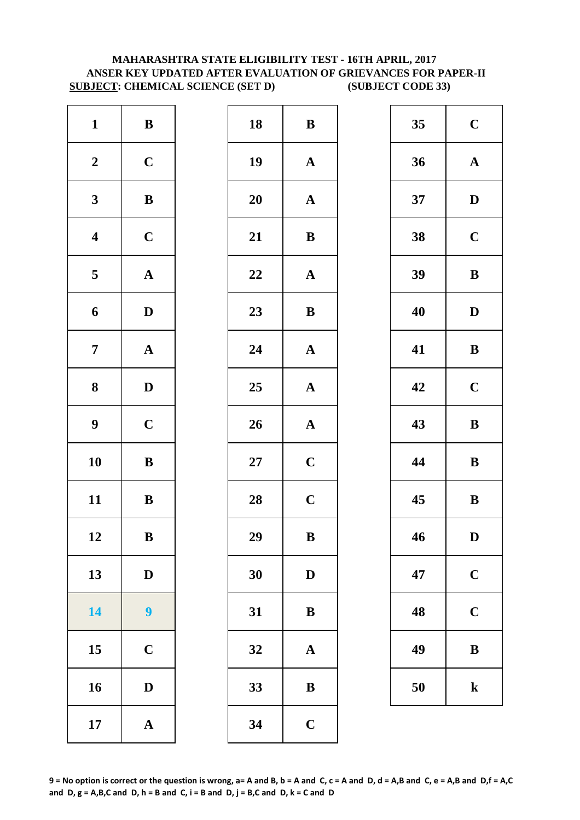# **MAHARASHTRA STATE ELIGIBILITY TEST - 16TH APRIL, 2017 ANSER KEY UPDATED AFTER EVALUATION OF GRIEVANCES FOR PAPER-II SUBJECT: CHEMICAL SCIENCE (SET D) (SUBJECT CODE 33)**

| $\mathbf{1}$     | $\, {\bf B}$          | 18        | $\bf{B}$     |
|------------------|-----------------------|-----------|--------------|
| $\boldsymbol{2}$ | $\mathbf C$           | 19        | $\mathbf A$  |
| $\mathbf{3}$     | $\bf{B}$              | <b>20</b> | $\mathbf A$  |
| $\boldsymbol{4}$ | $\mathbf C$           | 21        | $\bf{B}$     |
| $\sqrt{5}$       | ${\bf A}$             | 22        | $\mathbf A$  |
| 6                | $\mathbf D$           | 23        | $\bf{B}$     |
| $\overline{7}$   | $\boldsymbol{\rm{A}}$ | 24        | $\mathbf A$  |
| 8                | $\mathbf D$           | 25        | $\mathbf A$  |
| $\boldsymbol{9}$ | $\mathbf C$           | 26        | $\mathbf{A}$ |
| 10               | $\bf{B}$              | $27\,$    | $\mathbf C$  |
| 11               | $\, {\bf B}$          | 28        | $\mathbf C$  |
| 12               | B                     | 29        | B            |
| 13               | $\mathbf D$           | 30        | $\mathbf{D}$ |
| 14               | 9                     | 31        | $\bf{B}$     |
| 15               | $\mathbf C$           | 32        | $\mathbf A$  |
| 16               | $\mathbf D$           | 33        | $\bf{B}$     |
| 17               | $\boldsymbol{\rm{A}}$ | 34        | $\mathbf C$  |

| $\mathbf{1}$            | $\, {\bf B}$     | 18 | ${\bf B}$             | 35 | $\mathbf C$  |
|-------------------------|------------------|----|-----------------------|----|--------------|
| $\boldsymbol{2}$        | $\mathbf C$      | 19 | $\mathbf A$           | 36 | $\mathbf A$  |
| $\mathbf{3}$            | $\, {\bf B}$     | 20 | ${\bf A}$             | 37 | $\mathbf{D}$ |
| $\overline{\mathbf{4}}$ | $\mathbf C$      | 21 | $\, {\bf B}$          | 38 | $\mathbf C$  |
| $\overline{\mathbf{5}}$ | ${\bf A}$        | 22 | $\mathbf A$           | 39 | $\bf{B}$     |
| $\boldsymbol{6}$        | $\mathbf D$      | 23 | $\, {\bf B}$          | 40 | $\mathbf{D}$ |
| $\overline{7}$          | ${\bf A}$        | 24 | $\mathbf A$           | 41 | $\bf{B}$     |
| $\boldsymbol{8}$        | $\mathbf D$      | 25 | $\mathbf{A}$          | 42 | $\mathbf C$  |
| $\boldsymbol{9}$        | $\mathbf C$      | 26 | $\boldsymbol{\rm{A}}$ | 43 | $\bf{B}$     |
| 10                      | $\, {\bf B}$     | 27 | $\mathbf C$           | 44 | $\bf{B}$     |
| 11                      | $\, {\bf B}$     | 28 | $\mathbf C$           | 45 | $\bf{B}$     |
| 12                      | $\bf{B}$         | 29 | ${\bf B}$             | 46 | D            |
| 13                      | $\mathbf D$      | 30 | $\mathbf D$           | 47 | $\mathbf C$  |
| 14                      | $\boldsymbol{9}$ | 31 | $\bf{B}$              | 48 | $\mathbf C$  |
| 15                      | $\mathbf C$      | 32 | $\mathbf A$           | 49 | $\bf{B}$     |
| 16                      | $\mathbf D$      | 33 | $\, {\bf B}$          | 50 | $\mathbf k$  |
| 17                      | ${\bf A}$        | 34 | $\mathbf C$           |    |              |
|                         |                  |    |                       |    |              |

| 35 | $\mathbf C$             |
|----|-------------------------|
| 36 | $\mathbf A$             |
| 37 | D                       |
| 38 | $\mathbf C$             |
| 39 | B                       |
| 40 | D                       |
| 41 | B                       |
| 42 | $\overline{\mathbf{C}}$ |
| 43 | B                       |
| 44 | B                       |
| 45 | B                       |
| 46 | D                       |
| 47 | $\mathbf C$             |
| 48 | $\mathbf C$             |
| 49 | B                       |
| 50 | $\bf k$                 |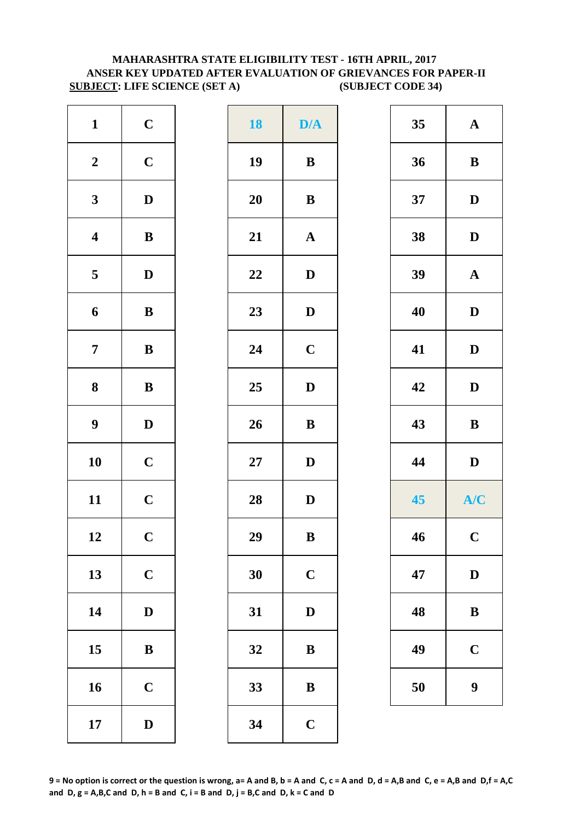# **MAHARASHTRA STATE ELIGIBILITY TEST - 16TH APRIL, 2017 ANSER KEY UPDATED AFTER EVALUATION OF GRIEVANCES FOR PAPER-II SUBJECT: LIFE SCIENCE (SET A) (SUBJECT CODE 34)**

| $\mathbf{1}$            | $\mathbf C$  | <b>18</b> | D/4          |
|-------------------------|--------------|-----------|--------------|
| $\boldsymbol{2}$        | $\mathbf C$  | 19        | $\bf{B}$     |
| $\mathbf{3}$            | $\mathbf D$  | <b>20</b> | $\bf{B}$     |
| $\overline{\mathbf{4}}$ | $\bf{B}$     | 21        | $\mathbf{A}$ |
| $\overline{\mathbf{5}}$ | $\mathbf D$  | 22        | $\mathbf{D}$ |
| 6                       | $\, {\bf B}$ | 23        | $\mathbf{D}$ |
| $\overline{7}$          | $\, {\bf B}$ | 24        | $\mathbf C$  |
| 8                       | $\, {\bf B}$ | 25        | $\mathbf{D}$ |
| $\boldsymbol{9}$        | $\mathbf D$  | 26        | $\bf{B}$     |
| 10                      | $\mathbf C$  | $27\,$    | $\mathbf{D}$ |
| 11                      | $\mathbf C$  | 28        | $\mathbf{D}$ |
| 12                      | $\mathbf C$  | 29        | B            |
| 13                      | $\mathbf C$  | 30        | $\mathbf C$  |
| 14                      | $\mathbf D$  | 31        | $\mathbf{D}$ |
| 15                      | $\bf{B}$     | 32        | $\bf{B}$     |
| 16                      | $\mathbf C$  | 33        | $\bf{B}$     |
| 17                      | $\mathbf D$  | 34        | $\mathbf C$  |

| $\mathbf{1}$            | $\mathbf C$  | <b>18</b> | D/A          | 35 | ${\bf A}$             |
|-------------------------|--------------|-----------|--------------|----|-----------------------|
| $\boldsymbol{2}$        | $\mathbf C$  | 19        | $\, {\bf B}$ | 36 | $\, {\bf B}$          |
| $\mathbf{3}$            | $\mathbf{D}$ | 20        | $\, {\bf B}$ | 37 | $\mathbf D$           |
| $\overline{\mathbf{4}}$ | $\bf{B}$     | 21        | $\mathbf A$  | 38 | $\mathbf D$           |
| $\overline{\mathbf{5}}$ | $\mathbf{D}$ | 22        | $\mathbf D$  | 39 | $\boldsymbol{\rm{A}}$ |
| $\boldsymbol{6}$        | $\bf{B}$     | 23        | $\mathbf{D}$ | 40 | $\mathbf D$           |
| $\overline{7}$          | ${\bf B}$    | 24        | $\mathbf C$  | 41 | $\mathbf{D}$          |
| $\boldsymbol{8}$        | ${\bf B}$    | 25        | $\mathbf D$  | 42 | $\mathbf{D}$          |
| $\boldsymbol{9}$        | $\mathbf{D}$ | 26        | $\bf{B}$     | 43 | $\, {\bf B}$          |
| 10                      | $\mathbf C$  | $27\,$    | $\mathbf{D}$ | 44 | $\mathbf D$           |
| 11                      | $\mathbf C$  | 28        | $\mathbf D$  | 45 | A/C                   |
| 12                      | $\mathbf C$  | 29        | B            | 46 | $\mathbf{C}$          |
| 13                      | $\mathbf C$  | 30        | $\mathbf C$  | 47 | $\mathbf D$           |
| 14                      | $\mathbf{D}$ | 31        | $\mathbf D$  | 48 | $\, {\bf B}$          |
| 15                      | $\bf{B}$     | 32        | $\, {\bf B}$ | 49 | $\mathbf C$           |
| 16                      | $\mathbf C$  | 33        | $\, {\bf B}$ | 50 | $\boldsymbol{9}$      |
| 17                      | $\mathbf{D}$ | 34        | $\mathbf C$  |    |                       |
|                         |              |           |              |    |                       |

| 35 | $\mathbf A$ |
|----|-------------|
| 36 | B           |
| 37 | D           |
| 38 | D           |
| 39 | $\mathbf A$ |
| 40 | D           |
| 41 | D           |
| 42 | D           |
|    |             |
| 43 | B           |
| 44 | D           |
| 45 | A/C         |
| 46 | $\mathbf C$ |
| 47 | $\mathbf D$ |
| 48 | B           |
| 49 | $\mathbf C$ |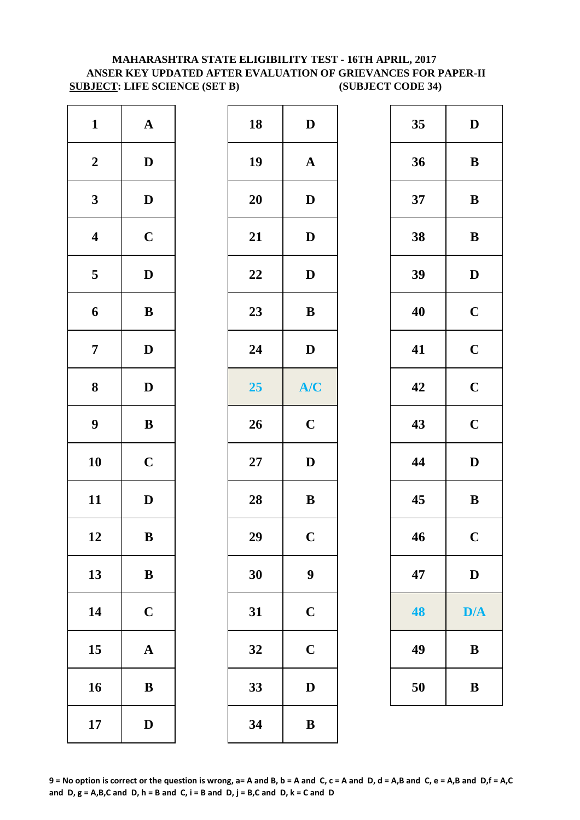# **MAHARASHTRA STATE ELIGIBILITY TEST - 16TH APRIL, 2017 ANSER KEY UPDATED AFTER EVALUATION OF GRIEVANCES FOR PAPER-II SUBJECT: LIFE SCIENCE (SET B) (SUBJECT CODE 34)**

| $\mathbf{1}$            | ${\bf A}$    | 18        | $\mathbf{D}$ |
|-------------------------|--------------|-----------|--------------|
| $\boldsymbol{2}$        | $\mathbf D$  | 19        | $\mathbf{A}$ |
| $\mathbf{3}$            | $\mathbf D$  | <b>20</b> | $\mathbf{D}$ |
| $\overline{\mathbf{4}}$ | $\mathbf C$  | 21        | D            |
| $\overline{\mathbf{5}}$ | $\mathbf D$  | 22        | D            |
| $\boldsymbol{6}$        | $\, {\bf B}$ | 23        | $\bf{B}$     |
| $\boldsymbol{7}$        | $\mathbf D$  | 24        | D            |
| ${\bf 8}$               | $\mathbf D$  | 25        | $A$ /        |
| $\boldsymbol{9}$        | $\bf{B}$     | 26        | $\mathbf C$  |
| 10                      | $\mathbf C$  | $27\,$    | $\mathbf{D}$ |
| 11                      | $\mathbf D$  | 28        | $\bf{B}$     |
| 12                      | $\bf{B}$     | 29        | $\mathbf C$  |
| 13                      | $\, {\bf B}$ | 30        | 9            |
| 14                      | $\mathbf C$  | 31        | $\mathbf C$  |
| 15                      | $\mathbf A$  | 32        | $\mathbf C$  |
| 16                      | $\, {\bf B}$ | 33        | D            |
| 17                      | $\mathbf D$  | 34        | $\bf{B}$     |

| ${\bf A}$    |              | 18 | $\mathbf D$      | 35 | $\mathbf D$  |
|--------------|--------------|----|------------------|----|--------------|
|              |              |    |                  |    |              |
|              |              | 19 | ${\bf A}$        | 36 | $\, {\bf B}$ |
| $\mathbf{D}$ |              | 20 | $\mathbf{D}$     | 37 | $\, {\bf B}$ |
| $\mathbf C$  |              | 21 | $\mathbf D$      | 38 | $\bf{B}$     |
| $\mathbf{D}$ |              | 22 | $\mathbf{D}$     | 39 | $\mathbf{D}$ |
| ${\bf B}$    |              | 23 | $\, {\bf B}$     | 40 | $\mathbf C$  |
| $\mathbf{D}$ |              | 24 | $\mathbf D$      | 41 | $\mathbf C$  |
| $\mathbf{D}$ |              | 25 | A/C              | 42 | $\mathbf C$  |
| $\bf{B}$     |              | 26 | $\mathbf C$      | 43 | $\mathbf C$  |
| $\mathbf C$  |              | 27 | $\mathbf D$      | 44 | $\mathbf{D}$ |
| $\mathbf{D}$ |              | 28 | $\, {\bf B}$     | 45 | $\, {\bf B}$ |
| $\, {\bf B}$ |              | 29 | $\mathbf C$      | 46 | $\mathbf C$  |
| ${\bf B}$    |              | 30 | $\boldsymbol{9}$ | 47 | D            |
| $\mathbf C$  |              | 31 | $\mathbf C$      | 48 | D/A          |
| $\mathbf{A}$ |              | 32 | $\mathbf C$      | 49 | $\bf{B}$     |
| $\, {\bf B}$ |              | 33 | ${\bf D}$        | 50 | $\, {\bf B}$ |
| $\mathbf D$  |              | 34 | $\, {\bf B}$     |    |              |
|              | $\mathbf{D}$ |    |                  |    |              |

| 35 | D                       |
|----|-------------------------|
| 36 | B                       |
| 37 | B                       |
| 38 | B                       |
| 39 | D                       |
| 40 | $\mathbf C$             |
| 41 | $\mathbf C$             |
| 42 | $\mathbf C$             |
| 43 | $\mathbf C$             |
| 44 | $\bf{D}$                |
| 45 | B                       |
| 46 | $\overline{\mathbf{C}}$ |
| 47 | D                       |
| 48 | D/A                     |
| 49 | $\bf{B}$                |
| 50 | B                       |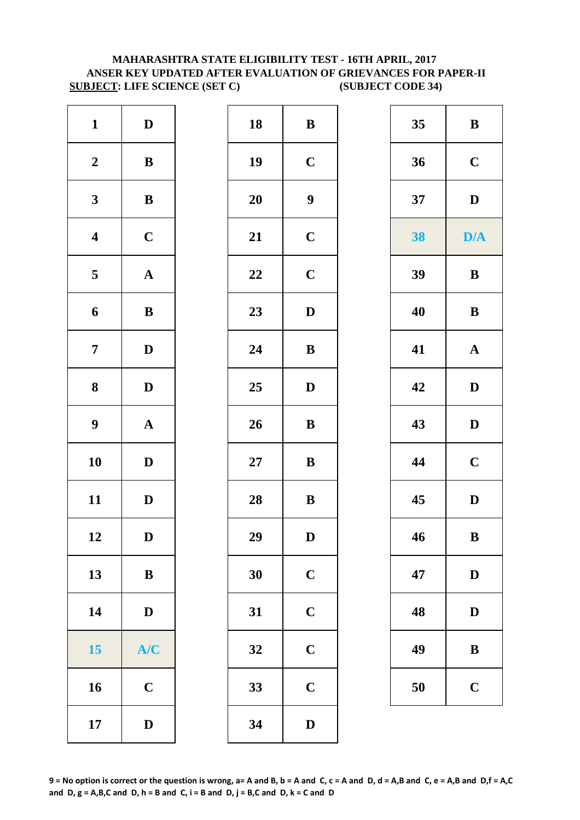# **MAHARASHTRA STATE ELIGIBILITY TEST - 16TH APRIL, 2017 ANSER KEY UPDATED AFTER EVALUATION OF GRIEVANCES FOR PAPER-II SUBJECT: LIFE SCIENCE (SET C) (SUBJECT CODE 34)**

| $\mathbf{1}$            | $\mathbf D$  | 18        | $\bf{B}$         |
|-------------------------|--------------|-----------|------------------|
| $\boldsymbol{2}$        | $\, {\bf B}$ | 19        | $\mathbf C$      |
| $\mathbf{3}$            | $\bf{B}$     | <b>20</b> | $\boldsymbol{9}$ |
| $\overline{\mathbf{4}}$ | $\mathbf C$  | 21        | $\mathbf C$      |
| $\overline{\mathbf{5}}$ | ${\bf A}$    | 22        | $\mathbf C$      |
| 6                       | $\, {\bf B}$ | 23        | $\mathbf{D}$     |
| $\overline{7}$          | $\mathbf D$  | 24        | $\bf{B}$         |
| $\boldsymbol{8}$        | $\mathbf D$  | 25        | $\mathbf{D}$     |
| $\boldsymbol{9}$        | $\mathbf A$  | 26        | $\bf{B}$         |
| 10                      | $\mathbf D$  | $27\,$    | $\bf{B}$         |
| 11                      | $\mathbf D$  | 28        | $\bf{B}$         |
| 12                      | D            | 29        | D                |
| 13                      | $\, {\bf B}$ | 30        | $\mathbf C$      |
| 14                      | $\mathbf D$  | 31        | $\mathbf C$      |
| 15                      | A/C          | 32        | $\mathbf C$      |
| 16                      | $\mathbf C$  | 33        | $\mathbf C$      |
| 17                      | $\mathbf D$  | 34        | $\mathbf{D}$     |

| $\mathbf{1}$            | $\mathbf{D}$ | 18     | $\, {\bf B}$     | 35 | $\bf{B}$              |
|-------------------------|--------------|--------|------------------|----|-----------------------|
| $\boldsymbol{2}$        | $\bf{B}$     | 19     | $\mathbf C$      | 36 | $\mathbf C$           |
| $\mathbf{3}$            | ${\bf B}$    | 20     | $\boldsymbol{9}$ | 37 | $\mathbf D$           |
| $\overline{\mathbf{4}}$ | $\mathbf C$  | 21     | $\mathbf C$      | 38 | D/A                   |
| $5\overline{)}$         | ${\bf A}$    | 22     | $\mathbf C$      | 39 | $\, {\bf B}$          |
| 6                       | ${\bf B}$    | 23     | $\mathbf D$      | 40 | $\, {\bf B}$          |
| $\overline{7}$          | $\mathbf D$  | 24     | $\, {\bf B}$     | 41 | $\boldsymbol{\rm{A}}$ |
| $\boldsymbol{8}$        | $\mathbf{D}$ | 25     | $\mathbf D$      | 42 | $\mathbf{D}$          |
| $\boldsymbol{9}$        | ${\bf A}$    | 26     | $\, {\bf B}$     | 43 | $\mathbf D$           |
| 10                      | $\mathbf{D}$ | $27\,$ | $\bf{B}$         | 44 | $\mathbf C$           |
| 11                      | $\mathbf{D}$ | 28     | $\, {\bf B}$     | 45 | $\mathbf{D}$          |
| 12                      | $\mathbf{D}$ | 29     | $\mathbf{D}$     | 46 | $\bf{B}$              |
| 13                      | $\bf{B}$     | 30     | $\mathbf C$      | 47 | D                     |
| 14                      | $\mathbf{D}$ | 31     | $\mathbf C$      | 48 | D                     |
| 15                      | A/C          | 32     | $\mathbf C$      | 49 | $\, {\bf B}$          |
| 16                      | $\mathbf C$  | 33     | $\mathbf C$      | 50 | $\mathbf C$           |
| 17                      | $\mathbf D$  | 34     | $\mathbf D$      |    |                       |
|                         |              |        |                  |    |                       |

| 35 | B           |
|----|-------------|
| 36 | $\mathbf C$ |
| 37 | D           |
| 38 | D/A         |
| 39 | B           |
| 40 | B           |
| 41 | $\mathbf A$ |
| 42 | D           |
| 43 | D           |
| 44 | $\mathbf C$ |
| 45 | D           |
| 46 | B           |
| 47 | D           |
| 48 | D           |
| 49 | B           |
| 50 | $\mathbf C$ |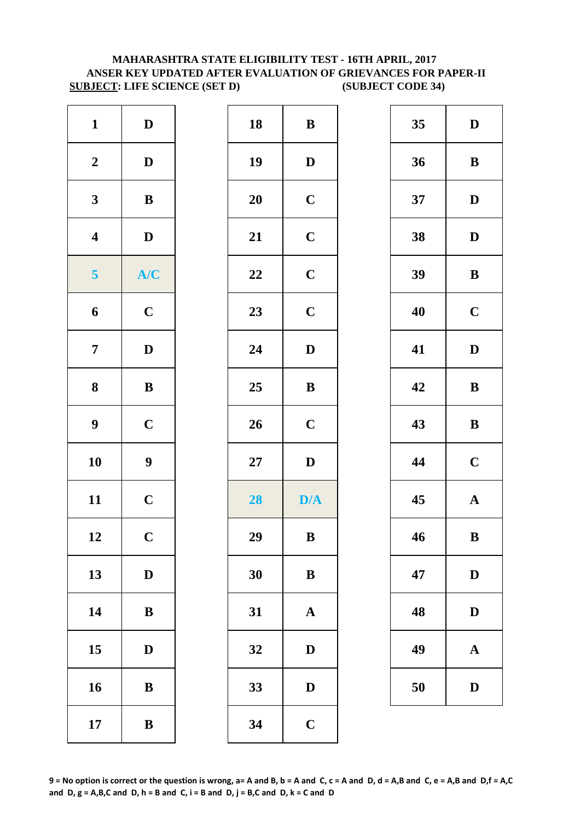# **MAHARASHTRA STATE ELIGIBILITY TEST - 16TH APRIL, 2017 ANSER KEY UPDATED AFTER EVALUATION OF GRIEVANCES FOR PAPER-II SUBJECT: LIFE SCIENCE (SET D) (SUBJECT CODE 34)**

| $\bf{B}$     | 18        | $\mathbf D$  | $\mathbf{1}$            |
|--------------|-----------|--------------|-------------------------|
| $\mathbf{D}$ | 19        | $\mathbf D$  | $\boldsymbol{2}$        |
| $\mathbf C$  | <b>20</b> | $\, {\bf B}$ | $\mathbf{3}$            |
| $\mathbf C$  | 21        | $\mathbf D$  | $\overline{\mathbf{4}}$ |
| $\mathbf C$  | 22        | A/C          | 5                       |
| $\mathbf C$  | 23        | $\mathbf C$  | 6                       |
| $\mathbf{D}$ | 24        | $\mathbf D$  | $\overline{7}$          |
| $\bf{B}$     | 25        | $\, {\bf B}$ | $\boldsymbol{8}$        |
| $\mathbf C$  | 26        | $\mathbf C$  | 9                       |
| D            | $27\,$    | 9            | 10                      |
| D/4          | 28        | $\mathbf C$  | 11                      |
| B            | 29        | $\mathbf C$  | 12                      |
| $\bf{B}$     | 30        | $\mathbf D$  | 13                      |
| $\mathbf{A}$ | 31        | $\, {\bf B}$ | 14                      |
| $\mathbf{D}$ | 32        | $\mathbf D$  | 15                      |
| $\bf{D}$     | 33        | $\bf{B}$     | 16                      |
| $\mathbf C$  | 34        | $\, {\bf B}$ | 17                      |

| $\mathbf{1}$            | $\mathbf D$      | 18     | ${\bf B}$               | 35 | $\mathbf{D}$ |
|-------------------------|------------------|--------|-------------------------|----|--------------|
| $\boldsymbol{2}$        | $\mathbf D$      | 19     | $\mathbf D$             | 36 | $\bf{B}$     |
| $\mathbf{3}$            | ${\bf B}$        | 20     | $\mathbf C$             | 37 | $\mathbf{D}$ |
| $\overline{\mathbf{4}}$ | $\mathbf D$      | 21     | $\mathbf C$             | 38 | $\mathbf{D}$ |
| $\overline{\mathbf{5}}$ | A/C              | 22     | $\mathbf C$             | 39 | $\bf{B}$     |
| $\boldsymbol{6}$        | $\mathbf C$      | 23     | $\mathbf C$             | 40 | $\mathbf C$  |
| $\overline{7}$          | $\mathbf{D}$     | 24     | $\mathbf{D}$            | 41 | $\mathbf{D}$ |
| $\boldsymbol{8}$        | ${\bf B}$        | 25     | ${\bf B}$               | 42 | $\bf{B}$     |
| $\boldsymbol{9}$        | $\mathbf C$      | 26     | $\mathbf C$             | 43 | $\bf{B}$     |
| 10                      | $\boldsymbol{9}$ | $27\,$ | $\mathbf D$             | 44 | $\mathbf C$  |
| 11                      | $\mathbf C$      | 28     | $\mathbf{D}/\mathbf{A}$ | 45 | $\mathbf A$  |
| 12                      | $\mathbf C$      | 29     | ${\bf B}$               | 46 | $\bf{B}$     |
| 13                      | $\mathbf{D}$     | 30     | ${\bf B}$               | 47 | D            |
| 14                      | ${\bf B}$        | 31     | $\mathbf A$             | 48 | D            |
| 15                      | $\mathbf{D}$     | 32     | $\mathbf D$             | 49 | $\mathbf A$  |
| 16                      | $\, {\bf B}$     | 33     | ${\bf D}$               | 50 | D            |
| 17                      | $\, {\bf B}$     | 34     | $\mathbf C$             |    |              |

| 35 | D           |
|----|-------------|
| 36 | B           |
| 37 | D           |
| 38 | D           |
| 39 | B           |
| 40 | $\mathbf C$ |
| 41 | D           |
| 42 | B           |
|    |             |
| 43 | B           |
| 44 | $\mathbf C$ |
| 45 | $\mathbf A$ |
| 46 | $\bf{B}$    |
| 47 | D           |
| 48 | $\mathbf D$ |
| 49 | A           |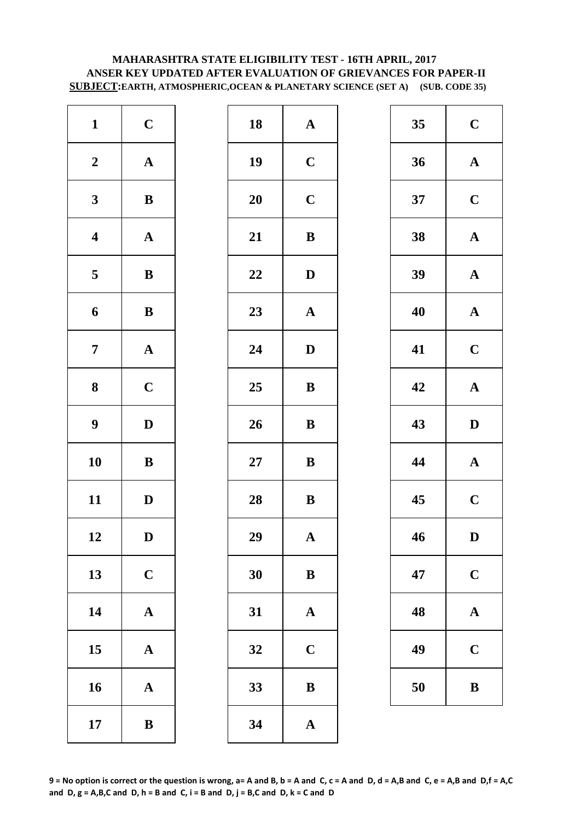# **MAHARASHTRA STATE ELIGIBILITY TEST - 16TH APRIL, 2017 ANSER KEY UPDATED AFTER EVALUATION OF GRIEVANCES FOR PAPER-II SUBJECT:EARTH, ATMOSPHERIC,OCEAN & PLANETARY SCIENCE (SET A) (SUB. CODE 35)**

| $\mathbf{1}$            | $\mathbf C$           | 18        | $\mathbf{A}$ |
|-------------------------|-----------------------|-----------|--------------|
| $\boldsymbol{2}$        | $\boldsymbol{\rm{A}}$ | 19        | $\mathbf C$  |
| $\mathbf{3}$            | $\bf{B}$              | <b>20</b> | $\mathbf C$  |
| $\overline{\mathbf{4}}$ | $\boldsymbol{\rm{A}}$ | 21        | $\bf{B}$     |
| $\overline{\mathbf{5}}$ | $\, {\bf B}$          | 22        | $\mathbf{D}$ |
| 6                       | $\, {\bf B}$          | 23        | $\mathbf{A}$ |
| $\overline{7}$          | ${\bf A}$             | 24        | $\mathbf{D}$ |
| 8                       | $\mathbf C$           | 25        | $\bf{B}$     |
| $\boldsymbol{9}$        | $\mathbf D$           | 26        | $\bf{B}$     |
| 10                      | $\bf{B}$              | $27\,$    | $\bf{B}$     |
| 11                      | $\mathbf D$           | 28        | $\bf{B}$     |
| 12                      | D                     | 29        | A            |
| 13                      | $\mathbf C$           | 30        | $\bf{B}$     |
| 14                      | $\boldsymbol{\rm{A}}$ | 31        | $\mathbf{A}$ |
| 15                      | $\mathbf A$           | 32        | $\mathbf C$  |
| 16                      | $\mathbf A$           | 33        | $\bf{B}$     |
| 17                      | $\bf{B}$              | 34        | $\mathbf{A}$ |

| $\mathbf{1}$            | $\mathbf C$  | 18 | ${\bf A}$             | 35 | $\mathbf C$  |
|-------------------------|--------------|----|-----------------------|----|--------------|
| $\boldsymbol{2}$        | ${\bf A}$    | 19 | $\mathbf C$           | 36 | $\mathbf A$  |
| $\mathbf{3}$            | ${\bf B}$    | 20 | $\mathbf C$           | 37 | $\mathbf C$  |
| $\overline{\mathbf{4}}$ | ${\bf A}$    | 21 | $\, {\bf B}$          | 38 | $\mathbf A$  |
| $\overline{\mathbf{5}}$ | $\, {\bf B}$ | 22 | $\mathbf{D}$          | 39 | $\mathbf A$  |
| $\boldsymbol{6}$        | ${\bf B}$    | 23 | ${\bf A}$             | 40 | $\mathbf A$  |
| $\overline{7}$          | ${\bf A}$    | 24 | $\mathbf D$           | 41 | $\mathbf C$  |
| $\boldsymbol{8}$        | $\mathbf C$  | 25 | ${\bf B}$             | 42 | $\mathbf A$  |
| $\boldsymbol{9}$        | $\mathbf D$  | 26 | $\, {\bf B}$          | 43 | $\mathbf{D}$ |
| 10                      | $\, {\bf B}$ | 27 | $\bf{B}$              | 44 | $\mathbf A$  |
| 11                      | $\mathbf D$  | 28 | ${\bf B}$             | 45 | $\mathbf C$  |
| 12                      | $\mathbf D$  | 29 | $\mathbf A$           | 46 | $\mathbf{D}$ |
| 13                      | $\mathbf C$  | 30 | ${\bf B}$             | 47 | $\mathbf C$  |
| 14                      | ${\bf A}$    | 31 | $\mathbf A$           | 48 | $\mathbf A$  |
| 15                      | ${\bf A}$    | 32 | $\mathbf C$           | 49 | $\mathbf C$  |
| 16                      | ${\bf A}$    | 33 | $\, {\bf B}$          | 50 | $\bf{B}$     |
| 17                      | $\, {\bf B}$ | 34 | $\boldsymbol{\rm{A}}$ |    |              |

| 35 | $\mathbf C$             |
|----|-------------------------|
| 36 | $\mathbf A$             |
| 37 | $\overline{\mathbf{C}}$ |
| 38 | $\mathbf A$             |
| 39 | $\mathbf A$             |
| 40 | $\mathbf A$             |
| 41 | $\overline{\mathbf{C}}$ |
| 42 | ${\bf A}$               |
| 43 | D                       |
| 44 | $\mathbf A$             |
| 45 | $\mathbf C$             |
| 46 | D                       |
| 47 | $\mathbf C$             |
| 48 | ${\bf A}$               |
| 49 | $\mathbf C$             |
| 50 | $\bf{B}$                |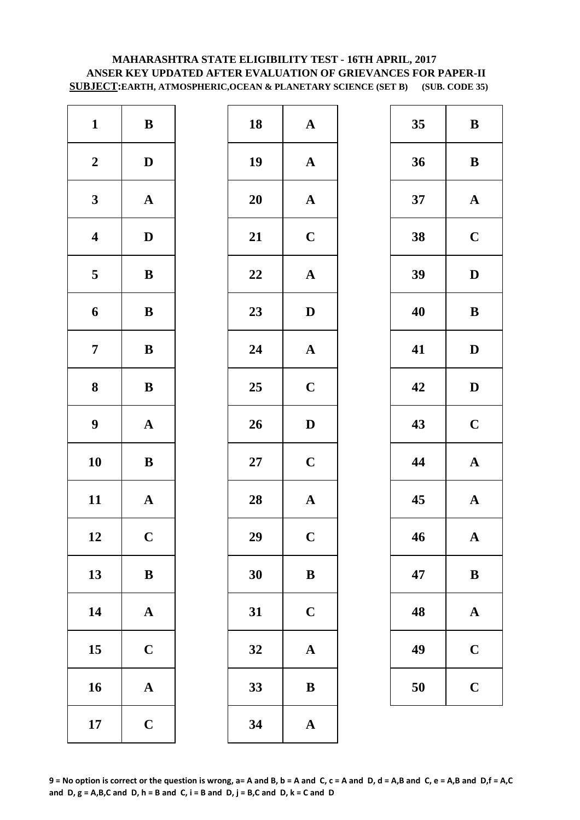# **MAHARASHTRA STATE ELIGIBILITY TEST - 16TH APRIL, 2017 ANSER KEY UPDATED AFTER EVALUATION OF GRIEVANCES FOR PAPER-II SUBJECT:EARTH, ATMOSPHERIC,OCEAN & PLANETARY SCIENCE (SET B) (SUB. CODE 35)**

| $\mathbf{1}$            | $\, {\bf B}$          | 18        | $\mathbf{A}$            |
|-------------------------|-----------------------|-----------|-------------------------|
| $\boldsymbol{2}$        | $\mathbf D$           | 19        | $\mathbf{A}$            |
| $\mathbf{3}$            | $\mathbf A$           | <b>20</b> | $\mathbf{A}$            |
| $\overline{\mathbf{4}}$ | $\mathbf D$           | 21        | $\mathbf C$             |
| $\overline{\mathbf{5}}$ | $\, {\bf B}$          | 22        | $\mathbf{A}$            |
| 6                       | $\, {\bf B}$          | 23        | $\mathbf{D}$            |
| $\boldsymbol{7}$        | $\, {\bf B}$          | 24        | $\mathbf{A}$            |
| $\bf{8}$                | $\bf{B}$              | 25        | $\mathbf C$             |
| $\boldsymbol{9}$        | $\boldsymbol{\rm{A}}$ | 26        | $\mathbf{D}$            |
| 10                      | $\bf{B}$              | $27\,$    | $\mathbf C$             |
| 11                      | ${\bf A}$             | 28        | $\mathbf{A}$            |
| 12                      | $\mathbf C$           | 29        | $\overline{\mathbf{C}}$ |
| 13                      | $\bf{B}$              | 30        | $\bf{B}$                |
| 14                      | $\mathbf A$           | 31        | $\mathbf C$             |
| 15                      | $\mathbf C$           | 32        | $\mathbf{A}$            |
| 16                      | $\mathbf A$           | 33        | $\bf{B}$                |
| 17                      | $\mathbf C$           | 34        | $\mathbf{A}$            |

| $\mathbf{1}$            | $\bf{B}$     | 18     | ${\bf A}$             | 35 | $\bf{B}$     |
|-------------------------|--------------|--------|-----------------------|----|--------------|
| $\boldsymbol{2}$        | $\mathbf D$  | 19     | ${\bf A}$             | 36 | $\bf{B}$     |
| $\mathbf{3}$            | ${\bf A}$    | 20     | $\mathbf{A}$          | 37 | $\mathbf A$  |
| $\overline{\mathbf{4}}$ | $\mathbf D$  | 21     | $\mathbf C$           | 38 | $\mathbf C$  |
| $5\phantom{.0}$         | $\, {\bf B}$ | 22     | $\boldsymbol{\rm{A}}$ | 39 | $\mathbf{D}$ |
| $\boldsymbol{6}$        | ${\bf B}$    | 23     | $\mathbf D$           | 40 | $\bf{B}$     |
| $\overline{7}$          | ${\bf B}$    | 24     | $\boldsymbol{\rm{A}}$ | 41 | $\mathbf{D}$ |
| $\boldsymbol{8}$        | ${\bf B}$    | 25     | $\mathbf C$           | 42 | $\mathbf{D}$ |
| $\boldsymbol{9}$        | ${\bf A}$    | 26     | $\mathbf D$           | 43 | $\mathbf C$  |
| 10                      | $\, {\bf B}$ | $27\,$ | $\mathbf C$           | 44 | $\mathbf A$  |
| 11                      | ${\bf A}$    | 28     | ${\bf A}$             | 45 | $\mathbf A$  |
| 12                      | $\mathbf C$  | 29     | $\mathbf C$           | 46 | $\mathbf A$  |
| 13                      | ${\bf B}$    | 30     | ${\bf B}$             | 47 | $\bf{B}$     |
| 14                      | ${\bf A}$    | 31     | $\mathbf C$           | 48 | $\mathbf A$  |
| 15                      | $\mathbf C$  | 32     | $\mathbf A$           | 49 | $\mathbf C$  |
| 16                      | ${\bf A}$    | 33     | $\, {\bf B}$          | 50 | $\mathbf C$  |
| 17                      | $\mathbf C$  | 34     | $\mathbf A$           |    |              |

| 35 | B            |
|----|--------------|
| 36 | B            |
| 37 | ${\bf A}$    |
| 38 | $\mathbf C$  |
| 39 | D            |
| 40 | B            |
| 41 | D            |
| 42 | D            |
| 43 | $\mathbf C$  |
| 44 | ${\bf A}$    |
| 45 | ${\bf A}$    |
| 46 | $\mathbf{A}$ |
| 47 | B            |
| 48 | ${\bf A}$    |
| 49 | $\mathbf C$  |
| 50 | $\mathbf C$  |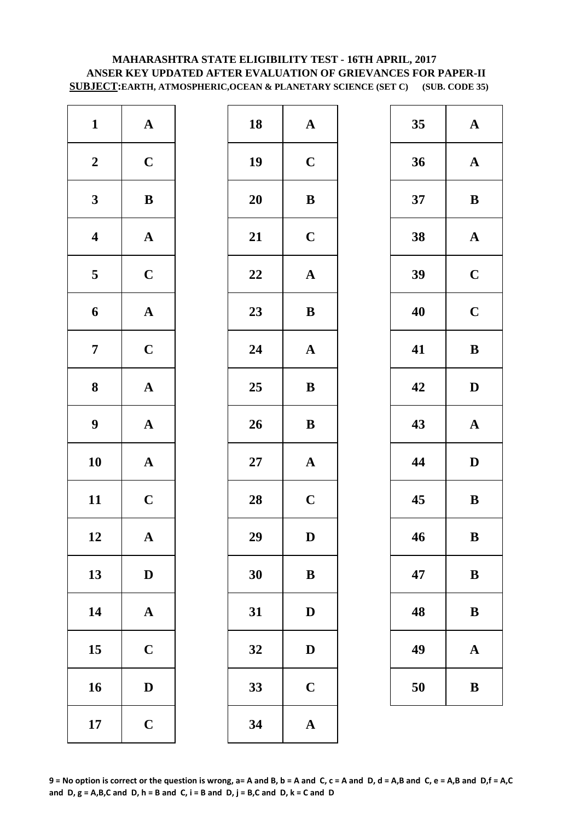# **MAHARASHTRA STATE ELIGIBILITY TEST - 16TH APRIL, 2017 ANSER KEY UPDATED AFTER EVALUATION OF GRIEVANCES FOR PAPER-II SUBJECT:EARTH, ATMOSPHERIC,OCEAN & PLANETARY SCIENCE (SET C) (SUB. CODE 35)**

| $\mathbf{1}$            | ${\bf A}$             | 18     | $\mathbf{A}$ |
|-------------------------|-----------------------|--------|--------------|
| $\boldsymbol{2}$        | $\mathbf C$           | 19     | $\mathbf C$  |
| $\mathbf{3}$            | $\bf{B}$              | 20     | $\bf{B}$     |
| $\overline{\mathbf{4}}$ | $\boldsymbol{\rm{A}}$ | 21     | $\mathbf C$  |
| $\overline{\mathbf{5}}$ | $\mathbf C$           | 22     | $\mathbf{A}$ |
| 6                       | ${\bf A}$             | 23     | $\bf{B}$     |
| $\boldsymbol{7}$        | $\mathbf C$           | 24     | $\mathbf{A}$ |
| $\boldsymbol{8}$        | $\boldsymbol{\rm{A}}$ | 25     | $\bf{B}$     |
| $\boldsymbol{9}$        | ${\bf A}$             | 26     | $\bf{B}$     |
| 10                      | $\mathbf A$           | $27\,$ | $\mathbf{A}$ |
| 11                      | $\mathbf C$           | 28     | $\mathbf C$  |
| 12                      | A                     | 29     | D            |
| 13                      | $\mathbf D$           | 30     | $\bf{B}$     |
| 14                      | $\mathbf A$           | 31     | $\mathbf{D}$ |
| 15                      | $\mathbf C$           | 32     | D            |
| 16                      | $\mathbf D$           | 33     | $\mathbf C$  |
| 17                      | $\mathbf C$           | 34     | $\mathbf{A}$ |

| $\mathbf{1}$            | ${\bf A}$    | 18     | ${\bf A}$             | 35 | $\mathbf A$  |
|-------------------------|--------------|--------|-----------------------|----|--------------|
| $\boldsymbol{2}$        | $\mathbf C$  | 19     | $\mathbf C$           | 36 | $\mathbf A$  |
| $\mathbf{3}$            | ${\bf B}$    | 20     | $\, {\bf B}$          | 37 | $\bf{B}$     |
| $\overline{\mathbf{4}}$ | ${\bf A}$    | 21     | $\mathbf C$           | 38 | $\mathbf A$  |
| $5\overline{)}$         | $\mathbf C$  | 22     | $\boldsymbol{\rm{A}}$ | 39 | $\mathbf C$  |
| 6                       | ${\bf A}$    | 23     | $\, {\bf B}$          | 40 | $\mathbf C$  |
| $\overline{7}$          | $\mathbf C$  | 24     | $\mathbf A$           | 41 | $\bf{B}$     |
| $\boldsymbol{8}$        | ${\bf A}$    | 25     | ${\bf B}$             | 42 | $\mathbf{D}$ |
| $\boldsymbol{9}$        | ${\bf A}$    | 26     | $\, {\bf B}$          | 43 | $\mathbf A$  |
| 10                      | ${\bf A}$    | $27\,$ | ${\bf A}$             | 44 | $\mathbf{D}$ |
| 11                      | $\mathbf C$  | 28     | $\mathbf C$           | 45 | $\bf{B}$     |
| 12                      | $\mathbf A$  | 29     | $\mathbf D$           | 46 | $\bf{B}$     |
| 13                      | $\mathbf{D}$ | 30     | $\bf{B}$              | 47 | $\bf{B}$     |
| 14                      | ${\bf A}$    | 31     | $\mathbf D$           | 48 | $\bf{B}$     |
| 15                      | $\mathbf C$  | 32     | $\mathbf D$           | 49 | $\mathbf A$  |
| 16                      | $\mathbf D$  | 33     | $\mathbf C$           | 50 | $\bf{B}$     |
| 17                      | $\mathbf C$  | 34     | $\mathbf A$           |    |              |
|                         |              |        |                       |    |              |

| 35 | $\mathbf A$ |
|----|-------------|
| 36 | $\mathbf A$ |
| 37 | B           |
| 38 | ${\bf A}$   |
| 39 | $\mathbf C$ |
| 40 | $\mathbf C$ |
| 41 | B           |
| 42 | D           |
| 43 | $\mathbf A$ |
| 44 | D           |
| 45 | B           |
| 46 | B           |
| 47 | $\bf{B}$    |
| 48 | B           |
|    |             |
| 49 | A           |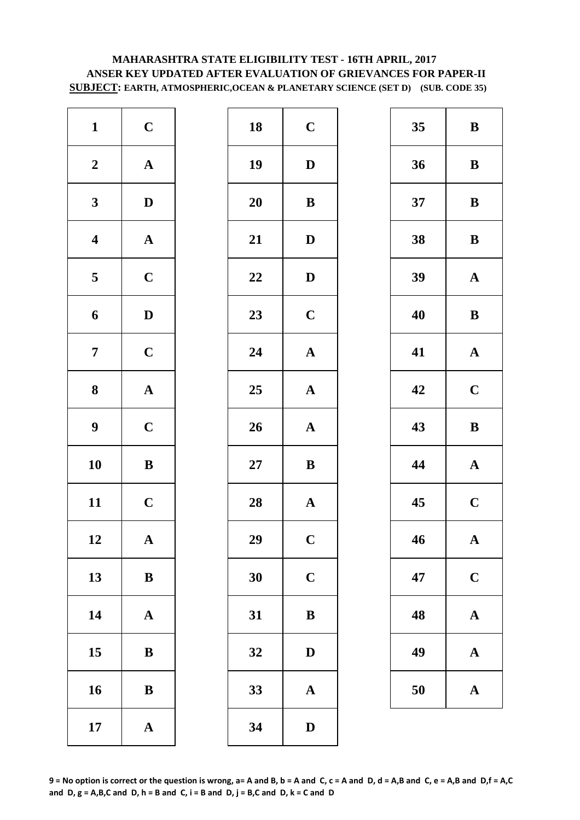# **MAHARASHTRA STATE ELIGIBILITY TEST - 16TH APRIL, 2017 ANSER KEY UPDATED AFTER EVALUATION OF GRIEVANCES FOR PAPER-II SUBJECT: EARTH, ATMOSPHERIC,OCEAN & PLANETARY SCIENCE (SET D) (SUB. CODE 35)**

| $\mathbf{1}$            | $\mathbf C$           | 18     | $\mathbf C$  |
|-------------------------|-----------------------|--------|--------------|
| $\boldsymbol{2}$        | $\boldsymbol{\rm{A}}$ | 19     | $\mathbf{D}$ |
| $\mathbf{3}$            | $\mathbf D$           | 20     | $\bf{B}$     |
| $\overline{\mathbf{4}}$ | $\mathbf{A}$          | 21     | $\mathbf{D}$ |
| $\overline{\mathbf{5}}$ | $\mathbf C$           | 22     | $\mathbf{D}$ |
| 6                       | $\mathbf D$           | 23     | $\mathbf C$  |
| $\boldsymbol{7}$        | $\mathbf C$           | 24     | $\mathbf{A}$ |
| ${\bf 8}$               | $\boldsymbol{\rm{A}}$ | 25     | $\mathbf{A}$ |
| $\boldsymbol{9}$        | $\mathbf C$           | 26     | $\mathbf{A}$ |
| 10                      | $\, {\bf B}$          | $27\,$ | $\bf{B}$     |
| 11                      | $\mathbf C$           | 28     | $\mathbf{A}$ |
| 12                      | A                     | 29     | $\mathbf C$  |
| 13                      | $\, {\bf B}$          | 30     | $\mathbf C$  |
| 14                      | $\mathbf A$           | 31     | $\bf{B}$     |
| 15                      | $\bf{B}$              | 32     | $\mathbf{D}$ |
| 16                      | $\bf{B}$              | 33     | $\mathbf{A}$ |
| 17                      | $\boldsymbol{\rm{A}}$ | 34     | $\mathbf{D}$ |

| $\mathbf{1}$            | $\mathbf C$  | 18     | $\mathbf C$           | 35 | $\bf{B}$    |
|-------------------------|--------------|--------|-----------------------|----|-------------|
| $\boldsymbol{2}$        | ${\bf A}$    | 19     | $\mathbf D$           | 36 | $\bf{B}$    |
| $\mathbf{3}$            | $\mathbf{D}$ | 20     | ${\bf B}$             | 37 | $\bf{B}$    |
| $\overline{\mathbf{4}}$ | ${\bf A}$    | 21     | ${\bf D}$             | 38 | $\bf{B}$    |
| $5\phantom{.0}$         | $\mathbf C$  | 22     | $\mathbf D$           | 39 | $\mathbf A$ |
| $\boldsymbol{6}$        | $\mathbf D$  | 23     | $\mathbf C$           | 40 | $\bf{B}$    |
| $\overline{7}$          | $\mathbf C$  | 24     | $\boldsymbol{\rm{A}}$ | 41 | $\mathbf A$ |
| $\boldsymbol{8}$        | ${\bf A}$    | 25     | ${\bf A}$             | 42 | $\mathbf C$ |
| $\boldsymbol{9}$        | $\mathbf C$  | 26     | ${\bf A}$             | 43 | $\bf{B}$    |
| 10                      | $\, {\bf B}$ | $27\,$ | $\bf{B}$              | 44 | $\mathbf A$ |
| 11                      | $\mathbf C$  | 28     | $\boldsymbol{\rm{A}}$ | 45 | $\mathbf C$ |
| 12                      | ${\bf A}$    | 29     | $\mathbf C$           | 46 | $\mathbf A$ |
| 13                      | $\bf{B}$     | 30     | $\mathbf C$           | 47 | $\mathbf C$ |
| 14                      | ${\bf A}$    | 31     | $\, {\bf B}$          | 48 | $\mathbf A$ |
| 15                      | ${\bf B}$    | 32     | $\mathbf{D}$          | 49 | $\mathbf A$ |
| 16                      | $\bf{B}$     | 33     | ${\bf A}$             | 50 | $\mathbf A$ |
| 17                      | ${\bf A}$    | 34     | $\mathbf D$           |    |             |

| 35 | B                       |
|----|-------------------------|
| 36 | B                       |
| 37 | $\bf{B}$                |
| 38 | B                       |
| 39 | $\mathbf A$             |
| 40 | B                       |
| 41 | $\mathbf A$             |
| 42 | $\mathbf C$             |
| 43 | B                       |
|    |                         |
| 44 | $\mathbf A$             |
| 45 | $\mathbf C$             |
| 46 | $\mathbf{A}$            |
| 47 | $\mathbf C$             |
| 48 | $\mathbf A$             |
| 49 | $\overline{\mathbf{A}}$ |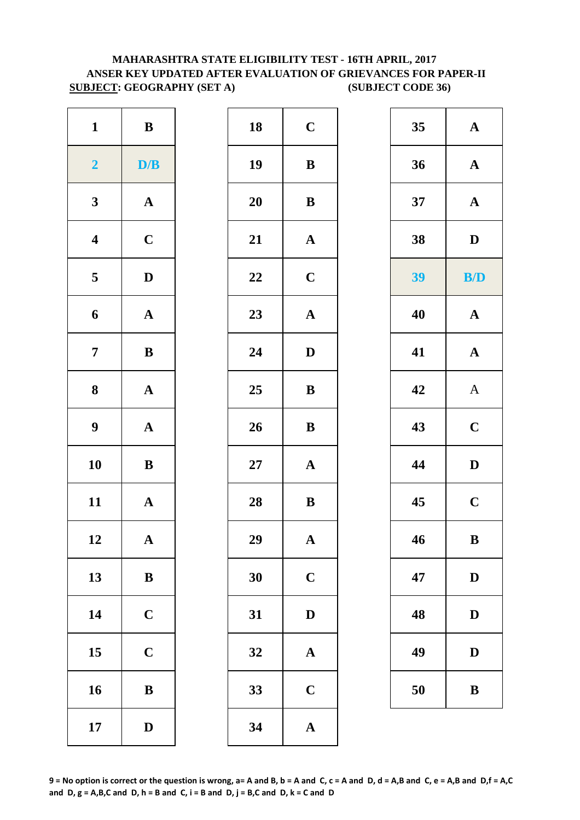# **MAHARASHTRA STATE ELIGIBILITY TEST - 16TH APRIL, 2017 ANSER KEY UPDATED AFTER EVALUATION OF GRIEVANCES FOR PAPER-II SUBJECT: GEOGRAPHY (SET A) (SUBJECT CODE 36)**

| $\mathbf{1}$            | $\, {\bf B}$          | 18     | $\mathbf C$  |
|-------------------------|-----------------------|--------|--------------|
| $\overline{2}$          | D/B                   | 19     | $\bf{B}$     |
| $\mathbf{3}$            | $\boldsymbol{\rm{A}}$ | 20     | $\bf{B}$     |
| $\boldsymbol{4}$        | $\mathbf C$           | 21     | $\mathbf{A}$ |
| $\overline{\mathbf{5}}$ | $\mathbf D$           | 22     | $\mathbf C$  |
| 6                       | $\mathbf A$           | 23     | $\mathbf{A}$ |
| $\overline{7}$          | $\, {\bf B}$          | 24     | $\mathbf{D}$ |
| ${\bf 8}$               | $\mathbf A$           | 25     | $\bf{B}$     |
| $\boldsymbol{9}$        | $\boldsymbol{\rm{A}}$ | 26     | $\bf{B}$     |
| 10                      | $\bf{B}$              | $27\,$ | $\mathbf{A}$ |
| 11                      | ${\bf A}$             | 28     | $\bf{B}$     |
| 12                      | A                     | 29     | A            |
| 13                      | $\, {\bf B}$          | 30     | $\mathbf C$  |
| 14                      | $\mathbf C$           | 31     | $\mathbf{D}$ |
| 15                      | $\mathbf C$           | 32     | $\mathbf A$  |
| 16                      | $\, {\bf B}$          | 33     | $\mathbf C$  |
| 17                      | $\mathbf D$           | 34     | $\mathbf{A}$ |

| $\mathbf{1}$            | $\, {\bf B}$ | 18 | $\mathbf C$           | 35 | ${\bf A}$    |
|-------------------------|--------------|----|-----------------------|----|--------------|
| $\overline{2}$          | D/B          | 19 | $\, {\bf B}$          | 36 | ${\bf A}$    |
| $\mathbf{3}$            | ${\bf A}$    | 20 | $\, {\bf B}$          | 37 | ${\bf A}$    |
| $\overline{\mathbf{4}}$ | $\mathbf C$  | 21 | ${\bf A}$             | 38 | $\mathbf D$  |
| $5\phantom{.0}$         | $\mathbf D$  | 22 | $\mathbf C$           | 39 | B/D          |
| $\boldsymbol{6}$        | ${\bf A}$    | 23 | $\boldsymbol{\rm{A}}$ | 40 | ${\bf A}$    |
| $\overline{7}$          | $\, {\bf B}$ | 24 | $\mathbf D$           | 41 | ${\bf A}$    |
| 8                       | ${\bf A}$    | 25 | ${\bf B}$             | 42 | $\mathbf{A}$ |
| $\boldsymbol{9}$        | ${\bf A}$    | 26 | $\, {\bf B}$          | 43 | $\mathbf C$  |
| 10                      | ${\bf B}$    | 27 | $\boldsymbol{\rm{A}}$ | 44 | $\mathbf D$  |
| 11                      | ${\bf A}$    | 28 | $\, {\bf B}$          | 45 | $\mathbf C$  |
| 12                      | ${\bf A}$    | 29 | ${\bf A}$             | 46 | $\mathbf{B}$ |
| 13                      | $\bf{B}$     | 30 | $\mathbf C$           | 47 | $\mathbf D$  |
| 14                      | $\mathbf C$  | 31 | $\mathbf D$           | 48 | D            |
| 15                      | $\mathbf C$  | 32 | $\mathbf A$           | 49 | $\mathbf D$  |
| 16                      | $\bf{B}$     | 33 | $\mathbf C$           | 50 | $\, {\bf B}$ |
| 17                      | $\mathbf{D}$ | 34 | ${\bf A}$             |    |              |

| 35 | $\mathbf A$  |
|----|--------------|
| 36 | $\mathbf A$  |
| 37 | $\mathbf A$  |
| 38 | $\mathbf{D}$ |
| 39 | <b>B/D</b>   |
| 40 | $\mathbf A$  |
| 41 | $\mathbf{A}$ |
| 42 | $\mathbf{A}$ |
| 43 | $\mathbf C$  |
| 44 | D            |
| 45 | $\mathbf C$  |
| 46 | B            |
| 47 | $\mathbf D$  |
| 48 | $\bf{D}$     |
| 49 | $\mathbf D$  |
| 50 | B            |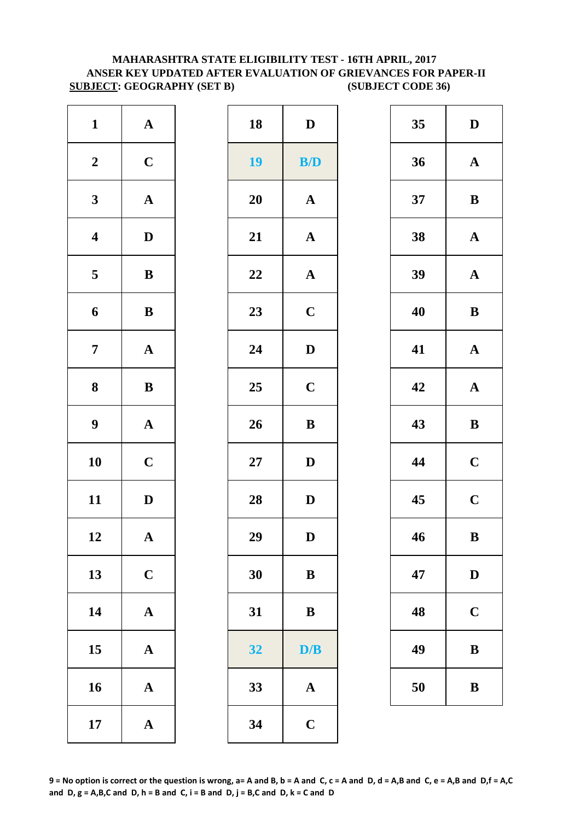# **MAHARASHTRA STATE ELIGIBILITY TEST - 16TH APRIL, 2017 ANSER KEY UPDATED AFTER EVALUATION OF GRIEVANCES FOR PAPER-II SUBJECT: GEOGRAPHY (SET B) (SUBJECT CODE 36)**

| $\mathbf{D}$ | 18        | ${\bf A}$             | $\mathbf{1}$            |
|--------------|-----------|-----------------------|-------------------------|
| B/1          | 19        | $\mathbf C$           | $\boldsymbol{2}$        |
| $\mathbf A$  | <b>20</b> | $\boldsymbol{\rm{A}}$ | $\mathbf{3}$            |
| $\mathbf A$  | 21        | $\mathbf D$           | $\overline{\mathbf{4}}$ |
| $\mathbf A$  | 22        | $\, {\bf B}$          | $\overline{\mathbf{5}}$ |
| $\mathbf C$  | 23        | $\, {\bf B}$          | 6                       |
| $\mathbf{D}$ | 24        | $\boldsymbol{\rm{A}}$ | $\overline{7}$          |
| $\mathbf C$  | 25        | $\, {\bf B}$          | 8                       |
| $\bf{B}$     | 26        | ${\bf A}$             | $\boldsymbol{9}$        |
| $\mathbf{D}$ | $27\,$    | $\mathbf C$           | 10                      |
| $\mathbf{D}$ | 28        | $\mathbf D$           | 11                      |
| D            | 29        | A                     | 12                      |
| $\bf{B}$     | 30        | $\mathbf C$           | 13                      |
| $\bf{B}$     | 31        | $\boldsymbol{\rm{A}}$ | 14                      |
| D/           | 32        | $\mathbf A$           | 15                      |
| $\mathbf A$  | 33        | $\boldsymbol{\rm{A}}$ | 16                      |
| $\mathbf C$  | 34        | $\boldsymbol{\rm{A}}$ | 17                      |

| $\mathbf{1}$            | ${\bf A}$    | 18        | $\mathbf D$             | 35 | $\mathbf{D}$ |
|-------------------------|--------------|-----------|-------------------------|----|--------------|
| $\boldsymbol{2}$        | $\mathbf C$  | <b>19</b> | $\mathbf{B}/\mathbf{D}$ | 36 | $\mathbf A$  |
| $\mathbf{3}$            | ${\bf A}$    | 20        | $\mathbf{A}$            | 37 | $\bf{B}$     |
| $\overline{\mathbf{4}}$ | $\mathbf D$  | 21        | $\boldsymbol{\rm{A}}$   | 38 | $\mathbf A$  |
| $\overline{\mathbf{5}}$ | ${\bf B}$    | 22        | ${\bf A}$               | 39 | $\mathbf A$  |
| $\boldsymbol{6}$        | $\, {\bf B}$ | 23        | $\mathbf C$             | 40 | $\bf{B}$     |
| $\overline{7}$          | ${\bf A}$    | 24        | $\mathbf D$             | 41 | $\mathbf A$  |
| $\boldsymbol{8}$        | $\, {\bf B}$ | 25        | $\mathbf C$             | 42 | $\mathbf A$  |
| $\boldsymbol{9}$        | ${\bf A}$    | 26        | $\bf{B}$                | 43 | $\bf{B}$     |
| 10                      | $\mathbf C$  | 27        | $\mathbf D$             | 44 | $\mathbf C$  |
| 11                      | $\mathbf D$  | 28        | $\mathbf D$             | 45 | $\mathbf C$  |
| 12                      | $\mathbf{A}$ | 29        | D                       | 46 | $\bf{B}$     |
| 13                      | $\mathbf C$  | 30        | ${\bf B}$               | 47 | $\mathbf{D}$ |
| 14                      | ${\bf A}$    | 31        | ${\bf B}$               | 48 | $\mathbf C$  |
| 15                      | ${\bf A}$    | 32        | D/B                     | 49 | $\bf{B}$     |
| 16                      | ${\bf A}$    | 33        | ${\bf A}$               | 50 | $\bf{B}$     |
| 17                      | ${\bf A}$    | 34        | $\mathbf C$             |    |              |
|                         |              |           |                         |    |              |

| 35 | D                       |
|----|-------------------------|
| 36 | $\mathbf A$             |
| 37 | B                       |
| 38 | $\mathbf A$             |
| 39 | $\mathbf A$             |
| 40 | B                       |
| 41 | $\mathbf A$             |
| 42 | $\mathbf A$             |
| 43 | $\bf{B}$                |
| 44 | $\mathbf C$             |
| 45 | $\overline{\mathbf{C}}$ |
| 46 | B                       |
| 47 | $\mathbf D$             |
| 48 | $\mathbf C$             |
|    |                         |
| 49 | B                       |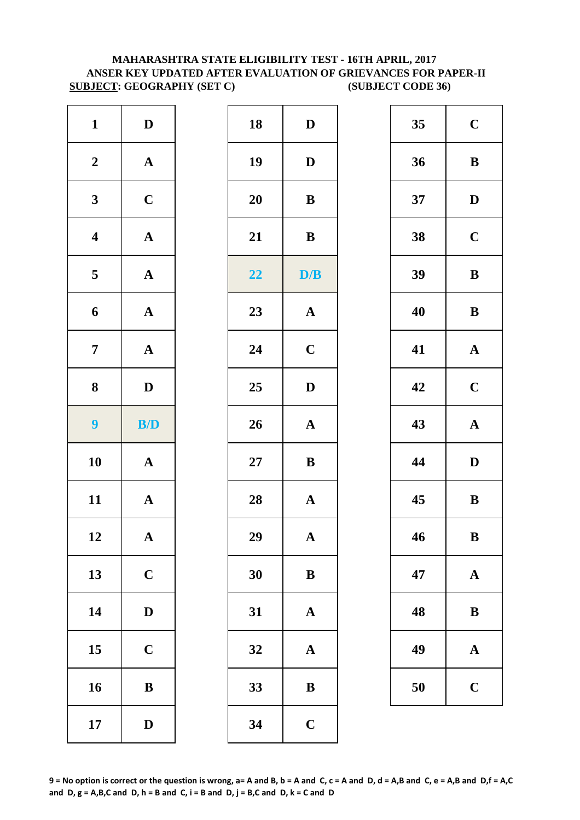# **MAHARASHTRA STATE ELIGIBILITY TEST - 16TH APRIL, 2017 ANSER KEY UPDATED AFTER EVALUATION OF GRIEVANCES FOR PAPER-II SUBJECT: GEOGRAPHY (SET C) (SUBJECT CODE 36)**

| $\mathbf{D}$<br>$\mathbf{D}$<br>$\bf{B}$ |
|------------------------------------------|
|                                          |
|                                          |
|                                          |
| $\bf{B}$                                 |
| D/                                       |
| $\mathbf{A}$                             |
| $\mathbf C$                              |
| $\mathbf{D}$                             |
| $\mathbf{A}$                             |
| $\bf{B}$                                 |
| $\mathbf{A}$                             |
| A                                        |
| $\bf{B}$                                 |
| $\mathbf{A}$                             |
|                                          |
| $\mathbf A$                              |
| $\bf{B}$                                 |
|                                          |

| $\boldsymbol{2}$<br>${\bf A}$<br>19<br>36<br>$\mathbf D$<br>$\mathbf{3}$<br>$\mathbf C$<br>20<br>${\bf B}$<br>37<br>${\bf A}$<br>21<br>$\overline{\mathbf{4}}$<br>$\, {\bf B}$<br>38<br>39<br>${\bf A}$<br>$\overline{\mathbf{5}}$<br>22<br>D/B<br>23<br>${\bf A}$<br>$\mathbf A$<br>40<br>6<br>$\overline{7}$<br>24<br>$\mathbf C$<br>${\bf A}$<br>41<br>$\boldsymbol{8}$<br>$\mathbf{D}$<br>25<br>$\mathbf{D}$<br>42<br>$\boldsymbol{9}$<br>B/D<br>26<br>43<br>${\bf A}$<br>10<br>${\bf A}$<br>27<br>${\bf B}$<br>44<br>11<br>45<br>${\bf A}$<br>28<br>$\mathbf A$<br>29<br>46<br>12<br>$\boldsymbol{\rm{A}}$<br>$\mathbf A$<br>13<br>$\mathbf C$<br>30<br>47<br>${\bf B}$<br>14<br>$\mathbf D$<br>31<br>$\mathbf A$<br>48<br>15<br>$\mathbf C$<br>49<br>32<br>$\mathbf{A}$<br>16<br>$\, {\bf B}$<br>33<br>50<br>$\bf{B}$<br>34<br>17<br>$\mathbf C$<br>$\mathbf D$ | $\mathbf{1}$ | $\mathbf D$ | 18 | $\mathbf D$ | 35 | $\mathbf C$  |
|-----------------------------------------------------------------------------------------------------------------------------------------------------------------------------------------------------------------------------------------------------------------------------------------------------------------------------------------------------------------------------------------------------------------------------------------------------------------------------------------------------------------------------------------------------------------------------------------------------------------------------------------------------------------------------------------------------------------------------------------------------------------------------------------------------------------------------------------------------------------------|--------------|-------------|----|-------------|----|--------------|
|                                                                                                                                                                                                                                                                                                                                                                                                                                                                                                                                                                                                                                                                                                                                                                                                                                                                       |              |             |    |             |    | $\bf{B}$     |
|                                                                                                                                                                                                                                                                                                                                                                                                                                                                                                                                                                                                                                                                                                                                                                                                                                                                       |              |             |    |             |    | $\mathbf{D}$ |
|                                                                                                                                                                                                                                                                                                                                                                                                                                                                                                                                                                                                                                                                                                                                                                                                                                                                       |              |             |    |             |    | $\mathbf C$  |
|                                                                                                                                                                                                                                                                                                                                                                                                                                                                                                                                                                                                                                                                                                                                                                                                                                                                       |              |             |    |             |    | $\bf{B}$     |
|                                                                                                                                                                                                                                                                                                                                                                                                                                                                                                                                                                                                                                                                                                                                                                                                                                                                       |              |             |    |             |    | $\bf{B}$     |
|                                                                                                                                                                                                                                                                                                                                                                                                                                                                                                                                                                                                                                                                                                                                                                                                                                                                       |              |             |    |             |    | $\mathbf A$  |
|                                                                                                                                                                                                                                                                                                                                                                                                                                                                                                                                                                                                                                                                                                                                                                                                                                                                       |              |             |    |             |    | $\mathbf C$  |
|                                                                                                                                                                                                                                                                                                                                                                                                                                                                                                                                                                                                                                                                                                                                                                                                                                                                       |              |             |    |             |    | $\mathbf A$  |
|                                                                                                                                                                                                                                                                                                                                                                                                                                                                                                                                                                                                                                                                                                                                                                                                                                                                       |              |             |    |             |    | $\mathbf{D}$ |
|                                                                                                                                                                                                                                                                                                                                                                                                                                                                                                                                                                                                                                                                                                                                                                                                                                                                       |              |             |    |             |    | $\bf{B}$     |
|                                                                                                                                                                                                                                                                                                                                                                                                                                                                                                                                                                                                                                                                                                                                                                                                                                                                       |              |             |    |             |    | $\bf{B}$     |
|                                                                                                                                                                                                                                                                                                                                                                                                                                                                                                                                                                                                                                                                                                                                                                                                                                                                       |              |             |    |             |    | $\mathbf A$  |
|                                                                                                                                                                                                                                                                                                                                                                                                                                                                                                                                                                                                                                                                                                                                                                                                                                                                       |              |             |    |             |    | $\bf{B}$     |
|                                                                                                                                                                                                                                                                                                                                                                                                                                                                                                                                                                                                                                                                                                                                                                                                                                                                       |              |             |    |             |    | $\mathbf A$  |
|                                                                                                                                                                                                                                                                                                                                                                                                                                                                                                                                                                                                                                                                                                                                                                                                                                                                       |              |             |    |             |    | $\mathbf C$  |
|                                                                                                                                                                                                                                                                                                                                                                                                                                                                                                                                                                                                                                                                                                                                                                                                                                                                       |              |             |    |             |    |              |

| 35 | $\mathbf C$ |
|----|-------------|
| 36 | B           |
| 37 | D           |
| 38 | $\mathbf C$ |
| 39 | B           |
| 40 | B           |
| 41 | $\mathbf A$ |
| 42 | $\mathbf C$ |
| 43 | $\mathbf A$ |
| 44 | D           |
| 45 | B           |
| 46 | B           |
| 47 | $\mathbf A$ |
| 48 | B           |
| 49 | A           |
| 50 | $\mathbf C$ |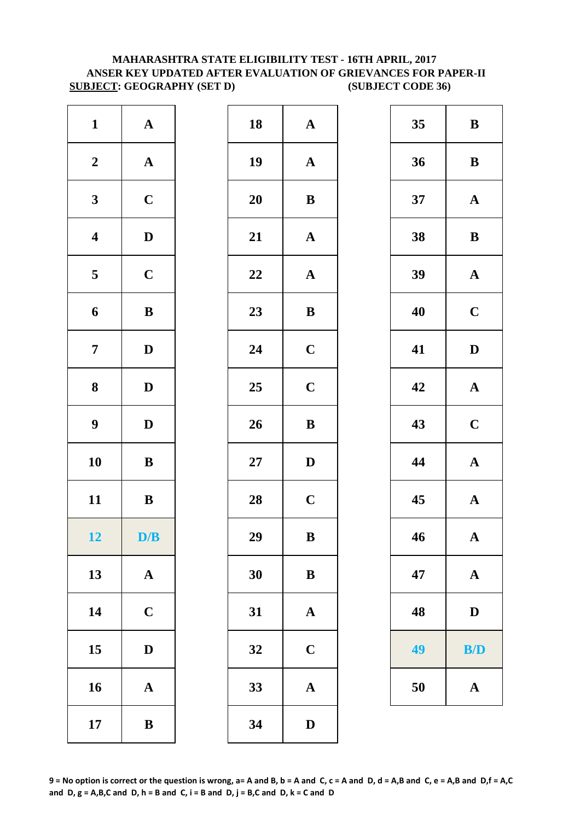# **MAHARASHTRA STATE ELIGIBILITY TEST - 16TH APRIL, 2017 ANSER KEY UPDATED AFTER EVALUATION OF GRIEVANCES FOR PAPER-II SUBJECT: GEOGRAPHY (SET D) (SUBJECT CODE 36)**

| $\mathbf{1}$            | $\boldsymbol{\rm{A}}$ | 18        | $\mathbf A$  |
|-------------------------|-----------------------|-----------|--------------|
| $\boldsymbol{2}$        | $\boldsymbol{\rm{A}}$ | 19        | $\mathbf{A}$ |
| $\mathbf{3}$            | $\mathbf C$           | <b>20</b> | $\bf{B}$     |
| $\overline{\mathbf{4}}$ | $\mathbf D$           | 21        | $\mathbf{A}$ |
| $\overline{\mathbf{5}}$ | $\mathbf C$           | 22        | $\mathbf{A}$ |
| $\boldsymbol{6}$        | $\, {\bf B}$          | 23        | $\bf{B}$     |
| $\overline{7}$          | $\mathbf D$           | 24        | $\mathbf C$  |
| ${\bf 8}$               | $\mathbf D$           | 25        | $\mathbf C$  |
| 9                       | $\mathbf D$           | 26        | $\bf{B}$     |
| 10                      | $\, {\bf B}$          | $27\,$    | $\mathbf{D}$ |
| 11                      | $\, {\bf B}$          | 28        | $\mathbf C$  |
| 12                      | D/B                   | 29        | $\bf{B}$     |
| 13                      | $\mathbf A$           | 30        | B            |
| 14                      | $\mathbf C$           | 31        | $\mathbf{A}$ |
| 15                      | $\mathbf D$           | 32        | $\mathbf C$  |
| 16                      | $\boldsymbol{\rm{A}}$ | 33        | $\mathbf{A}$ |
| 17                      | $\, {\bf B}$          | 34        | $\mathbf{D}$ |

| $\mathbf{1}$            | ${\bf A}$    | 18 | ${\bf A}$             | 35 | $\, {\bf B}$ |
|-------------------------|--------------|----|-----------------------|----|--------------|
| $\boldsymbol{2}$        | ${\bf A}$    | 19 | ${\bf A}$             | 36 | $\, {\bf B}$ |
| $\mathbf{3}$            | $\mathbf C$  | 20 | $\, {\bf B}$          | 37 | ${\bf A}$    |
| $\overline{\mathbf{4}}$ | $\mathbf D$  | 21 | $\mathbf A$           | 38 | $\bf{B}$     |
| $5\overline{)}$         | $\mathbf C$  | 22 | $\mathbf A$           | 39 | ${\bf A}$    |
| 6                       | $\bf{B}$     | 23 | ${\bf B}$             | 40 | $\mathbf C$  |
| $\overline{7}$          | $\mathbf{D}$ | 24 | $\mathbf C$           | 41 | $\mathbf D$  |
| $\boldsymbol{8}$        | $\mathbf{D}$ | 25 | $\mathbf C$           | 42 | ${\bf A}$    |
| $\boldsymbol{9}$        | $\mathbf{D}$ | 26 | $\, {\bf B}$          | 43 | $\mathbf C$  |
| 10                      | $\bf{B}$     | 27 | $\mathbf D$           | 44 | $\mathbf A$  |
| 11                      | $\bf{B}$     | 28 | $\mathbf C$           | 45 | $\mathbf A$  |
| 12                      | D/B          | 29 | $\, {\bf B}$          | 46 | $\mathbf{A}$ |
| 13                      | $\mathbf{A}$ | 30 | $\, {\bf B}$          | 47 | ${\bf A}$    |
| 14                      | $\mathbf C$  | 31 | $\mathbf{A}$          | 48 | $\mathbf D$  |
| 15                      | $\mathbf{D}$ | 32 | $\mathbf C$           | 49 | B/D          |
| 16                      | $\mathbf{A}$ | 33 | $\boldsymbol{\rm{A}}$ | 50 | ${\bf A}$    |
| 17                      | $\bf{B}$     | 34 | $\mathbf D$           |    |              |
|                         |              |    |                       |    |              |

| 35 | B           |
|----|-------------|
| 36 | B           |
| 37 | $\mathbf A$ |
| 38 | B           |
| 39 | $\mathbf A$ |
| 40 | $\mathbf C$ |
| 41 | D           |
| 42 | $\mathbf A$ |
| 43 | $\mathbf C$ |
| 44 | $\mathbf A$ |
| 45 | $\mathbf A$ |
| 46 | $\mathbf A$ |
| 47 | $\mathbf A$ |
| 48 | $\mathbf D$ |
| 49 | <b>B/D</b>  |
| 50 | $\mathbf A$ |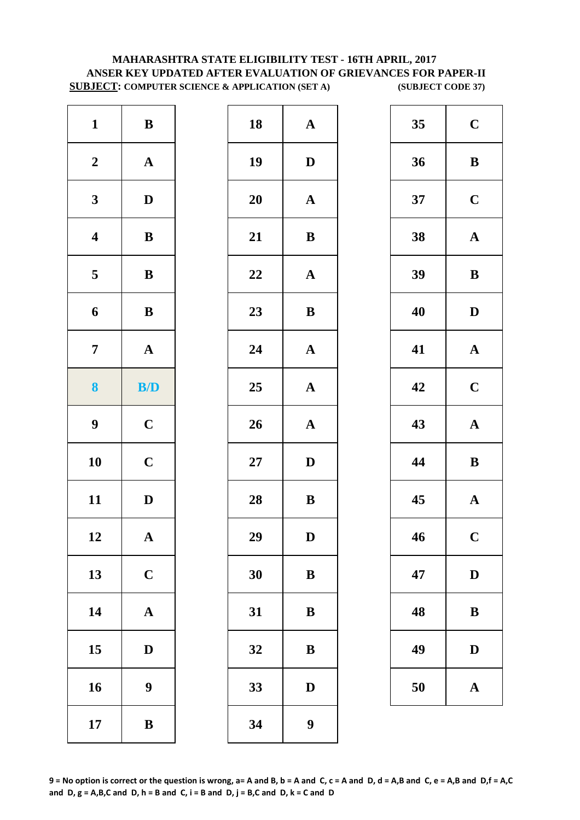# **MAHARASHTRA STATE ELIGIBILITY TEST - 16TH APRIL, 2017 ANSER KEY UPDATED AFTER EVALUATION OF GRIEVANCES FOR PAPER-II SUBJECT: COMPUTER SCIENCE & APPLICATION (SET A) (SUBJECT CODE 37)**

| $\mathbf{1}$            | $\, {\bf B}$          | 18     | $\mathbf{A}$              |
|-------------------------|-----------------------|--------|---------------------------|
| $\boldsymbol{2}$        | $\boldsymbol{\rm{A}}$ | 19     | $\mathbf{D}$              |
| $\mathbf{3}$            | $\mathbf D$           | 20     | $\mathbf{A}$              |
| $\boldsymbol{4}$        | $\, {\bf B}$          | 21     | $\bf{B}$                  |
| $\overline{\mathbf{5}}$ | $\, {\bf B}$          | 22     | $\boldsymbol{\mathsf{A}}$ |
| 6                       | $\, {\bf B}$          | 23     | $\bf{B}$                  |
| $\overline{7}$          | $\boldsymbol{\rm{A}}$ | 24     | $\boldsymbol{A}$          |
| 8                       | B/D                   | 25     | $\mathbf{A}$              |
| $\boldsymbol{9}$        | $\mathbf C$           | 26     | $\mathbf{A}$              |
| 10                      | $\mathbf C$           | $27\,$ | D                         |
| 11                      | $\mathbf D$           | 28     | $\bf{B}$                  |
| 12                      | $\mathbf{A}$          | 29     | D                         |
| 13                      | $\mathbf C$           | 30     | $\bf{B}$                  |
| 14                      | $\boldsymbol{\rm{A}}$ | 31     | $\bf{B}$                  |
| 15                      | $\mathbf D$           | 32     | $\bf{B}$                  |
| 16                      | 9                     | 33     | $\bf{D}$                  |
| 17                      | $\, {\bf B}$          | 34     | 9                         |

| $\mathbf{1}$            | $\bf{B}$                | 18 | ${\bf A}$        | 35 | $\mathbf C$  |
|-------------------------|-------------------------|----|------------------|----|--------------|
| $\boldsymbol{2}$        | ${\bf A}$               | 19 | $\mathbf D$      | 36 | $\bf{B}$     |
| $\overline{\mathbf{3}}$ | $\mathbf D$             | 20 | ${\bf A}$        | 37 | $\mathbf C$  |
| $\overline{\mathbf{4}}$ | $\, {\bf B}$            | 21 | $\, {\bf B}$     | 38 | $\mathbf A$  |
| $\overline{\mathbf{5}}$ | ${\bf B}$               | 22 | ${\bf A}$        | 39 | $\bf{B}$     |
| $\boldsymbol{6}$        | ${\bf B}$               | 23 | ${\bf B}$        | 40 | $\mathbf{D}$ |
| $\overline{7}$          | ${\bf A}$               | 24 | ${\bf A}$        | 41 | $\mathbf A$  |
| $\boldsymbol{8}$        | $\mathbf{B}/\mathbf{D}$ | 25 | ${\bf A}$        | 42 | $\mathbf C$  |
| $\boldsymbol{9}$        | $\mathbf C$             | 26 | ${\bf A}$        | 43 | $\mathbf A$  |
| 10                      | $\mathbf C$             | 27 | $\mathbf D$      | 44 | $\bf{B}$     |
| 11                      | $\mathbf{D}$            | 28 | ${\bf B}$        | 45 | $\mathbf A$  |
| 12                      | $\mathbf{A}$            | 29 | D                | 46 | $\mathbf C$  |
| 13                      | $\mathbf C$             | 30 | $\, {\bf B}$     | 47 | $\mathbf{D}$ |
| 14                      | ${\bf A}$               | 31 | $\bf{B}$         | 48 | $\bf{B}$     |
| 15                      | $\mathbf D$             | 32 | $\, {\bf B}$     | 49 | $\mathbf{D}$ |
| 16                      | $\boldsymbol{9}$        | 33 | $\mathbf D$      | 50 | $\mathbf A$  |
| 17                      | $\, {\bf B}$            | 34 | $\boldsymbol{9}$ |    |              |
|                         |                         |    |                  |    |              |

| 35 | $\mathbf C$             |
|----|-------------------------|
| 36 | B                       |
| 37 | $\mathbf C$             |
| 38 | $\mathbf A$             |
| 39 | B                       |
| 40 | $\mathbf D$             |
| 41 | $\mathbf A$             |
| 42 | $\mathbf C$             |
| 43 | $\mathbf A$             |
| 44 | B                       |
| 45 | $\mathbf A$             |
| 46 | $\overline{\mathbf{C}}$ |
| 47 | D                       |
| 48 | B                       |
| 49 | $\mathbf{D}$            |
| 50 | $\bf A$                 |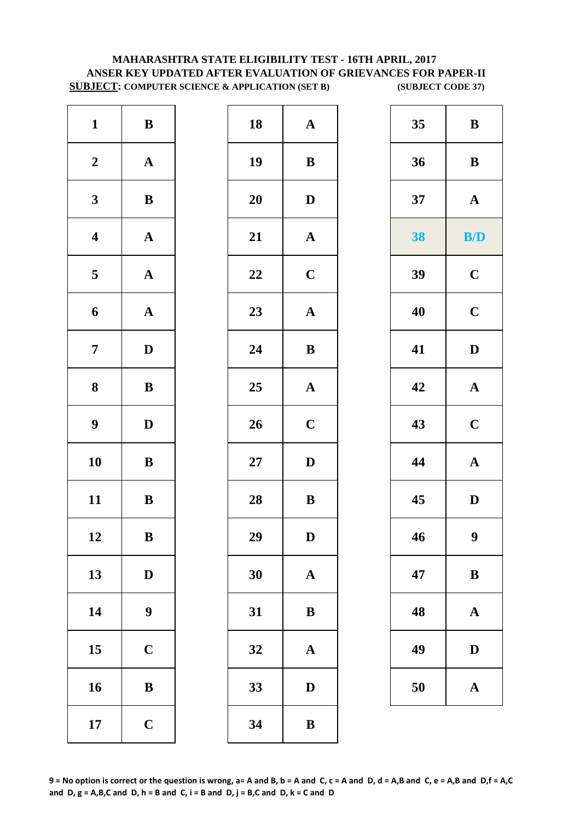# **MAHARASHTRA STATE ELIGIBILITY TEST - 16TH APRIL, 2017 ANSER KEY UPDATED AFTER EVALUATION OF GRIEVANCES FOR PAPER-II SUBJECT: COMPUTER SCIENCE & APPLICATION (SET B) (SUBJECT CODE 37)**

| $\mathbf{1}$            | $\, {\bf B}$          | 18        | $\mathbf A$  |
|-------------------------|-----------------------|-----------|--------------|
| $\boldsymbol{2}$        | $\boldsymbol{\rm{A}}$ | 19        | $\bf{B}$     |
| $\mathbf{3}$            | $\, {\bf B}$          | <b>20</b> | D            |
| $\boldsymbol{4}$        | $\boldsymbol{\rm{A}}$ | 21        | $\mathbf A$  |
| $\overline{\mathbf{5}}$ | $\boldsymbol{\rm{A}}$ | 22        | $\mathbf C$  |
| 6                       | $\boldsymbol{\rm{A}}$ | 23        | $\mathbf{A}$ |
| $\overline{7}$          | $\mathbf D$           | 24        | $\bf{B}$     |
| 8                       | $\, {\bf B}$          | 25        | $\mathbf A$  |
| $\boldsymbol{9}$        | $\mathbf D$           | 26        | $\mathbf C$  |
| 10                      | $\, {\bf B}$          | $27\,$    | D            |
| 11                      | $\, {\bf B}$          | 28        | $\bf{B}$     |
| 12                      | B                     | 29        | D            |
| 13                      | $\mathbf D$           | 30        | $\mathbf A$  |
| 14                      | $\boldsymbol{9}$      | 31        | $\bf{B}$     |
| 15                      | $\mathbf C$           | 32        | $\mathbf A$  |
| 16                      | $\, {\bf B}$          | 33        | D            |
| 17                      | $\mathbf C$           | 34        | ${\bf B}$    |

| $\mathbf{1}$            | ${\bf B}$        | 18 | $\mathbf A$           | 35 | $\bf{B}$              |
|-------------------------|------------------|----|-----------------------|----|-----------------------|
| $\boldsymbol{2}$        | ${\bf A}$        | 19 | $\bf{B}$              | 36 | $\bf{B}$              |
| $\mathbf{3}$            | ${\bf B}$        | 20 | $\mathbf D$           | 37 | $\mathbf{A}$          |
| $\overline{\mathbf{4}}$ | ${\bf A}$        | 21 | $\boldsymbol{\rm{A}}$ | 38 | B/D                   |
| $5\overline{)}$         | ${\bf A}$        | 22 | $\mathbf C$           | 39 | $\mathbf C$           |
| $\boldsymbol{6}$        | ${\bf A}$        | 23 | $\boldsymbol{\rm{A}}$ | 40 | $\mathbf C$           |
| $\overline{7}$          | $\mathbf{D}$     | 24 | $\, {\bf B}$          | 41 | $\mathbf D$           |
| $\boldsymbol{8}$        | ${\bf B}$        | 25 | $\mathbf A$           | 42 | $\mathbf A$           |
| $\boldsymbol{9}$        | $\mathbf{D}$     | 26 | $\mathbf C$           | 43 | $\mathbf C$           |
| 10                      | $\bf{B}$         | 27 | $\mathbf D$           | 44 | $\boldsymbol{\rm{A}}$ |
| 11                      | ${\bf B}$        | 28 | $\, {\bf B}$          | 45 | $\mathbf D$           |
| 12                      | ${\bf B}$        | 29 | D                     | 46 | $\boldsymbol{9}$      |
| 13                      | $\mathbf D$      | 30 | ${\bf A}$             | 47 | $\bf{B}$              |
| 14                      | $\boldsymbol{9}$ | 31 | $\bf{B}$              | 48 | $\mathbf{A}$          |
| 15                      | $\mathbf C$      | 32 | $\mathbf A$           | 49 | D                     |
| 16                      | $\, {\bf B}$     | 33 | ${\bf D}$             | 50 | $\mathbf A$           |
| 17                      | $\mathbf C$      | 34 | $\, {\bf B}$          |    |                       |
|                         |                  |    |                       |    |                       |

| 35 | B           |
|----|-------------|
| 36 | B           |
| 37 | $\mathbf A$ |
| 38 | B/D         |
| 39 | $\mathbf C$ |
| 40 | $\mathbf C$ |
| 41 | D           |
| 42 | $\mathbf A$ |
| 43 | $\mathbf C$ |
| 44 | $\mathbf A$ |
| 45 | D           |
| 46 | 9           |
| 47 | B           |
| 48 | A           |
| 49 | $\mathbf D$ |
| 50 | $\mathbf A$ |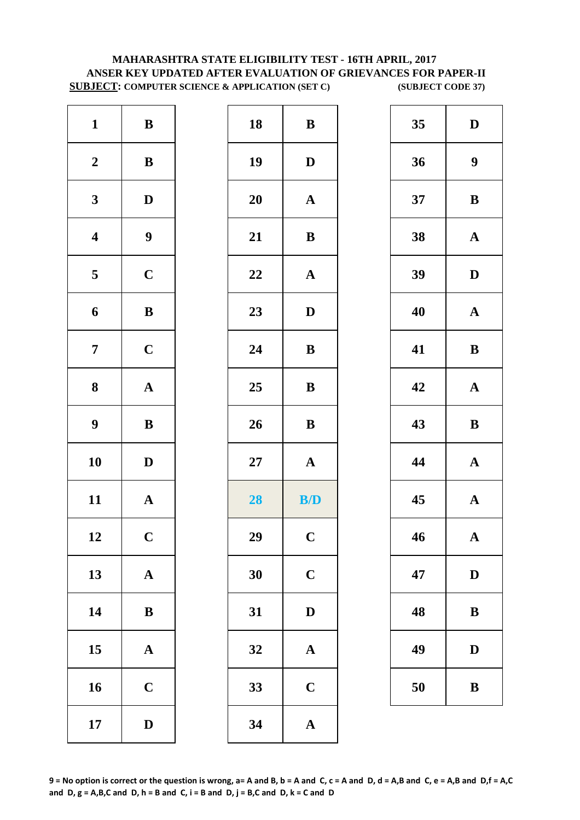# **MAHARASHTRA STATE ELIGIBILITY TEST - 16TH APRIL, 2017 ANSER KEY UPDATED AFTER EVALUATION OF GRIEVANCES FOR PAPER-II SUBJECT: COMPUTER SCIENCE & APPLICATION (SET C) (SUBJECT CODE 37)**

| $\bf{B}$     | 18     | $\, {\bf B}$          | $\mathbf{1}$     |
|--------------|--------|-----------------------|------------------|
| $\mathbf{D}$ | 19     | $\, {\bf B}$          | $\boldsymbol{2}$ |
| $\mathbf A$  | 20     | $\mathbf D$           | $\mathbf{3}$     |
| $\bf{B}$     | 21     | 9                     | $\boldsymbol{4}$ |
| $\mathbf A$  | 22     | $\mathbf C$           | $\mathbf 5$      |
| $\mathbf{D}$ | 23     | $\, {\bf B}$          | 6                |
| $\bf{B}$     | 24     | $\mathbf C$           | $\overline{7}$   |
| $\bf{B}$     | 25     | $\boldsymbol{\rm{A}}$ | 8                |
| $\bf{B}$     | 26     | $\, {\bf B}$          | $\boldsymbol{9}$ |
| $\mathbf A$  | $27\,$ | $\mathbf D$           | 10               |
| B/           | 28     | $\boldsymbol{\rm{A}}$ | 11               |
| $\mathbf C$  | 29     | $\mathbf C$           | 12               |
| $\mathbf C$  | 30     | $\boldsymbol{\rm{A}}$ | 13               |
| $\mathbf{D}$ | 31     | $\, {\bf B}$          | 14               |
| $\mathbf A$  | 32     | $\boldsymbol{\rm{A}}$ | 15               |
| $\mathbf C$  | 33     | $\mathbf C$           | 16               |
| $\mathbf A$  | 34     | $\mathbf D$           | 17               |

| $\mathbf{1}$            | $\, {\bf B}$     | 18 | $\, {\bf B}$ | 35 | $\mathbf{D}$     |
|-------------------------|------------------|----|--------------|----|------------------|
| $\boldsymbol{2}$        | ${\bf B}$        | 19 | $\mathbf D$  | 36 | $\boldsymbol{9}$ |
| $\mathbf{3}$            | $\mathbf{D}$     | 20 | ${\bf A}$    | 37 | $\bf{B}$         |
| $\overline{\mathbf{4}}$ | $\boldsymbol{9}$ | 21 | $\, {\bf B}$ | 38 | $\mathbf A$      |
| $\overline{\mathbf{5}}$ | $\mathbf C$      | 22 | ${\bf A}$    | 39 | $\mathbf{D}$     |
| $\boldsymbol{6}$        | $\, {\bf B}$     | 23 | $\mathbf D$  | 40 | $\mathbf A$      |
| $\overline{7}$          | $\mathbf C$      | 24 | ${\bf B}$    | 41 | $\bf{B}$         |
| $\boldsymbol{8}$        | ${\bf A}$        | 25 | $\, {\bf B}$ | 42 | $\mathbf A$      |
| $\boldsymbol{9}$        | $\, {\bf B}$     | 26 | $\, {\bf B}$ | 43 | $\bf{B}$         |
| 10                      | $\mathbf D$      | 27 | ${\bf A}$    | 44 | $\mathbf A$      |
| 11                      | ${\bf A}$        | 28 | B/D          | 45 | $\mathbf A$      |
| 12                      | $\mathbf C$      | 29 | $\mathbf C$  | 46 | $\mathbf A$      |
| 13                      | ${\bf A}$        | 30 | $\mathbf C$  | 47 | $\mathbf{D}$     |
| 14                      | ${\bf B}$        | 31 | $\mathbf{D}$ | 48 | $\bf{B}$         |
| 15                      | ${\bf A}$        | 32 | $\mathbf A$  | 49 | $\mathbf{D}$     |
| 16                      | $\mathbf C$      | 33 | $\mathbf C$  | 50 | $\bf{B}$         |
| 17                      | $\mathbf D$      | 34 | $\mathbf A$  |    |                  |
|                         |                  |    |              |    |                  |

| 35 | D           |
|----|-------------|
| 36 | 9           |
| 37 | B           |
| 38 | $\mathbf A$ |
| 39 | D           |
| 40 | $\mathbf A$ |
| 41 | B           |
| 42 | $\mathbf A$ |
| 43 | $\bf{B}$    |
| 44 | $\mathbf A$ |
| 45 | $\mathbf A$ |
| 46 | $\mathbf A$ |
| 47 | $\bf{D}$    |
| 48 | B           |
| 49 | D           |
| 50 | B           |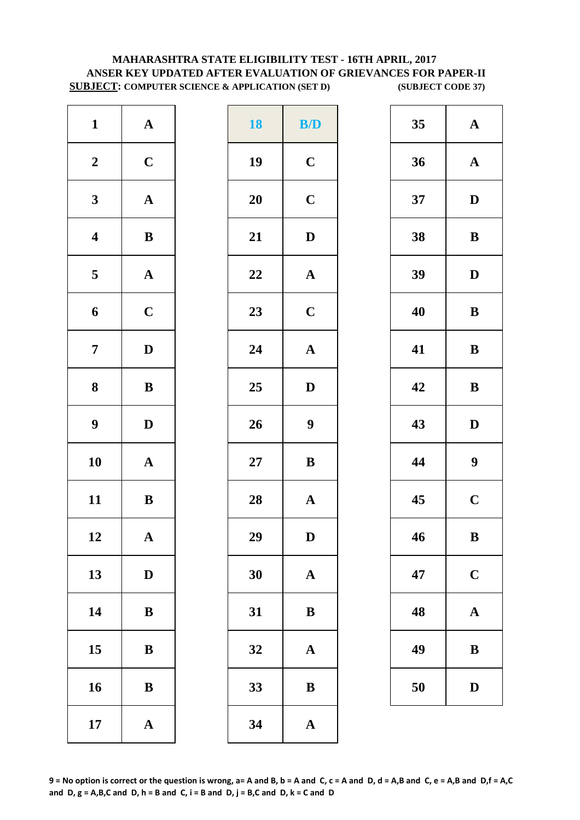# **MAHARASHTRA STATE ELIGIBILITY TEST - 16TH APRIL, 2017 ANSER KEY UPDATED AFTER EVALUATION OF GRIEVANCES FOR PAPER-II SUBJECT: COMPUTER SCIENCE & APPLICATION (SET D) (SUBJECT CODE 37)**

| $\mathbf{1}$            | $\boldsymbol{\rm{A}}$ | <b>18</b> | B/               |
|-------------------------|-----------------------|-----------|------------------|
| $\boldsymbol{2}$        | $\mathbf C$           | 19        | $\mathbf C$      |
| $\mathbf{3}$            | ${\bf A}$             | <b>20</b> | $\mathbf C$      |
| $\overline{\mathbf{4}}$ | $\, {\bf B}$          | 21        | $\mathbf{D}$     |
| $\overline{\mathbf{5}}$ | ${\bf A}$             | 22        | $\mathbf{A}$     |
| 6                       | $\mathbf C$           | 23        | $\mathbf C$      |
| $\overline{7}$          | $\mathbf D$           | 24        | $\mathbf{A}$     |
| 8                       | $\, {\bf B}$          | 25        | $\mathbf{D}$     |
| $\boldsymbol{9}$        | $\mathbf D$           | 26        | $\boldsymbol{9}$ |
| 10                      | $\mathbf A$           | $27\,$    | $\bf{B}$         |
| 11                      | $\bf{B}$              | 28        | $\mathbf A$      |
| 12                      | $\mathbf{A}$          | 29        | D                |
| 13                      | $\mathbf D$           | 30        | $\mathbf{A}$     |
| 14                      | ${\bf B}$             | 31        | $\bf{B}$         |
| 15                      | $\bf{B}$              | 32        | $\mathbf A$      |
| 16                      | $\bf{B}$              | 33        | $\bf{B}$         |
| 17                      | $\mathbf A$           | 34        | $\mathbf{A}$     |

| $\mathbf{1}$            | ${\bf A}$    | <b>18</b> | B/D              | 35 | $\mathbf A$      |
|-------------------------|--------------|-----------|------------------|----|------------------|
| $\boldsymbol{2}$        | $\mathbf C$  | 19        | $\mathbf C$      | 36 | $\mathbf A$      |
| $\mathbf{3}$            | ${\bf A}$    | 20        | $\mathbf C$      | 37 | $\mathbf{D}$     |
| $\overline{\mathbf{4}}$ | $\, {\bf B}$ | 21        | $\mathbf{D}$     | 38 | $\bf{B}$         |
| $\overline{\mathbf{5}}$ | ${\bf A}$    | 22        | ${\bf A}$        | 39 | $\mathbf{D}$     |
| $\boldsymbol{6}$        | $\mathbf C$  | 23        | $\mathbf C$      | 40 | $\bf{B}$         |
| $\overline{7}$          | $\mathbf D$  | 24        | ${\bf A}$        | 41 | $\bf{B}$         |
| $\boldsymbol{8}$        | $\, {\bf B}$ | 25        | $\mathbf D$      | 42 | $\bf{B}$         |
| $\boldsymbol{9}$        | $\mathbf D$  | 26        | $\boldsymbol{9}$ | 43 | $\mathbf{D}$     |
| 10                      | ${\bf A}$    | 27        | $\, {\bf B}$     | 44 | $\boldsymbol{9}$ |
| 11                      | ${\bf B}$    | 28        | ${\bf A}$        | 45 | $\mathbf C$      |
| 12                      | $\mathbf{A}$ | 29        | D                | 46 | B                |
| 13                      | $\mathbf D$  | 30        | ${\bf A}$        | 47 | $\mathbf C$      |
| 14                      | $\bf{B}$     | 31        | $\bf{B}$         | 48 | $\mathbf A$      |
| 15                      | $\, {\bf B}$ | 32        | $\mathbf{A}$     | 49 | $\bf{B}$         |
| 16                      | $\, {\bf B}$ | 33        | $\, {\bf B}$     | 50 | $\mathbf{D}$     |
| 17                      | ${\bf A}$    | 34        | $\mathbf A$      |    |                  |

| 35 | $\mathbf A$             |
|----|-------------------------|
| 36 | $\mathbf A$             |
| 37 | D                       |
| 38 | B                       |
| 39 | D                       |
| 40 | B                       |
| 41 | B                       |
| 42 | $\bf{B}$                |
| 43 | $\mathbf D$             |
| 44 | 9                       |
| 45 | $\overline{\mathbf{C}}$ |
| 46 | B                       |
| 47 | $\mathbf C$             |
| 48 | $\mathbf A$             |
| 49 | B                       |
| 50 | $\mathbf D$             |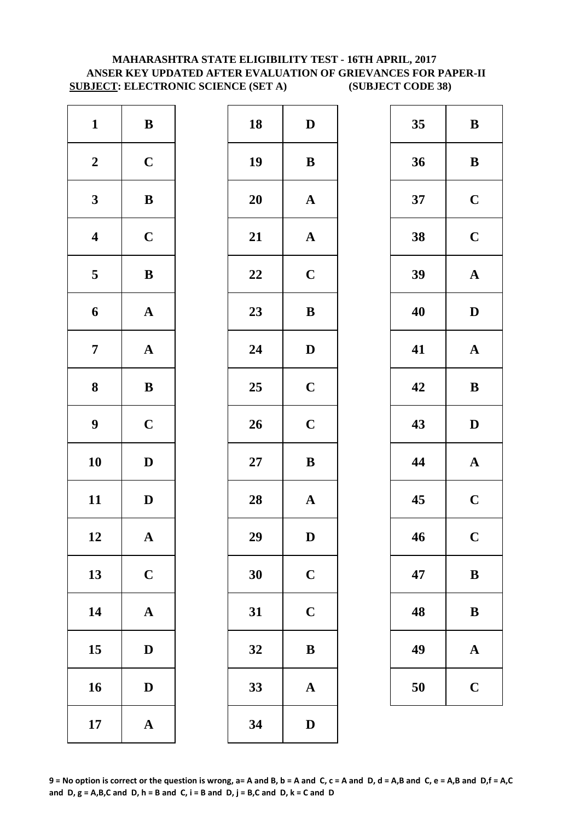# **MAHARASHTRA STATE ELIGIBILITY TEST - 16TH APRIL, 2017 ANSER KEY UPDATED AFTER EVALUATION OF GRIEVANCES FOR PAPER-II SUBJECT: ELECTRONIC SCIENCE (SET A) (SUBJECT CODE 38)**

| $\mathbf{1}$            | $\, {\bf B}$          | 18        | $\mathbf{D}$ |
|-------------------------|-----------------------|-----------|--------------|
| $\boldsymbol{2}$        | $\mathbf C$           | 19        | $\bf{B}$     |
| $\mathbf{3}$            | $\bf{B}$              | <b>20</b> | $\mathbf A$  |
| $\overline{\mathbf{4}}$ | $\mathbf C$           | 21        | $\mathbf{A}$ |
| $\overline{\mathbf{5}}$ | $\bf{B}$              | 22        | $\mathbf C$  |
| 6                       | $\mathbf A$           | 23        | $\bf{B}$     |
| $\overline{7}$          | ${\bf A}$             | 24        | $\mathbf{D}$ |
| $\bf 8$                 | ${\bf B}$             | 25        | $\mathbf C$  |
| $\boldsymbol{9}$        | $\mathbf C$           | 26        | $\mathbf C$  |
| 10                      | $\mathbf D$           | $27\,$    | $\bf{B}$     |
| 11                      | $\mathbf D$           | 28        | $\mathbf{A}$ |
| 12                      | A                     | 29        | D            |
| 13                      | $\mathbf C$           | 30        | $\mathbf C$  |
| 14                      | $\boldsymbol{\rm{A}}$ | 31        | $\mathbf C$  |
| 15                      | $\mathbf D$           | 32        | $\bf{B}$     |
| 16                      | $\mathbf D$           | 33        | $\mathbf{A}$ |
| 17                      | $\boldsymbol{\rm{A}}$ | 34        | $\mathbf{D}$ |

| $\mathbf{1}$            | $\, {\bf B}$ | 18 | $\mathbf D$           | 35 | $\bf{B}$     |
|-------------------------|--------------|----|-----------------------|----|--------------|
| $\boldsymbol{2}$        | $\mathbf C$  | 19 | $\, {\bf B}$          | 36 | $\bf{B}$     |
| $\mathbf{3}$            | $\, {\bf B}$ | 20 | $\mathbf A$           | 37 | $\mathbf C$  |
| $\overline{\mathbf{4}}$ | $\mathbf C$  | 21 | $\boldsymbol{\rm{A}}$ | 38 | $\mathbf C$  |
| $\overline{5}$          | $\, {\bf B}$ | 22 | $\mathbf C$           | 39 | $\mathbf A$  |
| 6                       | ${\bf A}$    | 23 | $\, {\bf B}$          | 40 | $\mathbf{D}$ |
| $\overline{7}$          | ${\bf A}$    | 24 | $\mathbf{D}$          | 41 | $\mathbf A$  |
| $\boldsymbol{8}$        | ${\bf B}$    | 25 | $\mathbf C$           | 42 | $\bf{B}$     |
| $\boldsymbol{9}$        | $\mathbf C$  | 26 | $\mathbf C$           | 43 | $\mathbf{D}$ |
| 10                      | $\mathbf{D}$ | 27 | ${\bf B}$             | 44 | $\mathbf A$  |
| 11                      | $\mathbf D$  | 28 | ${\bf A}$             | 45 | $\mathbf C$  |
| 12                      | $\mathbf A$  | 29 | $\mathbf D$           | 46 | $\mathbf C$  |
| 13                      | $\mathbf C$  | 30 | $\mathbf C$           | 47 | $\bf{B}$     |
| 14                      | ${\bf A}$    | 31 | $\mathbf C$           | 48 | $\bf{B}$     |
| 15                      | $\mathbf D$  | 32 | $\bf{B}$              | 49 | $\mathbf A$  |
| 16                      | $\mathbf D$  | 33 | ${\bf A}$             | 50 | $\mathbf C$  |
| 17                      | ${\bf A}$    | 34 | $\mathbf{D}$          |    |              |
|                         |              |    |                       |    |              |

| 35 | B                       |
|----|-------------------------|
| 36 | B                       |
| 37 | $\mathbf C$             |
| 38 | $\mathbf C$             |
| 39 | $\mathbf A$             |
| 40 | D                       |
| 41 | $\mathbf A$             |
| 42 | B                       |
|    |                         |
| 43 | D                       |
| 44 | $\mathbf A$             |
| 45 | $\mathbf C$             |
| 46 | $\overline{\mathbf{C}}$ |
| 47 | B                       |
| 48 | B                       |
| 49 | $\mathbf A$             |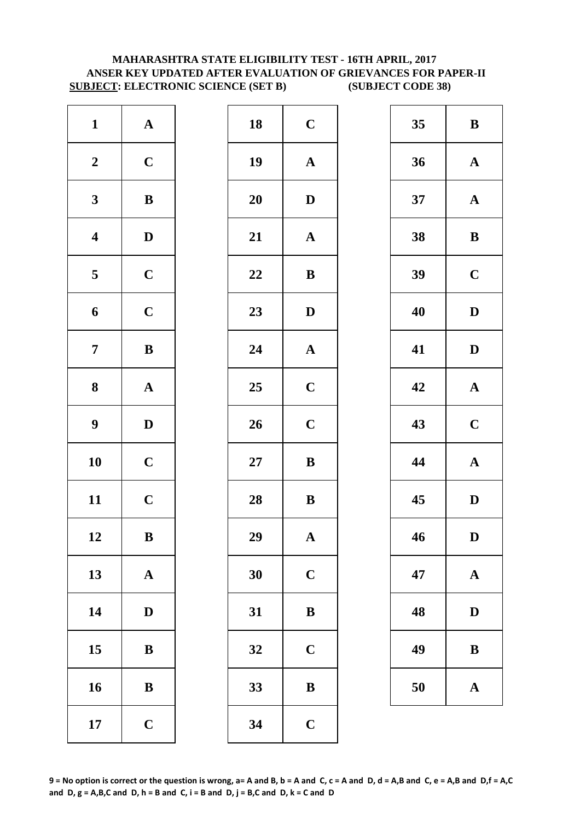# **MAHARASHTRA STATE ELIGIBILITY TEST - 16TH APRIL, 2017 ANSER KEY UPDATED AFTER EVALUATION OF GRIEVANCES FOR PAPER-II SUBJECT: ELECTRONIC SCIENCE (SET B) (SUBJECT CODE 38)**

| $\mathbf{1}$            | ${\bf A}$             | 18        | $\mathbf C$  |
|-------------------------|-----------------------|-----------|--------------|
| $\boldsymbol{2}$        | $\mathbf C$           | 19        | $\mathbf{A}$ |
| $\mathbf{3}$            | $\bf{B}$              | <b>20</b> | $\mathbf{D}$ |
| $\overline{\mathbf{4}}$ | $\mathbf D$           | 21        | $\mathbf{A}$ |
| $\overline{\mathbf{5}}$ | $\mathbf C$           | 22        | $\bf{B}$     |
| 6                       | $\mathbf C$           | 23        | $\mathbf{D}$ |
| $\overline{7}$          | $\bf{B}$              | 24        | $\mathbf{A}$ |
| $\bf 8$                 | $\boldsymbol{\rm{A}}$ | 25        | $\mathbf C$  |
| $\boldsymbol{9}$        | $\mathbf D$           | 26        | $\mathbf C$  |
| 10                      | $\mathbf C$           | $27\,$    | $\bf{B}$     |
| 11                      | $\mathbf C$           | 28        | $\bf{B}$     |
| 12                      | B                     | 29        | A            |
| 13                      | $\mathbf A$           | 30        | $\mathbf C$  |
| 14                      | $\mathbf D$           | 31        | $\bf{B}$     |
| 15                      | ${\bf B}$             | 32        | $\mathbf C$  |
| 16                      | $\, {\bf B}$          | 33        | $\bf{B}$     |
| 17                      | $\mathbf C$           | 34        | $\mathbf C$  |

| $\mathbf{1}$            | ${\bf A}$    | 18 | $\mathbf C$           | 35 | $\bf{B}$     |
|-------------------------|--------------|----|-----------------------|----|--------------|
| $\boldsymbol{2}$        | $\mathbf C$  | 19 | ${\bf A}$             | 36 | $\mathbf A$  |
| $\mathbf{3}$            | $\, {\bf B}$ | 20 | $\mathbf D$           | 37 | $\mathbf A$  |
| $\overline{\mathbf{4}}$ | $\mathbf D$  | 21 | ${\bf A}$             | 38 | $\bf{B}$     |
| $5\overline{)}$         | $\mathbf C$  | 22 | ${\bf B}$             | 39 | $\mathbf C$  |
| $\boldsymbol{6}$        | $\mathbf C$  | 23 | $\mathbf D$           | 40 | $\mathbf{D}$ |
| $\overline{7}$          | ${\bf B}$    | 24 | $\boldsymbol{\rm{A}}$ | 41 | $\mathbf{D}$ |
| $\boldsymbol{8}$        | ${\bf A}$    | 25 | $\mathbf C$           | 42 | $\mathbf A$  |
| $\boldsymbol{9}$        | $\mathbf D$  | 26 | $\mathbf C$           | 43 | $\mathbf C$  |
| 10                      | $\mathbf C$  | 27 | ${\bf B}$             | 44 | $\mathbf A$  |
| 11                      | $\mathbf C$  | 28 | ${\bf B}$             | 45 | $\mathbf{D}$ |
| 12                      | $\, {\bf B}$ | 29 | $\mathbf A$           | 46 | D            |
| 13                      | ${\bf A}$    | 30 | $\mathbf C$           | 47 | $\mathbf A$  |
| 14                      | $\mathbf{D}$ | 31 | $\bf{B}$              | 48 | D            |
| 15                      | ${\bf B}$    | 32 | $\mathbf C$           | 49 | $\bf{B}$     |
| 16                      | $\, {\bf B}$ | 33 | $\, {\bf B}$          | 50 | $\mathbf A$  |
| 17                      | $\mathbf C$  | 34 | $\mathbf C$           |    |              |
|                         |              |    |                       |    |              |

| 35 | B                       |
|----|-------------------------|
| 36 | $\mathbf A$             |
| 37 | $\mathbf A$             |
| 38 | B                       |
| 39 | $\mathbf C$             |
| 40 | D                       |
| 41 | D                       |
| 42 | $\mathbf A$             |
| 43 | $\overline{\mathbf{C}}$ |
| 44 | $\mathbf A$             |
| 45 | D                       |
| 46 | D                       |
| 47 | $\mathbf A$             |
| 48 | $\mathbf D$             |
| 49 | B                       |
| 50 | A                       |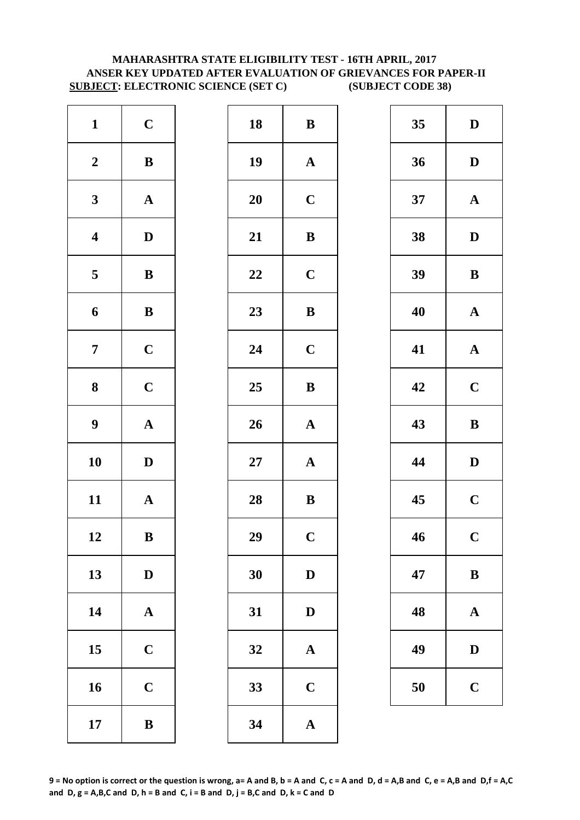# **MAHARASHTRA STATE ELIGIBILITY TEST - 16TH APRIL, 2017 ANSER KEY UPDATED AFTER EVALUATION OF GRIEVANCES FOR PAPER-II SUBJECT: ELECTRONIC SCIENCE (SET C) (SUBJECT CODE 38)**

| $\mathbf{1}$            | $\mathbf C$           | 18        | $\bf{B}$                |
|-------------------------|-----------------------|-----------|-------------------------|
| $\boldsymbol{2}$        | $\, {\bf B}$          | 19        | $\mathbf A$             |
| $\mathbf{3}$            | ${\bf A}$             | <b>20</b> | $\mathbf C$             |
| $\boldsymbol{4}$        | $\mathbf D$           | 21        | $\bf{B}$                |
| $\overline{\mathbf{5}}$ | $\, {\bf B}$          | 22        | $\mathbf C$             |
| 6                       | $\, {\bf B}$          | 23        | $\bf{B}$                |
| $\overline{7}$          | $\mathbf C$           | 24        | $\mathbf C$             |
| 8                       | $\mathbf C$           | 25        | $\bf{B}$                |
| $\boldsymbol{9}$        | ${\bf A}$             | 26        | $\mathbf{A}$            |
| 10                      | $\mathbf D$           | $27\,$    | $\mathbf A$             |
| 11                      | $\mathbf A$           | 28        | $\bf{B}$                |
| 12                      | B                     | 29        | $\overline{\mathbf{C}}$ |
| 13                      | $\mathbf D$           | 30        | $\mathbf{D}$            |
| 14                      | $\boldsymbol{\rm{A}}$ | 31        | $\mathbf{D}$            |
| 15                      | $\mathbf C$           | 32        | $\mathbf A$             |
| 16                      | $\mathbf C$           | 33        | $\mathbf C$             |
| 17                      | $\bf{B}$              | 34        | $\mathbf{A}$            |

| $\mathbf{1}$            | $\mathbf C$  | 18 | ${\bf B}$             | 35 | $\mathbf{D}$ |
|-------------------------|--------------|----|-----------------------|----|--------------|
| $\boldsymbol{2}$        | $\, {\bf B}$ | 19 | ${\bf A}$             | 36 | $\mathbf{D}$ |
| $\mathbf{3}$            | ${\bf A}$    | 20 | $\mathbf C$           | 37 | $\mathbf A$  |
| $\overline{\mathbf{4}}$ | $\mathbf D$  | 21 | $\, {\bf B}$          | 38 | $\mathbf{D}$ |
| $\overline{5}$          | $\, {\bf B}$ | 22 | $\mathbf C$           | 39 | $\bf{B}$     |
| 6                       | $\, {\bf B}$ | 23 | $\, {\bf B}$          | 40 | $\mathbf A$  |
| $\overline{7}$          | $\mathbf C$  | 24 | $\mathbf C$           | 41 | $\mathbf A$  |
| $\boldsymbol{8}$        | $\mathbf C$  | 25 | $\, {\bf B}$          | 42 | $\mathbf C$  |
| $\boldsymbol{9}$        | ${\bf A}$    | 26 | $\boldsymbol{\rm{A}}$ | 43 | $\bf{B}$     |
| 10                      | $\mathbf{D}$ | 27 | ${\bf A}$             | 44 | $\mathbf{D}$ |
| 11                      | ${\bf A}$    | 28 | ${\bf B}$             | 45 | $\mathbf C$  |
| 12                      | $\, {\bf B}$ | 29 | $\mathbf C$           | 46 | $\mathbf C$  |
| 13                      | $\mathbf D$  | 30 | $\mathbf D$           | 47 | $\bf{B}$     |
| 14                      | ${\bf A}$    | 31 | $\mathbf D$           | 48 | $\mathbf A$  |
| 15                      | $\mathbf C$  | 32 | $\mathbf A$           | 49 | $\mathbf{D}$ |
| 16                      | $\mathbf C$  | 33 | $\mathbf C$           | 50 | $\mathbf C$  |
| 17                      | $\, {\bf B}$ | 34 | $\mathbf{A}$          |    |              |

| 35 | D                       |
|----|-------------------------|
| 36 | D                       |
| 37 | $\mathbf A$             |
| 38 | D                       |
| 39 | B                       |
| 40 | $\mathbf A$             |
| 41 | ${\bf A}$               |
| 42 | $\overline{\mathbf{C}}$ |
|    |                         |
| 43 | B                       |
| 44 | D                       |
| 45 | $\overline{\mathbf{C}}$ |
| 46 | $\overline{\mathbf{C}}$ |
| 47 | $\bf{B}$                |
| 48 | $\mathbf A$             |
| 49 | $\mathbf D$             |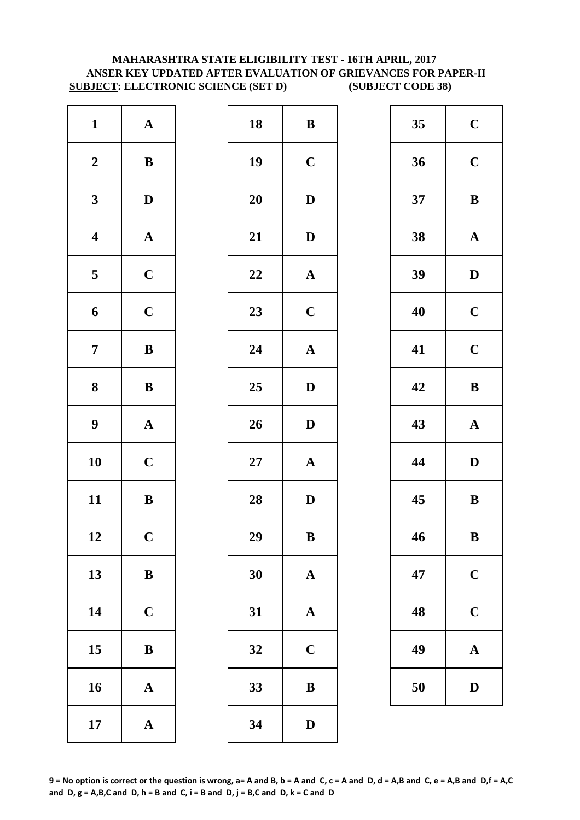# **MAHARASHTRA STATE ELIGIBILITY TEST - 16TH APRIL, 2017 ANSER KEY UPDATED AFTER EVALUATION OF GRIEVANCES FOR PAPER-II SUBJECT: ELECTRONIC SCIENCE (SET D) (SUBJECT CODE 38)**

| $\mathbf{1}$            | ${\bf A}$             | 18        | $\bf{B}$     |
|-------------------------|-----------------------|-----------|--------------|
| $\boldsymbol{2}$        | $\bf{B}$              | 19        | $\mathbf C$  |
| $\mathbf{3}$            | $\mathbf D$           | <b>20</b> | $\mathbf{D}$ |
| $\overline{\mathbf{4}}$ | $\boldsymbol{\rm{A}}$ | 21        | $\mathbf{D}$ |
| $\overline{\mathbf{5}}$ | $\mathbf C$           | 22        | $\mathbf A$  |
| 6                       | $\mathbf C$           | 23        | $\mathbf C$  |
| $\overline{7}$          | $\bf{B}$              | 24        | $\mathbf A$  |
| 8                       | $\bf{B}$              | 25        | $\mathbf{D}$ |
| $\boldsymbol{9}$        | $\boldsymbol{\rm{A}}$ | 26        | $\mathbf{D}$ |
| 10                      | $\mathbf C$           | $27\,$    | $\mathbf{A}$ |
| 11                      | $\, {\bf B}$          | 28        | $\mathbf{D}$ |
| 12                      | $\mathbf C$           | 29        | B            |
| 13                      | $\bf{B}$              | 30        | $\mathbf{A}$ |
| 14                      | $\mathbf C$           | 31        | $\mathbf{A}$ |
| 15                      | $\bf{B}$              | 32        | $\mathbf C$  |
| 16                      | $\mathbf A$           | 33        | $\bf{B}$     |
| 17                      | ${\bf A}$             | 34        | $\mathbf{D}$ |

| $\mathbf{1}$            | ${\bf A}$    | 18 | ${\bf B}$             | 35 | $\mathbf C$  |
|-------------------------|--------------|----|-----------------------|----|--------------|
| $\boldsymbol{2}$        | ${\bf B}$    | 19 | $\mathbf C$           | 36 | $\mathbf C$  |
| $\mathbf{3}$            | $\mathbf{D}$ | 20 | $\mathbf{D}$          | 37 | $\bf{B}$     |
| $\overline{\mathbf{4}}$ | ${\bf A}$    | 21 | $\mathbf{D}$          | 38 | $\mathbf A$  |
| $\overline{\mathbf{5}}$ | $\mathbf C$  | 22 | $\boldsymbol{\rm{A}}$ | 39 | $\mathbf{D}$ |
| $\boldsymbol{6}$        | $\mathbf C$  | 23 | $\mathbf C$           | 40 | $\mathbf C$  |
| $\overline{7}$          | $\, {\bf B}$ | 24 | $\boldsymbol{\rm{A}}$ | 41 | $\mathbf C$  |
| $\boldsymbol{8}$        | ${\bf B}$    | 25 | $\mathbf{D}$          | 42 | $\bf{B}$     |
| $\boldsymbol{9}$        | ${\bf A}$    | 26 | $\mathbf D$           | 43 | $\mathbf A$  |
| 10                      | $\mathbf C$  | 27 | ${\bf A}$             | 44 | $\mathbf{D}$ |
| 11                      | ${\bf B}$    | 28 | $\mathbf{D}$          | 45 | $\bf{B}$     |
| 12                      | $\mathbf C$  | 29 | $\, {\bf B}$          | 46 | $\bf{B}$     |
| 13                      | $\bf{B}$     | 30 | $\mathbf{A}$          | 47 | $\mathbf C$  |
| 14                      | $\mathbf C$  | 31 | $\mathbf A$           | 48 | $\mathbf C$  |
| 15                      | ${\bf B}$    | 32 | $\mathbf C$           | 49 | $\mathbf A$  |
| 16                      | ${\bf A}$    | 33 | $\, {\bf B}$          | 50 | D            |
| 17                      | ${\bf A}$    | 34 | ${\bf D}$             |    |              |
|                         |              |    |                       |    |              |

| 35 | $\mathbf C$ |
|----|-------------|
| 36 | $\mathbf C$ |
| 37 | B           |
| 38 | $\mathbf A$ |
| 39 | D           |
| 40 | $\mathbf C$ |
| 41 | $\mathbf C$ |
| 42 | B           |
|    |             |
| 43 | $\mathbf A$ |
| 44 | D           |
| 45 | B           |
| 46 | B           |
| 47 | $\mathbf C$ |
| 48 | $\mathbf C$ |
| 49 | $\mathbf A$ |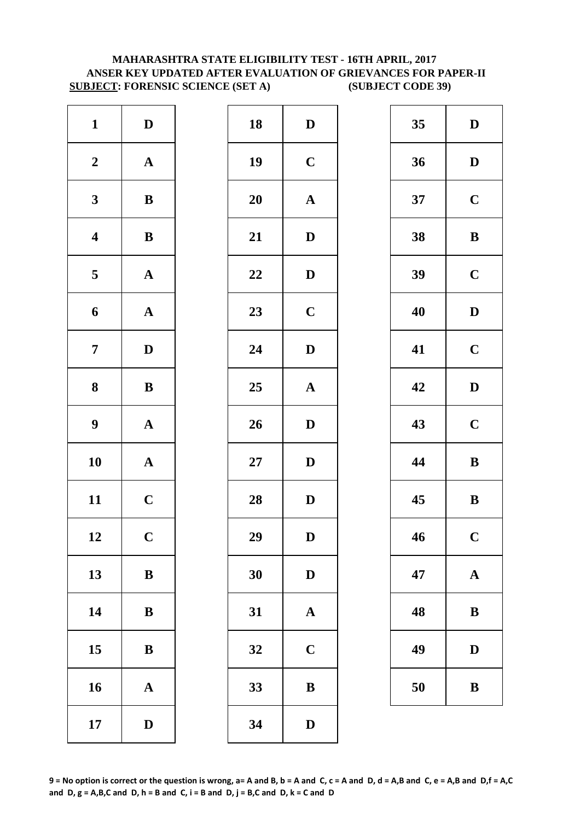# **MAHARASHTRA STATE ELIGIBILITY TEST - 16TH APRIL, 2017 ANSER KEY UPDATED AFTER EVALUATION OF GRIEVANCES FOR PAPER-II SUBJECT: FORENSIC SCIENCE (SET A) (SUBJECT CODE 39)**

| $\mathbf{1}$            | $\mathbf D$           | 18        | $\mathbf{D}$ |
|-------------------------|-----------------------|-----------|--------------|
| $\boldsymbol{2}$        | $\boldsymbol{\rm{A}}$ | 19        | $\mathbf C$  |
| $\mathbf{3}$            | $\bf{B}$              | <b>20</b> | $\mathbf A$  |
| $\overline{\mathbf{4}}$ | $\bf{B}$              | 21        | $\mathbf{D}$ |
| $\overline{\mathbf{5}}$ | ${\bf A}$             | 22        | $\mathbf{D}$ |
| 6                       | $\mathbf A$           | 23        | $\mathbf C$  |
| $\overline{7}$          | $\mathbf D$           | 24        | $\mathbf{D}$ |
| 8                       | $\bf{B}$              | 25        | $\mathbf A$  |
| $\boldsymbol{9}$        | $\boldsymbol{\rm{A}}$ | 26        | $\mathbf{D}$ |
| 10                      | $\boldsymbol{\rm{A}}$ | $27\,$    | $\mathbf{D}$ |
| 11                      | $\mathbf C$           | 28        | $\mathbf{D}$ |
| 12                      | $\mathbf C$           | 29        | D            |
| 13                      | ${\bf B}$             | 30        | $\mathbf{D}$ |
| 14                      | $\bf{B}$              | 31        | $\mathbf{A}$ |
| 15                      | $\bf{B}$              | 32        | $\mathbf C$  |
| 16                      | $\mathbf A$           | 33        | $\bf{B}$     |
| 17                      | $\mathbf D$           | 34        | $\mathbf{D}$ |

| $\mathbf{1}$            | $\mathbf D$  | 18 | $\mathbf D$           | 35 | $\mathbf{D}$ |
|-------------------------|--------------|----|-----------------------|----|--------------|
| $\boldsymbol{2}$        | ${\bf A}$    | 19 | $\mathbf C$           | 36 | $\mathbf{D}$ |
| $\mathbf{3}$            | ${\bf B}$    | 20 | ${\bf A}$             | 37 | $\mathbf C$  |
| $\overline{\mathbf{4}}$ | $\, {\bf B}$ | 21 | ${\bf D}$             | 38 | $\bf{B}$     |
| $5\phantom{.0}$         | ${\bf A}$    | 22 | $\mathbf D$           | 39 | $\mathbf C$  |
| $\boldsymbol{6}$        | ${\bf A}$    | 23 | $\mathbf C$           | 40 | $\mathbf{D}$ |
| $\overline{7}$          | $\mathbf D$  | 24 | $\mathbf{D}$          | 41 | $\mathbf C$  |
| $\boldsymbol{8}$        | ${\bf B}$    | 25 | $\boldsymbol{\rm{A}}$ | 42 | $\mathbf{D}$ |
| $\boldsymbol{9}$        | ${\bf A}$    | 26 | $\mathbf D$           | 43 | $\mathbf C$  |
| 10                      | ${\bf A}$    | 27 | $\mathbf D$           | 44 | $\bf{B}$     |
| 11                      | $\mathbf C$  | 28 | $\mathbf D$           | 45 | $\bf{B}$     |
| 12                      | $\mathbf C$  | 29 | ${\bf D}$             | 46 | $\mathbf C$  |
| 13                      | $\bf{B}$     | 30 | $\mathbf D$           | 47 | $\mathbf A$  |
| 14                      | $\, {\bf B}$ | 31 | $\mathbf A$           | 48 | $\bf{B}$     |
| 15                      | $\bf{B}$     | 32 | $\mathbf C$           | 49 | $\mathbf{D}$ |
| 16                      | ${\bf A}$    | 33 | $\, {\bf B}$          | 50 | $\bf{B}$     |
| 17                      | $\mathbf D$  | 34 | $\mathbf D$           |    |              |
|                         |              |    |                       |    |              |

| 35 | $\mathbf D$ |
|----|-------------|
| 36 | D           |
| 37 | $\mathbf C$ |
| 38 | B           |
| 39 | $\mathbf C$ |
| 40 | D           |
| 41 | $\mathbf C$ |
| 42 | D           |
| 43 | $\mathbf C$ |
| 44 | B           |
| 45 | B           |
| 46 | $\mathbf C$ |
| 47 | $\mathbf A$ |
| 48 | B           |
| 49 | $\mathbf D$ |
| 50 | B           |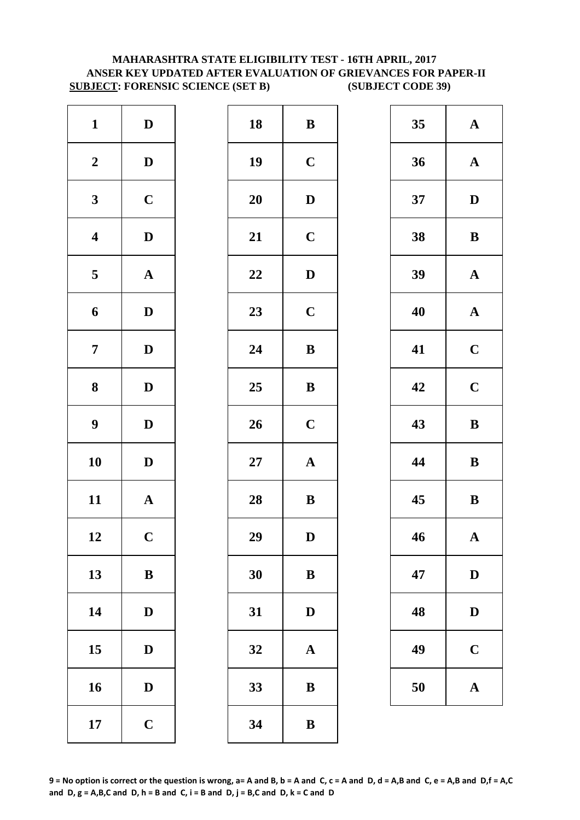# **MAHARASHTRA STATE ELIGIBILITY TEST - 16TH APRIL, 2017 ANSER KEY UPDATED AFTER EVALUATION OF GRIEVANCES FOR PAPER-II SUBJECT: FORENSIC SCIENCE (SET B) (SUBJECT CODE 39)**

| $\mathbf{1}$            | $\mathbf D$           | 18        | $\bf{B}$     |
|-------------------------|-----------------------|-----------|--------------|
| $\boldsymbol{2}$        | $\mathbf D$           | 19        | $\mathbf C$  |
| $\mathbf{3}$            | $\mathbf C$           | <b>20</b> | D            |
| $\overline{\mathbf{4}}$ | $\mathbf D$           | 21        | $\mathbf C$  |
| $\overline{\mathbf{5}}$ | $\boldsymbol{\rm{A}}$ | 22        | $\mathbf{D}$ |
| 6                       | $\mathbf D$           | 23        | $\mathbf C$  |
| $\overline{7}$          | $\mathbf D$           | 24        | $\bf{B}$     |
| 8                       | $\mathbf D$           | 25        | $\bf{B}$     |
| $\boldsymbol{9}$        | $\mathbf D$           | 26        | $\mathbf C$  |
| 10                      | $\mathbf D$           | $27\,$    | $\mathbf{A}$ |
| 11                      | $\mathbf A$           | 28        | $\bf{B}$     |
| 12                      | $\mathbf C$           | 29        | D            |
| 13                      | $\, {\bf B}$          | 30        | $\bf{B}$     |
| 14                      | $\mathbf D$           | 31        | D            |
| 15                      | $\mathbf D$           | 32        | $\mathbf{A}$ |
| 16                      | $\mathbf D$           | 33        | $\bf{B}$     |
| 17                      | $\mathbf C$           | 34        | $\bf{B}$     |

| $\mathbf{1}$            | $\mathbf D$  | 18 | $\, {\bf B}$ | 35 | $\mathbf A$  |
|-------------------------|--------------|----|--------------|----|--------------|
| $\boldsymbol{2}$        | $\mathbf{D}$ | 19 | $\mathbf C$  | 36 | $\mathbf A$  |
| $\mathbf{3}$            | $\mathbf C$  | 20 | $\mathbf D$  | 37 | $\mathbf{D}$ |
| $\overline{\mathbf{4}}$ | $\mathbf D$  | 21 | $\mathbf C$  | 38 | $\bf{B}$     |
| $\overline{\mathbf{5}}$ | ${\bf A}$    | 22 | ${\bf D}$    | 39 | $\mathbf A$  |
| $\boldsymbol{6}$        | $\mathbf D$  | 23 | $\mathbf C$  | 40 | $\mathbf A$  |
| $\overline{7}$          | $\mathbf{D}$ | 24 | $\, {\bf B}$ | 41 | $\mathbf C$  |
| $\boldsymbol{8}$        | $\mathbf{D}$ | 25 | $\, {\bf B}$ | 42 | $\mathbf C$  |
| $\boldsymbol{9}$        | $\mathbf{D}$ | 26 | $\mathbf C$  | 43 | $\bf{B}$     |
| 10                      | $\mathbf{D}$ | 27 | ${\bf A}$    | 44 | $\bf{B}$     |
| 11                      | ${\bf A}$    | 28 | $\bf{B}$     | 45 | $\bf{B}$     |
| 12                      | $\mathbf C$  | 29 | D            | 46 | $\mathbf A$  |
| 13                      | $\, {\bf B}$ | 30 | $\, {\bf B}$ | 47 | $\mathbf{D}$ |
| 14                      | $\mathbf{D}$ | 31 | $\mathbf D$  | 48 | $\mathbf{D}$ |
| 15                      | $\mathbf D$  | 32 | ${\bf A}$    | 49 | $\mathbf C$  |
| 16                      | $\mathbf D$  | 33 | $\bf{B}$     | 50 | $\mathbf A$  |
| 17                      | $\mathbf C$  | 34 | ${\bf B}$    |    |              |
|                         |              |    |              |    |              |

| 35 | $\mathbf A$ |
|----|-------------|
| 36 | $\mathbf A$ |
| 37 | D           |
| 38 | B           |
| 39 | $\mathbf A$ |
| 40 | $\mathbf A$ |
| 41 | $\mathbf C$ |
| 42 | $\mathbf C$ |
| 43 | B           |
| 44 | B           |
| 45 | B           |
| 46 | $\mathbf A$ |
| 47 | $\mathbf D$ |
| 48 | D           |
| 49 | $\mathbf C$ |
| 50 | $\mathbf A$ |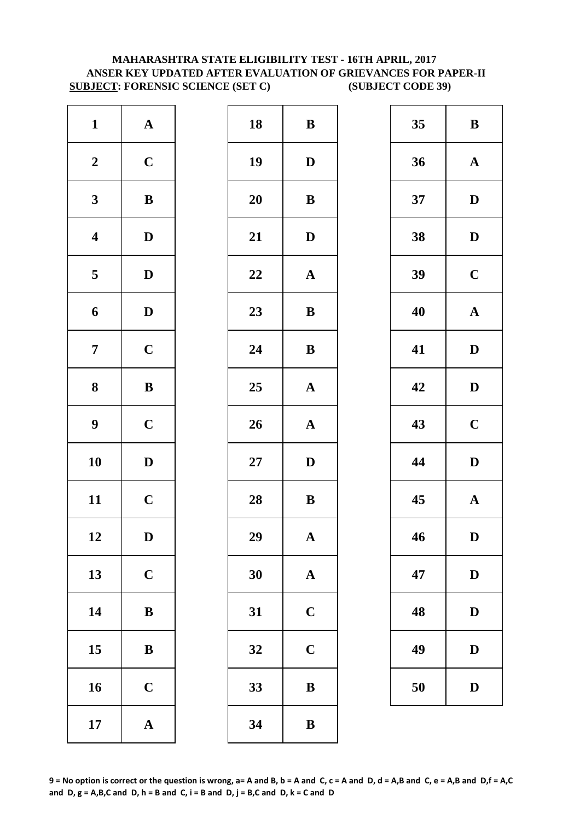# **MAHARASHTRA STATE ELIGIBILITY TEST - 16TH APRIL, 2017 ANSER KEY UPDATED AFTER EVALUATION OF GRIEVANCES FOR PAPER-II SUBJECT: FORENSIC SCIENCE (SET C) (SUBJECT CODE 39)**

| $\mathbf{1}$            | ${\bf A}$             | 18        | ${\bf B}$    |
|-------------------------|-----------------------|-----------|--------------|
| $\boldsymbol{2}$        | $\mathbf C$           | 19        | $\mathbf{D}$ |
| $\mathbf{3}$            | $\bf{B}$              | <b>20</b> | $\bf{B}$     |
| $\overline{\mathbf{4}}$ | $\mathbf D$           | 21        | D            |
| $\overline{\mathbf{5}}$ | $\mathbf D$           | 22        | $\mathbf A$  |
| 6                       | $\mathbf D$           | 23        | $\bf{B}$     |
| $\overline{7}$          | $\mathbf C$           | 24        | $\bf{B}$     |
| 8                       | $\bf{B}$              | 25        | $\mathbf A$  |
| $\boldsymbol{9}$        | $\mathbf C$           | 26        | $\mathbf{A}$ |
| 10                      | $\mathbf D$           | $27\,$    | D            |
| 11                      | $\mathbf C$           | 28        | $\bf{B}$     |
| 12                      | D                     | 29        | A            |
| 13                      | $\mathbf C$           | 30        | $\mathbf{A}$ |
| 14                      | $\bf{B}$              | 31        | $\mathbf C$  |
| 15                      | $\bf{B}$              | 32        | $\mathbf C$  |
| 16                      | $\mathbf C$           | 33        | $\bf{B}$     |
| 17                      | $\boldsymbol{\rm{A}}$ | 34        | $\bf{B}$     |

| $\mathbf{1}$            | ${\bf A}$    | 18     | ${\bf B}$    | 35 | $\bf{B}$     |
|-------------------------|--------------|--------|--------------|----|--------------|
| $\boldsymbol{2}$        | $\mathbf C$  | 19     | $\mathbf D$  | 36 | $\mathbf A$  |
| $\mathbf{3}$            | ${\bf B}$    | 20     | $\bf{B}$     | 37 | $\mathbf{D}$ |
| $\overline{\mathbf{4}}$ | $\mathbf D$  | 21     | ${\bf D}$    | 38 | $\mathbf{D}$ |
| $\overline{5}$          | $\mathbf{D}$ | 22     | ${\bf A}$    | 39 | $\mathbf C$  |
| 6                       | $\mathbf D$  | 23     | ${\bf B}$    | 40 | $\mathbf A$  |
| $\overline{7}$          | $\mathbf C$  | 24     | ${\bf B}$    | 41 | $\mathbf{D}$ |
| $\boldsymbol{8}$        | ${\bf B}$    | 25     | ${\bf A}$    | 42 | $\mathbf{D}$ |
| $\boldsymbol{9}$        | $\mathbf C$  | 26     | ${\bf A}$    | 43 | $\mathbf C$  |
| 10                      | $\mathbf{D}$ | $27\,$ | $\mathbf{D}$ | 44 | $\mathbf{D}$ |
| 11                      | $\mathbf C$  | 28     | $\bf{B}$     | 45 | $\mathbf A$  |
| 12                      | D            | 29     | $\mathbf A$  | 46 | D            |
| 13                      | $\mathbf C$  | 30     | $\mathbf{A}$ | 47 | $\mathbf{D}$ |
| 14                      | ${\bf B}$    | 31     | $\mathbf C$  | 48 | $\mathbf{D}$ |
| 15                      | $\bf{B}$     | 32     | $\mathbf C$  | 49 | $\mathbf{D}$ |
| 16                      | $\mathbf C$  | 33     | $\, {\bf B}$ | 50 | $\mathbf{D}$ |
| 17                      | ${\bf A}$    | 34     | $\bf{B}$     |    |              |
|                         |              |        |              |    |              |

| 35 | B                       |
|----|-------------------------|
| 36 | $\mathbf A$             |
| 37 | D                       |
| 38 | D                       |
| 39 | $\mathbf C$             |
| 40 | $\mathbf A$             |
| 41 | D                       |
| 42 | D                       |
| 43 | $\mathbf C$             |
| 44 | D                       |
| 45 | $\overline{\mathbf{A}}$ |
| 46 | D                       |
| 47 | D                       |
| 48 | D                       |
| 49 | D                       |
| 50 | $\mathbf D$             |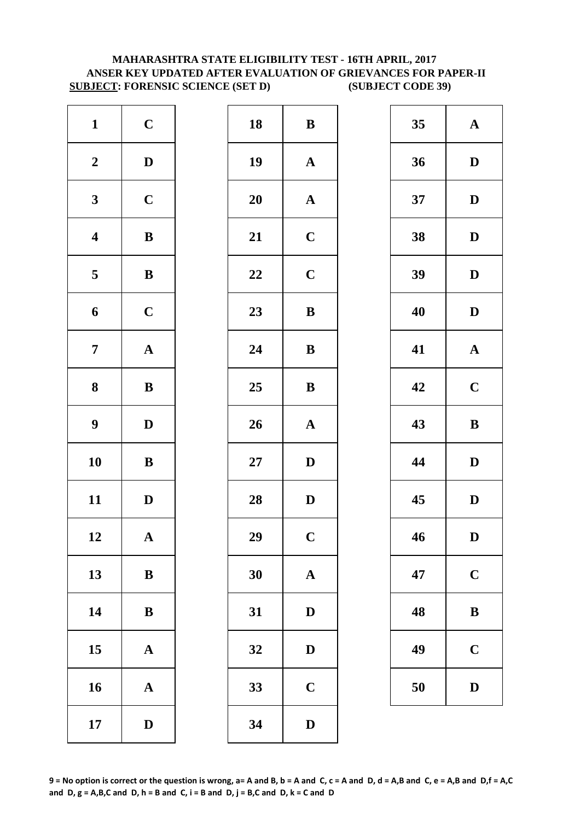# **MAHARASHTRA STATE ELIGIBILITY TEST - 16TH APRIL, 2017 ANSER KEY UPDATED AFTER EVALUATION OF GRIEVANCES FOR PAPER-II SUBJECT: FORENSIC SCIENCE (SET D) (SUBJECT CODE 39)**

| $\mathbf{1}$            | $\mathbf C$  | 18        | $\bf{B}$       |
|-------------------------|--------------|-----------|----------------|
| $\boldsymbol{2}$        | $\mathbf D$  | 19        | $\mathbf{A}$   |
| $\mathbf{3}$            | $\mathbf C$  | <b>20</b> | $\mathbf{A}$   |
| $\overline{\mathbf{4}}$ | $\bf{B}$     | 21        | $\mathbf C$    |
| $\overline{\mathbf{5}}$ | $\bf{B}$     | 22        | $\mathbf C$    |
| 6                       | $\mathbf C$  | 23        | $\bf{B}$       |
| $\overline{7}$          | ${\bf A}$    | 24        | $\bf{B}$       |
| 8                       | ${\bf B}$    | 25        | $\bf{B}$       |
| $\boldsymbol{9}$        | $\mathbf D$  | 26        | $\mathbf{A}$   |
| 10                      | $\bf{B}$     | $27\,$    | $\mathbf{D}$   |
| 11                      | $\mathbf D$  | 28        | $\mathbf{D}$   |
| 12                      | A            | 29        | $\overline{C}$ |
| 13                      | $\, {\bf B}$ | 30        | $\mathbf{A}$   |
| 14                      | ${\bf B}$    | 31        | D              |
| 15                      | $\mathbf A$  | 32        | D              |
| 16                      | $\mathbf A$  | 33        | $\mathbf C$    |
| 17                      | $\mathbf D$  | 34        | $\mathbf{D}$   |

| $\mathbf{1}$            | $\mathbf C$           | 18 | $\bf{B}$     | 35 | $\mathbf A$  |
|-------------------------|-----------------------|----|--------------|----|--------------|
| $\boldsymbol{2}$        | $\mathbf D$           | 19 | ${\bf A}$    | 36 | $\mathbf{D}$ |
| $\mathbf{3}$            | $\mathbf C$           | 20 | $\mathbf{A}$ | 37 | $\mathbf{D}$ |
| $\overline{\mathbf{4}}$ | $\, {\bf B}$          | 21 | $\mathbf C$  | 38 | $\mathbf{D}$ |
| $5\phantom{.0}$         | $\, {\bf B}$          | 22 | $\mathbf C$  | 39 | $\mathbf{D}$ |
| $\boldsymbol{6}$        | $\mathbf C$           | 23 | $\bf{B}$     | 40 | $\mathbf{D}$ |
| $\overline{7}$          | ${\bf A}$             | 24 | $\bf{B}$     | 41 | $\mathbf A$  |
| $\boldsymbol{8}$        | $\, {\bf B}$          | 25 | $\, {\bf B}$ | 42 | $\mathbf C$  |
| $\boldsymbol{9}$        | $\mathbf D$           | 26 | ${\bf A}$    | 43 | $\bf{B}$     |
| 10                      | $\, {\bf B}$          | 27 | $\mathbf D$  | 44 | $\mathbf{D}$ |
| 11                      | $\mathbf D$           | 28 | $\mathbf D$  | 45 | $\mathbf{D}$ |
| 12                      | $\boldsymbol{\rm{A}}$ | 29 | $\mathbf C$  | 46 | $\mathbf{D}$ |
| 13                      | $\bf{B}$              | 30 | $\mathbf A$  | 47 | $\mathbf C$  |
| 14                      | $\, {\bf B}$          | 31 | ${\bf D}$    | 48 | $\bf{B}$     |
| 15                      | ${\bf A}$             | 32 | $\mathbf D$  | 49 | $\mathbf C$  |
| 16                      | ${\bf A}$             | 33 | $\mathbf C$  | 50 | D            |
| 17                      | $\mathbf D$           | 34 | $\mathbf D$  |    |              |
|                         |                       |    |              |    |              |

| 35 | $\mathbf A$             |
|----|-------------------------|
| 36 | D                       |
| 37 | D                       |
| 38 | D                       |
| 39 | D                       |
| 40 | D                       |
| 41 | $\mathbf A$             |
| 42 | $\overline{\mathbf{C}}$ |
| 43 | $\bf{B}$                |
| 44 | D                       |
| 45 | D                       |
| 46 | $\bf{D}$                |
|    |                         |
| 47 | $\mathbf C$             |
| 48 | B                       |
| 49 | $\mathbf C$             |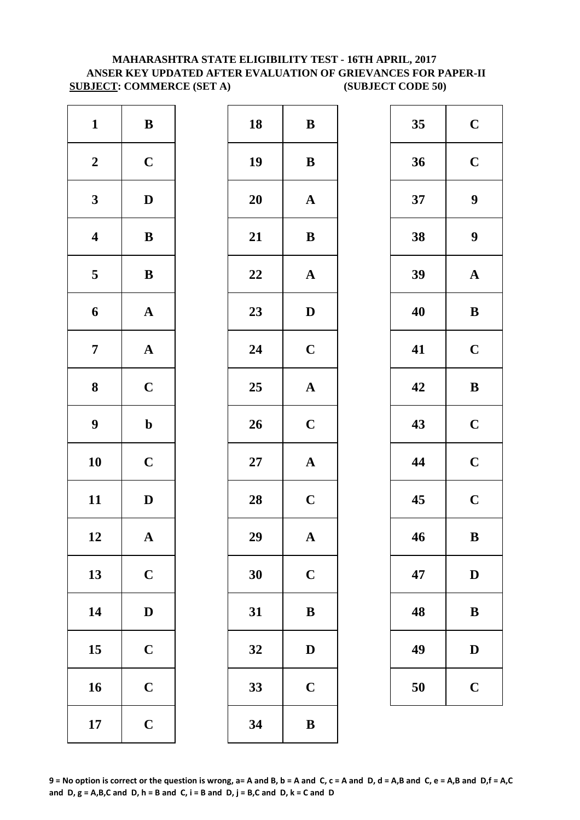# **MAHARASHTRA STATE ELIGIBILITY TEST - 16TH APRIL, 2017 ANSER KEY UPDATED AFTER EVALUATION OF GRIEVANCES FOR PAPER-II SUBJECT: COMMERCE (SET A) (SUBJECT CODE 50)**

| $\mathbf{1}$            | $\, {\bf B}$          | 18        | $\bf{B}$     |
|-------------------------|-----------------------|-----------|--------------|
| $\boldsymbol{2}$        | $\mathbf C$           | 19        | $\bf{B}$     |
| $\mathbf{3}$            | $\mathbf D$           | <b>20</b> | $\mathbf A$  |
| $\overline{\mathbf{4}}$ | $\, {\bf B}$          | 21        | $\bf{B}$     |
| $\overline{\mathbf{5}}$ | $\, {\bf B}$          | 22        | $\mathbf A$  |
| $\boldsymbol{6}$        | ${\bf A}$             | 23        | D            |
| $\boldsymbol{7}$        | $\boldsymbol{\rm{A}}$ | 24        | $\mathbf C$  |
| ${\bf 8}$               | $\mathbf C$           | 25        | $\mathbf{A}$ |
| $\boldsymbol{9}$        | $\mathbf b$           | 26        | $\mathbf C$  |
| 10                      | $\mathbf C$           | $27\,$    | $\mathbf A$  |
| 11                      | $\mathbf D$           | 28        | $\mathbf C$  |
| 12                      | A                     | 29        | $\bf A$      |
| 13                      | $\mathbf C$           | 30        | $\mathbf C$  |
| 14                      | $\mathbf D$           | 31        | $\bf{B}$     |
| 15                      | $\mathbf C$           | 32        | D            |
| 16                      | $\mathbf C$           | 33        | $\mathbf C$  |
| 17                      | $\mathbf C$           | 34        | $\bf{B}$     |

| $\mathbf{1}$            | $\, {\bf B}$          | 18     | $\bf{B}$              | 35 | $\mathbf C$      |
|-------------------------|-----------------------|--------|-----------------------|----|------------------|
| $\boldsymbol{2}$        | $\mathbf C$           | 19     | $\, {\bf B}$          | 36 | $\mathbf C$      |
| $\mathbf{3}$            | $\mathbf{D}$          | 20     | $\mathbf{A}$          | 37 | $\boldsymbol{9}$ |
| $\overline{\mathbf{4}}$ | $\, {\bf B}$          | 21     | $\, {\bf B}$          | 38 | $\boldsymbol{9}$ |
| $5\phantom{.0}$         | $\, {\bf B}$          | 22     | $\boldsymbol{\rm{A}}$ | 39 | $\mathbf A$      |
| $\boldsymbol{6}$        | ${\bf A}$             | 23     | $\mathbf D$           | 40 | $\bf{B}$         |
| $\overline{7}$          | ${\bf A}$             | 24     | $\mathbf C$           | 41 | $\mathbf C$      |
| $\boldsymbol{8}$        | $\mathbf C$           | 25     | $\boldsymbol{\rm{A}}$ | 42 | $\bf{B}$         |
| $\boldsymbol{9}$        | $\mathbf b$           | 26     | $\mathbf C$           | 43 | $\mathbf C$      |
| 10                      | $\mathbf C$           | $27\,$ | ${\bf A}$             | 44 | $\mathbf C$      |
| 11                      | $\mathbf D$           | 28     | $\mathbf C$           | 45 | $\mathbf C$      |
| 12                      | $\boldsymbol{\rm{A}}$ | 29     | $\mathbf A$           | 46 | $\bf{B}$         |
| 13                      | $\mathbf C$           | 30     | $\mathbf C$           | 47 | $\mathbf{D}$     |
| 14                      | $\mathbf D$           | 31     | $\, {\bf B}$          | 48 | $\bf{B}$         |
| 15                      | $\mathbf C$           | 32     | $\mathbf D$           | 49 | $\mathbf{D}$     |
| 16                      | $\mathbf C$           | 33     | $\mathbf C$           | 50 | $\mathbf C$      |
| 17                      | $\mathbf C$           | 34     | $\, {\bf B}$          |    |                  |
|                         |                       |        |                       |    |                  |

| 35 | $\mathbf C$             |
|----|-------------------------|
| 36 | $\mathbf C$             |
| 37 | 9                       |
| 38 | 9                       |
| 39 | $\mathbf A$             |
| 40 | B                       |
| 41 | $\mathbf C$             |
| 42 | B                       |
| 43 | $\mathbf C$             |
| 44 | $\mathbf C$             |
| 45 | $\overline{\mathbf{C}}$ |
| 46 | B                       |
| 47 | $\mathbf{D}$            |
| 48 | B                       |
| 49 | D                       |
| 50 | $\mathbf C$             |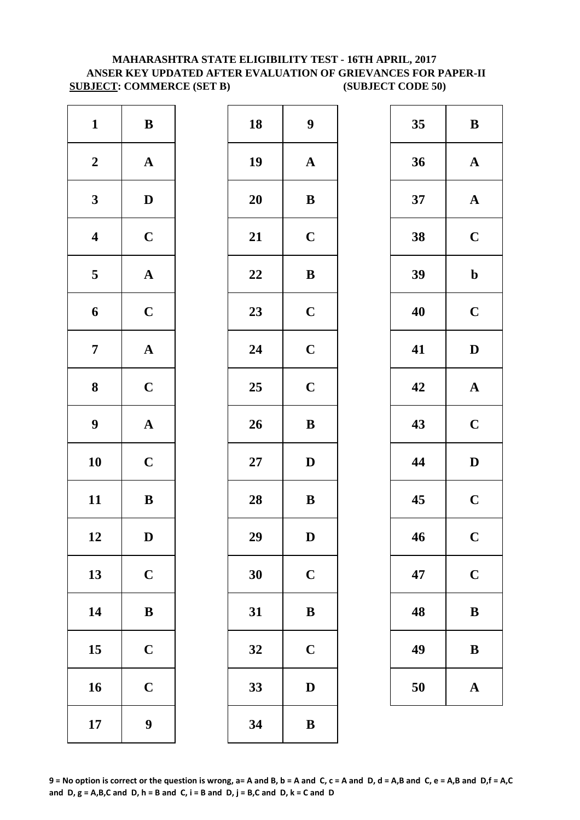# **MAHARASHTRA STATE ELIGIBILITY TEST - 16TH APRIL, 2017 ANSER KEY UPDATED AFTER EVALUATION OF GRIEVANCES FOR PAPER-II SUBJECT: COMMERCE (SET B) (SUBJECT CODE 50)**

| $\mathbf{1}$            | $\, {\bf B}$          | 18        | 9            |
|-------------------------|-----------------------|-----------|--------------|
| $\boldsymbol{2}$        | $\boldsymbol{\rm{A}}$ | 19        | $\mathbf{A}$ |
| $\mathbf{3}$            | $\mathbf D$           | <b>20</b> | $\bf{B}$     |
| $\overline{\mathbf{4}}$ | $\mathbf C$           | 21        | $\mathbf C$  |
| $\overline{\mathbf{5}}$ | $\boldsymbol{\rm{A}}$ | 22        | $\bf{B}$     |
| $\boldsymbol{6}$        | $\mathbf C$           | 23        | $\mathbf C$  |
| $\boldsymbol{7}$        | $\boldsymbol{\rm{A}}$ | 24        | $\mathbf C$  |
| ${\bf 8}$               | $\mathbf C$           | 25        | $\mathbf C$  |
| $\boldsymbol{9}$        | $\boldsymbol{\rm{A}}$ | 26        | $\bf{B}$     |
| 10                      | $\mathbf C$           | $27\,$    | $\mathbf{D}$ |
| 11                      | $\, {\bf B}$          | 28        | $\bf{B}$     |
| 12                      | D                     | 29        | D            |
| 13                      | $\mathbf C$           | 30        | $\mathbf C$  |
| 14                      | $\, {\bf B}$          | 31        | $\bf{B}$     |
| 15                      | $\mathbf C$           | 32        | $\mathbf C$  |
| 16                      | $\mathbf C$           | 33        | D            |
| 17                      | $\boldsymbol{9}$      | 34        | $\bf{B}$     |

| $\mathbf{1}$            | $\bf{B}$         | 18 | $\boldsymbol{9}$ | 35 | $\bf{B}$     |
|-------------------------|------------------|----|------------------|----|--------------|
| $\boldsymbol{2}$        | ${\bf A}$        | 19 | ${\bf A}$        | 36 | $\mathbf A$  |
| $\mathbf{3}$            | $\mathbf{D}$     | 20 | $\bf{B}$         | 37 | $\mathbf A$  |
| $\overline{\mathbf{4}}$ | $\mathbf C$      | 21 | $\mathbf C$      | 38 | $\mathbf C$  |
| $\overline{\mathbf{5}}$ | ${\bf A}$        | 22 | $\bf{B}$         | 39 | $\mathbf b$  |
| $\boldsymbol{6}$        | $\mathbf C$      | 23 | $\mathbf C$      | 40 | $\mathbf C$  |
| $\overline{7}$          | ${\bf A}$        | 24 | $\mathbf C$      | 41 | $\mathbf{D}$ |
| $\boldsymbol{8}$        | $\mathbf C$      | 25 | $\mathbf C$      | 42 | $\mathbf A$  |
| $\boldsymbol{9}$        | ${\bf A}$        | 26 | $\, {\bf B}$     | 43 | $\mathbf C$  |
| 10                      | $\mathbf C$      | 27 | $\mathbf D$      | 44 | $\mathbf{D}$ |
| 11                      | $\bf{B}$         | 28 | ${\bf B}$        | 45 | $\mathbf C$  |
| 12                      | $\mathbf D$      | 29 | $\mathbf D$      | 46 | $\mathbf C$  |
| 13                      | $\mathbf C$      | 30 | $\mathbf C$      | 47 | $\mathbf C$  |
| 14                      | $\, {\bf B}$     | 31 | $\, {\bf B}$     | 48 | $\bf{B}$     |
| 15                      | $\mathbf C$      | 32 | $\mathbf C$      | 49 | $\bf{B}$     |
| 16                      | $\mathbf C$      | 33 | $\mathbf D$      | 50 | $\mathbf A$  |
| 17                      | $\boldsymbol{9}$ | 34 | $\, {\bf B}$     |    |              |

| 35 | B           |
|----|-------------|
| 36 | $\mathbf A$ |
| 37 | $\mathbf A$ |
| 38 | $\mathbf C$ |
| 39 | $\mathbf b$ |
| 40 | $\mathbf C$ |
| 41 | D           |
| 42 | $\mathbf A$ |
| 43 | $\mathbf C$ |
| 44 | D           |
| 45 | $\mathbf C$ |
| 46 | $\mathbf C$ |
| 47 | $\mathbf C$ |
| 48 | B           |
| 49 | B           |
| 50 | $\mathbf A$ |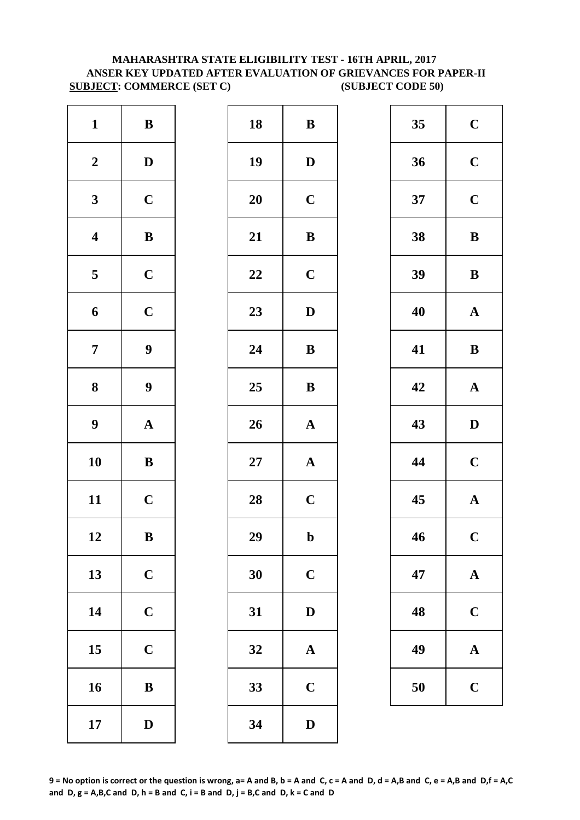# **MAHARASHTRA STATE ELIGIBILITY TEST - 16TH APRIL, 2017 ANSER KEY UPDATED AFTER EVALUATION OF GRIEVANCES FOR PAPER-II SUBJECT: COMMERCE (SET C) (SUBJECT CODE 50)**

| $\mathbf{1}$            | $\bf{B}$         | 18        | $\bf{B}$     |
|-------------------------|------------------|-----------|--------------|
| $\boldsymbol{2}$        | $\mathbf D$      | 19        | $\mathbf{D}$ |
| $\mathbf{3}$            | $\mathbf C$      | <b>20</b> | $\mathbf C$  |
| $\overline{\mathbf{4}}$ | $\, {\bf B}$     | 21        | $\bf{B}$     |
| $\overline{\mathbf{5}}$ | $\mathbf C$      | 22        | $\mathbf C$  |
| 6                       | $\mathbf C$      | 23        | $\mathbf{D}$ |
| $\boldsymbol{7}$        | $\boldsymbol{9}$ | 24        | $\bf{B}$     |
| ${\bf 8}$               | $\boldsymbol{9}$ | 25        | $\bf{B}$     |
| $\boldsymbol{9}$        | ${\bf A}$        | 26        | $\mathbf{A}$ |
| 10                      | $\bf{B}$         | $27\,$    | $\mathbf{A}$ |
| 11                      | $\mathbf C$      | 28        | $\mathbf C$  |
| 12                      | $\bf{B}$         | 29        | $\mathbf b$  |
| 13                      | $\mathbf C$      | 30        | $\mathbf C$  |
| 14                      | $\mathbf C$      | 31        | $\mathbf{D}$ |
| 15                      | $\mathbf C$      | 32        | $\mathbf{A}$ |
| 16                      | $\, {\bf B}$     | 33        | $\mathbf C$  |
| 17                      | $\mathbf D$      | 34        | $\mathbf{D}$ |

| $\boldsymbol{2}$<br>19<br>36<br>$\mathbf D$<br>$\mathbf D$<br>$\mathbf C$<br>20<br>$\mathbf C$<br>$\mathbf{3}$<br>37<br>$\overline{\mathbf{4}}$<br>${\bf B}$<br>21<br>$\, {\bf B}$<br>38<br>$\mathbf C$<br>$\overline{\mathbf{5}}$<br>22<br>$\mathbf C$<br>39<br>$\mathbf C$<br>23<br>$\boldsymbol{6}$<br>$\mathbf D$<br>40<br>$\boldsymbol{9}$<br>$\overline{7}$<br>24<br>41<br>$\, {\bf B}$<br>$\boldsymbol{9}$<br>$\boldsymbol{8}$<br>42<br>25<br>${\bf B}$<br>$\boldsymbol{9}$<br>26<br>43<br>${\bf A}$<br>${\bf A}$<br>10<br>$\, {\bf B}$<br>44<br>27<br>${\bf A}$<br>11<br>$\mathbf C$<br>28<br>$\mathbf C$<br>45<br>12<br>29<br>46<br>$\bf{B}$<br>$\mathbf b$<br>13<br>$\mathbf C$<br>30<br>$\mathbf C$<br>47<br>14<br>$\mathbf C$<br>31<br>$\mathbf D$<br>48<br>$\mathbf C$<br>15<br>49<br>32<br>$\mathbf A$<br>16<br>$\mathbf C$<br>33<br>50<br>$\, {\bf B}$ | $\mathbf{1}$ | $\bf{B}$    | 18 | ${\bf B}$   | 35 | $\mathbf C$  |
|-----------------------------------------------------------------------------------------------------------------------------------------------------------------------------------------------------------------------------------------------------------------------------------------------------------------------------------------------------------------------------------------------------------------------------------------------------------------------------------------------------------------------------------------------------------------------------------------------------------------------------------------------------------------------------------------------------------------------------------------------------------------------------------------------------------------------------------------------------------------------|--------------|-------------|----|-------------|----|--------------|
|                                                                                                                                                                                                                                                                                                                                                                                                                                                                                                                                                                                                                                                                                                                                                                                                                                                                       |              |             |    |             |    | $\mathbf C$  |
|                                                                                                                                                                                                                                                                                                                                                                                                                                                                                                                                                                                                                                                                                                                                                                                                                                                                       |              |             |    |             |    | $\mathbf C$  |
|                                                                                                                                                                                                                                                                                                                                                                                                                                                                                                                                                                                                                                                                                                                                                                                                                                                                       |              |             |    |             |    | $\bf{B}$     |
|                                                                                                                                                                                                                                                                                                                                                                                                                                                                                                                                                                                                                                                                                                                                                                                                                                                                       |              |             |    |             |    | $\bf{B}$     |
|                                                                                                                                                                                                                                                                                                                                                                                                                                                                                                                                                                                                                                                                                                                                                                                                                                                                       |              |             |    |             |    | $\mathbf A$  |
|                                                                                                                                                                                                                                                                                                                                                                                                                                                                                                                                                                                                                                                                                                                                                                                                                                                                       |              |             |    |             |    | $\bf{B}$     |
|                                                                                                                                                                                                                                                                                                                                                                                                                                                                                                                                                                                                                                                                                                                                                                                                                                                                       |              |             |    |             |    | $\mathbf A$  |
|                                                                                                                                                                                                                                                                                                                                                                                                                                                                                                                                                                                                                                                                                                                                                                                                                                                                       |              |             |    |             |    | $\mathbf{D}$ |
|                                                                                                                                                                                                                                                                                                                                                                                                                                                                                                                                                                                                                                                                                                                                                                                                                                                                       |              |             |    |             |    | $\mathbf C$  |
|                                                                                                                                                                                                                                                                                                                                                                                                                                                                                                                                                                                                                                                                                                                                                                                                                                                                       |              |             |    |             |    | $\mathbf A$  |
|                                                                                                                                                                                                                                                                                                                                                                                                                                                                                                                                                                                                                                                                                                                                                                                                                                                                       |              |             |    |             |    | $\mathbf C$  |
|                                                                                                                                                                                                                                                                                                                                                                                                                                                                                                                                                                                                                                                                                                                                                                                                                                                                       |              |             |    |             |    | $\mathbf A$  |
|                                                                                                                                                                                                                                                                                                                                                                                                                                                                                                                                                                                                                                                                                                                                                                                                                                                                       |              |             |    |             |    | $\mathbf C$  |
|                                                                                                                                                                                                                                                                                                                                                                                                                                                                                                                                                                                                                                                                                                                                                                                                                                                                       |              |             |    |             |    | $\mathbf A$  |
|                                                                                                                                                                                                                                                                                                                                                                                                                                                                                                                                                                                                                                                                                                                                                                                                                                                                       |              |             |    |             |    | $\mathbf C$  |
|                                                                                                                                                                                                                                                                                                                                                                                                                                                                                                                                                                                                                                                                                                                                                                                                                                                                       | 17           | $\mathbf D$ | 34 | $\mathbf D$ |    |              |

| 35 | $\mathbf C$ |
|----|-------------|
| 36 | $\mathbf C$ |
| 37 | $\mathbf C$ |
| 38 | B           |
| 39 | B           |
| 40 | $\mathbf A$ |
| 41 | B           |
| 42 | $\mathbf A$ |
| 43 | D           |
| 44 | $\mathbf C$ |
| 45 | $\mathbf A$ |
| 46 | $\mathbf C$ |
| 47 | ${\bf A}$   |
| 48 | $\mathbf C$ |
| 49 | A           |
|    |             |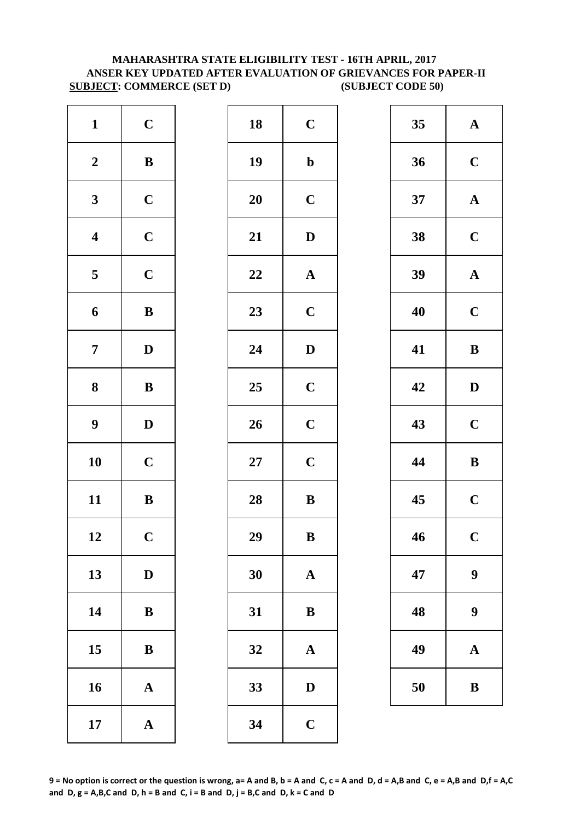# **MAHARASHTRA STATE ELIGIBILITY TEST - 16TH APRIL, 2017 ANSER KEY UPDATED AFTER EVALUATION OF GRIEVANCES FOR PAPER-II SUBJECT: COMMERCE (SET D) (SUBJECT CODE 50)**

| $\mathbf{1}$            | $\mathbf C$           | 18         | $\mathbf C$  |
|-------------------------|-----------------------|------------|--------------|
| $\boldsymbol{2}$        | $\, {\bf B}$          | 19         | $\mathbf b$  |
| $\mathbf{3}$            | $\mathbf C$           | <b>20</b>  | $\mathbf C$  |
| $\overline{\mathbf{4}}$ | $\mathbf C$           | 21         | $\mathbf{D}$ |
| 5                       | $\mathbf C$           | 22         | $\mathbf A$  |
| $\boldsymbol{6}$        | $\, {\bf B}$          | 23         | $\mathbf C$  |
| $\boldsymbol{7}$        | $\mathbf D$           | 24         | $\mathbf{D}$ |
| ${\bf 8}$               | $\bf{B}$              | 25         | $\mathbf C$  |
| $\boldsymbol{9}$        | $\mathbf D$           | 26         | $\mathbf C$  |
| 10                      | $\mathbf C$           | ${\bf 27}$ | $\mathbf C$  |
| 11                      | $\, {\bf B}$          | 28         | $\bf{B}$     |
| 12                      | $\mathbf C$           | 29         | $\bf{B}$     |
| 13                      | $\mathbf D$           | 30         | $\mathbf{A}$ |
| 14                      | $\bf{B}$              | 31         | $\bf{B}$     |
| 15                      | $\bf{B}$              | 32         | $\mathbf A$  |
| 16                      | $\boldsymbol{\rm{A}}$ | 33         | D            |
| 17                      | $\boldsymbol{\rm{A}}$ | 34         | $\mathbf C$  |

| $\mathbf{1}$            | $\mathbf C$  | 18        | $\mathbf C$           | 35 | $\mathbf A$      |
|-------------------------|--------------|-----------|-----------------------|----|------------------|
| $\boldsymbol{2}$        | ${\bf B}$    | 19        | $\mathbf b$           | 36 | $\mathbf C$      |
| $\mathbf{3}$            | $\mathbf C$  | 20        | $\mathbf C$           | 37 | $\mathbf A$      |
| $\overline{\mathbf{4}}$ | $\mathbf C$  | 21        | ${\bf D}$             | 38 | $\mathbf C$      |
| $5\phantom{.0}$         | $\mathbf C$  | 22        | $\boldsymbol{\rm{A}}$ | 39 | $\mathbf A$      |
| $\boldsymbol{6}$        | $\, {\bf B}$ | 23        | $\mathbf C$           | 40 | $\mathbf C$      |
| $\overline{7}$          | $\mathbf D$  | 24        | $\mathbf D$           | 41 | $\bf{B}$         |
| $\boldsymbol{8}$        | ${\bf B}$    | 25        | $\mathbf C$           | 42 | $\mathbf{D}$     |
| $\boldsymbol{9}$        | $\mathbf D$  | 26        | $\mathbf C$           | 43 | $\mathbf C$      |
| 10                      | $\mathbf C$  | <b>27</b> | $\mathbf C$           | 44 | $\bf{B}$         |
| 11                      | $\, {\bf B}$ | 28        | $\, {\bf B}$          | 45 | $\mathbf C$      |
| 12                      | $\mathbf C$  | 29        | $\, {\bf B}$          | 46 | $\mathbf C$      |
| 13                      | $\mathbf D$  | 30        | $\mathbf A$           | 47 | $\boldsymbol{9}$ |
| 14                      | $\, {\bf B}$ | 31        | $\, {\bf B}$          | 48 | $\boldsymbol{9}$ |
| 15                      | $\bf{B}$     | 32        | $\mathbf A$           | 49 | $\mathbf A$      |
| 16                      | ${\bf A}$    | 33        | $\mathbf D$           | 50 | $\bf{B}$         |
| 17                      | ${\bf A}$    | 34        | $\mathbf C$           |    |                  |
|                         |              |           |                       |    |                  |

| 35 | $\mathbf A$ |
|----|-------------|
| 36 | $\mathbf C$ |
| 37 | $\mathbf A$ |
| 38 | $\mathbf C$ |
| 39 | $\mathbf A$ |
| 40 | $\mathbf C$ |
| 41 | B           |
| 42 | D           |
| 43 | $\mathbf C$ |
| 44 | B           |
| 45 | $\mathbf C$ |
| 46 | $\mathbf C$ |
| 47 | 9           |
| 48 | 9           |
| 49 | $\mathbf A$ |
| 50 | B           |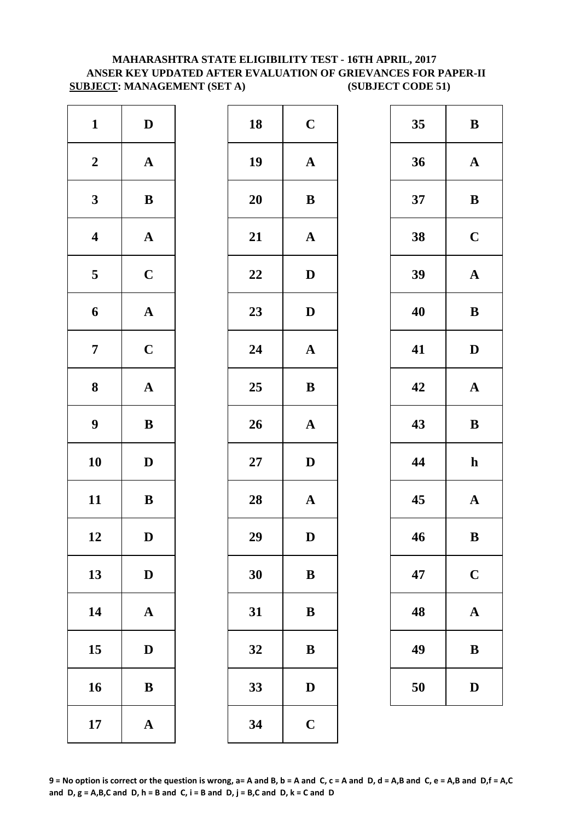## **MAHARASHTRA STATE ELIGIBILITY TEST - 16TH APRIL, 2017 ANSER KEY UPDATED AFTER EVALUATION OF GRIEVANCES FOR PAPER-II SUBJECT: MANAGEMENT (SET A) (SUBJECT CODE 51)**

| $\mathbf D$           | 18        | $\mathbf C$  |
|-----------------------|-----------|--------------|
| $\boldsymbol{\rm{A}}$ | 19        | $\mathbf{A}$ |
| $\, {\bf B}$          | <b>20</b> | $\bf{B}$     |
| $\mathbf A$           | 21        | $\mathbf{A}$ |
| $\mathbf C$           | 22        | $\mathbf{D}$ |
| ${\bf A}$             | 23        | $\mathbf{D}$ |
| $\mathbf C$           | 24        | $\mathbf{A}$ |
| $\boldsymbol{\rm{A}}$ | 25        | $\bf{B}$     |
| $\, {\bf B}$          | 26        | $\mathbf{A}$ |
| $\mathbf D$           | $27\,$    | D            |
| $\, {\bf B}$          | 28        | $\mathbf{A}$ |
| D                     | 29        | D            |
| $\mathbf D$           | 30        | $\bf{B}$     |
| $\boldsymbol{\rm{A}}$ | 31        | $\bf{B}$     |
| $\mathbf D$           | 32        | $\bf{B}$     |
| $\bf{B}$              | 33        | $\mathbf{D}$ |
| $\boldsymbol{\rm{A}}$ | 34        | $\mathbf C$  |
|                       |           |              |

| $\mathbf{1}$            | $\mathbf D$  | 18 | $\mathbf C$           | 35 | $\bf{B}$     |
|-------------------------|--------------|----|-----------------------|----|--------------|
| $\boldsymbol{2}$        | ${\bf A}$    | 19 | $\mathbf A$           | 36 | $\mathbf A$  |
| $\mathbf{3}$            | $\bf{B}$     | 20 | $\, {\bf B}$          | 37 | $\bf{B}$     |
| $\overline{\mathbf{4}}$ | ${\bf A}$    | 21 | $\boldsymbol{\rm{A}}$ | 38 | $\mathbf C$  |
| $\overline{\mathbf{5}}$ | $\mathbf C$  | 22 | $\mathbf D$           | 39 | $\mathbf A$  |
| $\boldsymbol{6}$        | ${\bf A}$    | 23 | $\mathbf D$           | 40 | $\bf{B}$     |
| $\overline{7}$          | $\mathbf C$  | 24 | ${\bf A}$             | 41 | $\mathbf{D}$ |
| $\boldsymbol{8}$        | ${\bf A}$    | 25 | ${\bf B}$             | 42 | $\mathbf A$  |
| $\boldsymbol{9}$        | $\, {\bf B}$ | 26 | $\boldsymbol{\rm{A}}$ | 43 | $\bf{B}$     |
| 10                      | $\mathbf D$  | 27 | $\mathbf D$           | 44 | $\mathbf h$  |
| 11                      | $\, {\bf B}$ | 28 | $\boldsymbol{\rm{A}}$ | 45 | $\mathbf A$  |
| 12                      | D            | 29 | D                     | 46 | $\bf{B}$     |
| 13                      | $\mathbf D$  | 30 | $\, {\bf B}$          | 47 | $\mathbf C$  |
| 14                      | ${\bf A}$    | 31 | $\bf{B}$              | 48 | $\mathbf A$  |
| 15                      | $\mathbf D$  | 32 | $\, {\bf B}$          | 49 | $\bf{B}$     |
| 16                      | $\, {\bf B}$ | 33 | $\mathbf D$           | 50 | $\mathbf{D}$ |
| 17                      | ${\bf A}$    | 34 | $\mathbf C$           |    |              |
|                         |              |    |                       |    |              |

| 35 | B            |
|----|--------------|
| 36 | $\mathbf A$  |
| 37 | B            |
| 38 | $\mathbf C$  |
| 39 | $\mathbf A$  |
| 40 | B            |
| 41 | D            |
| 42 | $\mathbf A$  |
| 43 | B            |
| 44 | h            |
| 45 | $\mathbf{A}$ |
| 46 | $\bf{B}$     |
| 47 | $\mathbf C$  |
| 48 | A            |
| 49 | B            |
| 50 | $\mathbf{D}$ |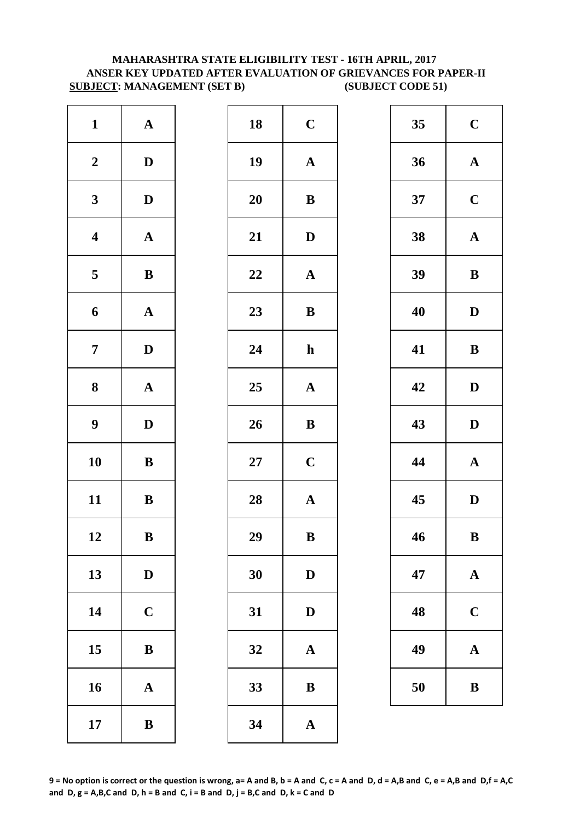# **MAHARASHTRA STATE ELIGIBILITY TEST - 16TH APRIL, 2017 ANSER KEY UPDATED AFTER EVALUATION OF GRIEVANCES FOR PAPER-II SUBJECT: MANAGEMENT (SET B) (SUBJECT CODE 51)**

| $\mathbf{1}$     | ${\bf A}$             | 18     | $\mathbf C$  |
|------------------|-----------------------|--------|--------------|
| $\boldsymbol{2}$ | $\mathbf D$           | 19     | $\mathbf A$  |
| $\mathbf{3}$     | $\mathbf D$           | 20     | $\bf{B}$     |
| $\boldsymbol{4}$ | $\mathbf A$           | 21     | $\mathbf{D}$ |
| 5                | $\, {\bf B}$          | 22     | $\mathbf A$  |
| $\boldsymbol{6}$ | $\mathbf A$           | 23     | $\bf{B}$     |
| $\overline{7}$   | $\mathbf D$           | 24     | $\mathbf h$  |
| $\boldsymbol{8}$ | $\boldsymbol{\rm{A}}$ | 25     | $\mathbf A$  |
| $\boldsymbol{9}$ | $\mathbf D$           | 26     | $\bf{B}$     |
| 10               | $\, {\bf B}$          | $27\,$ | $\mathbf C$  |
| 11               | $\, {\bf B}$          | 28     | $\mathbf{A}$ |
| 12               | B                     | 29     | $\bf{B}$     |
| 13               | $\mathbf D$           | 30     | $\mathbf{D}$ |
| 14               | $\mathbf C$           | 31     | $\mathbf{D}$ |
| 15               | $\bf{B}$              | 32     | $\mathbf A$  |
| 16               | $\mathbf A$           | 33     | $\bf{B}$     |
| 17               | $\, {\bf B}$          | 34     | $\mathbf A$  |

| $\mathbf{1}$            | ${\bf A}$    | 18 | $\mathbf C$           | 35 | $\mathbf C$  |
|-------------------------|--------------|----|-----------------------|----|--------------|
| $\boldsymbol{2}$        | $\mathbf{D}$ | 19 | ${\bf A}$             | 36 | $\mathbf A$  |
| $\mathbf{3}$            | $\mathbf{D}$ | 20 | ${\bf B}$             | 37 | $\mathbf C$  |
| $\overline{\mathbf{4}}$ | ${\bf A}$    | 21 | ${\bf D}$             | 38 | $\mathbf A$  |
| $\overline{\mathbf{5}}$ | $\, {\bf B}$ | 22 | $\mathbf A$           | 39 | $\bf{B}$     |
| $\boldsymbol{6}$        | ${\bf A}$    | 23 | $\, {\bf B}$          | 40 | $\mathbf{D}$ |
| $\overline{7}$          | $\mathbf{D}$ | 24 | $\mathbf h$           | 41 | $\bf{B}$     |
| $\boldsymbol{8}$        | ${\bf A}$    | 25 | $\mathbf A$           | 42 | $\mathbf{D}$ |
| $\boldsymbol{9}$        | $\mathbf D$  | 26 | $\bf{B}$              | 43 | $\mathbf{D}$ |
| 10                      | ${\bf B}$    | 27 | $\mathbf C$           | 44 | $\mathbf A$  |
| 11                      | $\bf{B}$     | 28 | $\boldsymbol{\rm{A}}$ | 45 | $\mathbf{D}$ |
| 12                      | B            | 29 | $\bf{B}$              | 46 | $\bf{B}$     |
| 13                      | $\mathbf D$  | 30 | $\mathbf D$           | 47 | $\mathbf A$  |
| 14                      | $\mathbf C$  | 31 | $\mathbf D$           | 48 | $\mathbf C$  |
| 15                      | $\, {\bf B}$ | 32 | $\mathbf A$           | 49 | $\mathbf A$  |
| 16                      | ${\bf A}$    | 33 | $\, {\bf B}$          | 50 | $\bf{B}$     |
| 17                      | $\, {\bf B}$ | 34 | $\boldsymbol{\rm{A}}$ |    |              |
|                         |              |    |                       |    |              |

| 35 | $\mathbf C$ |  |  |
|----|-------------|--|--|
| 36 | $\mathbf A$ |  |  |
| 37 | $\mathbf C$ |  |  |
| 38 | $\mathbf A$ |  |  |
| 39 | $\bf{B}$    |  |  |
| 40 | D           |  |  |
| 41 | B           |  |  |
| 42 | D           |  |  |
| 43 | D           |  |  |
| 44 | $\mathbf A$ |  |  |
|    |             |  |  |
| 45 | D           |  |  |
| 46 | B           |  |  |
| 47 | $\mathbf A$ |  |  |
| 48 | $\mathbf C$ |  |  |
| 49 | $\mathbf A$ |  |  |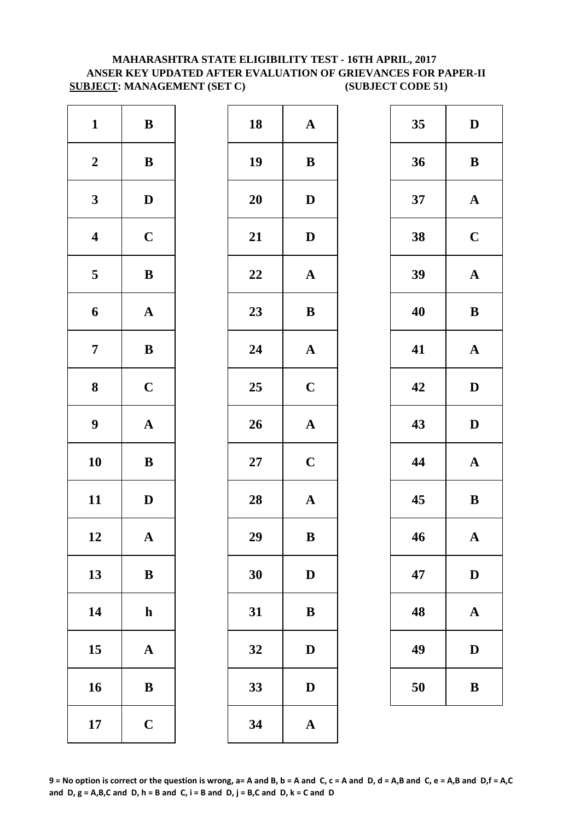# **MAHARASHTRA STATE ELIGIBILITY TEST - 16TH APRIL, 2017 ANSER KEY UPDATED AFTER EVALUATION OF GRIEVANCES FOR PAPER-II SUBJECT: MANAGEMENT (SET C) (SUBJECT CODE 51)**

| $\mathbf{1}$            | $\, {\bf B}$          | 18     | $\mathbf A$  |
|-------------------------|-----------------------|--------|--------------|
| $\boldsymbol{2}$        | $\, {\bf B}$          | 19     | $\bf{B}$     |
| $\mathbf{3}$            | $\mathbf D$           | 20     | $\mathbf{D}$ |
| $\overline{\mathbf{4}}$ | $\mathbf C$           | 21     | $\mathbf{D}$ |
| 5                       | $\, {\bf B}$          | 22     | $\mathbf A$  |
| $\boldsymbol{6}$        | $\mathbf A$           | 23     | $\bf{B}$     |
| $\overline{7}$          | $\, {\bf B}$          | 24     | $\mathbf{A}$ |
| $\bf{8}$                | $\mathbf C$           | 25     | $\mathbf C$  |
| $\boldsymbol{9}$        | $\boldsymbol{\rm{A}}$ | 26     | $\mathbf{A}$ |
| 10                      | $\bf{B}$              | $27\,$ | $\mathbf C$  |
| 11                      | $\mathbf D$           | 28     | $\mathbf{A}$ |
| 12                      | A                     | 29     | $\bf{B}$     |
| 13                      | $\bf{B}$              | 30     | $\mathbf{D}$ |
| 14                      | $\mathbf h$           | 31     | $\bf{B}$     |
| 15                      | ${\bf A}$             | 32     | $\mathbf{D}$ |
| 16                      | ${\bf B}$             | 33     | D            |
| 17                      | $\mathbf C$           | 34     | $\mathbf{A}$ |

| $\mathbf{1}$            | $\, {\bf B}$ | 18     | $\mathbf{A}$          | 35 | $\mathbf{D}$ |
|-------------------------|--------------|--------|-----------------------|----|--------------|
| $\boldsymbol{2}$        | $\, {\bf B}$ | 19     | $\, {\bf B}$          | 36 | $\bf{B}$     |
| $\mathbf{3}$            | $\mathbf{D}$ | 20     | $\mathbf D$           | 37 | $\mathbf A$  |
| $\overline{\mathbf{4}}$ | $\mathbf C$  | 21     | ${\bf D}$             | 38 | $\mathbf C$  |
| $5\overline{)}$         | $\, {\bf B}$ | 22     | ${\bf A}$             | 39 | $\mathbf A$  |
| $\boldsymbol{6}$        | ${\bf A}$    | 23     | $\, {\bf B}$          | 40 | $\bf{B}$     |
| $\overline{7}$          | $\, {\bf B}$ | 24     | $\boldsymbol{\rm{A}}$ | 41 | $\mathbf A$  |
| $\boldsymbol{8}$        | $\mathbf C$  | 25     | $\mathbf C$           | 42 | $\mathbf{D}$ |
| $\boldsymbol{9}$        | ${\bf A}$    | 26     | ${\bf A}$             | 43 | $\mathbf{D}$ |
| 10                      | ${\bf B}$    | $27\,$ | $\mathbf C$           | 44 | $\mathbf A$  |
| 11                      | $\mathbf{D}$ | 28     | $\boldsymbol{\rm{A}}$ | 45 | $\bf{B}$     |
| 12                      | $\mathbf A$  | 29     | $\, {\bf B}$          | 46 | $\mathbf A$  |
| 13                      | $\, {\bf B}$ | 30     | $\mathbf D$           | 47 | D            |
| 14                      | $\mathbf h$  | 31     | $\bf{B}$              | 48 | $\mathbf A$  |
| 15                      | ${\bf A}$    | 32     | $\mathbf D$           | 49 | $\mathbf{D}$ |
| 16                      | $\, {\bf B}$ | 33     | $\mathbf D$           | 50 | $\bf{B}$     |
| 17                      | $\mathbf C$  | 34     | $\mathbf{A}$          |    |              |

| 35 | D           |
|----|-------------|
| 36 | B           |
| 37 | $\mathbf A$ |
| 38 | $\mathbf C$ |
| 39 | $\mathbf A$ |
| 40 | $\bf{B}$    |
| 41 | $\mathbf A$ |
| 42 | D           |
| 43 | D           |
| 44 | $\mathbf A$ |
| 45 | B           |
| 46 | $\bf A$     |
| 47 | D           |
| 48 | A           |
| 49 | D           |
| 50 | B           |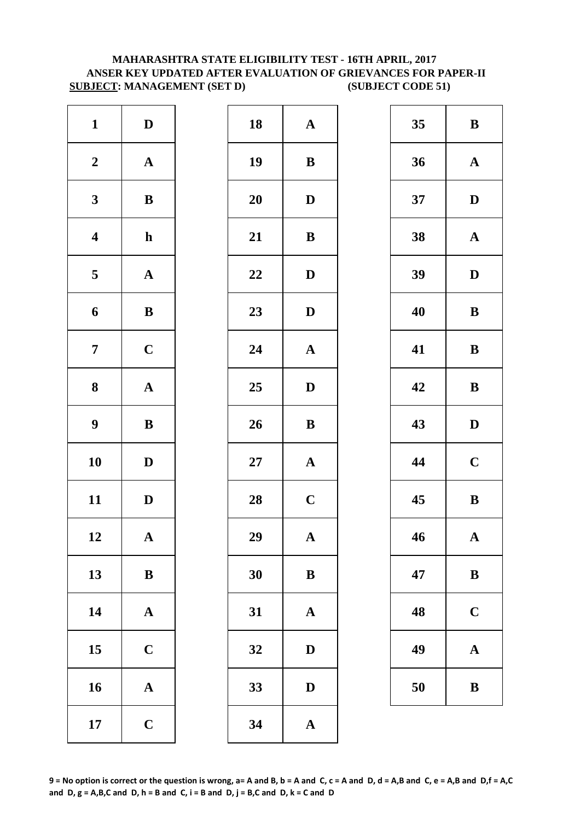## **MAHARASHTRA STATE ELIGIBILITY TEST - 16TH APRIL, 2017 ANSER KEY UPDATED AFTER EVALUATION OF GRIEVANCES FOR PAPER-II SUBJECT: MANAGEMENT (SET D) (SUBJECT CODE 51)**

| $\mathbf{1}$            | ${\bf D}$             | 18     | $\mathbf A$  |
|-------------------------|-----------------------|--------|--------------|
| $\boldsymbol{2}$        | $\boldsymbol{\rm{A}}$ | 19     | $\bf{B}$     |
| $\mathbf{3}$            | $\bf{B}$              | 20     | $\mathbf{D}$ |
| $\overline{\mathbf{4}}$ | $\mathbf h$           | 21     | $\bf{B}$     |
| $\overline{\mathbf{5}}$ | ${\bf A}$             | 22     | $\mathbf{D}$ |
| 6                       | $\, {\bf B}$          | 23     | $\mathbf{D}$ |
| $\overline{7}$          | $\mathbf C$           | 24     | $\mathbf{A}$ |
| $\bf{8}$                | $\mathbf A$           | 25     | $\mathbf{D}$ |
| $\boldsymbol{9}$        | $\bf{B}$              | 26     | $\bf{B}$     |
| 10                      | ${\bf D}$             | $27\,$ | $\mathbf{A}$ |
| 11                      | $\mathbf D$           | 28     | $\mathbf C$  |
| 12                      | A                     | 29     | A            |
| 13                      | $\bf{B}$              | 30     | $\bf{B}$     |
| 14                      | $\mathbf A$           | 31     | $\mathbf{A}$ |
| 15                      | $\mathbf C$           | 32     | D            |
| 16                      | ${\bf A}$             | 33     | D            |
| 17                      | $\mathbf C$           | 34     | $\mathbf{A}$ |

| $\mathbf{1}$            | $\mathbf D$  | 18 | ${\bf A}$    | 35 | $\bf{B}$     |
|-------------------------|--------------|----|--------------|----|--------------|
| $\boldsymbol{2}$        | ${\bf A}$    | 19 | $\bf{B}$     | 36 | $\mathbf A$  |
| $\mathbf{3}$            | $\bf{B}$     | 20 | $\mathbf D$  | 37 | $\mathbf{D}$ |
| $\overline{\mathbf{4}}$ | $\mathbf{h}$ | 21 | $\, {\bf B}$ | 38 | $\mathbf A$  |
| $\overline{\mathbf{5}}$ | ${\bf A}$    | 22 | $\mathbf D$  | 39 | $\mathbf{D}$ |
| $\boldsymbol{6}$        | $\, {\bf B}$ | 23 | $\mathbf D$  | 40 | $\bf{B}$     |
| $\overline{7}$          | $\mathbf C$  | 24 | ${\bf A}$    | 41 | $\bf{B}$     |
| $\boldsymbol{8}$        | ${\bf A}$    | 25 | $\mathbf D$  | 42 | $\bf{B}$     |
| $\boldsymbol{9}$        | $\, {\bf B}$ | 26 | $\, {\bf B}$ | 43 | $\mathbf{D}$ |
| 10                      | $\mathbf D$  | 27 | ${\bf A}$    | 44 | $\mathbf C$  |
| 11                      | $\mathbf D$  | 28 | $\mathbf C$  | 45 | $\bf{B}$     |
| 12                      | $\mathbf{A}$ | 29 | $\mathbf{A}$ | 46 | $\mathbf A$  |
| 13                      | $\, {\bf B}$ | 30 | $\, {\bf B}$ | 47 | $\bf{B}$     |
| 14                      | ${\bf A}$    | 31 | $\mathbf A$  | 48 | $\mathbf C$  |
| 15                      | $\mathbf C$  | 32 | $\mathbf D$  | 49 | $\mathbf A$  |
| 16                      | ${\bf A}$    | 33 | $\mathbf D$  | 50 | $\bf{B}$     |
| 17                      | $\mathbf C$  | 34 | $\mathbf A$  |    |              |

| 35 | B            |
|----|--------------|
| 36 | $\mathbf A$  |
| 37 | D            |
| 38 | $\mathbf{A}$ |
| 39 | D            |
| 40 | B            |
| 41 | B            |
| 42 | B            |
| 43 | D            |
| 44 | $\mathbf C$  |
| 45 | B            |
| 46 | $\mathbf A$  |
| 47 | B            |
| 48 | $\mathbf C$  |
| 49 | A            |
| 50 | B            |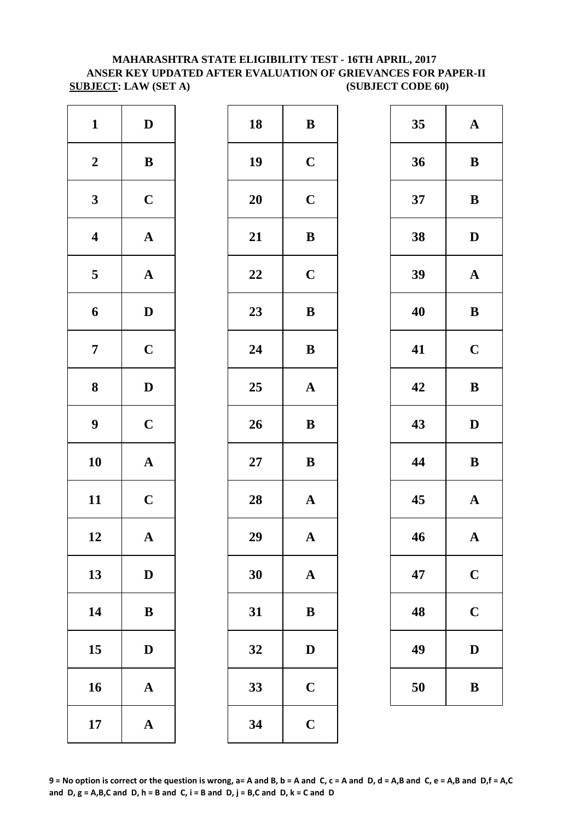## **MAHARASHTRA STATE ELIGIBILITY TEST - 16TH APRIL, 2017 ANSER KEY UPDATED AFTER EVALUATION OF GRIEVANCES FOR PAPER-II SUBJECT: LAW (SET A) (SUBJECT CODE 60)**

| $\mathbf{1}$            | $\mathbf D$           | 18     | $\bf{B}$     |
|-------------------------|-----------------------|--------|--------------|
| $\boldsymbol{2}$        | $\, {\bf B}$          | 19     | $\mathbf C$  |
| $\mathbf{3}$            | $\mathbf C$           | 20     | $\mathbf C$  |
| $\overline{\mathbf{4}}$ | $\boldsymbol{\rm{A}}$ | 21     | $\bf{B}$     |
| 5                       | $\mathbf A$           | 22     | $\mathbf C$  |
| $\boldsymbol{6}$        | $\mathbf D$           | 23     | $\bf{B}$     |
| $\boldsymbol{7}$        | $\mathbf C$           | 24     | $\bf{B}$     |
| $\bf{8}$                | $\mathbf D$           | 25     | $\mathbf{A}$ |
| $\boldsymbol{9}$        | $\mathbf C$           | 26     | $\bf{B}$     |
| 10                      | $\mathbf A$           | $27\,$ | $\bf{B}$     |
| 11                      | $\mathbf C$           | 28     | $\mathbf{A}$ |
| 12                      | A                     | 29     | A            |
| 13                      | $\mathbf D$           | 30     | $\mathbf{A}$ |
| 14                      | $\bf{B}$              | 31     | $\bf{B}$     |
| 15                      | $\mathbf D$           | 32     | D            |
| 16                      | $\boldsymbol{\rm{A}}$ | 33     | $\mathbf C$  |
| 17                      | $\boldsymbol{\rm{A}}$ | 34     | $\mathbf C$  |

| $\mathbf{1}$            | $\mathbf D$  | 18 | ${\bf B}$    | 35 | $\mathbf A$  |
|-------------------------|--------------|----|--------------|----|--------------|
| $\boldsymbol{2}$        | $\, {\bf B}$ | 19 | $\mathbf C$  | 36 | $\bf{B}$     |
| $\mathbf{3}$            | $\mathbf C$  | 20 | $\mathbf C$  | 37 | $\bf{B}$     |
| $\overline{\mathbf{4}}$ | ${\bf A}$    | 21 | $\, {\bf B}$ | 38 | $\mathbf{D}$ |
| $\overline{5}$          | ${\bf A}$    | 22 | $\mathbf C$  | 39 | $\mathbf A$  |
| 6                       | $\mathbf D$  | 23 | $\, {\bf B}$ | 40 | $\bf{B}$     |
| $\overline{7}$          | $\mathbf C$  | 24 | $\bf{B}$     | 41 | $\mathbf C$  |
| $\boldsymbol{8}$        | $\mathbf D$  | 25 | ${\bf A}$    | 42 | $\bf{B}$     |
| $\boldsymbol{9}$        | $\mathbf C$  | 26 | $\, {\bf B}$ | 43 | $\mathbf{D}$ |
| 10                      | ${\bf A}$    | 27 | ${\bf B}$    | 44 | $\bf{B}$     |
| 11                      | $\mathbf C$  | 28 | ${\bf A}$    | 45 | $\mathbf A$  |
| 12                      | $\mathbf A$  | 29 | $\mathbf A$  | 46 | $\mathbf A$  |
| 13                      | $\mathbf D$  | 30 | $\mathbf A$  | 47 | $\mathbf C$  |
| 14                      | ${\bf B}$    | 31 | $\bf{B}$     | 48 | $\mathbf C$  |
| 15                      | $\mathbf D$  | 32 | $\mathbf D$  | 49 | $\mathbf{D}$ |
| 16                      | ${\bf A}$    | 33 | $\mathbf C$  | 50 | $\bf{B}$     |
| 17                      | ${\bf A}$    | 34 | $\mathbf C$  |    |              |
|                         |              |    |              |    |              |

| 35 | $\mathbf A$ |
|----|-------------|
| 36 | B           |
| 37 | B           |
| 38 | D           |
| 39 | $\mathbf A$ |
| 40 | B           |
| 41 | $\mathbf C$ |
| 42 | B           |
|    |             |
| 43 | D           |
| 44 | B           |
| 45 | $\mathbf A$ |
| 46 | $\mathbf A$ |
| 47 | $\mathbf C$ |
| 48 | $\mathbf C$ |
| 49 | D           |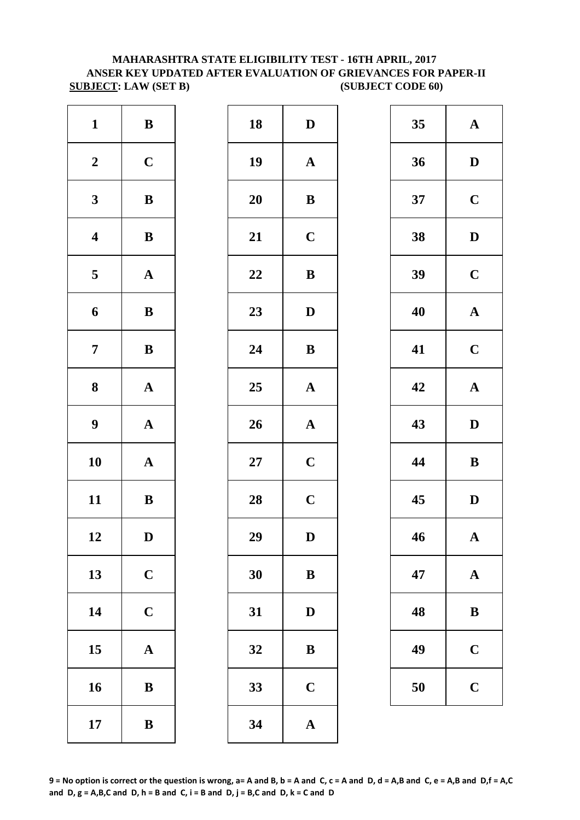# **MAHARASHTRA STATE ELIGIBILITY TEST - 16TH APRIL, 2017 ANSER KEY UPDATED AFTER EVALUATION OF GRIEVANCES FOR PAPER-II SUBJECT: LAW (SET B) (SUBJECT CODE 60)**

| $\mathbf{1}$            | $\bf{B}$              | 18        | $\mathbf{D}$ |
|-------------------------|-----------------------|-----------|--------------|
| $\boldsymbol{2}$        | $\mathbf C$           | 19        | $\mathbf{A}$ |
| $\mathbf{3}$            | $\bf{B}$              | <b>20</b> | $\bf{B}$     |
| $\boldsymbol{4}$        | $\, {\bf B}$          | 21        | $\mathbf C$  |
| $\overline{\mathbf{5}}$ | ${\bf A}$             | 22        | $\bf{B}$     |
| 6                       | $\bf{B}$              | 23        | $\mathbf{D}$ |
| $\overline{7}$          | $\bf{B}$              | 24        | $\bf{B}$     |
| ${\bf 8}$               | $\boldsymbol{\rm{A}}$ | 25        | $\mathbf{A}$ |
| $\boldsymbol{9}$        | $\boldsymbol{\rm{A}}$ | 26        | $\mathbf{A}$ |
| 10                      | $\mathbf A$           | $27\,$    | $\mathbf C$  |
| 11                      | $\, {\bf B}$          | 28        | $\mathbf C$  |
| 12                      | $\mathbf D$           | 29        | D            |
| 13                      | $\mathbf C$           | 30        | $\bf{B}$     |
| 14                      | $\mathbf C$           | 31        | $\mathbf{D}$ |
| 15                      | $\mathbf A$           | 32        | $\bf{B}$     |
| 16                      | ${\bf B}$             | 33        | $\mathbf C$  |
| 17                      | $\, {\bf B}$          | 34        | $\mathbf{A}$ |

| $\mathbf{1}$            | $\, {\bf B}$ | 18 | ${\bf D}$    | 35 | $\mathbf A$  |
|-------------------------|--------------|----|--------------|----|--------------|
| $\boldsymbol{2}$        | $\mathbf C$  | 19 | ${\bf A}$    | 36 | $\mathbf{D}$ |
| $\mathbf{3}$            | ${\bf B}$    | 20 | ${\bf B}$    | 37 | $\mathbf C$  |
| $\overline{\mathbf{4}}$ | $\, {\bf B}$ | 21 | $\mathbf C$  | 38 | $\mathbf{D}$ |
| $5\phantom{.0}$         | ${\bf A}$    | 22 | $\, {\bf B}$ | 39 | $\mathbf C$  |
| $\boldsymbol{6}$        | $\bf{B}$     | 23 | $\mathbf D$  | 40 | $\mathbf A$  |
| $\overline{7}$          | $\bf{B}$     | 24 | ${\bf B}$    | 41 | $\mathbf C$  |
| $\boldsymbol{8}$        | ${\bf A}$    | 25 | ${\bf A}$    | 42 | $\mathbf A$  |
| $\boldsymbol{9}$        | ${\bf A}$    | 26 | ${\bf A}$    | 43 | $\mathbf{D}$ |
| 10                      | ${\bf A}$    | 27 | $\mathbf C$  | 44 | $\bf{B}$     |
| 11                      | ${\bf B}$    | 28 | $\mathbf C$  | 45 | $\mathbf{D}$ |
| 12                      | $\mathbf D$  | 29 | ${\bf D}$    | 46 | $\mathbf A$  |
| 13                      | $\mathbf C$  | 30 | ${\bf B}$    | 47 | $\mathbf A$  |
| 14                      | $\mathbf C$  | 31 | ${\bf D}$    | 48 | $\bf{B}$     |
| 15                      | ${\bf A}$    | 32 | $\bf{B}$     | 49 | $\mathbf C$  |
| 16                      | $\bf{B}$     | 33 | $\mathbf C$  | 50 | $\mathbf C$  |
| 17                      | $\, {\bf B}$ | 34 | $\mathbf{A}$ |    |              |
|                         |              |    |              |    |              |

| 35 | $\mathbf A$  |
|----|--------------|
| 36 | D            |
| 37 | $\mathbf C$  |
| 38 | D            |
| 39 | $\mathbf C$  |
| 40 | $\mathbf A$  |
| 41 | $\mathbf C$  |
| 42 | $\mathbf A$  |
| 43 | $\mathbf{D}$ |
| 44 | B            |
| 45 | $\mathbf D$  |
| 46 | ${\bf A}$    |
|    |              |
| 47 | $\mathbf A$  |
| 48 | B            |
| 49 | $\mathbf C$  |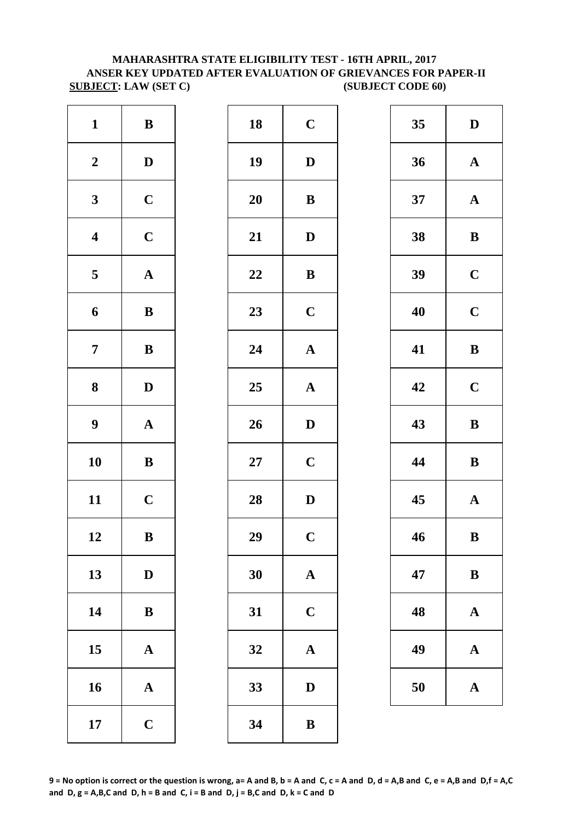# **MAHARASHTRA STATE ELIGIBILITY TEST - 16TH APRIL, 2017 ANSER KEY UPDATED AFTER EVALUATION OF GRIEVANCES FOR PAPER-II SUBJECT: LAW (SET C) (SUBJECT CODE 60)**

| $\mathbf{1}$            | $\, {\bf B}$          | 18        | $\mathbf C$             |
|-------------------------|-----------------------|-----------|-------------------------|
| $\boldsymbol{2}$        | $\mathbf D$           | 19        | $\mathbf{D}$            |
| $\mathbf{3}$            | $\mathbf C$           | <b>20</b> | $\bf{B}$                |
| $\overline{\mathbf{4}}$ | $\mathbf C$           | 21        | $\mathbf{D}$            |
| $\overline{\mathbf{5}}$ | ${\bf A}$             | 22        | $\bf{B}$                |
| 6                       | $\, {\bf B}$          | 23        | $\mathbf C$             |
| $\overline{7}$          | $\bf{B}$              | 24        | $\mathbf{A}$            |
| 8                       | $\mathbf D$           | 25        | $\mathbf A$             |
| $\boldsymbol{9}$        | $\boldsymbol{\rm{A}}$ | 26        | D                       |
| 10                      | $\bf{B}$              | $27\,$    | $\mathbf C$             |
| 11                      | $\mathbf C$           | 28        | $\mathbf{D}$            |
| 12                      | B                     | 29        | $\overline{\mathbf{C}}$ |
| 13                      | $\mathbf D$           | 30        | $\mathbf{A}$            |
| 14                      | $\bf{B}$              | 31        | $\mathbf C$             |
| 15                      | $\mathbf A$           | 32        | $\mathbf{A}$            |
| 16                      | $\mathbf A$           | 33        | $\mathbf{D}$            |
| 17                      | $\mathbf C$           | 34        | $\bf{B}$                |

| $\mathbf{1}$            | ${\bf B}$    | 18     | $\mathbf C$           | 35 | $\mathbf{D}$ |
|-------------------------|--------------|--------|-----------------------|----|--------------|
| $\boldsymbol{2}$        | $\mathbf D$  | 19     | $\mathbf D$           | 36 | $\mathbf A$  |
| $\mathbf{3}$            | $\mathbf C$  | 20     | ${\bf B}$             | 37 | $\mathbf A$  |
| $\overline{\mathbf{4}}$ | $\mathbf C$  | 21     | $\mathbf D$           | 38 | $\bf{B}$     |
| $\overline{\mathbf{5}}$ | ${\bf A}$    | 22     | $\, {\bf B}$          | 39 | $\mathbf C$  |
| $\boldsymbol{6}$        | $\bf{B}$     | 23     | $\mathbf C$           | 40 | $\mathbf C$  |
| $\overline{7}$          | ${\bf B}$    | 24     | $\boldsymbol{\rm{A}}$ | 41 | $\bf{B}$     |
| $\boldsymbol{8}$        | $\mathbf{D}$ | 25     | $\mathbf A$           | 42 | $\mathbf C$  |
| $\boldsymbol{9}$        | ${\bf A}$    | 26     | $\mathbf{D}$          | 43 | $\bf{B}$     |
| 10                      | $\, {\bf B}$ | $27\,$ | $\mathbf C$           | 44 | $\bf{B}$     |
| 11                      | $\mathbf C$  | 28     | $\mathbf D$           | 45 | $\mathbf A$  |
| 12                      | $\, {\bf B}$ | 29     | $\mathbf C$           | 46 | $\bf{B}$     |
| 13                      | $\mathbf D$  | 30     | $\mathbf{A}$          | 47 | $\bf{B}$     |
| 14                      | $\, {\bf B}$ | 31     | $\mathbf C$           | 48 | $\mathbf A$  |
| 15                      | ${\bf A}$    | 32     | $\mathbf A$           | 49 | $\mathbf A$  |
| 16                      | $\mathbf A$  | 33     | $\mathbf D$           | 50 | $\mathbf A$  |
| 17                      | $\mathbf C$  | 34     | $\, {\bf B}$          |    |              |
|                         |              |        |                       |    |              |

| 35 | D           |
|----|-------------|
| 36 | $\mathbf A$ |
| 37 | $\mathbf A$ |
| 38 | B           |
| 39 | $\mathbf C$ |
| 40 | $\mathbf C$ |
| 41 | B           |
| 42 | $\mathbf C$ |
| 43 | B           |
| 44 | B           |
| 45 | $\mathbf A$ |
| 46 | B           |
| 47 | $\bf{B}$    |
| 48 | $\mathbf A$ |
| 49 | A           |
| 50 | A           |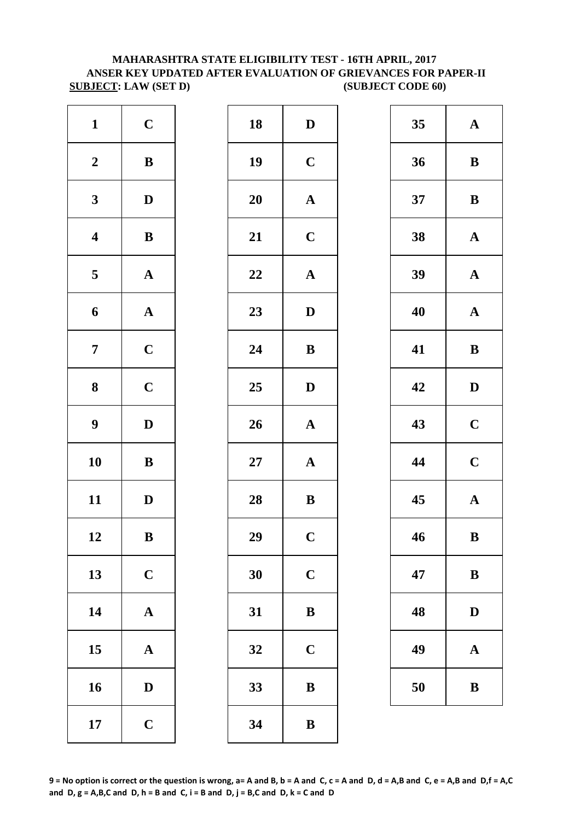# **MAHARASHTRA STATE ELIGIBILITY TEST - 16TH APRIL, 2017 ANSER KEY UPDATED AFTER EVALUATION OF GRIEVANCES FOR PAPER-II SUBJECT: LAW (SET D) (SUBJECT CODE 60)**

| $\mathbf C$           | 18        | $\bf{D}$     |
|-----------------------|-----------|--------------|
| $\, {\bf B}$          | 19        | $\mathbf C$  |
| $\mathbf D$           | <b>20</b> | $\mathbf A$  |
| $\, {\bf B}$          | 21        | $\mathbf C$  |
| $\boldsymbol{\rm{A}}$ | 22        | $\mathbf{A}$ |
| $\mathbf A$           | 23        | D            |
| $\mathbf C$           | 24        | $\bf{B}$     |
| $\mathbf C$           | 25        | $\mathbf{D}$ |
| $\mathbf D$           | 26        | $\mathbf A$  |
| $\, {\bf B}$          | $27\,$    | $\mathbf A$  |
| $\mathbf D$           | 28        | $\bf{B}$     |
| $\bf{B}$              | 29        | $\mathbf C$  |
| $\mathbf C$           | 30        | $\mathbf C$  |
| $\boldsymbol{\rm{A}}$ | 31        | $\bf{B}$     |
| ${\bf A}$             | 32        | $\mathbf C$  |
| $\mathbf D$           | 33        | $\bf{B}$     |
| $\mathbf C$           | 34        | $\bf{B}$     |
|                       |           |              |

| $\mathbf{1}$            | $\mathbf C$  | 18     | $\mathbf D$           | 35 | $\mathbf A$  |
|-------------------------|--------------|--------|-----------------------|----|--------------|
| $\boldsymbol{2}$        | $\, {\bf B}$ | 19     | $\mathbf C$           | 36 | $\bf{B}$     |
| $\mathbf{3}$            | $\mathbf{D}$ | 20     | $\boldsymbol{\rm{A}}$ | 37 | $\bf{B}$     |
| $\overline{\mathbf{4}}$ | $\, {\bf B}$ | 21     | $\mathbf C$           | 38 | $\mathbf A$  |
| $\overline{5}$          | ${\bf A}$    | 22     | $\boldsymbol{\rm{A}}$ | 39 | $\mathbf A$  |
| 6                       | ${\bf A}$    | 23     | $\mathbf D$           | 40 | $\mathbf A$  |
| $\overline{7}$          | $\mathbf C$  | 24     | $\bf{B}$              | 41 | $\bf{B}$     |
| $\boldsymbol{8}$        | $\mathbf C$  | 25     | $\mathbf{D}$          | 42 | $\mathbf{D}$ |
| $\boldsymbol{9}$        | $\mathbf D$  | 26     | $\boldsymbol{\rm{A}}$ | 43 | $\mathbf C$  |
| 10                      | $\, {\bf B}$ | $27\,$ | $\mathbf A$           | 44 | $\mathbf C$  |
| 11                      | $\mathbf D$  | 28     | $\bf{B}$              | 45 | $\mathbf A$  |
| 12                      | $\, {\bf B}$ | 29     | $\mathbf C$           | 46 | $\bf{B}$     |
| 13                      | $\mathbf C$  | 30     | $\mathbf C$           | 47 | $\bf{B}$     |
| 14                      | ${\bf A}$    | 31     | $\bf{B}$              | 48 | $\mathbf{D}$ |
| 15                      | ${\bf A}$    | 32     | $\mathbf C$           | 49 | $\mathbf A$  |
| 16                      | ${\bf D}$    | 33     | $\, {\bf B}$          | 50 | $\bf{B}$     |
| 17                      | $\mathbf C$  | 34     | $\, {\bf B}$          |    |              |
|                         |              |        |                       |    |              |

| 35 | $\mathbf A$  |
|----|--------------|
| 36 | B            |
| 37 | B            |
| 38 | $\mathbf A$  |
| 39 | $\mathbf{A}$ |
| 40 | $\mathbf A$  |
| 41 | B            |
| 42 | D            |
| 43 | $\mathbf C$  |
| 44 | $\mathbf C$  |
| 45 | $\mathbf A$  |
| 46 | B            |
| 47 | B            |
| 48 | $\mathbf D$  |
| 49 | $\mathbf A$  |
| 50 | B            |

**9 = No option is correct or the question is wrong, a= A and B, b = A and C, c = A and D, d = A,B and C, e = A,B and D,f = A,C**  and  $D$ ,  $g = A$ ,  $B$ ,  $C$  and  $D$ ,  $h = B$  and  $C$ ,  $i = B$  and  $D$ ,  $j = B$ ,  $C$  and  $D$ ,  $k = C$  and  $D$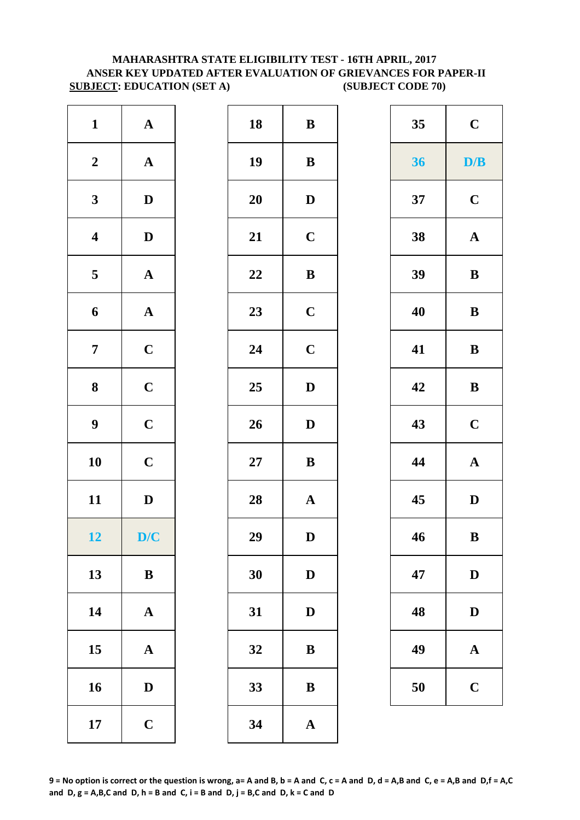## **MAHARASHTRA STATE ELIGIBILITY TEST - 16TH APRIL, 2017 ANSER KEY UPDATED AFTER EVALUATION OF GRIEVANCES FOR PAPER-II SUBJECT: EDUCATION (SET A)** (SUBJECT CODE 70)

| $\mathbf{1}$            | ${\bf A}$             | 18         | $\bf{B}$     |
|-------------------------|-----------------------|------------|--------------|
| $\boldsymbol{2}$        | $\boldsymbol{\rm{A}}$ | 19         | $\bf{B}$     |
| $\mathbf{3}$            | $\mathbf D$           | 20         | $\mathbf{D}$ |
| $\overline{\mathbf{4}}$ | $\mathbf D$           | 21         | $\mathbf C$  |
| $\overline{\mathbf{5}}$ | ${\bf A}$             | 22         | $\bf{B}$     |
| $\boldsymbol{6}$        | $\boldsymbol{\rm{A}}$ | 23         | $\mathbf C$  |
| $\boldsymbol{7}$        | $\mathbf C$           | 24         | $\mathbf C$  |
| ${\bf 8}$               | $\mathbf C$           | 25         | $\mathbf{D}$ |
| 9                       | $\mathbf C$           | 26         | $\mathbf{D}$ |
| 10                      | $\mathbf C$           | ${\bf 27}$ | $\bf{B}$     |
| 11                      | $\mathbf D$           | 28         | $\mathbf A$  |
| 12                      | D/C                   | 29         | D            |
| 13                      | $\, {\bf B}$          | 30         | $\mathbf{D}$ |
| 14                      | $\boldsymbol{\rm{A}}$ | 31         | $\mathbf{D}$ |
| 15                      | $\mathbf A$           | 32         | B            |
| 16                      | $\mathbf D$           | 33         | $\bf{B}$     |
| 17                      | $\mathbf C$           | 34         | $\mathbf{A}$ |

| $\mathbf{1}$            | ${\bf A}$             | 18 | $\bf{B}$              | 35 | $\mathbf C$           |
|-------------------------|-----------------------|----|-----------------------|----|-----------------------|
| $\boldsymbol{2}$        | ${\bf A}$             | 19 | $\, {\bf B}$          | 36 | D/B                   |
| $\mathbf{3}$            | $\mathbf{D}$          | 20 | $\mathbf D$           | 37 | $\mathbf C$           |
| $\overline{\mathbf{4}}$ | $\mathbf{D}$          | 21 | $\mathbf C$           | 38 | ${\bf A}$             |
| $5\overline{)}$         | ${\bf A}$             | 22 | $\, {\bf B}$          | 39 | $\, {\bf B}$          |
| $\boldsymbol{6}$        | ${\bf A}$             | 23 | $\mathbf C$           | 40 | $\bf{B}$              |
| $\overline{7}$          | $\mathbf C$           | 24 | $\mathbf C$           | 41 | $\bf{B}$              |
| 8                       | $\mathbf C$           | 25 | $\mathbf D$           | 42 | $\bf{B}$              |
| $\boldsymbol{9}$        | $\mathbf C$           | 26 | $\mathbf D$           | 43 | $\mathbf C$           |
| 10                      | $\mathbf C$           | 27 | $\, {\bf B}$          | 44 | $\boldsymbol{\rm{A}}$ |
| 11                      | $\mathbf D$           | 28 | $\mathbf A$           | 45 | $\mathbf D$           |
| 12                      | D/C                   | 29 | D                     | 46 | $\bf{B}$              |
| 13                      | $\bf{B}$              | 30 | $\mathbf D$           | 47 | $\mathbf D$           |
| 14                      | $\boldsymbol{\rm{A}}$ | 31 | $\mathbf{D}$          | 48 | $\mathbf D$           |
| 15                      | $\mathbf{A}$          | 32 | $\, {\bf B}$          | 49 | $\mathbf{A}$          |
| 16                      | $\mathbf D$           | 33 | $\, {\bf B}$          | 50 | $\mathbf C$           |
| 17                      | $\mathbf C$           | 34 | $\boldsymbol{\rm{A}}$ |    |                       |
|                         |                       |    |                       |    |                       |

| 35 | $\mathbf C$ |
|----|-------------|
| 36 | D/B         |
| 37 | $\mathbf C$ |
| 38 | $\mathbf A$ |
| 39 | B           |
| 40 | B           |
| 41 | B           |
| 42 | B           |
| 43 | $\mathbf C$ |
| 44 | $\mathbf A$ |
| 45 | D           |
| 46 | $\bf{B}$    |
| 47 | D           |
| 48 | D           |
| 49 | A           |
| 50 | $\mathbf C$ |

**9 = No option is correct or the question is wrong, a= A and B, b = A and C, c = A and D, d = A,B and C, e = A,B and D,f = A,C**  and  $D$ ,  $g = A$ ,  $B$ ,  $C$  and  $D$ ,  $h = B$  and  $C$ ,  $i = B$  and  $D$ ,  $j = B$ ,  $C$  and  $D$ ,  $k = C$  and  $D$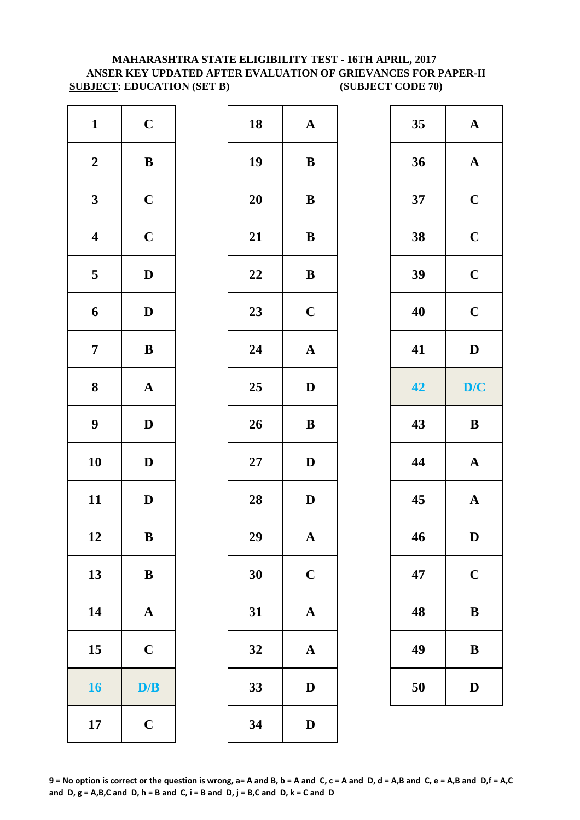## **MAHARASHTRA STATE ELIGIBILITY TEST - 16TH APRIL, 2017 ANSER KEY UPDATED AFTER EVALUATION OF GRIEVANCES FOR PAPER-II SUBJECT: EDUCATION (SET B)** (SUBJECT CODE 70)

| $\mathbf{1}$            | $\mathbf C$           | 18     | $\mathbf A$  |
|-------------------------|-----------------------|--------|--------------|
| $\boldsymbol{2}$        | $\bf{B}$              | 19     | $\bf{B}$     |
| $\mathbf{3}$            | $\mathbf C$           | 20     | $\bf{B}$     |
| $\overline{\mathbf{4}}$ | $\mathbf C$           | 21     | $\bf{B}$     |
| 5                       | $\mathbf D$           | 22     | $\bf{B}$     |
| $\boldsymbol{6}$        | $\mathbf D$           | 23     | $\mathbf C$  |
| $\boldsymbol{7}$        | $\, {\bf B}$          | 24     | $\mathbf{A}$ |
| ${\bf 8}$               | $\boldsymbol{\rm{A}}$ | 25     | $\mathbf{D}$ |
| 9                       | $\mathbf D$           | 26     | $\bf{B}$     |
| 10                      | $\mathbf D$           | $27\,$ | $\mathbf{D}$ |
| 11                      | $\mathbf D$           | 28     | $\mathbf{D}$ |
| 12                      | $\bf{B}$              | 29     | A            |
| 13                      | $\, {\bf B}$          | 30     | $\mathbf C$  |
| 14                      | $\boldsymbol{\rm{A}}$ | 31     | $\mathbf{A}$ |
| 15                      | $\mathbf C$           | 32     | $\mathbf A$  |
| 16                      | D/B                   | 33     | D            |
| 17                      | $\mathbf C$           | 34     | $\mathbf{D}$ |

| $\mathbf{1}$            | $\mathbf C$  | 18     | $\mathbf A$           | 35 | ${\bf A}$             |
|-------------------------|--------------|--------|-----------------------|----|-----------------------|
| $\boldsymbol{2}$        | ${\bf B}$    | 19     | $\, {\bf B}$          | 36 | ${\bf A}$             |
| $\mathbf{3}$            | $\mathbf C$  | 20     | ${\bf B}$             | 37 | $\mathbf C$           |
| $\overline{\mathbf{4}}$ | $\mathbf C$  | 21     | $\, {\bf B}$          | 38 | $\mathbf C$           |
| $5\overline{)}$         | $\mathbf D$  | 22     | ${\bf B}$             | 39 | $\mathbf C$           |
| 6                       | $\mathbf{D}$ | 23     | $\mathbf C$           | 40 | $\mathbf C$           |
| $\overline{7}$          | $\bf{B}$     | 24     | $\boldsymbol{\rm{A}}$ | 41 | $\mathbf D$           |
| $\boldsymbol{8}$        | ${\bf A}$    | 25     | $\mathbf D$           | 42 | D/C                   |
| $\boldsymbol{9}$        | $\mathbf{D}$ | 26     | $\, {\bf B}$          | 43 | $\, {\bf B}$          |
| 10                      | $\mathbf{D}$ | $27\,$ | $\mathbf D$           | 44 | $\boldsymbol{\rm{A}}$ |
| 11                      | $\mathbf{D}$ | 28     | $\mathbf D$           | 45 | ${\bf A}$             |
| 12                      | $\bf{B}$     | 29     | $\mathbf{A}$          | 46 | $\mathbf{D}$          |
| 13                      | $\bf{B}$     | 30     | $\mathbf C$           | 47 | $\mathbf C$           |
| 14                      | $\mathbf{A}$ | 31     | $\mathbf A$           | 48 | $\bf{B}$              |
| 15                      | $\mathbf C$  | 32     | $\mathbf{A}$          | 49 | $\bf{B}$              |
| 16                      | D/B          | 33     | $\mathbf D$           | 50 | $\mathbf{D}$          |
| 17                      | $\mathbf C$  | 34     | $\mathbf D$           |    |                       |
|                         |              |        |                       |    |                       |

| 35 | $\mathbf A$  |
|----|--------------|
| 36 | $\mathbf A$  |
| 37 | $\mathbf C$  |
| 38 | $\mathbf C$  |
| 39 | $\mathbf C$  |
| 40 | $\mathbf C$  |
| 41 | D            |
| 42 | D/C          |
|    |              |
| 43 | B            |
| 44 | $\mathbf{A}$ |
| 45 | $\mathbf{A}$ |
| 46 | $\bf{D}$     |
| 47 | $\mathbf C$  |
| 48 | B            |
| 49 | B            |

**9 = No option is correct or the question is wrong, a= A and B, b = A and C, c = A and D, d = A,B and C, e = A,B and D,f = A,C**  and  $D$ ,  $g = A$ ,  $B$ ,  $C$  and  $D$ ,  $h = B$  and  $C$ ,  $i = B$  and  $D$ ,  $j = B$ ,  $C$  and  $D$ ,  $k = C$  and  $D$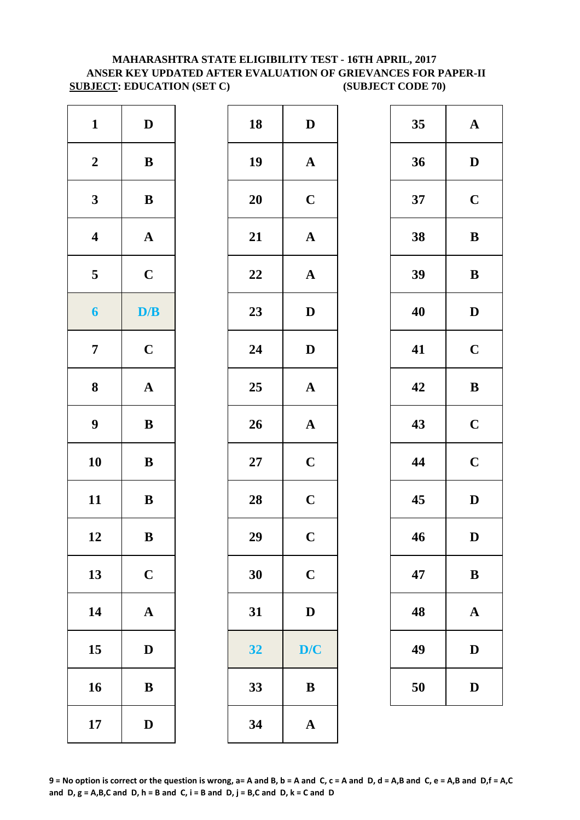## **MAHARASHTRA STATE ELIGIBILITY TEST - 16TH APRIL, 2017 ANSER KEY UPDATED AFTER EVALUATION OF GRIEVANCES FOR PAPER-II SUBJECT: EDUCATION (SET C) (SUBJECT CODE 70)**

| $\mathbf{1}$     | $\mathbf D$           | 18     | $\mathbf{D}$            |
|------------------|-----------------------|--------|-------------------------|
| $\boldsymbol{2}$ | $\, {\bf B}$          | 19     | $\mathbf A$             |
| $\mathbf{3}$     | $\, {\bf B}$          | 20     | $\mathbf C$             |
| $\boldsymbol{4}$ | ${\bf A}$             | 21     | $\mathbf{A}$            |
| 5                | $\mathbf C$           | 22     | $\mathbf A$             |
| $\boldsymbol{6}$ | D/B                   | 23     | $\mathbf{D}$            |
| $\boldsymbol{7}$ | $\mathbf C$           | 24     | $\mathbf{D}$            |
| $\boldsymbol{8}$ | $\boldsymbol{\rm{A}}$ | 25     | $\mathbf{A}$            |
| $\boldsymbol{9}$ | $\, {\bf B}$          | 26     | $\mathbf{A}$            |
| 10               | $\, {\bf B}$          | $27\,$ | $\mathbf C$             |
| 11               | $\, {\bf B}$          | 28     | $\mathbf C$             |
| 12               | $\bf{B}$              | 29     | $\overline{\mathbf{C}}$ |
| 13               | $\mathbf C$           | 30     | $\mathbf C$             |
| 14               | $\boldsymbol{\rm{A}}$ | 31     | $\mathbf{D}$            |
| 15               | $\mathbf D$           | 32     | D/                      |
| 16               | ${\bf B}$             | 33     | $\bf{B}$                |
| 17               | $\mathbf D$           | 34     | $\mathbf A$             |

| $\mathbf{1}$            | $\mathbf{D}$ | 18 | $\mathbf D$           | 35 | $\mathbf A$  |
|-------------------------|--------------|----|-----------------------|----|--------------|
| $\boldsymbol{2}$        | ${\bf B}$    | 19 | ${\bf A}$             | 36 | $\mathbf{D}$ |
| $\mathbf{3}$            | ${\bf B}$    | 20 | $\mathbf C$           | 37 | $\mathbf C$  |
| $\overline{\mathbf{4}}$ | ${\bf A}$    | 21 | $\boldsymbol{\rm{A}}$ | 38 | $\bf{B}$     |
| 5                       | $\mathbf C$  | 22 | $\boldsymbol{\rm{A}}$ | 39 | $\bf{B}$     |
| $\boldsymbol{6}$        | D/B          | 23 | $\mathbf D$           | 40 | $\mathbf{D}$ |
| $\overline{7}$          | $\mathbf C$  | 24 | $\mathbf D$           | 41 | $\mathbf C$  |
| $\boldsymbol{8}$        | ${\bf A}$    | 25 | ${\bf A}$             | 42 | $\bf{B}$     |
| $\boldsymbol{9}$        | ${\bf B}$    | 26 | ${\bf A}$             | 43 | $\mathbf C$  |
| 10                      | ${\bf B}$    | 27 | $\mathbf C$           | 44 | $\mathbf C$  |
| 11                      | ${\bf B}$    | 28 | $\mathbf C$           | 45 | $\mathbf{D}$ |
| 12                      | $\, {\bf B}$ | 29 | $\mathbf C$           | 46 | $\mathbf{D}$ |
| 13                      | $\mathbf C$  | 30 | $\mathbf C$           | 47 | $\bf{B}$     |
| 14                      | ${\bf A}$    | 31 | ${\bf D}$             | 48 | $\mathbf A$  |
| 15                      | D            | 32 | D/C                   | 49 | $\mathbf{D}$ |
| 16                      | $\, {\bf B}$ | 33 | $\bf{B}$              | 50 | D            |
| 17                      | $\mathbf D$  | 34 | $\mathbf A$           |    |              |
|                         |              |    |                       |    |              |

| 35 | $\mathbf A$ |
|----|-------------|
| 36 | D           |
| 37 | $\mathbf C$ |
| 38 | B           |
| 39 | B           |
| 40 | D           |
| 41 | $\mathbf C$ |
| 42 | B           |
| 43 | $\mathbf C$ |
| 44 | $\mathbf C$ |
| 45 | D           |
| 46 | D           |
| 47 | B           |
| 48 | A           |
| 49 | D           |
| 50 | D           |

**9 = No option is correct or the question is wrong, a= A and B, b = A and C, c = A and D, d = A,B and C, e = A,B and D,f = A,C**  and  $D$ ,  $g = A$ ,  $B$ ,  $C$  and  $D$ ,  $h = B$  and  $C$ ,  $i = B$  and  $D$ ,  $j = B$ ,  $C$  and  $D$ ,  $k = C$  and  $D$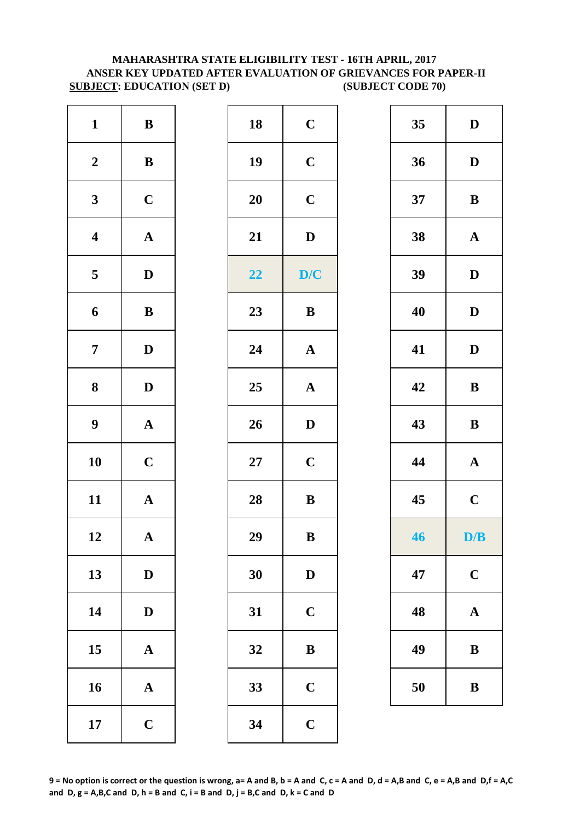## **MAHARASHTRA STATE ELIGIBILITY TEST - 16TH APRIL, 2017 ANSER KEY UPDATED AFTER EVALUATION OF GRIEVANCES FOR PAPER-II SUBJECT: EDUCATION (SET D) (SUBJECT CODE 70)**

| $\mathbf C$  | 18        | $\, {\bf B}$          | $\mathbf{1}$     |
|--------------|-----------|-----------------------|------------------|
| $\mathbf C$  | 19        | $\, {\bf B}$          | $\boldsymbol{2}$ |
| $\mathbf C$  | <b>20</b> | $\mathbf C$           | $\mathbf{3}$     |
| $\mathbf{D}$ | 21        | $\boldsymbol{\rm{A}}$ | $\boldsymbol{4}$ |
| D/           | 22        | $\mathbf D$           | 5                |
| $\bf{B}$     | 23        | $\, {\bf B}$          | $\boldsymbol{6}$ |
| $\mathbf{A}$ | 24        | $\mathbf D$           | $\boldsymbol{7}$ |
| $\mathbf{A}$ | 25        | $\mathbf D$           | $\boldsymbol{8}$ |
| $\mathbf{D}$ | 26        | $\boldsymbol{\rm{A}}$ | $\boldsymbol{9}$ |
| $\mathbf C$  | $27\,$    | $\mathbf C$           | 10               |
| $\bf{B}$     | 28        | $\mathbf{A}$          | 11               |
| $\bf{B}$     | 29        | A                     | 12               |
| $\mathbf{D}$ | 30        | $\mathbf D$           | 13               |
| $\mathbf C$  | 31        | $\mathbf D$           | 14               |
| $\bf{B}$     | 32        | $\boldsymbol{\rm{A}}$ | 15               |
| $\mathbf C$  | 33        | $\boldsymbol{\rm{A}}$ | 16               |
| $\mathbf C$  | 34        | $\mathbf C$           | 17               |

| $\mathbf{1}$            | $\bf{B}$              | 18     | $\mathbf C$  | 35 | $\mathbf D$           |
|-------------------------|-----------------------|--------|--------------|----|-----------------------|
| $\boldsymbol{2}$        | ${\bf B}$             | 19     | $\mathbf C$  | 36 | $\mathbf D$           |
| $\mathbf{3}$            | $\mathbf C$           | 20     | $\mathbf C$  | 37 | $\bf{B}$              |
| $\overline{\mathbf{4}}$ | $\boldsymbol{\rm{A}}$ | 21     | $\mathbf D$  | 38 | ${\bf A}$             |
| $\overline{\mathbf{5}}$ | $\mathbf{D}$          | 22     | D/C          | 39 | $\mathbf D$           |
| 6                       | ${\bf B}$             | 23     | $\bf{B}$     | 40 | ${\bf D}$             |
| $\overline{7}$          | $\mathbf D$           | 24     | ${\bf A}$    | 41 | $\mathbf D$           |
| $\boldsymbol{8}$        | $\mathbf D$           | 25     | ${\bf A}$    | 42 | $\, {\bf B}$          |
| $\boldsymbol{9}$        | ${\bf A}$             | 26     | $\mathbf D$  | 43 | ${\bf B}$             |
| 10                      | $\mathbf C$           | $27\,$ | $\mathbf C$  | 44 | $\boldsymbol{\rm{A}}$ |
| 11                      | ${\bf A}$             | 28     | $\, {\bf B}$ | 45 | $\mathbf C$           |
| 12                      | $\boldsymbol{\rm{A}}$ | 29     | $\, {\bf B}$ | 46 | D/B                   |
| 13                      | $\mathbf{D}$          | 30     | $\mathbf D$  | 47 | $\mathbf C$           |
| 14                      | $\mathbf D$           | 31     | $\mathbf C$  | 48 | $\mathbf A$           |
| 15                      | ${\bf A}$             | 32     | $\, {\bf B}$ | 49 | $\bf{B}$              |
| 16                      | ${\bf A}$             | 33     | $\mathbf C$  | 50 | $\bf{B}$              |
| 17                      | $\mathbf C$           | 34     | $\mathbf C$  |    |                       |

| 35        | $\mathbf D$ |
|-----------|-------------|
| 36        | D           |
| 37        | B           |
| 38        | $\mathbf A$ |
| 39        | D           |
| 40        | D           |
| 41        | D           |
| 42        | B           |
| 43        | B           |
| 44        | $\mathbf A$ |
| 45        | $\mathbf C$ |
| <b>46</b> | D/B         |
| 47        | $\mathbf C$ |
| 48        | A           |
|           | B           |
| 49        |             |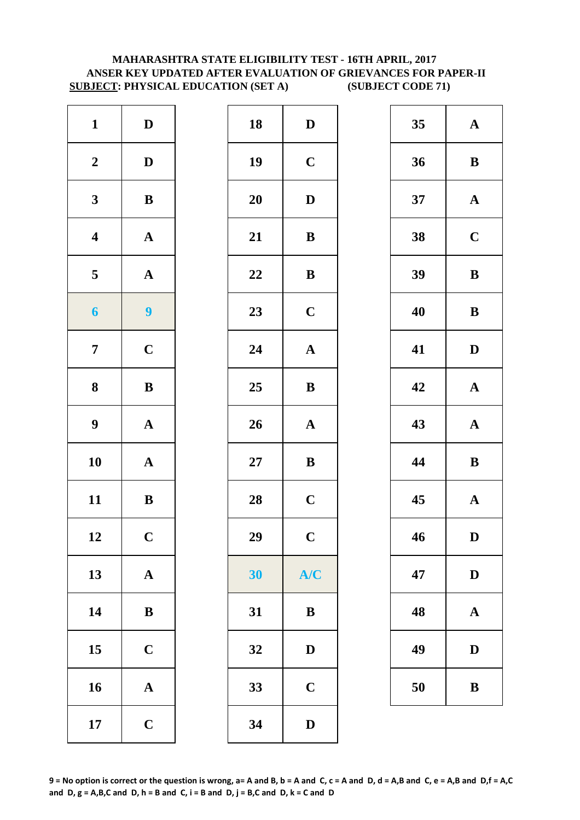## **MAHARASHTRA STATE ELIGIBILITY TEST - 16TH APRIL, 2017 ANSER KEY UPDATED AFTER EVALUATION OF GRIEVANCES FOR PAPER-II SUBJECT: PHYSICAL EDUCATION (SET A) (SUBJECT CODE 71)**

| $\mathbf{1}$            | $\mathbf D$             | 18     | $\mathbf{D}$ |
|-------------------------|-------------------------|--------|--------------|
| $\boldsymbol{2}$        | $\mathbf D$             | 19     | $\mathbf C$  |
| $\mathbf{3}$            | $\, {\bf B}$            | 20     | $\mathbf{D}$ |
| $\boldsymbol{4}$        | $\boldsymbol{\rm{A}}$   | 21     | $\bf{B}$     |
| $\overline{\mathbf{5}}$ | $\boldsymbol{\rm{A}}$   | 22     | $\bf{B}$     |
| $\boldsymbol{6}$        | $\overline{\mathbf{9}}$ | 23     | $\mathbf C$  |
| $\overline{7}$          | $\mathbf C$             | 24     | $\mathbf{A}$ |
| 8                       | $\, {\bf B}$            | 25     | $\bf{B}$     |
| $\boldsymbol{9}$        | $\boldsymbol{\rm{A}}$   | 26     | $\mathbf{A}$ |
| 10                      | ${\bf A}$               | $27\,$ | $\bf{B}$     |
| 11                      | $\, {\bf B}$            | 28     | $\mathbf C$  |
| 12                      | $\mathbf C$             | 29     | $\mathbf C$  |
| 13                      | $\mathbf A$             | 30     | A/           |
| 14                      | $\, {\bf B}$            | 31     | $\bf{B}$     |
| 15                      | $\mathbf C$             | 32     | $\mathbf{D}$ |
| 16                      | $\mathbf A$             | 33     | $\mathbf C$  |
| 17                      | $\mathbf C$             | 34     | $\mathbf{D}$ |

| $\mathbf{1}$            | $\mathbf D$             | 18 | $\mathbf D$  | 35 | $\mathbf A$  |
|-------------------------|-------------------------|----|--------------|----|--------------|
| $\boldsymbol{2}$        | $\mathbf D$             | 19 | $\mathbf C$  | 36 | $\bf{B}$     |
| $\mathbf{3}$            | ${\bf B}$               | 20 | $\mathbf{D}$ | 37 | $\mathbf A$  |
| $\overline{\mathbf{4}}$ | ${\bf A}$               | 21 | $\, {\bf B}$ | 38 | $\mathbf C$  |
| $5\phantom{.0}$         | ${\bf A}$               | 22 | $\, {\bf B}$ | 39 | $\bf{B}$     |
| $\boldsymbol{6}$        | $\overline{\mathbf{9}}$ | 23 | $\mathbf C$  | 40 | $\bf{B}$     |
| $\overline{7}$          | $\mathbf C$             | 24 | $\mathbf A$  | 41 | $\mathbf{D}$ |
| $\boldsymbol{8}$        | $\, {\bf B}$            | 25 | $\, {\bf B}$ | 42 | $\mathbf A$  |
| $\boldsymbol{9}$        | ${\bf A}$               | 26 | ${\bf A}$    | 43 | $\mathbf A$  |
| 10                      | ${\bf A}$               | 27 | $\bf{B}$     | 44 | $\bf{B}$     |
| 11                      | ${\bf B}$               | 28 | $\mathbf C$  | 45 | $\mathbf A$  |
| 12                      | $\mathbf C$             | 29 | $\mathbf C$  | 46 | $\mathbf{D}$ |
| 13                      | ${\bf A}$               | 30 | A/C          | 47 | $\mathbf{D}$ |
| 14                      | ${\bf B}$               | 31 | $\bf{B}$     | 48 | $\mathbf A$  |
| 15                      | $\mathbf C$             | 32 | $\mathbf D$  | 49 | $\mathbf{D}$ |
| 16                      | ${\bf A}$               | 33 | $\mathbf C$  | 50 | $\bf{B}$     |
| 17                      | $\mathbf C$             | 34 | $\mathbf D$  |    |              |
|                         |                         |    |              |    |              |

| 35 | $\mathbf A$ |
|----|-------------|
| 36 | B           |
| 37 | $\mathbf A$ |
| 38 | $\mathbf C$ |
| 39 | B           |
| 40 | B           |
| 41 | D           |
| 42 | $\mathbf A$ |
| 43 | $\mathbf A$ |
| 44 | $\bf{B}$    |
| 45 | $\mathbf A$ |
| 46 | D           |
| 47 | D           |
| 48 | A           |
| 49 | D           |
| 50 | B           |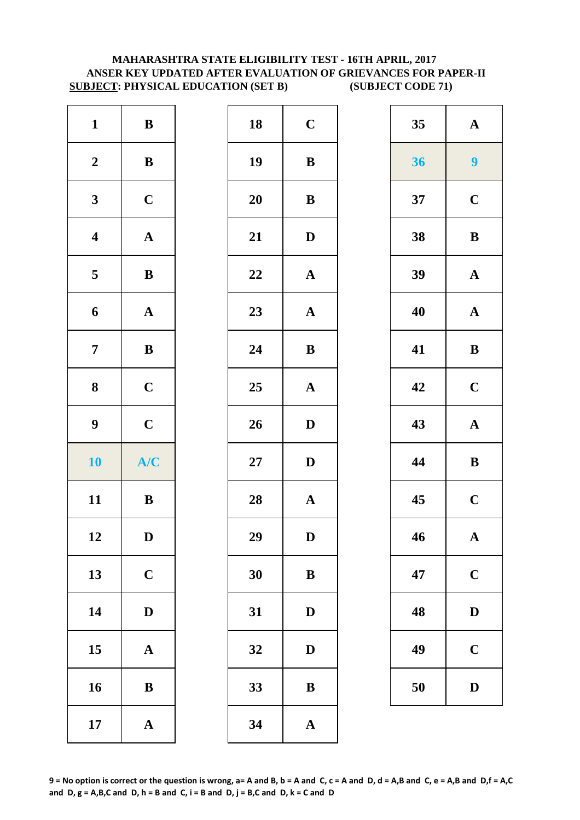## **MAHARASHTRA STATE ELIGIBILITY TEST - 16TH APRIL, 2017 ANSER KEY UPDATED AFTER EVALUATION OF GRIEVANCES FOR PAPER-II SUBJECT: PHYSICAL EDUCATION (SET B) (SUBJECT CODE 71)**

| $\mathbf{1}$            | $\, {\bf B}$          | 18        | $\mathbf C$  |
|-------------------------|-----------------------|-----------|--------------|
| $\boldsymbol{2}$        | $\, {\bf B}$          | 19        | $\bf{B}$     |
| $\mathbf{3}$            | $\mathbf C$           | <b>20</b> | $\bf{B}$     |
| $\overline{\mathbf{4}}$ | $\boldsymbol{\rm{A}}$ | 21        | $\mathbf{D}$ |
| $\overline{\mathbf{5}}$ | $\, {\bf B}$          | 22        | $\mathbf{A}$ |
| 6                       | ${\bf A}$             | 23        | $\mathbf{A}$ |
| $\overline{7}$          | $\bf{B}$              | 24        | $\bf{B}$     |
| 8                       | $\mathbf C$           | 25        | $\mathbf{A}$ |
| $\boldsymbol{9}$        | $\mathbf C$           | 26        | $\mathbf{D}$ |
|                         |                       |           |              |
| 10                      | A/C                   | $27\,$    | $\mathbf{D}$ |
| 11                      | $\bf{B}$              | 28        | $\mathbf{A}$ |
| 12                      | D                     | 29        | D            |
| 13                      | $\mathbf C$           | 30        | $\bf{B}$     |
| 14                      | $\mathbf D$           | 31        | $\mathbf{D}$ |
| 15                      | $\mathbf A$           | 32        | D            |
| 16                      | $\bf{B}$              | 33        | $\bf{B}$     |

| $\mathbf{1}$            | ${\bf B}$    | 18 | $\mathbf C$           | 35 | $\mathbf A$    |
|-------------------------|--------------|----|-----------------------|----|----------------|
| $\boldsymbol{2}$        | $\, {\bf B}$ | 19 | $\, {\bf B}$          | 36 | $\overline{9}$ |
| $\mathbf{3}$            | $\mathbf C$  | 20 | ${\bf B}$             | 37 | $\mathbf C$    |
| $\overline{\mathbf{4}}$ | ${\bf A}$    | 21 | $\mathbf D$           | 38 | $\bf{B}$       |
| $5\overline{)}$         | $\, {\bf B}$ | 22 | $\boldsymbol{\rm{A}}$ | 39 | $\mathbf A$    |
| $\boldsymbol{6}$        | ${\bf A}$    | 23 | ${\bf A}$             | 40 | $\mathbf A$    |
| $\overline{7}$          | $\bf{B}$     | 24 | $\bf{B}$              | 41 | $\bf{B}$       |
| $\boldsymbol{8}$        | $\mathbf C$  | 25 | $\boldsymbol{\rm{A}}$ | 42 | $\mathbf C$    |
| $\boldsymbol{9}$        | $\mathbf C$  | 26 | $\mathbf D$           | 43 | $\mathbf A$    |
| 10                      | A/C          | 27 | $\mathbf D$           | 44 | $\bf{B}$       |
| 11                      | ${\bf B}$    | 28 | ${\bf A}$             | 45 | $\mathbf C$    |
| 12                      | $\mathbf D$  | 29 | ${\bf D}$             | 46 | $\mathbf A$    |
| 13                      | $\mathbf C$  | 30 | ${\bf B}$             | 47 | $\mathbf C$    |
| 14                      | $\mathbf D$  | 31 | ${\bf D}$             | 48 | $\mathbf{D}$   |
| 15                      | ${\bf A}$    | 32 | $\mathbf D$           | 49 | $\mathbf C$    |
| 16                      | $\, {\bf B}$ | 33 | $\, {\bf B}$          | 50 | $\mathbf{D}$   |
| 17                      | ${\bf A}$    | 34 | $\mathbf{A}$          |    |                |
|                         |              |    |                       |    |                |

| 35 | $\mathbf A$ |
|----|-------------|
| 36 | 9           |
| 37 | $\mathbf C$ |
| 38 | B           |
| 39 | $\mathbf A$ |
| 40 | $\mathbf A$ |
| 41 | B           |
| 42 | $\mathbf C$ |
| 43 | $\mathbf A$ |
| 44 | B           |
| 45 | $\mathbf C$ |
| 46 | $\mathbf A$ |
|    |             |
| 47 | $\mathbf C$ |
| 48 | $\bf{D}$    |
| 49 | $\mathbf C$ |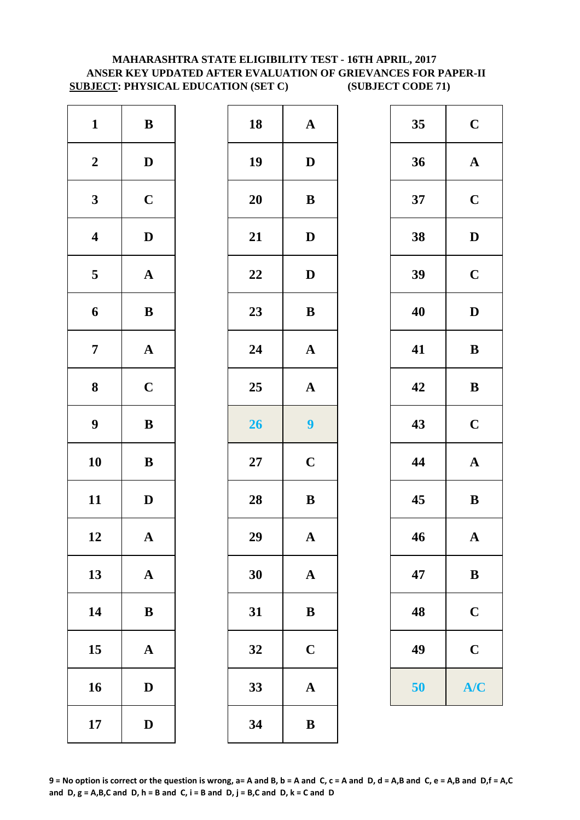## **MAHARASHTRA STATE ELIGIBILITY TEST - 16TH APRIL, 2017 ANSER KEY UPDATED AFTER EVALUATION OF GRIEVANCES FOR PAPER-II SUBJECT: PHYSICAL EDUCATION (SET C) (SUBJECT CODE 71)**

| $\mathbf{1}$            | $\, {\bf B}$          | 18        | $\mathbf A$  |
|-------------------------|-----------------------|-----------|--------------|
| $\boldsymbol{2}$        | $\mathbf D$           | 19        | D            |
| $\mathbf{3}$            | $\mathbf C$           | <b>20</b> | $\bf{B}$     |
| $\overline{\mathbf{4}}$ | $\mathbf D$           | 21        | $\mathbf{D}$ |
| $\overline{\mathbf{5}}$ | $\boldsymbol{\rm{A}}$ | 22        | $\mathbf{D}$ |
| 6                       | $\, {\bf B}$          | 23        | $\bf{B}$     |
| $\overline{7}$          | ${\bf A}$             | 24        | $\mathbf A$  |
| 8                       | $\mathbf C$           | 25        | $\mathbf A$  |
| $\boldsymbol{9}$        | $\, {\bf B}$          | 26        | 9            |
| 10                      | $\bf{B}$              | $27\,$    | $\mathbf C$  |
| 11                      | $\mathbf D$           | 28        | $\bf{B}$     |
| 12                      | A                     | 29        | A            |
| 13                      | $\mathbf A$           | 30        | $\mathbf A$  |
| 14                      | $\bf{B}$              | 31        | $\bf{B}$     |
| 15                      | $\mathbf A$           | 32        | $\mathbf C$  |
| 16                      | $\mathbf D$           | 33        | $\mathbf A$  |
| 17                      | $\mathbf D$           | 34        | $\bf{B}$     |

| $\mathbf{1}$            | ${\bf B}$    | 18 | $\mathbf A$             | 35 | $\mathbf C$           |
|-------------------------|--------------|----|-------------------------|----|-----------------------|
| $\boldsymbol{2}$        | $\mathbf{D}$ | 19 | $\mathbf{D}$            | 36 | ${\bf A}$             |
| $\mathbf{3}$            | $\mathbf C$  | 20 | $\, {\bf B}$            | 37 | $\mathbf C$           |
| $\overline{\mathbf{4}}$ | $\mathbf D$  | 21 | $\mathbf D$             | 38 | $\mathbf D$           |
| $5\overline{)}$         | ${\bf A}$    | 22 | $\mathbf D$             | 39 | $\mathbf C$           |
| $\boldsymbol{6}$        | $\bf{B}$     | 23 | $\, {\bf B}$            | 40 | $\mathbf D$           |
| $\overline{7}$          | ${\bf A}$    | 24 | ${\bf A}$               | 41 | $\, {\bf B}$          |
| $\boldsymbol{8}$        | $\mathbf C$  | 25 | $\boldsymbol{\rm{A}}$   | 42 | $\, {\bf B}$          |
| $\boldsymbol{9}$        | $\, {\bf B}$ | 26 | $\overline{\mathbf{9}}$ | 43 | $\mathbf C$           |
| 10                      | ${\bf B}$    | 27 | $\mathbf C$             | 44 | $\boldsymbol{\rm{A}}$ |
| 11                      | $\mathbf D$  | 28 | $\, {\bf B}$            | 45 | ${\bf B}$             |
| 12                      | $\mathbf{A}$ | 29 | $\mathbf A$             | 46 | $\mathbf{A}$          |
| 13                      | ${\bf A}$    | 30 | ${\bf A}$               | 47 | $\bf{B}$              |
| 14                      | $\bf{B}$     | 31 | $\bf{B}$                | 48 | $\mathbf C$           |
| 15                      | ${\bf A}$    | 32 | $\mathbf C$             | 49 | $\mathbf C$           |
| 16                      | $\mathbf D$  | 33 | $\boldsymbol{\rm{A}}$   | 50 | A/C                   |
| 17                      | $\mathbf{D}$ | 34 | $\, {\bf B}$            |    |                       |
|                         |              |    |                         |    |                       |

| 35 | $\mathbf C$  |
|----|--------------|
| 36 | $\mathbf A$  |
| 37 | $\mathbf C$  |
| 38 | D            |
| 39 | $\mathbf C$  |
| 40 | D            |
| 41 | B            |
| 42 | B            |
| 43 | $\mathbf C$  |
| 44 | $\mathbf A$  |
| 45 | B            |
| 46 | $\mathbf{A}$ |
| 47 | B            |
| 48 | $\mathbf C$  |
| 49 | $\mathbf C$  |
| 50 | A/C          |